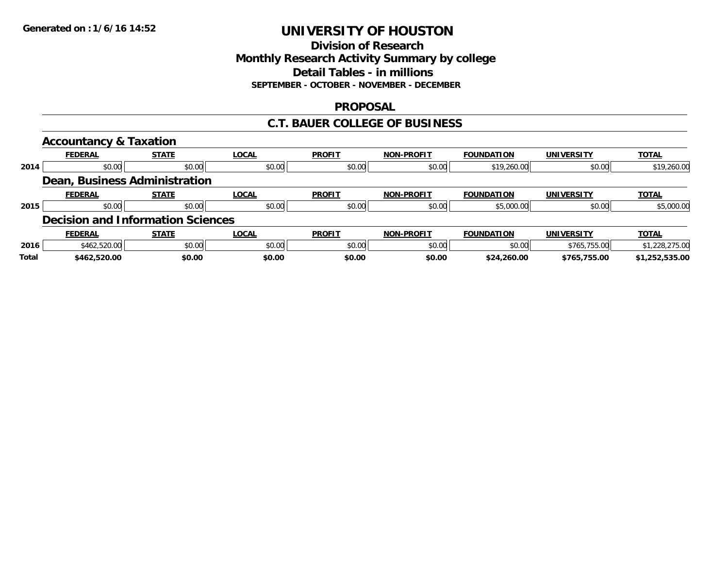## **Division of Research Monthly Research Activity Summary by college Detail Tables - in millions SEPTEMBER - OCTOBER - NOVEMBER - DECEMBER**

## **PROPOSAL**

## **C.T. BAUER COLLEGE OF BUSINESS**

|       | <b>Accountancy &amp; Taxation</b>        |              |              |               |                   |                   |                   |                |
|-------|------------------------------------------|--------------|--------------|---------------|-------------------|-------------------|-------------------|----------------|
|       | <b>FEDERAL</b>                           | <b>STATE</b> | <b>LOCAL</b> | <b>PROFIT</b> | <b>NON-PROFIT</b> | <b>FOUNDATION</b> | <b>UNIVERSITY</b> | <b>TOTAL</b>   |
| 2014  | \$0.00                                   | \$0.00       | \$0.00       | \$0.00        | \$0.00            | \$19,260.00       | \$0.00            | \$19,260.00    |
|       | Dean, Business Administration            |              |              |               |                   |                   |                   |                |
|       | <b>FEDERAL</b>                           | <b>STATE</b> | <b>LOCAL</b> | <b>PROFIT</b> | <b>NON-PROFIT</b> | <b>FOUNDATION</b> | <b>UNIVERSITY</b> | <b>TOTAL</b>   |
| 2015  | \$0.00                                   | \$0.00       | \$0.00       | \$0.00        | \$0.00            | \$5,000.00        | \$0.00            | \$5,000.00     |
|       | <b>Decision and Information Sciences</b> |              |              |               |                   |                   |                   |                |
|       | <b>FEDERAL</b>                           | <b>STATE</b> | <b>LOCAL</b> | <b>PROFIT</b> | <b>NON-PROFIT</b> | <b>FOUNDATION</b> | <b>UNIVERSITY</b> | <b>TOTAL</b>   |
| 2016  | \$462,520.00                             | \$0.00       | \$0.00       | \$0.00        | \$0.00            | \$0.00            | \$765,755.00      | \$1,228,275.00 |
| Total | \$462,520.00                             | \$0.00       | \$0.00       | \$0.00        | \$0.00            | \$24,260.00       | \$765,755.00      | \$1,252,535.00 |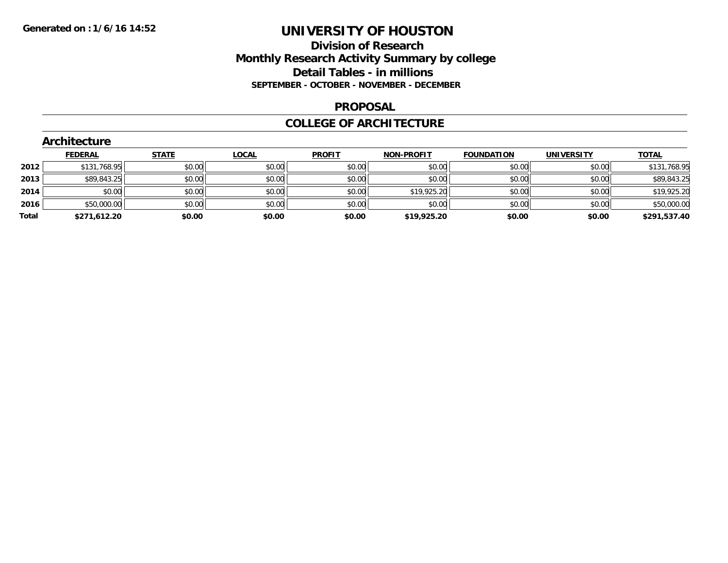## **Division of Research Monthly Research Activity Summary by college Detail Tables - in millions SEPTEMBER - OCTOBER - NOVEMBER - DECEMBER**

### **PROPOSAL**

### **COLLEGE OF ARCHITECTURE**

|       | <b>Architecture</b> |              |              |               |                   |                   |                   |              |
|-------|---------------------|--------------|--------------|---------------|-------------------|-------------------|-------------------|--------------|
|       | <b>FEDERAL</b>      | <b>STATE</b> | <u>LOCAL</u> | <b>PROFIT</b> | <b>NON-PROFIT</b> | <b>FOUNDATION</b> | <b>UNIVERSITY</b> | <b>TOTAL</b> |
| 2012  | \$131,768.95        | \$0.00       | \$0.00       | \$0.00        | \$0.00            | \$0.00            | \$0.00            | \$131,768.95 |
| 2013  | \$89,843.25         | \$0.00       | \$0.00       | \$0.00        | \$0.00            | \$0.00            | \$0.00            | \$89,843.25  |
| 2014  | \$0.00              | \$0.00       | \$0.00       | \$0.00        | \$19,925.20       | \$0.00            | \$0.00            | \$19,925.20  |
| 2016  | \$50,000.00         | \$0.00       | \$0.00       | \$0.00        | \$0.00            | \$0.00            | \$0.00            | \$50,000.00  |
| Total | \$271,612.20        | \$0.00       | \$0.00       | \$0.00        | \$19,925.20       | \$0.00            | \$0.00            | \$291,537.40 |
|       |                     |              |              |               |                   |                   |                   |              |

# **Architecture**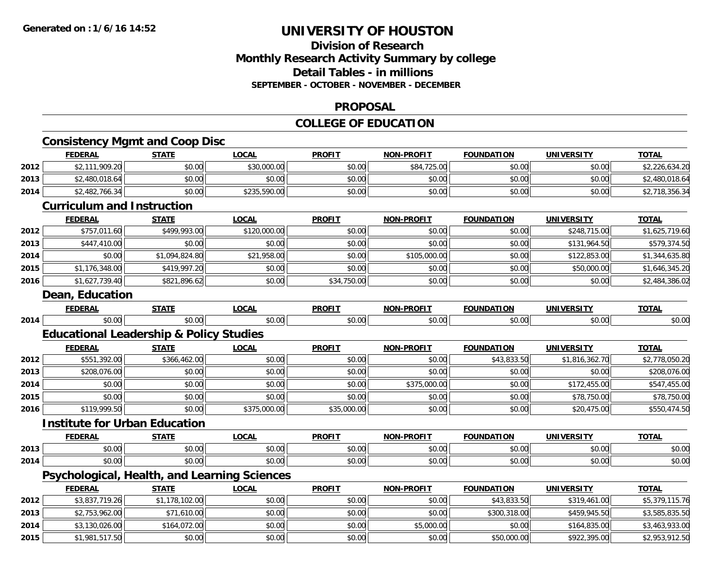# **Division of ResearchMonthly Research Activity Summary by college Detail Tables - in millions SEPTEMBER - OCTOBER - NOVEMBER - DECEMBER**

### **PROPOSAL**

# **COLLEGE OF EDUCATION**

|      |                                                    |                |              | COLLLOL OF LDUCATION |                   |                   |                   |                |
|------|----------------------------------------------------|----------------|--------------|----------------------|-------------------|-------------------|-------------------|----------------|
|      | <b>Consistency Mgmt and Coop Disc</b>              |                |              |                      |                   |                   |                   |                |
|      | <b>FEDERAL</b>                                     | <b>STATE</b>   | <b>LOCAL</b> | <b>PROFIT</b>        | <b>NON-PROFIT</b> | <b>FOUNDATION</b> | <b>UNIVERSITY</b> | <b>TOTAL</b>   |
| 2012 | \$2,111,909.20                                     | \$0.00         | \$30,000.00  | \$0.00               | \$84,725.00       | \$0.00            | \$0.00            | \$2,226,634.20 |
| 2013 | \$2,480,018.64                                     | \$0.00         | \$0.00       | \$0.00               | \$0.00            | \$0.00            | \$0.00            | \$2,480,018.64 |
| 2014 | \$2,482,766.34                                     | \$0.00         | \$235,590.00 | \$0.00               | \$0.00            | \$0.00            | \$0.00            | \$2,718,356.34 |
|      | <b>Curriculum and Instruction</b>                  |                |              |                      |                   |                   |                   |                |
|      | <b>FEDERAL</b>                                     | <b>STATE</b>   | <b>LOCAL</b> | <b>PROFIT</b>        | <b>NON-PROFIT</b> | <b>FOUNDATION</b> | <b>UNIVERSITY</b> | <b>TOTAL</b>   |
| 2012 | \$757,011.60                                       | \$499,993.00   | \$120,000.00 | \$0.00               | \$0.00            | \$0.00            | \$248,715.00      | \$1,625,719.60 |
| 2013 | \$447,410.00                                       | \$0.00         | \$0.00       | \$0.00               | \$0.00            | \$0.00            | \$131,964.50      | \$579,374.50   |
| 2014 | \$0.00                                             | \$1,094,824.80 | \$21,958.00  | \$0.00               | \$105,000.00      | \$0.00            | \$122,853.00      | \$1,344,635.80 |
| 2015 | \$1,176,348.00                                     | \$419,997.20   | \$0.00       | \$0.00               | \$0.00            | \$0.00            | \$50,000.00       | \$1,646,345.20 |
| 2016 | \$1,627,739.40                                     | \$821,896.62   | \$0.00       | \$34,750.00          | \$0.00            | \$0.00            | \$0.00            | \$2,484,386.02 |
|      | <b>Dean, Education</b>                             |                |              |                      |                   |                   |                   |                |
|      | <b>FEDERAL</b>                                     | <b>STATE</b>   | <b>LOCAL</b> | <b>PROFIT</b>        | <b>NON-PROFIT</b> | <b>FOUNDATION</b> | <b>UNIVERSITY</b> | <b>TOTAL</b>   |
| 2014 | \$0.00                                             | \$0.00         | \$0.00       | \$0.00               | \$0.00            | \$0.00            | \$0.00            | \$0.00         |
|      | <b>Educational Leadership &amp; Policy Studies</b> |                |              |                      |                   |                   |                   |                |
|      | <b>FEDERAL</b>                                     | <b>STATE</b>   | <b>LOCAL</b> | <b>PROFIT</b>        | <b>NON-PROFIT</b> | <b>FOUNDATION</b> | <b>UNIVERSITY</b> | <b>TOTAL</b>   |
| 2012 | \$551,392.00                                       | \$366,462.00   | \$0.00       | \$0.00               | \$0.00            | \$43,833.50       | \$1,816,362.70    | \$2,778,050.20 |
| 2013 | \$208,076.00                                       | \$0.00         | \$0.00       | \$0.00               | \$0.00            | \$0.00            | \$0.00            | \$208,076.00   |
| 2014 | \$0.00                                             | \$0.00         | \$0.00       | \$0.00               | \$375,000.00      | \$0.00            | \$172,455.00      | \$547,455.00   |
| 2015 | \$0.00                                             | \$0.00         | \$0.00       | \$0.00               | \$0.00            | \$0.00            | \$78,750.00       | \$78,750.00    |
| 2016 | \$119,999.50                                       | \$0.00         | \$375,000.00 | \$35,000.00          | \$0.00            | \$0.00            | \$20,475.00       | \$550,474.50   |
|      | <b>Institute for Urban Education</b>               |                |              |                      |                   |                   |                   |                |
|      | <b>FEDERAL</b>                                     | <b>STATE</b>   | <b>LOCAL</b> | <b>PROFIT</b>        | <b>NON-PROFIT</b> | <b>FOUNDATION</b> | <b>UNIVERSITY</b> | <b>TOTAL</b>   |
| 2013 | \$0.00                                             | \$0.00         | \$0.00       | \$0.00               | \$0.00            | \$0.00            | \$0.00            | \$0.00         |
| 2014 | \$0.00                                             | \$0.00         | \$0.00       | \$0.00               | \$0.00            | \$0.00            | \$0.00            | \$0.00         |
|      | Psychological, Health, and Learning Sciences       |                |              |                      |                   |                   |                   |                |
|      | <b>FEDERAL</b>                                     | <b>STATE</b>   | <b>LOCAL</b> | <b>PROFIT</b>        | <b>NON-PROFIT</b> | <b>FOUNDATION</b> | <b>UNIVERSITY</b> | <b>TOTAL</b>   |
| 2012 | \$3,837,719.26                                     | \$1,178,102.00 | \$0.00       | \$0.00               | \$0.00            | \$43,833.50       | \$319,461.00      | \$5,379,115.76 |
| 2013 | \$2,753,962.00                                     | \$71,610.00    | \$0.00       | \$0.00               | \$0.00            | \$300,318.00      | \$459,945.50      | \$3,585,835.50 |
| 2014 | \$3,130,026.00                                     | \$164,072.00   | \$0.00       | \$0.00               | \$5,000.00        | \$0.00            | \$164,835.00      | \$3,463,933.00 |
| 2015 | \$1,981,517.50                                     | \$0.00         | \$0.00       | \$0.00               | \$0.00            | \$50,000.00       | \$922,395.00      | \$2,953,912.50 |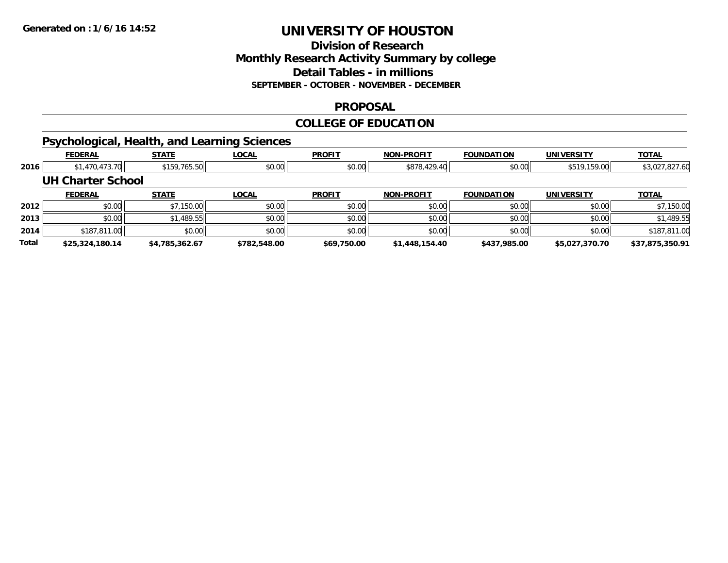## **Division of Research Monthly Research Activity Summary by college Detail Tables - in millions SEPTEMBER - OCTOBER - NOVEMBER - DECEMBER**

### **PROPOSAL**

# **COLLEGE OF EDUCATION**

# **Psychological, Health, and Learning Sciences**

|       | <b>FEDERAL</b>           | <b>STATE</b>   | <b>LOCAL</b> | <b>PROFIT</b> | <b>NON-PROFIT</b> | <b>FOUNDATION</b> | <b>UNIVERSITY</b> | <b>TOTAL</b>    |
|-------|--------------------------|----------------|--------------|---------------|-------------------|-------------------|-------------------|-----------------|
| 2016  | \$1,470,473.70           | \$159,765.50   | \$0.00       | \$0.00        | \$878,429.40      | \$0.00            | \$519,159.00      | \$3,027,827.60  |
|       | <b>UH Charter School</b> |                |              |               |                   |                   |                   |                 |
|       | <b>FEDERAL</b>           | <b>STATE</b>   | <b>LOCAL</b> | <b>PROFIT</b> | <b>NON-PROFIT</b> | <b>FOUNDATION</b> | <b>UNIVERSITY</b> | <b>TOTAL</b>    |
| 2012  | \$0.00                   | \$7,150.00     | \$0.00       | \$0.00        | \$0.00            | \$0.00            | \$0.00            | \$7,150.00      |
| 2013  | \$0.00                   | \$1,489.55     | \$0.00       | \$0.00        | \$0.00            | \$0.00            | \$0.00            | \$1,489.55      |
| 2014  | \$187,811.00             | \$0.00         | \$0.00       | \$0.00        | \$0.00            | \$0.00            | \$0.00            | \$187,811.00    |
| Total | \$25,324,180.14          | \$4.785.362.67 | \$782,548.00 | \$69,750.00   | \$1,448,154.40    | \$437,985.00      | \$5,027,370.70    | \$37.875.350.91 |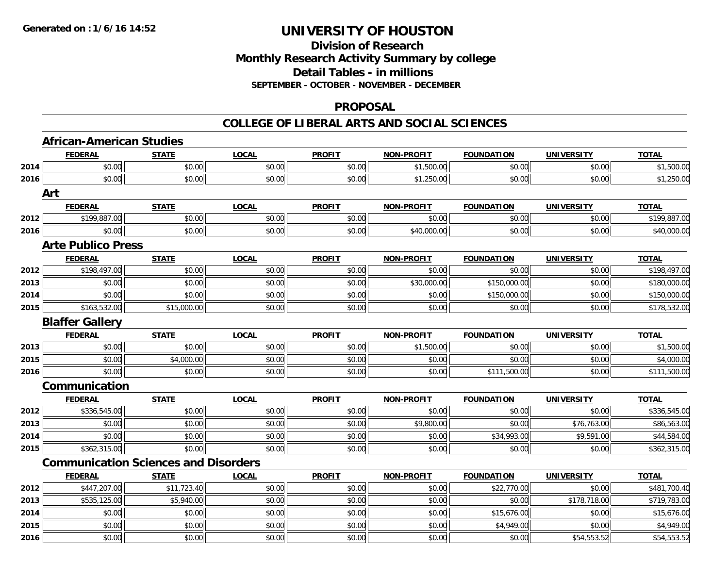## **Division of Research Monthly Research Activity Summary by college Detail Tables - in millions SEPTEMBER - OCTOBER - NOVEMBER - DECEMBER**

### **PROPOSAL**

|      | <b>African-American Studies</b>             |              |              |               |                   |                   |                   |              |
|------|---------------------------------------------|--------------|--------------|---------------|-------------------|-------------------|-------------------|--------------|
|      | <b>FEDERAL</b>                              | <b>STATE</b> | <b>LOCAL</b> | <b>PROFIT</b> | <b>NON-PROFIT</b> | <b>FOUNDATION</b> | <b>UNIVERSITY</b> | <b>TOTAL</b> |
| 2014 | \$0.00                                      | \$0.00       | \$0.00       | \$0.00        | \$1,500.00        | \$0.00            | \$0.00            | \$1,500.00   |
| 2016 | \$0.00                                      | \$0.00       | \$0.00       | \$0.00        | \$1,250.00        | \$0.00            | \$0.00            | \$1,250.00   |
|      | Art                                         |              |              |               |                   |                   |                   |              |
|      | <b>FEDERAL</b>                              | <b>STATE</b> | <b>LOCAL</b> | <b>PROFIT</b> | <b>NON-PROFIT</b> | <b>FOUNDATION</b> | <b>UNIVERSITY</b> | <b>TOTAL</b> |
| 2012 | \$199,887.00                                | \$0.00       | \$0.00       | \$0.00        | \$0.00            | \$0.00            | \$0.00            | \$199,887.00 |
| 2016 | \$0.00                                      | \$0.00       | \$0.00       | \$0.00        | \$40,000.00       | \$0.00            | \$0.00            | \$40,000.00  |
|      | <b>Arte Publico Press</b>                   |              |              |               |                   |                   |                   |              |
|      | <b>FEDERAL</b>                              | <b>STATE</b> | <b>LOCAL</b> | <b>PROFIT</b> | <b>NON-PROFIT</b> | <b>FOUNDATION</b> | <b>UNIVERSITY</b> | <b>TOTAL</b> |
| 2012 | \$198,497.00                                | \$0.00       | \$0.00       | \$0.00        | \$0.00            | \$0.00            | \$0.00            | \$198,497.00 |
| 2013 | \$0.00                                      | \$0.00       | \$0.00       | \$0.00        | \$30,000.00       | \$150,000.00      | \$0.00            | \$180,000.00 |
| 2014 | \$0.00                                      | \$0.00       | \$0.00       | \$0.00        | \$0.00            | \$150,000.00      | \$0.00            | \$150,000.00 |
| 2015 | \$163,532.00                                | \$15,000.00  | \$0.00       | \$0.00        | \$0.00            | \$0.00            | \$0.00            | \$178,532.00 |
|      | <b>Blaffer Gallery</b>                      |              |              |               |                   |                   |                   |              |
|      | <b>FEDERAL</b>                              | <b>STATE</b> | <b>LOCAL</b> | <b>PROFIT</b> | <b>NON-PROFIT</b> | <b>FOUNDATION</b> | <b>UNIVERSITY</b> | <b>TOTAL</b> |
| 2013 | \$0.00                                      | \$0.00       | \$0.00       | \$0.00        | \$1,500.00        | \$0.00            | \$0.00            | \$1,500.00   |
| 2015 | \$0.00                                      | \$4,000.00   | \$0.00       | \$0.00        | \$0.00            | \$0.00            | \$0.00            | \$4,000.00   |
| 2016 | \$0.00                                      | \$0.00       | \$0.00       | \$0.00        | \$0.00            | \$111,500.00      | \$0.00            | \$111,500.00 |
|      | Communication                               |              |              |               |                   |                   |                   |              |
|      | <b>FEDERAL</b>                              | <b>STATE</b> | <b>LOCAL</b> | <b>PROFIT</b> | <b>NON-PROFIT</b> | <b>FOUNDATION</b> | <b>UNIVERSITY</b> | <b>TOTAL</b> |
| 2012 | \$336,545.00                                | \$0.00       | \$0.00       | \$0.00        | \$0.00            | \$0.00            | \$0.00            | \$336,545.00 |
| 2013 | \$0.00                                      | \$0.00       | \$0.00       | \$0.00        | \$9,800.00        | \$0.00            | \$76,763.00       | \$86,563.00  |
| 2014 | \$0.00                                      | \$0.00       | \$0.00       | \$0.00        | \$0.00            | \$34,993.00       | \$9,591.00        | \$44,584.00  |
| 2015 | \$362,315.00                                | \$0.00       | \$0.00       | \$0.00        | \$0.00            | \$0.00            | \$0.00            | \$362,315.00 |
|      | <b>Communication Sciences and Disorders</b> |              |              |               |                   |                   |                   |              |
|      | <b>FEDERAL</b>                              | <b>STATE</b> | <b>LOCAL</b> | <b>PROFIT</b> | <b>NON-PROFIT</b> | <b>FOUNDATION</b> | <b>UNIVERSITY</b> | <b>TOTAL</b> |
| 2012 | \$447,207.00                                | \$11,723.40  | \$0.00       | \$0.00        | \$0.00            | \$22,770.00       | \$0.00            | \$481,700.40 |
| 2013 | \$535,125.00                                | \$5,940.00   | \$0.00       | \$0.00        | \$0.00            | \$0.00            | \$178,718.00      | \$719,783.00 |
| 2014 | \$0.00                                      | \$0.00       | \$0.00       | \$0.00        | \$0.00            | \$15,676.00       | \$0.00            | \$15,676.00  |
| 2015 | \$0.00                                      | \$0.00       | \$0.00       | \$0.00        | \$0.00            | \$4,949.00        | \$0.00            | \$4,949.00   |
| 2016 | \$0.00                                      | \$0.00       | \$0.00       | \$0.00        | \$0.00            | \$0.00            | \$54,553.52       | \$54,553.52  |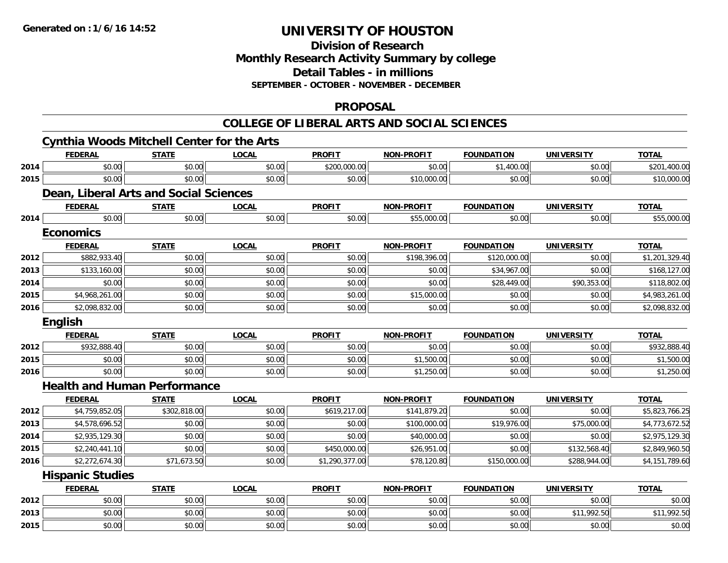# **Division of ResearchMonthly Research Activity Summary by college Detail Tables - in millions SEPTEMBER - OCTOBER - NOVEMBER - DECEMBER**

### **PROPOSAL**

|      | <b>Cynthia Woods Mitchell Center for the Arts</b> |              |              |                |                   |                   |                   |                |
|------|---------------------------------------------------|--------------|--------------|----------------|-------------------|-------------------|-------------------|----------------|
|      | <b>FEDERAL</b>                                    | <b>STATE</b> | <b>LOCAL</b> | <b>PROFIT</b>  | <b>NON-PROFIT</b> | <b>FOUNDATION</b> | <b>UNIVERSITY</b> | <b>TOTAL</b>   |
| 2014 | \$0.00                                            | \$0.00       | \$0.00       | \$200,000.00   | \$0.00            | \$1,400.00        | \$0.00            | \$201,400.00   |
| 2015 | \$0.00                                            | \$0.00       | \$0.00       | \$0.00         | \$10,000.00       | \$0.00            | \$0.00            | \$10,000.00    |
|      | Dean, Liberal Arts and Social Sciences            |              |              |                |                   |                   |                   |                |
|      | <b>FEDERAL</b>                                    | <b>STATE</b> | <b>LOCAL</b> | <b>PROFIT</b>  | <b>NON-PROFIT</b> | <b>FOUNDATION</b> | <b>UNIVERSITY</b> | <b>TOTAL</b>   |
| 2014 | \$0.00                                            | \$0.00       | \$0.00       | \$0.00         | \$55,000.00       | \$0.00            | \$0.00            | \$55,000.00    |
|      | <b>Economics</b>                                  |              |              |                |                   |                   |                   |                |
|      | <b>FEDERAL</b>                                    | <b>STATE</b> | <b>LOCAL</b> | <b>PROFIT</b>  | <b>NON-PROFIT</b> | <b>FOUNDATION</b> | <b>UNIVERSITY</b> | <b>TOTAL</b>   |
| 2012 | \$882,933.40                                      | \$0.00       | \$0.00       | \$0.00         | \$198,396.00      | \$120,000.00      | \$0.00            | \$1,201,329.40 |
| 2013 | \$133,160.00                                      | \$0.00       | \$0.00       | \$0.00         | \$0.00            | \$34,967.00       | \$0.00            | \$168,127.00   |
| 2014 | \$0.00                                            | \$0.00       | \$0.00       | \$0.00         | \$0.00            | \$28,449.00       | \$90,353.00       | \$118,802.00   |
| 2015 | \$4,968,261.00                                    | \$0.00       | \$0.00       | \$0.00         | \$15,000.00       | \$0.00            | \$0.00            | \$4,983,261.00 |
| 2016 | \$2,098,832.00                                    | \$0.00       | \$0.00       | \$0.00         | \$0.00            | \$0.00            | \$0.00            | \$2,098,832.00 |
|      | English                                           |              |              |                |                   |                   |                   |                |
|      | <b>FEDERAL</b>                                    | <b>STATE</b> | <b>LOCAL</b> | <b>PROFIT</b>  | <b>NON-PROFIT</b> | <b>FOUNDATION</b> | <b>UNIVERSITY</b> | <b>TOTAL</b>   |
| 2012 | \$932,888.40                                      | \$0.00       | \$0.00       | \$0.00         | \$0.00            | \$0.00            | \$0.00            | \$932,888.40   |
| 2015 | \$0.00                                            | \$0.00       | \$0.00       | \$0.00         | \$1,500.00        | \$0.00            | \$0.00            | \$1,500.00     |
| 2016 | \$0.00                                            | \$0.00       | \$0.00       | \$0.00         | \$1,250.00        | \$0.00            | \$0.00            | \$1,250.00     |
|      | <b>Health and Human Performance</b>               |              |              |                |                   |                   |                   |                |
|      | <b>FEDERAL</b>                                    | <b>STATE</b> | <b>LOCAL</b> | <b>PROFIT</b>  | <b>NON-PROFIT</b> | <b>FOUNDATION</b> | <b>UNIVERSITY</b> | <b>TOTAL</b>   |
| 2012 | \$4,759,852.05                                    | \$302,818.00 | \$0.00       | \$619,217.00   | \$141,879.20      | \$0.00            | \$0.00            | \$5,823,766.25 |
| 2013 | \$4,578,696.52                                    | \$0.00       | \$0.00       | \$0.00         | \$100,000.00      | \$19,976.00       | \$75,000.00       | \$4,773,672.52 |
| 2014 | \$2,935,129.30                                    | \$0.00       | \$0.00       | \$0.00         | \$40,000.00       | \$0.00            | \$0.00            | \$2,975,129.30 |
| 2015 | \$2,240,441.10                                    | \$0.00       | \$0.00       | \$450,000.00   | \$26,951.00       | \$0.00            | \$132,568.40      | \$2,849,960.50 |
| 2016 | \$2,272,674.30                                    | \$71,673.50  | \$0.00       | \$1,290,377.00 | \$78,120.80       | \$150,000.00      | \$288,944.00      | \$4,151,789.60 |
|      | <b>Hispanic Studies</b>                           |              |              |                |                   |                   |                   |                |
|      | <b>FEDERAL</b>                                    | <b>STATE</b> | <b>LOCAL</b> | <b>PROFIT</b>  | <b>NON-PROFIT</b> | <b>FOUNDATION</b> | <b>UNIVERSITY</b> | <b>TOTAL</b>   |
| 2012 | \$0.00                                            | \$0.00       | \$0.00       | \$0.00         | \$0.00            | \$0.00            | \$0.00            | \$0.00         |
| 2013 | \$0.00                                            | \$0.00       | \$0.00       | \$0.00         | \$0.00            | \$0.00            | \$11,992.50       | \$11,992.50    |
| 2015 | \$0.00                                            | \$0.00       | \$0.00       | \$0.00         | \$0.00            | \$0.00            | \$0.00            | \$0.00         |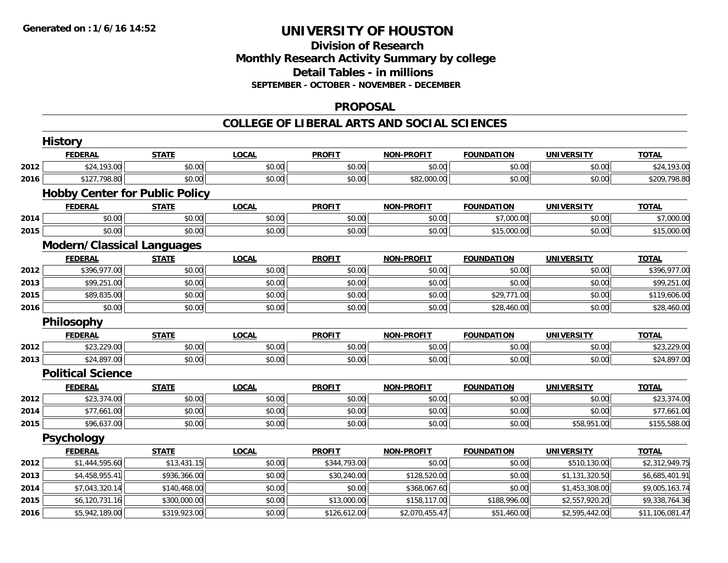## **Division of Research Monthly Research Activity Summary by college Detail Tables - in millions SEPTEMBER - OCTOBER - NOVEMBER - DECEMBER**

### **PROPOSAL**

|      | <b>History</b>                    |                                       |              |               |                   |                   |                   |                 |
|------|-----------------------------------|---------------------------------------|--------------|---------------|-------------------|-------------------|-------------------|-----------------|
|      | <b>FEDERAL</b>                    | <b>STATE</b>                          | <b>LOCAL</b> | <b>PROFIT</b> | <b>NON-PROFIT</b> | <b>FOUNDATION</b> | <b>UNIVERSITY</b> | <b>TOTAL</b>    |
| 2012 | \$24,193.00                       | \$0.00                                | \$0.00       | \$0.00        | \$0.00            | \$0.00            | \$0.00            | \$24,193.00     |
| 2016 | \$127,798.80                      | \$0.00                                | \$0.00       | \$0.00        | \$82,000.00       | \$0.00            | \$0.00            | \$209,798.80    |
|      |                                   | <b>Hobby Center for Public Policy</b> |              |               |                   |                   |                   |                 |
|      | <b>FEDERAL</b>                    | <b>STATE</b>                          | <b>LOCAL</b> | <b>PROFIT</b> | <b>NON-PROFIT</b> | <b>FOUNDATION</b> | <b>UNIVERSITY</b> | <b>TOTAL</b>    |
| 2014 | \$0.00                            | \$0.00                                | \$0.00       | \$0.00        | \$0.00            | \$7,000.00        | \$0.00            | \$7,000.00      |
| 2015 | \$0.00                            | \$0.00                                | \$0.00       | \$0.00        | \$0.00            | \$15,000.00       | \$0.00            | \$15,000.00     |
|      | <b>Modern/Classical Languages</b> |                                       |              |               |                   |                   |                   |                 |
|      | <b>FEDERAL</b>                    | <b>STATE</b>                          | <b>LOCAL</b> | <b>PROFIT</b> | <b>NON-PROFIT</b> | <b>FOUNDATION</b> | <b>UNIVERSITY</b> | <b>TOTAL</b>    |
| 2012 | \$396,977.00                      | \$0.00                                | \$0.00       | \$0.00        | \$0.00            | \$0.00            | \$0.00            | \$396,977.00    |
| 2013 | \$99,251.00                       | \$0.00                                | \$0.00       | \$0.00        | \$0.00            | \$0.00            | \$0.00            | \$99,251.00     |
| 2015 | \$89,835.00                       | \$0.00                                | \$0.00       | \$0.00        | \$0.00            | \$29,771.00       | \$0.00            | \$119,606.00    |
| 2016 | \$0.00                            | \$0.00                                | \$0.00       | \$0.00        | \$0.00            | \$28,460.00       | \$0.00            | \$28,460.00     |
|      | Philosophy                        |                                       |              |               |                   |                   |                   |                 |
|      | <b>FEDERAL</b>                    | <b>STATE</b>                          | <b>LOCAL</b> | <b>PROFIT</b> | <b>NON-PROFIT</b> | <b>FOUNDATION</b> | <b>UNIVERSITY</b> | <b>TOTAL</b>    |
| 2012 | \$23,229.00                       | \$0.00                                | \$0.00       | \$0.00        | \$0.00            | \$0.00            | \$0.00            | \$23,229.00     |
| 2013 | \$24,897.00                       | \$0.00                                | \$0.00       | \$0.00        | \$0.00            | \$0.00            | \$0.00            | \$24,897.00     |
|      | <b>Political Science</b>          |                                       |              |               |                   |                   |                   |                 |
|      | <b>FEDERAL</b>                    | <b>STATE</b>                          | <b>LOCAL</b> | <b>PROFIT</b> | <b>NON-PROFIT</b> | <b>FOUNDATION</b> | <b>UNIVERSITY</b> | <b>TOTAL</b>    |
| 2012 | \$23,374.00                       | \$0.00                                | \$0.00       | \$0.00        | \$0.00            | \$0.00            | \$0.00            | \$23,374.00     |
| 2014 | \$77,661.00                       | \$0.00                                | \$0.00       | \$0.00        | \$0.00            | \$0.00            | \$0.00            | \$77,661.00     |
| 2015 | \$96,637.00                       | \$0.00                                | \$0.00       | \$0.00        | \$0.00            | \$0.00            | \$58,951.00       | \$155,588.00    |
|      | Psychology                        |                                       |              |               |                   |                   |                   |                 |
|      | <b>FEDERAL</b>                    | <b>STATE</b>                          | <b>LOCAL</b> | <b>PROFIT</b> | <b>NON-PROFIT</b> | <b>FOUNDATION</b> | <b>UNIVERSITY</b> | <b>TOTAL</b>    |
| 2012 | \$1,444,595.60                    | \$13,431.15                           | \$0.00       | \$344,793.00  | \$0.00            | \$0.00            | \$510,130.00      | \$2,312,949.75  |
| 2013 | \$4,458,955.41                    | \$936,366.00                          | \$0.00       | \$30,240.00   | \$128,520.00      | \$0.00            | \$1,131,320.50    | \$6,685,401.91  |
| 2014 | \$7,043,320.14                    | \$140,468.00                          | \$0.00       | \$0.00        | \$368,067.60      | \$0.00            | \$1,453,308.00    | \$9,005,163.74  |
| 2015 | \$6,120,731.16                    | \$300,000.00                          | \$0.00       | \$13,000.00   | \$158,117.00      | \$188,996.00      | \$2,557,920.20    | \$9,338,764.36  |
| 2016 | \$5,942,189.00                    | \$319,923.00                          | \$0.00       | \$126,612.00  | \$2,070,455.47    | \$51,460.00       | \$2,595,442.00    | \$11,106,081.47 |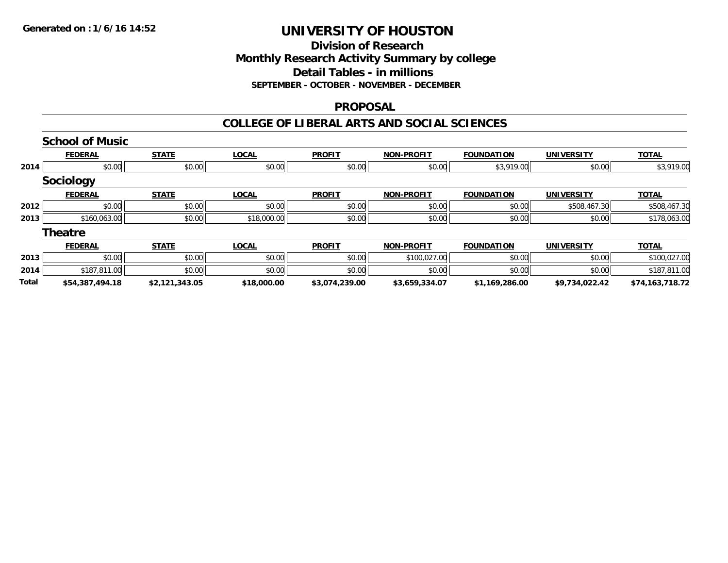### **Division of Research Monthly Research Activity Summary by college Detail Tables - in millions SEPTEMBER - OCTOBER - NOVEMBER - DECEMBER**

### **PROPOSAL**

|       | <b>School of Music</b> |                |              |                |                   |                   |                   |                 |
|-------|------------------------|----------------|--------------|----------------|-------------------|-------------------|-------------------|-----------------|
|       | <b>FEDERAL</b>         | <b>STATE</b>   | <b>LOCAL</b> | <b>PROFIT</b>  | <b>NON-PROFIT</b> | <b>FOUNDATION</b> | <b>UNIVERSITY</b> | <b>TOTAL</b>    |
| 2014  | \$0.00                 | \$0.00         | \$0.00       | \$0.00         | \$0.00            | \$3,919.00        | \$0.00            | \$3,919.00      |
|       | Sociology              |                |              |                |                   |                   |                   |                 |
|       | <b>FEDERAL</b>         | <b>STATE</b>   | <b>LOCAL</b> | <b>PROFIT</b>  | <b>NON-PROFIT</b> | <b>FOUNDATION</b> | <b>UNIVERSITY</b> | <b>TOTAL</b>    |
| 2012  | \$0.00                 | \$0.00         | \$0.00       | \$0.00         | \$0.00            | \$0.00            | \$508,467.30      | \$508,467.30    |
| 2013  | \$160,063.00           | \$0.00         | \$18,000.00  | \$0.00         | \$0.00            | \$0.00            | \$0.00            | \$178,063.00    |
|       | <b>Theatre</b>         |                |              |                |                   |                   |                   |                 |
|       | <b>FEDERAL</b>         | <b>STATE</b>   | <b>LOCAL</b> | <b>PROFIT</b>  | <b>NON-PROFIT</b> | <b>FOUNDATION</b> | <b>UNIVERSITY</b> | <b>TOTAL</b>    |
| 2013  | \$0.00                 | \$0.00         | \$0.00       | \$0.00         | \$100,027.00      | \$0.00            | \$0.00            | \$100,027.00    |
| 2014  | \$187,811.00           | \$0.00         | \$0.00       | \$0.00         | \$0.00            | \$0.00            | \$0.00            | \$187,811.00    |
| Total | \$54,387,494.18        | \$2,121,343.05 | \$18,000.00  | \$3,074,239.00 | \$3,659,334.07    | \$1,169,286.00    | \$9,734,022.42    | \$74.163.718.72 |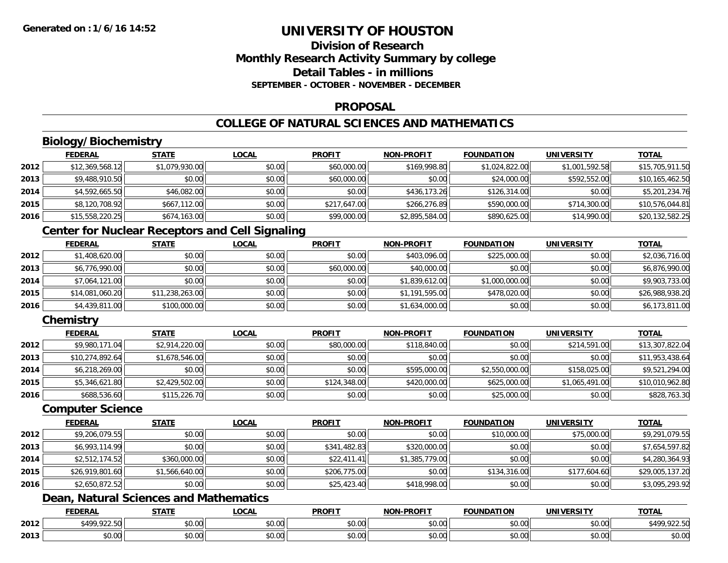## **Division of ResearchMonthly Research Activity Summary by college Detail Tables - in millionsSEPTEMBER - OCTOBER - NOVEMBER - DECEMBER**

### **PROPOSAL**

# **COLLEGE OF NATURAL SCIENCES AND MATHEMATICS**

# **Biology/Biochemistry**

|      | <b>FEDERAL</b>  | <b>STATE</b>   | <u>LOCAL</u> | <b>PROFIT</b> | <b>NON-PROFIT</b> | <b>FOUNDATION</b> | <b>UNIVERSITY</b> | <b>TOTAL</b>    |
|------|-----------------|----------------|--------------|---------------|-------------------|-------------------|-------------------|-----------------|
| 2012 | \$12,369,568.12 | \$1,079,930.00 | \$0.00       | \$60,000.00   | \$169,998.80      | \$1,024,822.00    | \$1,001,592.58    | \$15,705,911.50 |
| 2013 | \$9,488,910.50  | \$0.00         | \$0.00       | \$60,000.00   | \$0.00            | \$24,000.00       | \$592,552.00      | \$10,165,462.50 |
| 2014 | \$4,592,665.50  | \$46,082.00    | \$0.00       | \$0.00        | \$436,173.26      | \$126,314.00      | \$0.00            | \$5,201,234.76  |
| 2015 | \$8,120,708.92  | \$667,112.00   | \$0.00       | \$217,647.00  | \$266,276.89      | \$590,000.00      | \$714,300.00      | \$10,576,044.81 |
| 2016 | \$15,558,220.25 | \$674,163.00   | \$0.00       | \$99,000.00   | \$2,895,584.00    | \$890,625.00      | \$14,990.00       | \$20,132,582.25 |

# **Center for Nuclear Receptors and Cell Signaling**

|      | <b>FEDERAL</b>  | <u>STATE</u>    | <b>LOCAL</b> | <b>PROFIT</b> | <b>NON-PROFIT</b> | <b>FOUNDATION</b> | <b>UNIVERSITY</b> | <b>TOTAL</b>    |
|------|-----------------|-----------------|--------------|---------------|-------------------|-------------------|-------------------|-----------------|
| 2012 | \$1,408,620.00  | \$0.00          | \$0.00       | \$0.00        | \$403,096.00      | \$225,000.00      | \$0.00            | \$2,036,716.00  |
| 2013 | \$6,776,990.00  | \$0.00          | \$0.00       | \$60,000.00   | \$40,000.00       | \$0.00            | \$0.00            | \$6,876,990.00  |
| 2014 | \$7,064,121.00  | \$0.00          | \$0.00       | \$0.00        | \$1,839,612.00    | \$1,000,000.00    | \$0.00            | \$9,903,733.00  |
| 2015 | \$14,081,060.20 | \$11,238,263.00 | \$0.00       | \$0.00        | \$1,191,595.00    | \$478,020.00      | \$0.00            | \$26,988,938.20 |
| 2016 | \$4,439,811.00  | \$100,000.00    | \$0.00       | \$0.00        | \$1,634,000.00    | \$0.00            | \$0.00            | \$6,173,811.00  |

## **Chemistry**

|      | <b>FEDERAL</b>  | <b>STATE</b>   | <b>LOCAL</b> | <b>PROFIT</b> | <b>NON-PROFIT</b> | <b>FOUNDATION</b> | <b>UNIVERSITY</b> | <b>TOTAL</b>    |
|------|-----------------|----------------|--------------|---------------|-------------------|-------------------|-------------------|-----------------|
| 2012 | \$9,980,171.04  | \$2,914,220.00 | \$0.00       | \$80,000.00   | \$118,840.00      | \$0.00            | \$214,591,00      | \$13,307,822.04 |
| 2013 | \$10,274,892.64 | \$1,678,546.00 | \$0.00       | \$0.00        | \$0.00            | \$0.00            | \$0.00            | \$11,953,438.64 |
| 2014 | \$6,218,269.00  | \$0.00         | \$0.00       | \$0.00        | \$595,000.00      | \$2,550,000.00    | \$158,025.00      | \$9,521,294.00  |
| 2015 | \$5,346,621.80  | \$2,429,502.00 | \$0.00       | \$124,348.00  | \$420,000.00      | \$625,000.00      | \$1,065,491.00    | \$10,010,962.80 |
| 2016 | \$688,536.60    | \$115,226.70   | \$0.00       | \$0.00        | \$0.00            | \$25,000.00       | \$0.00            | \$828,763.30    |

### **Computer Science**

|      | <b>FEDERAL</b>  | <b>STATE</b>   | <b>LOCAL</b> | <b>PROFIT</b> | <b>NON-PROFIT</b> | <b>FOUNDATION</b> | <b>UNIVERSITY</b> | <b>TOTAL</b>    |
|------|-----------------|----------------|--------------|---------------|-------------------|-------------------|-------------------|-----------------|
| 2012 | \$9,206,079.55  | \$0.00         | \$0.00       | \$0.00        | \$0.00            | \$10,000.00       | \$75,000.00       | \$9,291,079.55  |
| 2013 | \$6,993,114.99  | \$0.00         | \$0.00       | \$341,482.83  | \$320,000.00      | \$0.00            | \$0.00            | \$7,654,597.82  |
| 2014 | \$2,512,174.52  | \$360,000.00   | \$0.00       | \$22,411.41   | \$1,385,779.00    | \$0.00            | \$0.00            | \$4,280,364.93  |
| 2015 | \$26,919,801.60 | \$1,566,640.00 | \$0.00       | \$206,775.00  | \$0.00            | \$134,316.00      | \$177,604.60      | \$29,005,137.20 |
| 2016 | \$2,650,872.52  | \$0.00         | \$0.00       | \$25,423.40   | \$418,998.00      | \$0.00            | \$0.00            | \$3,095,293.92  |

# **Dean, Natural Sciences and Mathematics**

|      | <b>FEDERAL</b>              | CTATI              | _OCAL                        | <b>PROFIT</b>          | . DDAEL <sup>-</sup><br><b>MIANI</b> | UNDATION                        | UNIVERSITY     | TOT <i>I</i>                              |
|------|-----------------------------|--------------------|------------------------------|------------------------|--------------------------------------|---------------------------------|----------------|-------------------------------------------|
| 2012 | $*$ 400 022 50L<br><i>.</i> | 0.000<br>JU.UU     | ტი იი<br>JU.UU               | $\sim$ $\sim$<br>JU.UU | $\sim$ 00 $\sim$<br>pu.uu            | 0000<br><b>JU.UU</b>            | \$0.00         | 0.2250<br>00 <sup>h</sup><br>51<br>744.99 |
| 2013 | 0000<br>J∪.∪u               | $\sim$ 00<br>JU.UU | $\sim$<br><b>↑∩</b><br>vv.vv | ሶስ ሰሰ<br>PO.OO         | $\sim$ 00<br>JU.UU                   | $n \cap \Omega$<br><b>JU.UU</b> | 0.001<br>JU.UU | \$0.00                                    |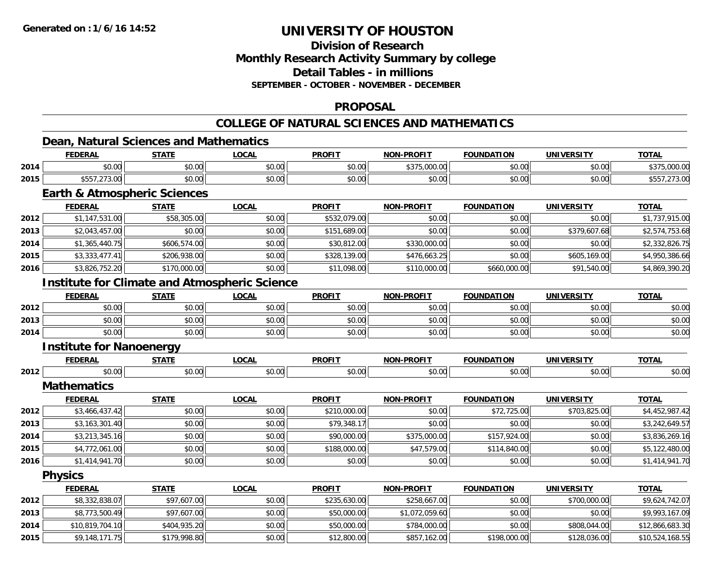**2015**

# **UNIVERSITY OF HOUSTON**

## **Division of ResearchMonthly Research Activity Summary by college Detail Tables - in millions SEPTEMBER - OCTOBER - NOVEMBER - DECEMBER**

### **PROPOSAL**

### **COLLEGE OF NATURAL SCIENCES AND MATHEMATICS**

## **Dean, Natural Sciences and Mathematics**

|      | <b>FEDERAL</b>                                       | <b>STATE</b> | <b>LOCAL</b> | <b>PROFIT</b> | <b>NON-PROFIT</b> | <b>FOUNDATION</b> | <b>UNIVERSITY</b> | <b>TOTAL</b>    |
|------|------------------------------------------------------|--------------|--------------|---------------|-------------------|-------------------|-------------------|-----------------|
| 2014 | \$0.00                                               | \$0.00       | \$0.00       | \$0.00        | \$375,000.00      | \$0.00            | \$0.00            | \$375,000.00    |
| 2015 | \$557,273.00                                         | \$0.00       | \$0.00       | \$0.00        | \$0.00            | \$0.00            | \$0.00            | \$557,273.00    |
|      | <b>Earth &amp; Atmospheric Sciences</b>              |              |              |               |                   |                   |                   |                 |
|      | <b>FEDERAL</b>                                       | <b>STATE</b> | <b>LOCAL</b> | <b>PROFIT</b> | <b>NON-PROFIT</b> | <b>FOUNDATION</b> | <b>UNIVERSITY</b> | <b>TOTAL</b>    |
| 2012 | \$1,147,531.00                                       | \$58,305.00  | \$0.00       | \$532,079.00  | \$0.00            | \$0.00            | \$0.00            | \$1,737,915.00  |
| 2013 | \$2,043,457.00                                       | \$0.00       | \$0.00       | \$151,689.00  | \$0.00            | \$0.00            | \$379,607.68      | \$2,574,753.68  |
| 2014 | \$1,365,440.75                                       | \$606,574.00 | \$0.00       | \$30,812.00   | \$330,000.00      | \$0.00            | \$0.00            | \$2,332,826.75  |
| 2015 | \$3,333,477.41                                       | \$206,938.00 | \$0.00       | \$328,139.00  | \$476,663.25      | \$0.00            | \$605,169.00      | \$4,950,386.66  |
| 2016 | \$3,826,752.20                                       | \$170,000.00 | \$0.00       | \$11,098.00   | \$110,000.00      | \$660,000.00      | \$91,540.00       | \$4,869,390.20  |
|      | <b>Institute for Climate and Atmospheric Science</b> |              |              |               |                   |                   |                   |                 |
|      | <b>FEDERAL</b>                                       | <b>STATE</b> | <b>LOCAL</b> | <b>PROFIT</b> | <b>NON-PROFIT</b> | <b>FOUNDATION</b> | <b>UNIVERSITY</b> | <b>TOTAL</b>    |
| 2012 | \$0.00                                               | \$0.00       | \$0.00       | \$0.00        | \$0.00            | \$0.00            | \$0.00            | \$0.00          |
| 2013 | \$0.00                                               | \$0.00       | \$0.00       | \$0.00        | \$0.00            | \$0.00            | \$0.00            | \$0.00          |
| 2014 | \$0.00                                               | \$0.00       | \$0.00       | \$0.00        | \$0.00            | \$0.00            | \$0.00            | \$0.00          |
|      | <b>Institute for Nanoenergy</b>                      |              |              |               |                   |                   |                   |                 |
|      | <b>FEDERAL</b>                                       | <b>STATE</b> | <b>LOCAL</b> | <b>PROFIT</b> | <b>NON-PROFIT</b> | <b>FOUNDATION</b> | <b>UNIVERSITY</b> | <b>TOTAL</b>    |
| 2012 | \$0.00                                               | \$0.00       | \$0.00       | \$0.00        | \$0.00            | \$0.00            | \$0.00            | \$0.00          |
|      | <b>Mathematics</b>                                   |              |              |               |                   |                   |                   |                 |
|      | <b>FEDERAL</b>                                       | <b>STATE</b> | <b>LOCAL</b> | <b>PROFIT</b> | <b>NON-PROFIT</b> | <b>FOUNDATION</b> | <b>UNIVERSITY</b> | <b>TOTAL</b>    |
| 2012 | \$3,466,437.42                                       | \$0.00       | \$0.00       | \$210,000.00  | \$0.00            | \$72,725.00       | \$703,825.00      | \$4,452,987.42  |
| 2013 | \$3,163,301.40                                       | \$0.00       | \$0.00       | \$79,348.17   | \$0.00            | \$0.00            | \$0.00            | \$3,242,649.57  |
| 2014 | \$3,213,345.16                                       | \$0.00       | \$0.00       | \$90,000.00   | \$375,000.00      | \$157,924.00      | \$0.00            | \$3,836,269.16  |
| 2015 | \$4,772,061.00                                       | \$0.00       | \$0.00       | \$188,000.00  | \$47,579.00       | \$114,840.00      | \$0.00            | \$5,122,480.00  |
| 2016 | \$1,414,941.70                                       | \$0.00       | \$0.00       | \$0.00        | \$0.00            | \$0.00            | \$0.00            | \$1,414,941.70  |
|      | <b>Physics</b>                                       |              |              |               |                   |                   |                   |                 |
|      | <b>FEDERAL</b>                                       | <b>STATE</b> | <b>LOCAL</b> | <b>PROFIT</b> | <b>NON-PROFIT</b> | <b>FOUNDATION</b> | <b>UNIVERSITY</b> | <b>TOTAL</b>    |
| 2012 | \$8,332,838.07                                       | \$97,607.00  | \$0.00       | \$235,630.00  | \$258,667.00      | \$0.00            | \$700,000.00      | \$9,624,742.07  |
| 2013 | \$8,773,500.49                                       | \$97,607.00  | \$0.00       | \$50,000.00   | \$1,072,059.60    | \$0.00            | \$0.00            | \$9,993,167.09  |
| 2014 | \$10,819,704.10                                      | \$404,935.20 | \$0.00       | \$50,000.00   | \$784,000.00      | \$0.00            | \$808,044.00      | \$12,866,683.30 |

5 \$9,148,171.75|| \$179,998.80|| \$0.00|| \$12,800.00|| \$857,162.00|| \$198,000.00|| \$128,036.00|| \$10,524,168.55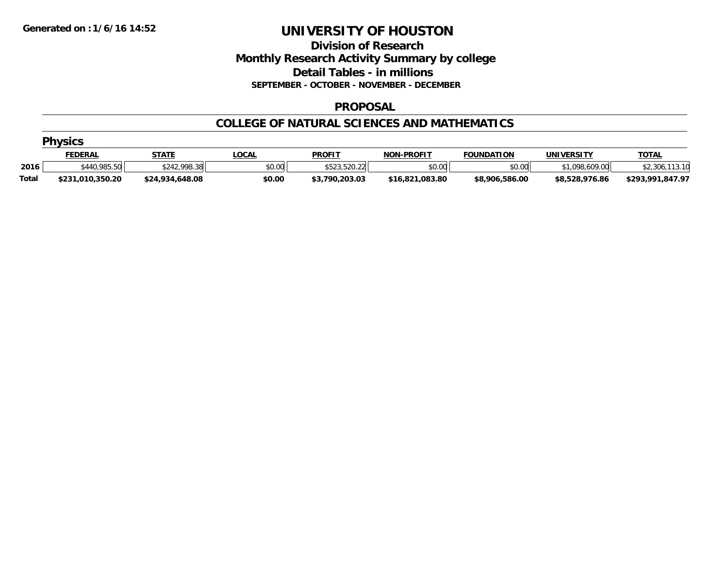## **Division of Research Monthly Research Activity Summary by college Detail Tables - in millions SEPTEMBER - OCTOBER - NOVEMBER - DECEMBER**

### **PROPOSAL**

### **COLLEGE OF NATURAL SCIENCES AND MATHEMATICS**

|              | <b>Physics</b>   |                 |             |                |                   |                   |                |                  |  |  |  |
|--------------|------------------|-----------------|-------------|----------------|-------------------|-------------------|----------------|------------------|--|--|--|
|              | <b>FEDERAL</b>   | <b>STATE</b>    | <b>OCAL</b> | <b>PROFIT</b>  | <b>NON-PROFIT</b> | <b>FOUNDATION</b> | UNIVERSITY     | <b>TOTAL</b>     |  |  |  |
| 2016         | \$440,985.50     | \$242,998.38    | \$0.00      | \$523,520.22   | \$0.00            | \$0.00            | \$1,098,609.00 | \$2,306          |  |  |  |
| <b>Total</b> | \$231,010,350.20 | \$24,934,648.08 | \$0.00      | \$3,790,203.03 | \$16,821,083.80   | \$8,906,586.00    | \$8,528,976.86 | \$293,991,847.97 |  |  |  |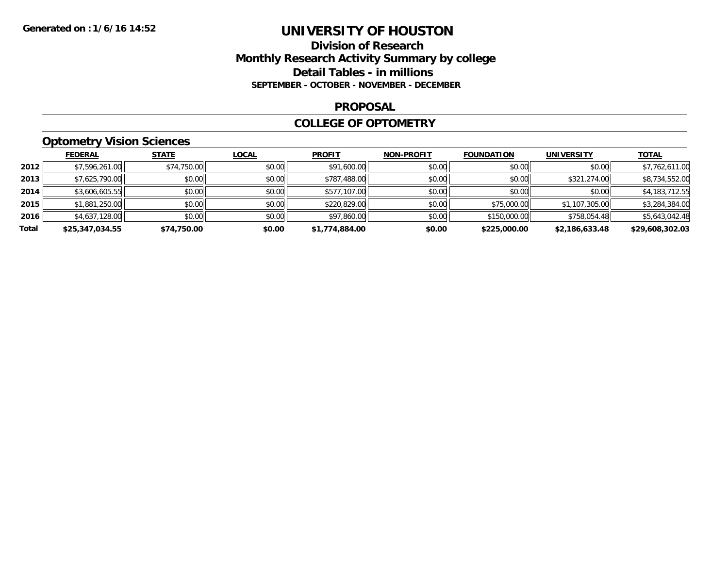## **Division of Research Monthly Research Activity Summary by college Detail Tables - in millions SEPTEMBER - OCTOBER - NOVEMBER - DECEMBER**

#### **PROPOSAL**

### **COLLEGE OF OPTOMETRY**

# **Optometry Vision Sciences**

|       | <b>FEDERAL</b>  | <b>STATE</b> | <b>LOCAL</b> | <b>PROFIT</b>  | <b>NON-PROFIT</b> | <b>FOUNDATION</b> | <b>UNIVERSITY</b> | <u>TOTAL</u>    |
|-------|-----------------|--------------|--------------|----------------|-------------------|-------------------|-------------------|-----------------|
| 2012  | \$7,596,261.00  | \$74,750.00  | \$0.00       | \$91,600.00    | \$0.00            | \$0.00            | \$0.00            | \$7,762,611.00  |
| 2013  | \$7,625,790.00  | \$0.00       | \$0.00       | \$787,488.00   | \$0.00            | \$0.00            | \$321,274.00      | \$8,734,552.00  |
| 2014  | \$3,606,605.55  | \$0.00       | \$0.00       | \$577,107.00   | \$0.00            | \$0.00            | \$0.00            | \$4,183,712.55  |
| 2015  | \$1,881,250.00  | \$0.00       | \$0.00       | \$220,829.00   | \$0.00            | \$75,000.00       | \$1,107,305.00    | \$3,284,384.00  |
| 2016  | \$4,637,128.00  | \$0.00       | \$0.00       | \$97,860.00    | \$0.00            | \$150,000.00      | \$758,054.48      | \$5,643,042.48  |
| Total | \$25,347,034.55 | \$74,750.00  | \$0.00       | \$1,774,884.00 | \$0.00            | \$225,000.00      | \$2,186,633.48    | \$29,608,302.03 |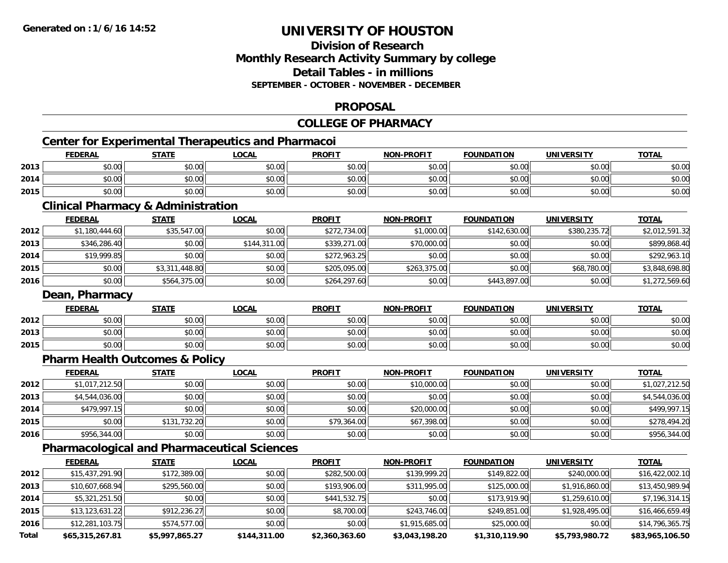## **Division of ResearchMonthly Research Activity Summary by college Detail Tables - in millionsSEPTEMBER - OCTOBER - NOVEMBER - DECEMBER**

## **PROPOSAL**

# **COLLEGE OF PHARMACY**

# **Center for Experimental Therapeutics and Pharmacoi**

|      | <b>FEDERAL</b> | <b>STATE</b> | LOCAL  | <b>PROFIT</b> | <b>NON-PROFIT</b> | <b>FOUNDATION</b> | UNIVERSITY | <b>TOTAL</b> |
|------|----------------|--------------|--------|---------------|-------------------|-------------------|------------|--------------|
| 2013 | \$0.00         | \$0.00       | \$0.00 | \$0.00        | \$0.00            | \$0.00            | \$0.00     | \$0.00       |
| 2014 | \$0.00         | \$0.00       | \$0.00 | \$0.00        | \$0.00            | \$0.00            | \$0.00     | \$0.00       |
| 2015 | \$0.00         | \$0.00       | \$0.00 | \$0.00        | \$0.00            | \$0.00            | \$0.00     | \$0.00       |

<u> 1989 - Johann Stoff, deutscher Stoff, der Stoff, der Stoff, der Stoff, der Stoff, der Stoff, der Stoff, der S</u>

# **Clinical Pharmacy & Administration**

|      | <b>FEDERAL</b> | <u>STATE</u>   | <u>LOCAL</u> | <b>PROFIT</b> | <b>NON-PROFIT</b> | <b>FOUNDATION</b> | <b>UNIVERSITY</b> | <b>TOTAL</b>   |
|------|----------------|----------------|--------------|---------------|-------------------|-------------------|-------------------|----------------|
| 2012 | \$1,180,444.60 | \$35,547.00    | \$0.00       | \$272,734.00  | \$1,000.00        | \$142,630.00      | \$380,235.72      | \$2,012,591.32 |
| 2013 | \$346,286.40   | \$0.00         | \$144,311.00 | \$339,271.00  | \$70,000.00       | \$0.00            | \$0.00            | \$899,868.40   |
| 2014 | \$19,999.85    | \$0.00         | \$0.00       | \$272,963.25  | \$0.00            | \$0.00            | \$0.00            | \$292,963.10   |
| 2015 | \$0.00         | \$3,311,448.80 | \$0.00       | \$205,095.00  | \$263,375.00      | \$0.00            | \$68,780.00       | \$3,848,698.80 |
| 2016 | \$0.00         | \$564,375.00   | \$0.00       | \$264,297.60  | \$0.00            | \$443,897.00      | \$0.00            | \$1,272,569.60 |

#### **Dean, Pharmacy**

|      | <b>FEDERAL</b> | <b>STATE</b>   | _OCAL                             | <b>PROFIT</b>                               | <b>NON-PROFIT</b> | <b>FOUNDATION</b> | <b>IINIVERSITY</b> | <b>TOTAL</b> |
|------|----------------|----------------|-----------------------------------|---------------------------------------------|-------------------|-------------------|--------------------|--------------|
| 2012 | \$0.00         | ⊄∩ ∩r<br>JU.UL | $\sigma$ $\sim$ $\sigma$<br>PU.UU | 0000<br>_ ມ∪.ບູ                             | \$0.00            | \$0.00            | ≮N UV<br>JU.UU     | \$0.00       |
| 2013 | \$0.00         | \$0.00         | 60.00<br>DU.UU                    | $\mathfrak{C} \cap \mathfrak{C}$<br>- JU.J. | 40.00<br>JU.UU    | \$0.00            | \$0.00             | \$0.00       |
| 2015 | \$0.00         | \$0.00         | 0000<br>DU.UU                     | 400<br>PO.OO                                | \$0.00            | \$0.00            | \$0.00             | \$0.00       |

# **Pharm Health Outcomes & Policy**

|      | <u>FEDERAL</u> | <b>STATE</b> | <b>LOCAL</b> | <b>PROFIT</b> | <b>NON-PROFIT</b> | <b>FOUNDATION</b> | <b>UNIVERSITY</b> | <b>TOTAL</b>   |
|------|----------------|--------------|--------------|---------------|-------------------|-------------------|-------------------|----------------|
| 2012 | \$1,017,212.50 | \$0.00       | \$0.00       | \$0.00        | \$10,000.00       | \$0.00            | \$0.00            | \$1,027,212.50 |
| 2013 | \$4,544,036.00 | \$0.00       | \$0.00       | \$0.00        | \$0.00            | \$0.00            | \$0.00            | \$4,544,036.00 |
| 2014 | \$479,997.15   | \$0.00       | \$0.00       | \$0.00        | \$20,000.00       | \$0.00            | \$0.00            | \$499.997.15   |
| 2015 | \$0.00         | \$131,732.20 | \$0.00       | \$79,364.00   | \$67,398.00       | \$0.00            | \$0.00            | \$278,494.20   |
| 2016 | \$956,344.00   | \$0.00       | \$0.00       | \$0.00        | \$0.00            | \$0.00            | \$0.00            | \$956,344.00   |

## **Pharmacological and Pharmaceutical Sciences**

|       | <b>FEDERAL</b>    | <b>STATE</b>   | <u>LOCAL</u> | <b>PROFIT</b>  | <b>NON-PROFIT</b> | <b>FOUNDATION</b> | <b>UNIVERSITY</b> | <b>TOTAL</b>    |
|-------|-------------------|----------------|--------------|----------------|-------------------|-------------------|-------------------|-----------------|
| 2012  | \$15,437,291.90   | \$172,389.00   | \$0.00       | \$282,500.00   | \$139,999.20      | \$149,822.00      | \$240,000.00      | \$16,422,002.10 |
| 2013  | \$10,607,668.94   | \$295,560.00   | \$0.00       | \$193,906.00   | \$311,995.00      | \$125,000.00      | \$1,916,860.00    | \$13,450,989.94 |
| 2014  | \$5,321,251.50    | \$0.00         | \$0.00       | \$441,532.75   | \$0.00            | \$173,919.90      | \$1,259,610.00    | \$7,196,314.15  |
| 2015  | \$13, 123, 631.22 | \$912,236.27   | \$0.00       | \$8,700.00     | \$243,746.00      | \$249,851.00      | \$1,928,495.00    | \$16,466,659.49 |
| 2016  | \$12,281,103.75   | \$574,577.00   | \$0.00       | \$0.00         | \$1,915,685.00    | \$25,000.00       | \$0.00            | \$14,796,365.75 |
| Total | \$65,315,267.81   | \$5,997,865.27 | \$144,311.00 | \$2,360,363.60 | \$3,043,198.20    | \$1,310,119.90    | \$5,793,980.72    | \$83,965,106.50 |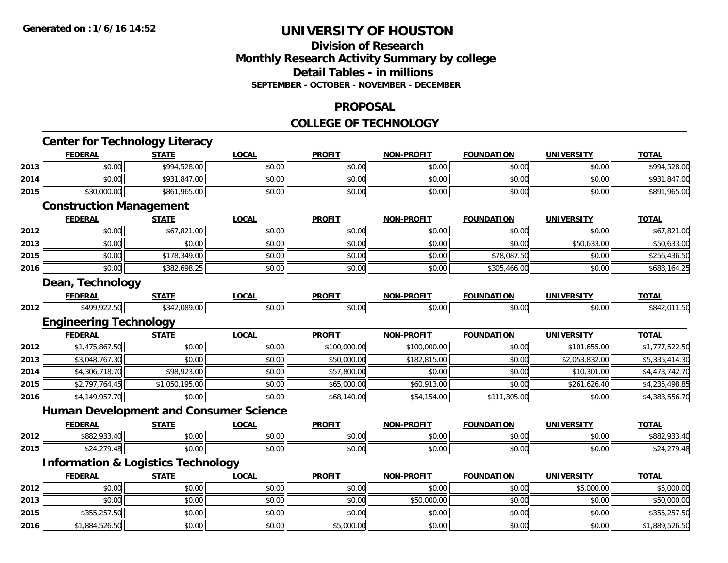# **Division of ResearchMonthly Research Activity Summary by college Detail Tables - in millions SEPTEMBER - OCTOBER - NOVEMBER - DECEMBER**

### **PROPOSAL**

### **COLLEGE OF TECHNOLOGY**

|      |                                | <b>Center for Technology Literacy</b>         |                                               |               |                   |                   |                   |                |
|------|--------------------------------|-----------------------------------------------|-----------------------------------------------|---------------|-------------------|-------------------|-------------------|----------------|
|      | <b>FEDERAL</b>                 | <b>STATE</b>                                  | <b>LOCAL</b>                                  | <b>PROFIT</b> | <b>NON-PROFIT</b> | <b>FOUNDATION</b> | <b>UNIVERSITY</b> | <b>TOTAL</b>   |
| 2013 | \$0.00                         | \$994,528.00                                  | \$0.00                                        | \$0.00        | \$0.00            | \$0.00            | \$0.00            | \$994,528.00   |
| 2014 | \$0.00                         | \$931,847.00                                  | \$0.00                                        | \$0.00        | \$0.00            | \$0.00            | \$0.00            | \$931,847.00   |
| 2015 | \$30,000.00                    | \$861,965.00                                  | \$0.00                                        | \$0.00        | \$0.00            | \$0.00            | \$0.00            | \$891,965.00   |
|      | <b>Construction Management</b> |                                               |                                               |               |                   |                   |                   |                |
|      | <b>FEDERAL</b>                 | <b>STATE</b>                                  | <b>LOCAL</b>                                  | <b>PROFIT</b> | <b>NON-PROFIT</b> | <b>FOUNDATION</b> | <b>UNIVERSITY</b> | <b>TOTAL</b>   |
| 2012 | \$0.00                         | \$67,821.00                                   | \$0.00                                        | \$0.00        | \$0.00            | \$0.00            | \$0.00            | \$67,821.00    |
| 2013 | \$0.00                         | \$0.00                                        | \$0.00                                        | \$0.00        | \$0.00            | \$0.00            | \$50,633.00       | \$50,633.00    |
| 2015 | \$0.00                         | \$178,349.00                                  | \$0.00                                        | \$0.00        | \$0.00            | \$78,087.50       | \$0.00            | \$256,436.50   |
| 2016 | \$0.00                         | \$382,698.25                                  | \$0.00                                        | \$0.00        | \$0.00            | \$305,466.00      | \$0.00            | \$688,164.25   |
|      | Dean, Technology               |                                               |                                               |               |                   |                   |                   |                |
|      | <b>FEDERAL</b>                 | <b>STATE</b>                                  | <b>LOCAL</b>                                  | <b>PROFIT</b> | <b>NON-PROFIT</b> | <b>FOUNDATION</b> | <b>UNIVERSITY</b> | <b>TOTAL</b>   |
| 2012 | \$499,922.50                   | \$342,089.00                                  | \$0.00                                        | \$0.00        | \$0.00            | \$0.00            | \$0.00            | \$842,011.50   |
|      | <b>Engineering Technology</b>  |                                               |                                               |               |                   |                   |                   |                |
|      | <b>FEDERAL</b>                 | <b>STATE</b>                                  | <b>LOCAL</b>                                  | <b>PROFIT</b> | <b>NON-PROFIT</b> | <b>FOUNDATION</b> | <b>UNIVERSITY</b> | <b>TOTAL</b>   |
| 2012 | \$1,475,867.50                 | \$0.00                                        | \$0.00                                        | \$100,000.00  | \$100,000.00      | \$0.00            | \$101,655.00      | \$1,777,522.50 |
| 2013 | \$3,048,767.30                 | \$0.00                                        | \$0.00                                        | \$50,000.00   | \$182,815.00      | \$0.00            | \$2,053,832.00    | \$5,335,414.30 |
| 2014 | \$4,306,718.70                 | \$98,923.00                                   | \$0.00                                        | \$57,800.00   | \$0.00            | \$0.00            | \$10,301.00       | \$4,473,742.70 |
| 2015 | \$2,797,764.45                 | \$1,050,195.00                                | \$0.00                                        | \$65,000.00   | \$60,913.00       | \$0.00            | \$261,626.40      | \$4,235,498.85 |
| 2016 | \$4,149,957.70                 | \$0.00                                        | \$0.00                                        | \$68,140.00   | \$54,154.00       | \$111,305.00      | \$0.00            | \$4,383,556.70 |
|      |                                |                                               | <b>Human Development and Consumer Science</b> |               |                   |                   |                   |                |
|      | <b>FEDERAL</b>                 | <b>STATE</b>                                  | <b>LOCAL</b>                                  | <b>PROFIT</b> | <b>NON-PROFIT</b> | <b>FOUNDATION</b> | <b>UNIVERSITY</b> | TOTAL          |
| 2012 | \$882,933.40                   | \$0.00                                        | \$0.00                                        | \$0.00        | \$0.00            | \$0.00            | \$0.00            | \$882,933.40   |
| 2015 | \$24,279.48                    | \$0.00                                        | \$0.00                                        | \$0.00        | \$0.00            | \$0.00            | \$0.00            | \$24,279.48    |
|      |                                | <b>Information &amp; Logistics Technology</b> |                                               |               |                   |                   |                   |                |
|      | <b>FEDERAL</b>                 | <b>STATE</b>                                  | <b>LOCAL</b>                                  | <b>PROFIT</b> | <b>NON-PROFIT</b> | <b>FOUNDATION</b> | <b>UNIVERSITY</b> | TOTAL          |
| 2012 | \$0.00                         | \$0.00                                        | \$0.00                                        | \$0.00        | \$0.00            | \$0.00            | \$5,000.00        | \$5,000.00     |
| 2013 | \$0.00                         | \$0.00                                        | \$0.00                                        | \$0.00        | \$50,000.00       | \$0.00            | \$0.00            | \$50,000.00    |
| 2015 | \$355,257.50                   | \$0.00                                        | \$0.00                                        | \$0.00        | \$0.00            | \$0.00            | \$0.00            | \$355,257.50   |
| 2016 | \$1,884,526.50                 | \$0.00                                        | \$0.00                                        | \$5,000.00    | \$0.00            | \$0.00            | \$0.00            | \$1,889,526.50 |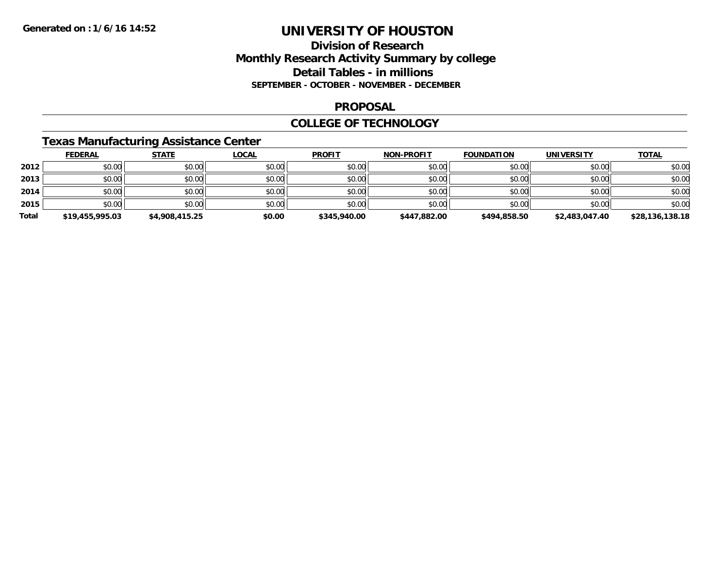## **Division of Research Monthly Research Activity Summary by college Detail Tables - in millions SEPTEMBER - OCTOBER - NOVEMBER - DECEMBER**

### **PROPOSAL**

### **COLLEGE OF TECHNOLOGY**

## **Texas Manufacturing Assistance Center**

|       | <b>FEDERAL</b>  | <b>STATE</b>   | <u>LOCAL</u> | <b>PROFIT</b> | <b>NON-PROFIT</b> | <b>FOUNDATION</b> | <b>UNIVERSITY</b> | <b>TOTAL</b>    |
|-------|-----------------|----------------|--------------|---------------|-------------------|-------------------|-------------------|-----------------|
| 2012  | \$0.00          | \$0.00         | \$0.00       | \$0.00        | \$0.00            | \$0.00            | \$0.00            | \$0.00          |
| 2013  | \$0.00          | \$0.00         | \$0.00       | \$0.00        | \$0.00            | \$0.00            | \$0.00            | \$0.00          |
| 2014  | \$0.00          | \$0.00         | \$0.00       | \$0.00        | \$0.00            | \$0.00            | \$0.00            | \$0.00          |
| 2015  | \$0.00          | \$0.00         | \$0.00       | \$0.00        | \$0.00            | \$0.00            | \$0.00            | \$0.00          |
| Total | \$19,455,995.03 | \$4,908,415.25 | \$0.00       | \$345,940.00  | \$447,882.00      | \$494,858.50      | \$2,483,047.40    | \$28,136,138.18 |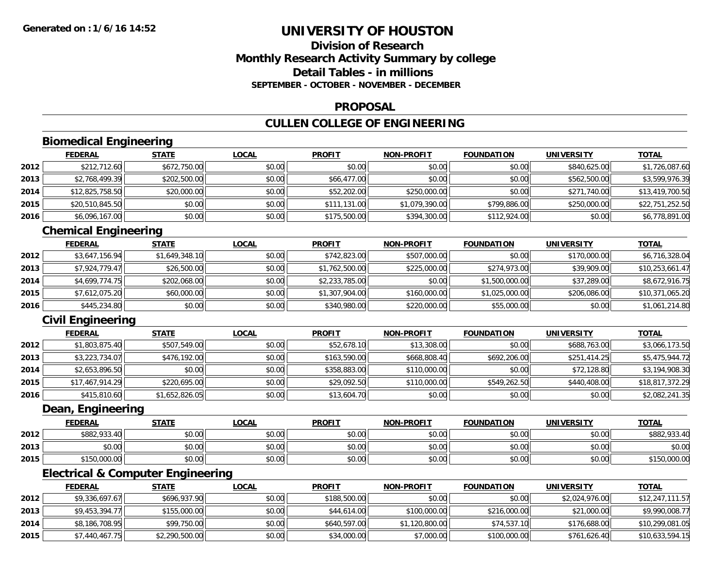## **Division of ResearchMonthly Research Activity Summary by college Detail Tables - in millionsSEPTEMBER - OCTOBER - NOVEMBER - DECEMBER**

### **PROPOSAL**

# **CULLEN COLLEGE OF ENGINEERING**

# **Biomedical Engineering**

|      | <b>FEDERAL</b>  | <u>STATE</u> | <u>LOCAL</u> | <b>PROFIT</b> | <b>NON-PROFIT</b> | <b>FOUNDATION</b> | <b>UNIVERSITY</b> | <b>TOTAL</b>    |
|------|-----------------|--------------|--------------|---------------|-------------------|-------------------|-------------------|-----------------|
| 2012 | \$212,712.60    | \$672,750.00 | \$0.00       | \$0.00        | \$0.00            | \$0.00            | \$840,625.00      | \$1,726,087.60  |
| 2013 | \$2,768,499.39  | \$202,500.00 | \$0.00       | \$66,477.00   | \$0.00            | \$0.00            | \$562,500.00      | \$3,599,976.39  |
| 2014 | \$12,825,758.50 | \$20,000.00  | \$0.00       | \$52,202.00   | \$250,000.00      | \$0.00            | \$271,740.00      | \$13,419,700.50 |
| 2015 | \$20,510,845.50 | \$0.00       | \$0.00       | \$111,131.00  | \$1,079,390.00    | \$799,886.00      | \$250,000.00      | \$22,751,252.50 |
| 2016 | \$6,096,167.00  | \$0.00       | \$0.00       | \$175,500.00  | \$394,300.00      | \$112,924.00      | \$0.00            | \$6,778,891.00  |

# **Chemical Engineering**

|      | <b>FEDERAL</b> | <b>STATE</b>   | <u>LOCAL</u> | <b>PROFIT</b>  | <b>NON-PROFIT</b> | <b>FOUNDATION</b> | <b>UNIVERSITY</b> | <b>TOTAL</b>    |
|------|----------------|----------------|--------------|----------------|-------------------|-------------------|-------------------|-----------------|
| 2012 | \$3,647,156.94 | \$1,649,348.10 | \$0.00       | \$742,823.00   | \$507,000.00      | \$0.00            | \$170,000.00      | \$6,716,328.04  |
| 2013 | \$7.924.779.47 | \$26,500.00    | \$0.00       | \$1,762,500.00 | \$225,000.00      | \$274,973.00      | \$39,909.00       | \$10,253,661.47 |
| 2014 | \$4.699.774.75 | \$202,068.00   | \$0.00       | \$2,233,785.00 | \$0.00            | \$1,500,000.00    | \$37,289.00       | \$8,672,916.75  |
| 2015 | \$7,612,075.20 | \$60,000.00    | \$0.00       | \$1,307,904.00 | \$160,000.00      | \$1,025,000.00    | \$206,086.00      | \$10,371,065.20 |
| 2016 | \$445,234.80   | \$0.00         | \$0.00       | \$340,980.00   | \$220,000.00      | \$55,000.00       | \$0.00            | \$1,061,214.80  |

# **Civil Engineering**

|      | <b>FEDERAL</b>  | <b>STATE</b>   | <u>LOCAL</u> | <b>PROFIT</b> | <b>NON-PROFIT</b> | <b>FOUNDATION</b> | <b>UNIVERSITY</b> | <b>TOTAL</b>    |
|------|-----------------|----------------|--------------|---------------|-------------------|-------------------|-------------------|-----------------|
| 2012 | \$1,803,875.40  | \$507,549.00   | \$0.00       | \$52,678.10   | \$13,308.00       | \$0.00            | \$688,763.00      | \$3,066,173.50  |
| 2013 | \$3,223,734.07  | \$476,192.00   | \$0.00       | \$163,590.00  | \$668,808.40      | \$692,206.00      | \$251,414.25      | \$5,475,944.72  |
| 2014 | \$2,653,896.50  | \$0.00         | \$0.00       | \$358,883.00  | \$110,000.00      | \$0.00            | \$72,128.80       | \$3,194,908.30  |
| 2015 | \$17,467,914.29 | \$220,695.00   | \$0.00       | \$29,092.50   | \$110,000.00      | \$549,262.50      | \$440,408,00      | \$18,817,372.29 |
| 2016 | \$415,810.60    | \$1,652,826.05 | \$0.00       | \$13,604.70   | \$0.00            | \$0.00            | \$0.00            | \$2,082,241.35  |

### **Dean, Engineering**

|      | <b>FEDERAL</b>       | STATE  | <u>LOCAL</u> | <b>PROFIT</b> | <b>NON-PROFIT</b> | <b>FOUNDATION</b> | <b>UNIVERSITY</b> | <b>TOTAL</b> |
|------|----------------------|--------|--------------|---------------|-------------------|-------------------|-------------------|--------------|
| 2012 | \$882,933.40         | \$0.00 | \$0.00       | \$0.00        | \$0.00            | \$0.00            | \$0.00            | \$882,933.   |
| 2013 | ቀስ ሰስ<br>DU.UU       | \$0.00 | \$0.00       | \$0.00        | \$0.00            | \$0.00            | \$0.00            | \$0.00       |
| 2015 | 150,000.00<br>61 F O | \$0.00 | \$0.00       | \$0.00        | \$0.00            | \$0.00            | \$0.00            | 150,000.00٪  |

# **Electrical & Computer Engineering**

|      | <b>FEDERAL</b> | <u>STATE</u>   | <b>LOCAL</b> | <b>PROFIT</b> | <b>NON-PROFIT</b> | <b>FOUNDATION</b> | UNIVERSITY     | <b>TOTAL</b>    |
|------|----------------|----------------|--------------|---------------|-------------------|-------------------|----------------|-----------------|
| 2012 | \$9,336,697.67 | \$696,937.90   | \$0.00       | \$188,500.00  | \$0.00            | \$0.00            | \$2,024,976.00 | \$12,247,111.57 |
| 2013 | \$9.453.394.77 | \$155,000.00   | \$0.00       | \$44,614.00   | \$100,000.00      | \$216,000.00      | \$21,000.00    | \$9,990,008.77  |
| 2014 | \$8,186,708.95 | \$99,750.00    | \$0.00       | \$640,597.00  | \$1,120,800.00    | \$74,537.10       | \$176,688.00   | \$10,299,081.05 |
| 2015 | \$7,440,467.75 | \$2,290,500.00 | \$0.00       | \$34,000.00   | \$7,000.00        | \$100,000.00      | \$761,626.40   | \$10,633,594.15 |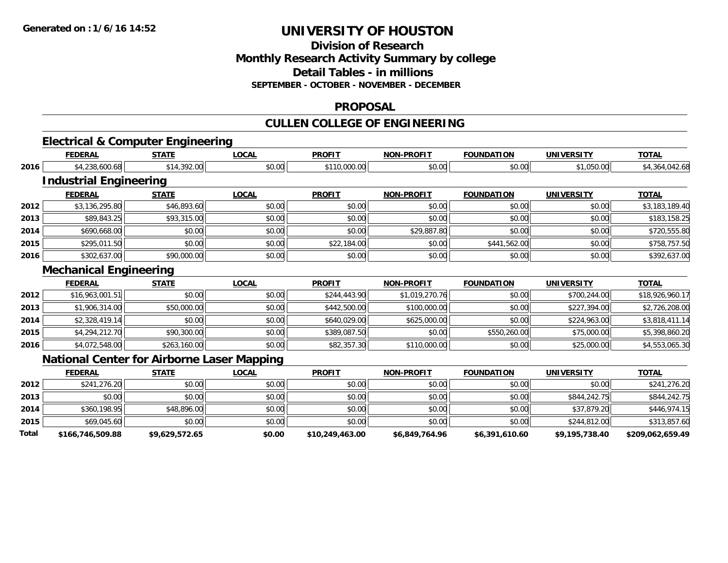**2015**

**Total**

# **UNIVERSITY OF HOUSTON**

## **Division of ResearchMonthly Research Activity Summary by college Detail Tables - in millions SEPTEMBER - OCTOBER - NOVEMBER - DECEMBER**

### **PROPOSAL**

# **CULLEN COLLEGE OF ENGINEERING**

# **Electrical & Computer Engineering**

|      | <b>FEDERAL</b>                                    | <b>STATE</b> | <b>LOCAL</b> | <b>PROFIT</b> | <b>NON-PROFIT</b> | <b>FOUNDATION</b> | <b>UNIVERSITY</b> | <b>TOTAL</b>    |
|------|---------------------------------------------------|--------------|--------------|---------------|-------------------|-------------------|-------------------|-----------------|
| 2016 | \$4,238,600.68                                    | \$14,392.00  | \$0.00       | \$110,000.00  | \$0.00            | \$0.00            | \$1,050.00        | \$4,364,042.68  |
|      | <b>Industrial Engineering</b>                     |              |              |               |                   |                   |                   |                 |
|      | <b>FEDERAL</b>                                    | <b>STATE</b> | <b>LOCAL</b> | <b>PROFIT</b> | <b>NON-PROFIT</b> | <b>FOUNDATION</b> | <b>UNIVERSITY</b> | <b>TOTAL</b>    |
| 2012 | \$3,136,295.80                                    | \$46,893.60  | \$0.00       | \$0.00        | \$0.00            | \$0.00            | \$0.00            | \$3,183,189.40  |
| 2013 | \$89,843.25                                       | \$93,315.00  | \$0.00       | \$0.00        | \$0.00            | \$0.00            | \$0.00            | \$183,158.25    |
| 2014 | \$690,668.00                                      | \$0.00       | \$0.00       | \$0.00        | \$29,887.80       | \$0.00            | \$0.00            | \$720,555.80    |
| 2015 | \$295,011.50                                      | \$0.00       | \$0.00       | \$22,184.00   | \$0.00            | \$441,562.00      | \$0.00            | \$758,757.50    |
| 2016 | \$302,637.00                                      | \$90,000.00  | \$0.00       | \$0.00        | \$0.00            | \$0.00            | \$0.00            | \$392,637.00    |
|      | <b>Mechanical Engineering</b>                     |              |              |               |                   |                   |                   |                 |
|      | <b>FEDERAL</b>                                    | <b>STATE</b> | <b>LOCAL</b> | <b>PROFIT</b> | <b>NON-PROFIT</b> | <b>FOUNDATION</b> | <b>UNIVERSITY</b> | <b>TOTAL</b>    |
| 2012 | \$16,963,001.51                                   | \$0.00       | \$0.00       | \$244,443.90  | \$1,019,270.76    | \$0.00            | \$700,244.00      | \$18,926,960.17 |
| 2013 | \$1,906,314.00                                    | \$50,000.00  | \$0.00       | \$442,500.00  | \$100,000.00      | \$0.00            | \$227,394.00      | \$2,726,208.00  |
| 2014 | \$2,328,419.14                                    | \$0.00       | \$0.00       | \$640,029.00  | \$625,000.00      | \$0.00            | \$224,963.00      | \$3,818,411.14  |
| 2015 | \$4,294,212.70                                    | \$90,300.00  | \$0.00       | \$389,087.50  | \$0.00            | \$550,260.00      | \$75,000.00       | \$5,398,860.20  |
| 2016 | \$4,072,548.00                                    | \$263,160.00 | \$0.00       | \$82,357.30   | \$110,000.00      | \$0.00            | \$25,000.00       | \$4,553,065.30  |
|      | <b>National Center for Airborne Laser Mapping</b> |              |              |               |                   |                   |                   |                 |
|      | <b>FEDERAL</b>                                    | <b>STATE</b> | <b>LOCAL</b> | <b>PROFIT</b> | <b>NON-PROFIT</b> | <b>FOUNDATION</b> | <b>UNIVERSITY</b> | <b>TOTAL</b>    |
| 2012 | \$241,276.20                                      | \$0.00       | \$0.00       | \$0.00        | \$0.00            | \$0.00            | \$0.00            | \$241,276.20    |
| 2013 | \$0.00                                            | \$0.00       | \$0.00       | \$0.00        | \$0.00            | \$0.00            | \$844,242.75      | \$844,242.75    |
| 2014 | \$360,198.95                                      | \$48,896.00  | \$0.00       | \$0.00        | \$0.00            | \$0.00            | \$37,879.20       | \$446,974.15    |

\$69,045.60 \$0.00 \$0.00 \$0.00 \$0.00 \$0.00 \$244,812.00 \$313,857.60

**\$166,746,509.88 \$9,629,572.65 \$0.00 \$10,249,463.00 \$6,849,764.96 \$6,391,610.60 \$9,195,738.40 \$209,062,659.49**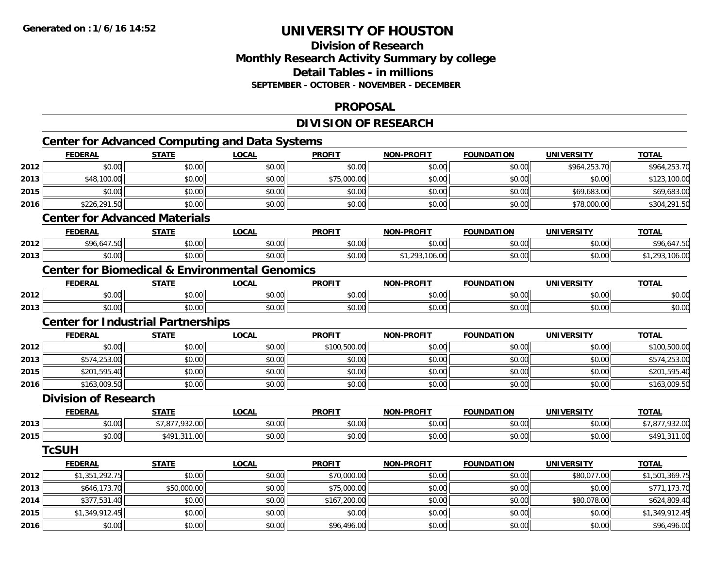**2016**

# **UNIVERSITY OF HOUSTON**

# **Division of ResearchMonthly Research Activity Summary by college Detail Tables - in millions SEPTEMBER - OCTOBER - NOVEMBER - DECEMBER**

### **PROPOSAL**

# **DIVISION OF RESEARCH**

|      |                                           |                | <b>Center for Advanced Computing and Data Systems</b>     |               |                   |                   |                   |                |
|------|-------------------------------------------|----------------|-----------------------------------------------------------|---------------|-------------------|-------------------|-------------------|----------------|
|      | <b>FEDERAL</b>                            | <b>STATE</b>   | <b>LOCAL</b>                                              | <b>PROFIT</b> | <b>NON-PROFIT</b> | <b>FOUNDATION</b> | <b>UNIVERSITY</b> | <b>TOTAL</b>   |
| 2012 | \$0.00                                    | \$0.00         | \$0.00                                                    | \$0.00        | \$0.00            | \$0.00            | \$964,253.70      | \$964,253.70   |
| 2013 | \$48,100.00                               | \$0.00         | \$0.00                                                    | \$75,000.00   | \$0.00            | \$0.00            | \$0.00            | \$123,100.00   |
| 2015 | \$0.00                                    | \$0.00         | \$0.00                                                    | \$0.00        | \$0.00            | \$0.00            | \$69,683.00       | \$69,683.00    |
| 2016 | \$226,291.50                              | \$0.00         | \$0.00                                                    | \$0.00        | \$0.00            | \$0.00            | \$78,000.00       | \$304,291.50   |
|      | <b>Center for Advanced Materials</b>      |                |                                                           |               |                   |                   |                   |                |
|      | <b>FEDERAL</b>                            | <b>STATE</b>   | <b>LOCAL</b>                                              | <b>PROFIT</b> | <b>NON-PROFIT</b> | <b>FOUNDATION</b> | <b>UNIVERSITY</b> | <b>TOTAL</b>   |
| 2012 | \$96,647.50                               | \$0.00         | \$0.00                                                    | \$0.00        | \$0.00            | \$0.00            | \$0.00            | \$96,647.50    |
| 2013 | \$0.00                                    | \$0.00         | \$0.00                                                    | \$0.00        | \$1,293,106.00    | \$0.00            | \$0.00            | \$1,293,106.00 |
|      |                                           |                | <b>Center for Biomedical &amp; Environmental Genomics</b> |               |                   |                   |                   |                |
|      | <b>FEDERAL</b>                            | <b>STATE</b>   | <b>LOCAL</b>                                              | <b>PROFIT</b> | <b>NON-PROFIT</b> | <b>FOUNDATION</b> | <b>UNIVERSITY</b> | <b>TOTAL</b>   |
| 2012 | \$0.00                                    | \$0.00         | \$0.00                                                    | \$0.00        | \$0.00            | \$0.00            | \$0.00            | \$0.00         |
| 2013 | \$0.00                                    | \$0.00         | \$0.00                                                    | \$0.00        | \$0.00            | \$0.00            | \$0.00            | \$0.00         |
|      | <b>Center for Industrial Partnerships</b> |                |                                                           |               |                   |                   |                   |                |
|      | <b>FEDERAL</b>                            | <b>STATE</b>   | <b>LOCAL</b>                                              | <b>PROFIT</b> | <b>NON-PROFIT</b> | <b>FOUNDATION</b> | <b>UNIVERSITY</b> | <b>TOTAL</b>   |
| 2012 | \$0.00                                    | \$0.00         | \$0.00                                                    | \$100,500.00  | \$0.00            | \$0.00            | \$0.00            | \$100,500.00   |
| 2013 | \$574,253.00                              | \$0.00         | \$0.00                                                    | \$0.00        | \$0.00            | \$0.00            | \$0.00            | \$574,253.00   |
| 2015 | \$201,595.40                              | \$0.00         | \$0.00                                                    | \$0.00        | \$0.00            | \$0.00            | \$0.00            | \$201,595.40   |
| 2016 | \$163,009.50                              | \$0.00         | \$0.00                                                    | \$0.00        | \$0.00            | \$0.00            | \$0.00            | \$163,009.50   |
|      | <b>Division of Research</b>               |                |                                                           |               |                   |                   |                   |                |
|      | <b>FEDERAL</b>                            | <b>STATE</b>   | <b>LOCAL</b>                                              | <b>PROFIT</b> | <b>NON-PROFIT</b> | <b>FOUNDATION</b> | <b>UNIVERSITY</b> | <b>TOTAL</b>   |
| 2013 | \$0.00                                    | \$7,877,932.00 | \$0.00                                                    | \$0.00        | \$0.00            | \$0.00            | \$0.00            | \$7,877,932.00 |
| 2015 | \$0.00                                    | \$491,311.00   | \$0.00                                                    | \$0.00        | \$0.00            | \$0.00            | \$0.00            | \$491,311.00   |
|      | <b>TcSUH</b>                              |                |                                                           |               |                   |                   |                   |                |
|      | <b>FEDERAL</b>                            | <b>STATE</b>   | <b>LOCAL</b>                                              | <b>PROFIT</b> | <b>NON-PROFIT</b> | <b>FOUNDATION</b> | <b>UNIVERSITY</b> | <b>TOTAL</b>   |
| 2012 | \$1,351,292.75                            | \$0.00         | \$0.00                                                    | \$70,000.00   | \$0.00            | \$0.00            | \$80,077.00       | \$1,501,369.75 |
| 2013 | \$646,173.70                              | \$50,000.00    | \$0.00                                                    | \$75,000.00   | \$0.00            | \$0.00            | \$0.00            | \$771,173.70   |
| 2014 | \$377,531.40                              | \$0.00         | \$0.00                                                    | \$167,200.00  | \$0.00            | \$0.00            | \$80,078.00       | \$624,809.40   |
| 2015 | \$1,349,912.45                            | \$0.00         | \$0.00                                                    | \$0.00        | \$0.00            | \$0.00            | \$0.00            | \$1,349,912.45 |

6 \$0.00 \$0.00 \$0.00 \$0.00 \$0.00 \$0.00 \$0.00 \$96,496.00 \$0.00 \$0.00 \$0.00 \$0.00 \$0.00 \$0.00 \$96,496.00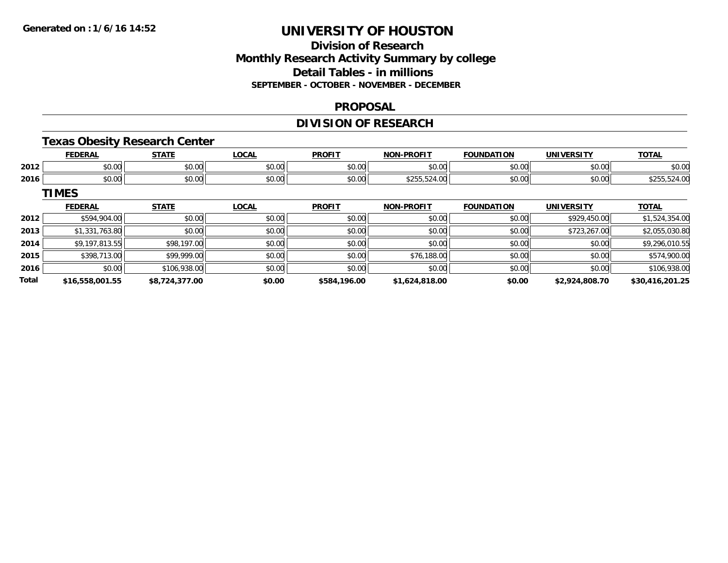# **Division of ResearchMonthly Research Activity Summary by college Detail Tables - in millions SEPTEMBER - OCTOBER - NOVEMBER - DECEMBER**

### **PROPOSAL**

# **DIVISION OF RESEARCH**

## **Texas Obesity Research Center**

|      | <b>FEDERAL</b> | <b>STATE</b>         | .OCAL  | <b>PROFIT</b> | <b>NON-PROFIT</b> | <b>FOUNDATION</b> | <b>UNIVERSITY</b> | <b>TOTAL</b>   |
|------|----------------|----------------------|--------|---------------|-------------------|-------------------|-------------------|----------------|
| 2012 | 0000<br>ง∪.∪บ  | 0000<br>JU.UU        | \$0.00 | \$0.00        | \$0.00            | 0000<br>งบ.บบ     | \$0.00            | \$0.00         |
| 2016 | \$0.00         | 0000<br><b>JU.UU</b> | \$0.00 | \$0.00        | \$255,524,00      | \$0.00            | \$0.00            | 4.00<br>92 J J |

**TIMES**

|              | <b>FEDERAL</b>  | <b>STATE</b>   | <u>LOCAL</u> | <b>PROFIT</b> | <b>NON-PROFIT</b> | <b>FOUNDATION</b> | <b>UNIVERSITY</b> | <b>TOTAL</b>    |
|--------------|-----------------|----------------|--------------|---------------|-------------------|-------------------|-------------------|-----------------|
| 2012         | \$594,904.00    | \$0.00         | \$0.00       | \$0.00        | \$0.00            | \$0.00            | \$929,450.00      | \$1,524,354.00  |
| 2013         | \$1,331,763.80  | \$0.00         | \$0.00       | \$0.00        | \$0.00            | \$0.00            | \$723,267.00      | \$2,055,030.80  |
| 2014         | \$9,197,813.55  | \$98,197.00    | \$0.00       | \$0.00        | \$0.00            | \$0.00            | \$0.00            | \$9,296,010.55  |
| 2015         | \$398,713.00    | \$99,999.00    | \$0.00       | \$0.00        | \$76,188.00       | \$0.00            | \$0.00            | \$574,900.00    |
| 2016         | \$0.00          | \$106,938.00   | \$0.00       | \$0.00        | \$0.00            | \$0.00            | \$0.00            | \$106,938.00    |
| <b>Total</b> | \$16,558,001.55 | \$8,724,377.00 | \$0.00       | \$584,196.00  | \$1,624,818.00    | \$0.00            | \$2,924,808.70    | \$30,416,201.25 |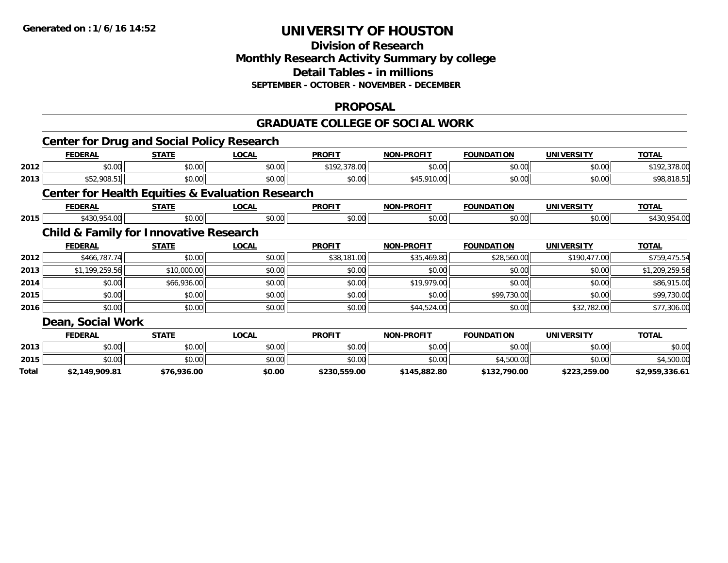# **Division of ResearchMonthly Research Activity Summary by college Detail Tables - in millions SEPTEMBER - OCTOBER - NOVEMBER - DECEMBER**

### **PROPOSAL**

### **GRADUATE COLLEGE OF SOCIAL WORK**

|       | <b>Center for Drug and Social Policy Research</b>           |              |              |               |                   |                   |                   |                |
|-------|-------------------------------------------------------------|--------------|--------------|---------------|-------------------|-------------------|-------------------|----------------|
|       | <b>FEDERAL</b>                                              | <b>STATE</b> | <b>LOCAL</b> | <b>PROFIT</b> | <b>NON-PROFIT</b> | <b>FOUNDATION</b> | <b>UNIVERSITY</b> | <b>TOTAL</b>   |
| 2012  | \$0.00                                                      | \$0.00       | \$0.00       | \$192,378.00  | \$0.00            | \$0.00            | \$0.00            | \$192,378.00   |
| 2013  | \$52,908.51                                                 | \$0.00       | \$0.00       | \$0.00        | \$45,910.00       | \$0.00            | \$0.00            | \$98,818.51    |
|       | <b>Center for Health Equities &amp; Evaluation Research</b> |              |              |               |                   |                   |                   |                |
|       | <b>FEDERAL</b>                                              | <b>STATE</b> | <b>LOCAL</b> | <b>PROFIT</b> | <b>NON-PROFIT</b> | <b>FOUNDATION</b> | <b>UNIVERSITY</b> | <b>TOTAL</b>   |
| 2015  | \$430,954.00                                                | \$0.00       | \$0.00       | \$0.00        | \$0.00            | \$0.00            | \$0.00            | \$430,954.00   |
|       | <b>Child &amp; Family for Innovative Research</b>           |              |              |               |                   |                   |                   |                |
|       | <b>FEDERAL</b>                                              | <b>STATE</b> | <b>LOCAL</b> | <b>PROFIT</b> | <b>NON-PROFIT</b> | <b>FOUNDATION</b> | <b>UNIVERSITY</b> | <b>TOTAL</b>   |
| 2012  | \$466,787.74                                                | \$0.00       | \$0.00       | \$38,181.00   | \$35,469.80       | \$28,560.00       | \$190,477.00      | \$759,475.54   |
| 2013  | \$1,199,259.56                                              | \$10,000.00  | \$0.00       | \$0.00        | \$0.00            | \$0.00            | \$0.00            | \$1,209,259.56 |
| 2014  | \$0.00                                                      | \$66,936.00  | \$0.00       | \$0.00        | \$19,979.00       | \$0.00            | \$0.00            | \$86,915.00    |
| 2015  | \$0.00                                                      | \$0.00       | \$0.00       | \$0.00        | \$0.00            | \$99,730.00       | \$0.00            | \$99,730.00    |
| 2016  | \$0.00                                                      | \$0.00       | \$0.00       | \$0.00        | \$44,524.00       | \$0.00            | \$32,782.00       | \$77,306.00    |
|       | Dean, Social Work                                           |              |              |               |                   |                   |                   |                |
|       | <b>FEDERAL</b>                                              | <b>STATE</b> | <b>LOCAL</b> | <b>PROFIT</b> | <b>NON-PROFIT</b> | <b>FOUNDATION</b> | <b>UNIVERSITY</b> | <b>TOTAL</b>   |
| 2013  | \$0.00                                                      | \$0.00       | \$0.00       | \$0.00        | \$0.00            | \$0.00            | \$0.00            | \$0.00         |
| 2015  | \$0.00                                                      | \$0.00       | \$0.00       | \$0.00        | \$0.00            | \$4,500.00        | \$0.00            | \$4,500.00     |
| Total | \$2,149,909.81                                              | \$76,936.00  | \$0.00       | \$230,559.00  | \$145,882.80      | \$132,790.00      | \$223,259.00      | \$2,959,336.61 |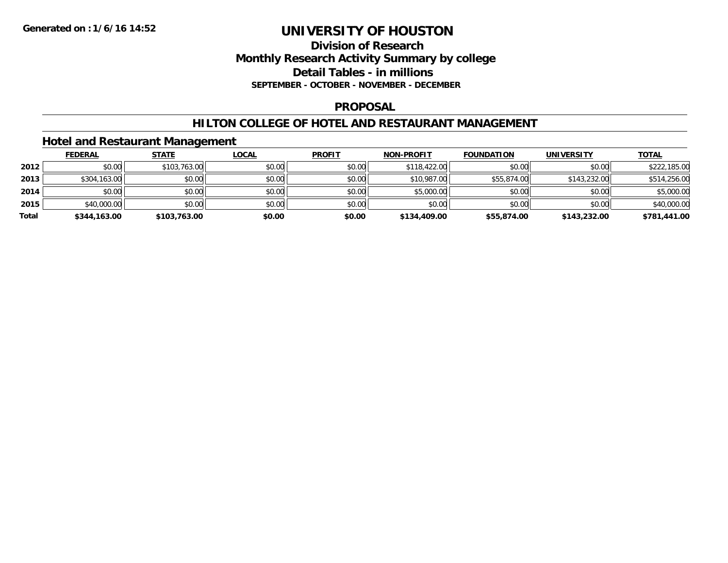## **Division of Research Monthly Research Activity Summary by college Detail Tables - in millions SEPTEMBER - OCTOBER - NOVEMBER - DECEMBER**

### **PROPOSAL**

### **HILTON COLLEGE OF HOTEL AND RESTAURANT MANAGEMENT**

## **Hotel and Restaurant Management**

|       | <b>FEDERAL</b> | <b>STATE</b> | <u>LOCAL</u> | <b>PROFIT</b> | <b>NON-PROFIT</b> | <b>FOUNDATION</b> | <b>UNIVERSITY</b> | <u>TOTAL</u> |
|-------|----------------|--------------|--------------|---------------|-------------------|-------------------|-------------------|--------------|
| 2012  | \$0.00         | \$103,763.00 | \$0.00       | \$0.00        | \$118,422.00      | \$0.00            | \$0.00            | \$222,185.00 |
| 2013  | \$304,163.00   | \$0.00       | \$0.00       | \$0.00        | \$10,987.00       | \$55,874.00       | \$143,232.00      | \$514,256.00 |
| 2014  | \$0.00         | \$0.00       | \$0.00       | \$0.00        | \$5,000.00        | \$0.00            | \$0.00            | \$5,000.00   |
| 2015  | \$40,000.00    | \$0.00       | \$0.00       | \$0.00        | \$0.00            | \$0.00            | \$0.00            | \$40,000.00  |
| Total | \$344,163.00   | \$103,763.00 | \$0.00       | \$0.00        | \$134,409.00      | \$55,874.00       | \$143,232.00      | \$781,441.00 |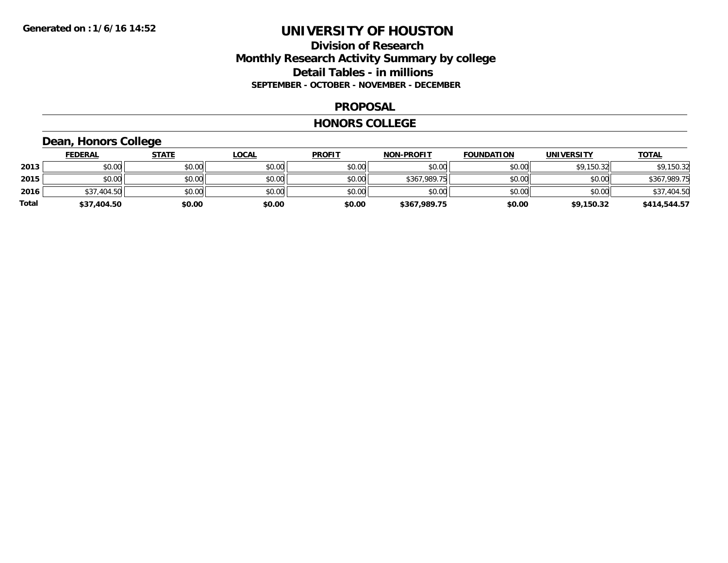## **Division of Research Monthly Research Activity Summary by college Detail Tables - in millions SEPTEMBER - OCTOBER - NOVEMBER - DECEMBER**

### **PROPOSAL**

#### **HONORS COLLEGE**

# **Dean, Honors College**

|       | <b>FEDERAL</b> | <u>STATE</u> | <u>LOCAL</u> | <b>PROFIT</b> | <b>NON-PROFIT</b> | <b>FOUNDATION</b> | <b>UNIVERSITY</b> | <b>TOTAL</b> |
|-------|----------------|--------------|--------------|---------------|-------------------|-------------------|-------------------|--------------|
| 2013  | \$0.00         | \$0.00       | \$0.00       | \$0.00        | \$0.00            | \$0.00            | \$9.150.32        | \$9,150.32   |
| 2015  | \$0.00         | \$0.00       | \$0.00       | \$0.00        | \$367,989.75      | \$0.00            | \$0.00            | \$367,989.75 |
| 2016  | \$37,404.50    | \$0.00       | \$0.00       | \$0.00        | \$0.00            | \$0.00            | \$0.00            | \$37,404.50  |
| Total | \$37,404.50    | \$0.00       | \$0.00       | \$0.00        | \$367,989.75      | \$0.00            | \$9,150.32        | \$414,544.57 |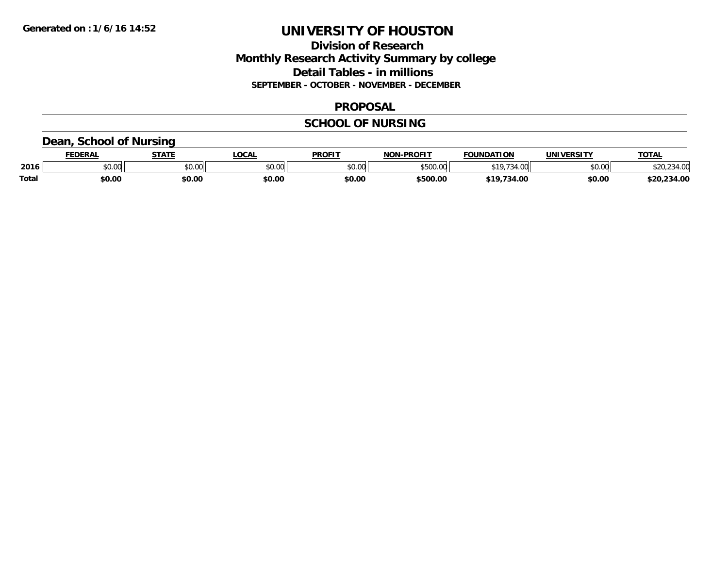## **Division of Research Monthly Research Activity Summary by college Detail Tables - in millions SEPTEMBER - OCTOBER - NOVEMBER - DECEMBER**

### **PROPOSAL**

# **SCHOOL OF NURSING**

## **Dean, School of Nursing**

|              | EDERAI        | CTATE         | .OCAL  | <b>PROFIT</b> | <b>DDOCLT</b><br>81 A B            | <b>FOUNDATION</b> | UNIVERSITY | TOTAL                  |
|--------------|---------------|---------------|--------|---------------|------------------------------------|-------------------|------------|------------------------|
| 2016         | 0.00<br>JU.UU | 0.00<br>JU.UU | \$0.00 | 0.00<br>JU.UU | $+ - - -$<br>$\Omega$<br>$\cdot$ u |                   | \$0.00     | $\sim$<br>34.UU<br>ZU. |
| <b>Total</b> | \$0.00        | \$0.OC        | \$0.00 | \$0.00        | \$500.00                           | .ററ               | \$0.00     | 34.00                  |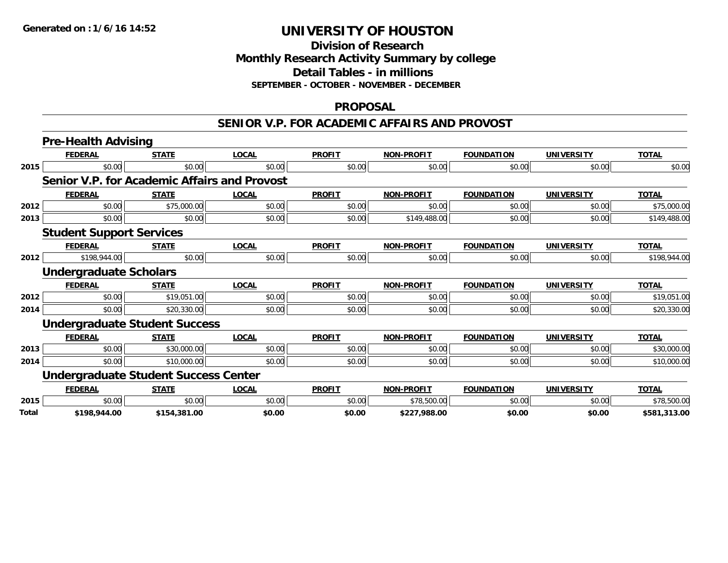# **Division of ResearchMonthly Research Activity Summary by college Detail Tables - in millions SEPTEMBER - OCTOBER - NOVEMBER - DECEMBER**

### **PROPOSAL**

### **SENIOR V.P. FOR ACADEMIC AFFAIRS AND PROVOST**

|       | <b>Pre-Health Advising</b>                          |              |              |               |                   |                   |                   |              |
|-------|-----------------------------------------------------|--------------|--------------|---------------|-------------------|-------------------|-------------------|--------------|
|       | <b>FEDERAL</b>                                      | <b>STATE</b> | <b>LOCAL</b> | <b>PROFIT</b> | <b>NON-PROFIT</b> | <b>FOUNDATION</b> | <b>UNIVERSITY</b> | <b>TOTAL</b> |
| 2015  | \$0.00                                              | \$0.00       | \$0.00       | \$0.00        | \$0.00            | \$0.00            | \$0.00            | \$0.00       |
|       | <b>Senior V.P. for Academic Affairs and Provost</b> |              |              |               |                   |                   |                   |              |
|       | <b>FEDERAL</b>                                      | <b>STATE</b> | <b>LOCAL</b> | <b>PROFIT</b> | <b>NON-PROFIT</b> | <b>FOUNDATION</b> | <b>UNIVERSITY</b> | <b>TOTAL</b> |
| 2012  | \$0.00                                              | \$75,000.00  | \$0.00       | \$0.00        | \$0.00            | \$0.00            | \$0.00            | \$75,000.00  |
| 2013  | \$0.00                                              | \$0.00       | \$0.00       | \$0.00        | \$149,488.00      | \$0.00            | \$0.00            | \$149,488.00 |
|       | <b>Student Support Services</b>                     |              |              |               |                   |                   |                   |              |
|       | <b>FEDERAL</b>                                      | <b>STATE</b> | <b>LOCAL</b> | <b>PROFIT</b> | <b>NON-PROFIT</b> | <b>FOUNDATION</b> | <b>UNIVERSITY</b> | <b>TOTAL</b> |
| 2012  | \$198,944.00                                        | \$0.00       | \$0.00       | \$0.00        | \$0.00            | \$0.00            | \$0.00            | \$198,944.00 |
|       | <b>Undergraduate Scholars</b>                       |              |              |               |                   |                   |                   |              |
|       | <b>FEDERAL</b>                                      | <b>STATE</b> | <b>LOCAL</b> | <b>PROFIT</b> | <b>NON-PROFIT</b> | <b>FOUNDATION</b> | <b>UNIVERSITY</b> | <b>TOTAL</b> |
| 2012  | \$0.00                                              | \$19,051.00  | \$0.00       | \$0.00        | \$0.00            | \$0.00            | \$0.00            | \$19,051.00  |
| 2014  | \$0.00                                              | \$20,330.00  | \$0.00       | \$0.00        | \$0.00            | \$0.00            | \$0.00            | \$20,330.00  |
|       | <b>Undergraduate Student Success</b>                |              |              |               |                   |                   |                   |              |
|       | <b>FEDERAL</b>                                      | <b>STATE</b> | <b>LOCAL</b> | <b>PROFIT</b> | <b>NON-PROFIT</b> | <b>FOUNDATION</b> | <b>UNIVERSITY</b> | <b>TOTAL</b> |
| 2013  | \$0.00                                              | \$30,000.00  | \$0.00       | \$0.00        | \$0.00            | \$0.00            | \$0.00            | \$30,000.00  |
| 2014  | \$0.00                                              | \$10,000.00  | \$0.00       | \$0.00        | \$0.00            | \$0.00            | \$0.00            | \$10,000.00  |
|       | <b>Undergraduate Student Success Center</b>         |              |              |               |                   |                   |                   |              |
|       | <b>FEDERAL</b>                                      | <b>STATE</b> | <b>LOCAL</b> | <b>PROFIT</b> | <b>NON-PROFIT</b> | <b>FOUNDATION</b> | <b>UNIVERSITY</b> | <b>TOTAL</b> |
| 2015  | \$0.00                                              | \$0.00       | \$0.00       | \$0.00        | \$78,500.00       | \$0.00            | \$0.00            | \$78,500.00  |
| Total | \$198,944.00                                        | \$154,381.00 | \$0.00       | \$0.00        | \$227.988.00      | \$0.00            | \$0.00            | \$581.313.00 |

**\$198,944.00 \$154,381.00 \$0.00 \$0.00 \$227,988.00 \$0.00 \$0.00 \$581,313.00**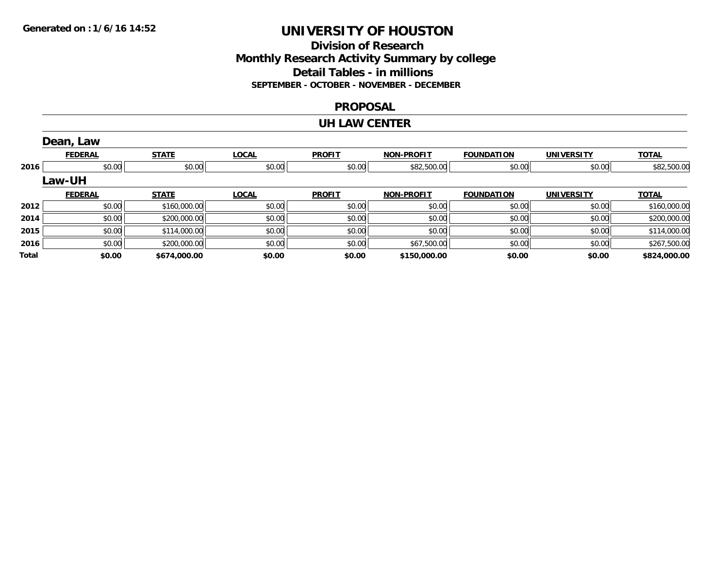## **Division of Research Monthly Research Activity Summary by college Detail Tables - in millions SEPTEMBER - OCTOBER - NOVEMBER - DECEMBER**

### **PROPOSAL**

#### **UH LAW CENTER**

|       | Dean, Law      |              |              |               |                   |                   |                   |              |
|-------|----------------|--------------|--------------|---------------|-------------------|-------------------|-------------------|--------------|
|       | <b>FEDERAL</b> | <b>STATE</b> | <b>LOCAL</b> | <b>PROFIT</b> | <b>NON-PROFIT</b> | <b>FOUNDATION</b> | <b>UNIVERSITY</b> | <u>TOTAL</u> |
| 2016  | \$0.00         | \$0.00       | \$0.00       | \$0.00        | \$82,500.00       | \$0.00            | \$0.00            | \$82,500.00  |
|       | <b>Law-UH</b>  |              |              |               |                   |                   |                   |              |
|       | <b>FEDERAL</b> | <b>STATE</b> | <b>LOCAL</b> | <b>PROFIT</b> | <b>NON-PROFIT</b> | <b>FOUNDATION</b> | <b>UNIVERSITY</b> | <b>TOTAL</b> |
| 2012  | \$0.00         | \$160,000.00 | \$0.00       | \$0.00        | \$0.00            | \$0.00            | \$0.00            | \$160,000.00 |
| 2014  | \$0.00         | \$200,000.00 | \$0.00       | \$0.00        | \$0.00            | \$0.00            | \$0.00            | \$200,000.00 |
| 2015  | \$0.00         | \$114,000.00 | \$0.00       | \$0.00        | \$0.00            | \$0.00            | \$0.00            | \$114,000.00 |
| 2016  | \$0.00         | \$200,000.00 | \$0.00       | \$0.00        | \$67,500.00       | \$0.00            | \$0.00            | \$267,500.00 |
| Total | \$0.00         | \$674,000.00 | \$0.00       | \$0.00        | \$150,000.00      | \$0.00            | \$0.00            | \$824,000.00 |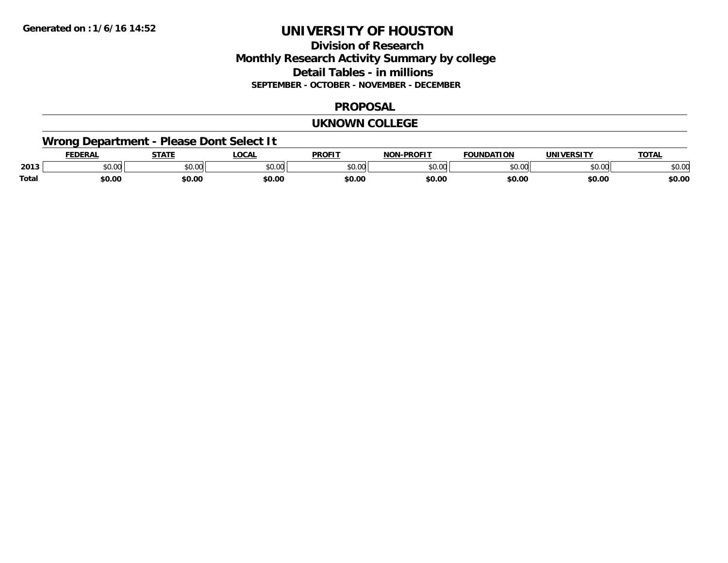# **Division of ResearchMonthly Research Activity Summary by college Detail Tables - in millions SEPTEMBER - OCTOBER - NOVEMBER - DECEMBER**

### **PROPOSAL**

### **UKNOWN COLLEGE**

# **Wrong Department - Please Dont Select It**

|              | <b>FEDERA.</b> | <b>CTATE</b><br>3 I L   | _OCA          | <b>PROFIT</b> | <b>DDOCIT</b><br>''' | <b>FOUNDATION</b>  | <b>JNIV</b>    | TOT.   |
|--------------|----------------|-------------------------|---------------|---------------|----------------------|--------------------|----------------|--------|
| 2013         | יש.טע          | 0 <sup>n</sup><br>JU.UU | 0000<br>טט.טע | 0000<br>,u.u  | $\sim$ 00<br>וטטוע   | $\sim$ 00<br>JU.UU | ሰሰ ሰሰ<br>JU.UU | \$0.01 |
| <b>Total</b> | \$0.00         | \$0.00                  | \$0.00        | \$0.00        | \$0.00               | \$0.00             | \$0.00         | \$0.00 |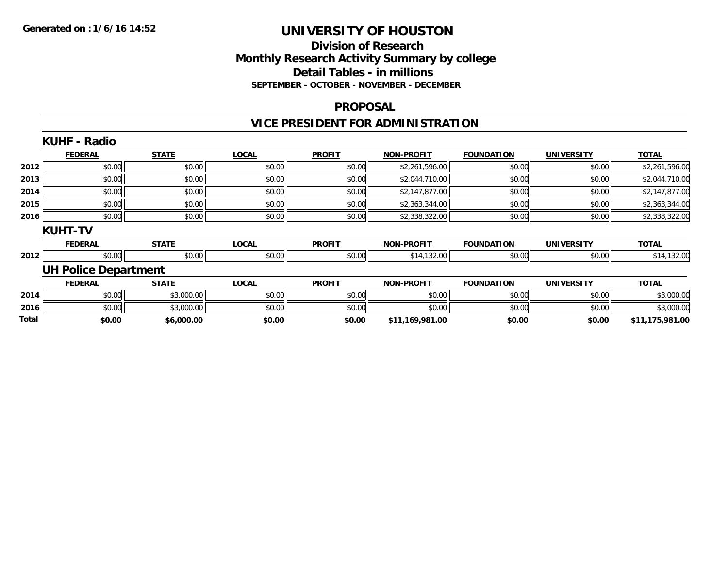## **Division of Research Monthly Research Activity Summary by college Detail Tables - in millions SEPTEMBER - OCTOBER - NOVEMBER - DECEMBER**

#### **PROPOSAL**

# **VICE PRESIDENT FOR ADMINISTRATION**

|       | <b>KUHF - Radio</b>         |              |              |               |                   |                   |                   |                 |
|-------|-----------------------------|--------------|--------------|---------------|-------------------|-------------------|-------------------|-----------------|
|       | <b>FEDERAL</b>              | <b>STATE</b> | <b>LOCAL</b> | <b>PROFIT</b> | <b>NON-PROFIT</b> | <b>FOUNDATION</b> | <b>UNIVERSITY</b> | <b>TOTAL</b>    |
| 2012  | \$0.00                      | \$0.00       | \$0.00       | \$0.00        | \$2,261,596.00    | \$0.00            | \$0.00            | \$2,261,596.00  |
| 2013  | \$0.00                      | \$0.00       | \$0.00       | \$0.00        | \$2,044,710.00    | \$0.00            | \$0.00            | \$2,044,710.00  |
| 2014  | \$0.00                      | \$0.00       | \$0.00       | \$0.00        | \$2,147,877.00    | \$0.00            | \$0.00            | \$2,147,877.00  |
| 2015  | \$0.00                      | \$0.00       | \$0.00       | \$0.00        | \$2,363,344.00    | \$0.00            | \$0.00            | \$2,363,344.00  |
| 2016  | \$0.00                      | \$0.00       | \$0.00       | \$0.00        | \$2,338,322.00    | \$0.00            | \$0.00            | \$2,338,322.00  |
|       | <b>KUHT-TV</b>              |              |              |               |                   |                   |                   |                 |
|       | <b>FEDERAL</b>              | <b>STATE</b> | <b>LOCAL</b> | <b>PROFIT</b> | <b>NON-PROFIT</b> | <b>FOUNDATION</b> | <b>UNIVERSITY</b> | <b>TOTAL</b>    |
| 2012  | \$0.00                      | \$0.00       | \$0.00       | \$0.00        | \$14,132.00       | \$0.00            | \$0.00            | \$14,132.00     |
|       | <b>UH Police Department</b> |              |              |               |                   |                   |                   |                 |
|       | <b>FEDERAL</b>              | <b>STATE</b> | <b>LOCAL</b> | <b>PROFIT</b> | <b>NON-PROFIT</b> | <b>FOUNDATION</b> | <b>UNIVERSITY</b> | <b>TOTAL</b>    |
| 2014  | \$0.00                      | \$3,000.00   | \$0.00       | \$0.00        | \$0.00            | \$0.00            | \$0.00            | \$3,000.00      |
| 2016  | \$0.00                      | \$3,000.00   | \$0.00       | \$0.00        | \$0.00            | \$0.00            | \$0.00            | \$3,000.00      |
| Total | \$0.00                      | \$6,000.00   | \$0.00       | \$0.00        | \$11,169,981.00   | \$0.00            | \$0.00            | \$11,175,981.00 |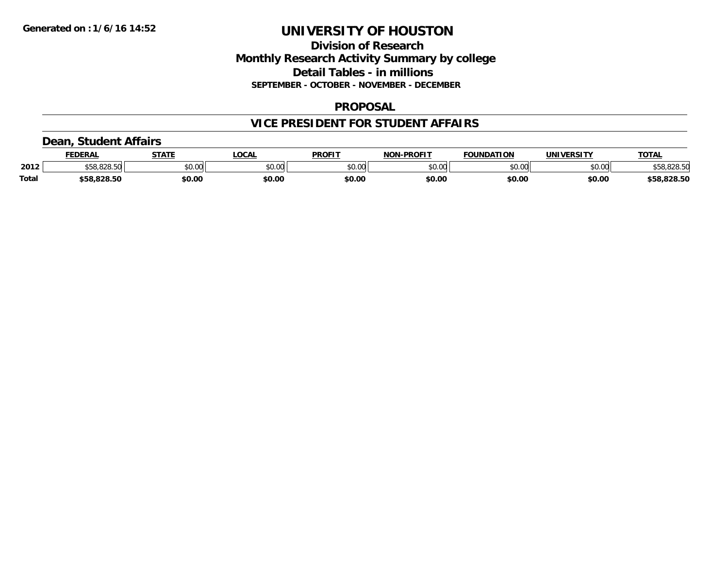## **Division of Research Monthly Research Activity Summary by college Detail Tables - in millions SEPTEMBER - OCTOBER - NOVEMBER - DECEMBER**

### **PROPOSAL**

## **VICE PRESIDENT FOR STUDENT AFFAIRS**

## **Dean, Student Affairs**

|       | <b>FEDERAL</b>    | <b>STATE</b> | <b>OCAL</b> | <b>PROFIT</b> | <b>L-PROFIT</b><br>NON. | <b>FOUNDATION</b> | <b>UNIVERSITY</b> | TOTA.       |
|-------|-------------------|--------------|-------------|---------------|-------------------------|-------------------|-------------------|-------------|
| 2012  | 000E<br>NG.020.00 | \$0.00       | vu.vu       | \$0.00        | 0000<br>PU.UU           | \$0.00            | mn n¢<br>DU.UU    | \$58,828.50 |
| Total | \$58.828.50       | \$0.00       | \$0.00      | \$0.00        | \$0.00                  | \$0.00            | \$0.00            | \$58,828.50 |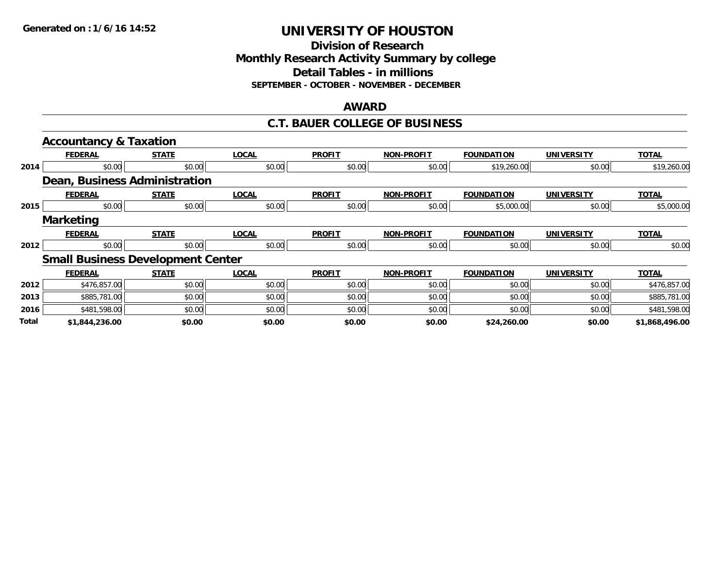**Division of Research Monthly Research Activity Summary by college Detail Tables - in millions SEPTEMBER - OCTOBER - NOVEMBER - DECEMBER**

#### **AWARD**

### **C.T. BAUER COLLEGE OF BUSINESS**

|       | <b>Accountancy &amp; Taxation</b>        |              |              |               |                   |                   |                   |                |
|-------|------------------------------------------|--------------|--------------|---------------|-------------------|-------------------|-------------------|----------------|
|       | <b>FEDERAL</b>                           | <b>STATE</b> | <b>LOCAL</b> | <b>PROFIT</b> | <b>NON-PROFIT</b> | <b>FOUNDATION</b> | <b>UNIVERSITY</b> | <b>TOTAL</b>   |
| 2014  | \$0.00                                   | \$0.00       | \$0.00       | \$0.00        | \$0.00            | \$19,260.00       | \$0.00            | \$19,260.00    |
|       | <b>Dean, Business Administration</b>     |              |              |               |                   |                   |                   |                |
|       | <b>FEDERAL</b>                           | <b>STATE</b> | <b>LOCAL</b> | <b>PROFIT</b> | <b>NON-PROFIT</b> | <b>FOUNDATION</b> | <b>UNIVERSITY</b> | <b>TOTAL</b>   |
| 2015  | \$0.00                                   | \$0.00       | \$0.00       | \$0.00        | \$0.00            | \$5,000.00        | \$0.00            | \$5,000.00     |
|       | <b>Marketing</b>                         |              |              |               |                   |                   |                   |                |
|       | <b>FEDERAL</b>                           | <b>STATE</b> | <b>LOCAL</b> | <b>PROFIT</b> | <b>NON-PROFIT</b> | <b>FOUNDATION</b> | <b>UNIVERSITY</b> | <b>TOTAL</b>   |
| 2012  | \$0.00                                   | \$0.00       | \$0.00       | \$0.00        | \$0.00            | \$0.00            | \$0.00            | \$0.00         |
|       | <b>Small Business Development Center</b> |              |              |               |                   |                   |                   |                |
|       | <b>FEDERAL</b>                           | <b>STATE</b> | <b>LOCAL</b> | <b>PROFIT</b> | <b>NON-PROFIT</b> | <b>FOUNDATION</b> | <b>UNIVERSITY</b> | <b>TOTAL</b>   |
| 2012  | \$476,857.00                             | \$0.00       | \$0.00       | \$0.00        | \$0.00            | \$0.00            | \$0.00            | \$476,857.00   |
| 2013  | \$885,781.00                             | \$0.00       | \$0.00       | \$0.00        | \$0.00            | \$0.00            | \$0.00            | \$885,781.00   |
| 2016  | \$481,598.00                             | \$0.00       | \$0.00       | \$0.00        | \$0.00            | \$0.00            | \$0.00            | \$481,598.00   |
| Total | \$1,844,236.00                           | \$0.00       | \$0.00       | \$0.00        | \$0.00            | \$24,260.00       | \$0.00            | \$1,868,496.00 |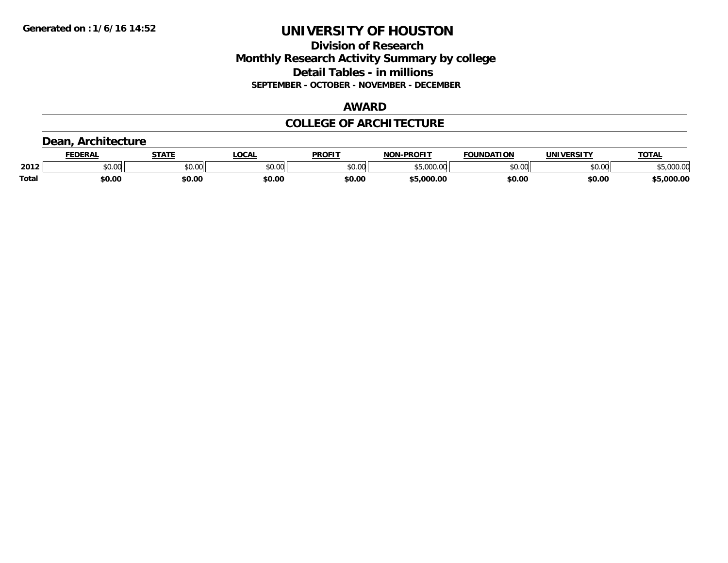## **Division of Research Monthly Research Activity Summary by college Detail Tables - in millions SEPTEMBER - OCTOBER - NOVEMBER - DECEMBER**

## **AWARD**

## **COLLEGE OF ARCHITECTURE**

# **Dean, Architecture**

|              | <b>DERAI</b> | <b>STATE</b>           | <b>OCAL</b> | <b>PROF!</b>  | <b>DDOEIT</b><br>810 R | ΠΟΝ<br><b>FAURIBAT.</b> | JNI               | <b>TOTA</b>                |
|--------------|--------------|------------------------|-------------|---------------|------------------------|-------------------------|-------------------|----------------------------|
| 2012         | \$0.00       | $\sim$ $\sim$<br>JU.UU | \$0.00      | 0000<br>JU.UU | *-<br>$\sim$<br>. UU   | 0000<br>10.UU           | to ool<br>ww<br>v | $\sim$ $\sim$<br>, vvv. vc |
| <b>Total</b> | \$0.00       | \$0.00                 | \$0.00      | \$0.00        | 000<br>oo oo           | \$0.00                  | \$0.00            | .000.00                    |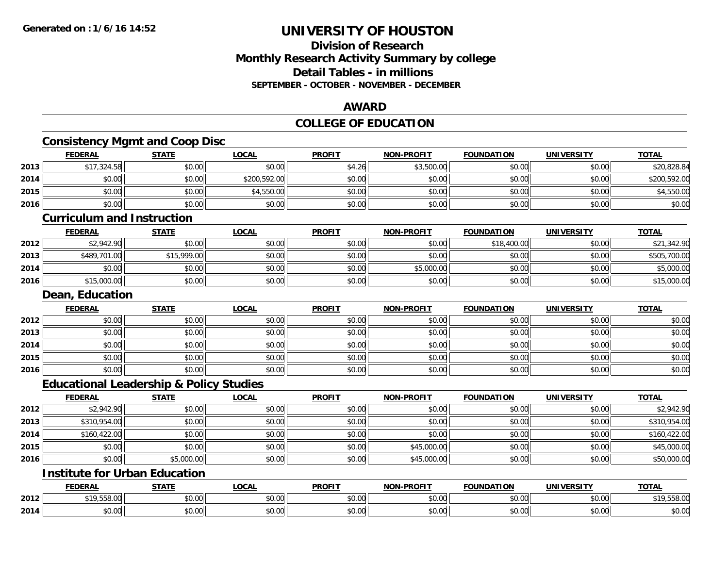## **Division of Research Monthly Research Activity Summary by college Detail Tables - in millions SEPTEMBER - OCTOBER - NOVEMBER - DECEMBER**

## **AWARD**

### **COLLEGE OF EDUCATION**

|      |                                   | <b>Consistency Mgmt and Coop Disc</b>              |              |               |                   |                   |                   |              |
|------|-----------------------------------|----------------------------------------------------|--------------|---------------|-------------------|-------------------|-------------------|--------------|
|      | <b>FEDERAL</b>                    | <b>STATE</b>                                       | <b>LOCAL</b> | <b>PROFIT</b> | <b>NON-PROFIT</b> | <b>FOUNDATION</b> | <b>UNIVERSITY</b> | <b>TOTAL</b> |
| 2013 | \$17,324.58                       | \$0.00                                             | \$0.00       | \$4.26        | \$3,500.00        | \$0.00            | \$0.00            | \$20,828.84  |
| 2014 | \$0.00                            | \$0.00                                             | \$200,592.00 | \$0.00        | \$0.00            | \$0.00            | \$0.00            | \$200,592.00 |
| 2015 | \$0.00                            | \$0.00                                             | \$4,550.00   | \$0.00        | \$0.00            | \$0.00            | \$0.00            | \$4,550.00   |
| 2016 | \$0.00                            | \$0.00                                             | \$0.00       | \$0.00        | \$0.00            | \$0.00            | \$0.00            | \$0.00       |
|      | <b>Curriculum and Instruction</b> |                                                    |              |               |                   |                   |                   |              |
|      | <b>FEDERAL</b>                    | <b>STATE</b>                                       | <b>LOCAL</b> | <b>PROFIT</b> | <b>NON-PROFIT</b> | <b>FOUNDATION</b> | <b>UNIVERSITY</b> | <b>TOTAL</b> |
| 2012 | \$2,942.90                        | \$0.00                                             | \$0.00       | \$0.00        | \$0.00            | \$18,400.00       | \$0.00            | \$21,342.90  |
| 2013 | \$489,701.00                      | \$15,999.00                                        | \$0.00       | \$0.00        | \$0.00            | \$0.00            | \$0.00            | \$505,700.00 |
| 2014 | \$0.00                            | \$0.00                                             | \$0.00       | \$0.00        | \$5,000.00        | \$0.00            | \$0.00            | \$5,000.00   |
| 2016 | \$15,000.00                       | \$0.00                                             | \$0.00       | \$0.00        | \$0.00            | \$0.00            | \$0.00            | \$15,000.00  |
|      | <b>Dean, Education</b>            |                                                    |              |               |                   |                   |                   |              |
|      | <b>FEDERAL</b>                    | <b>STATE</b>                                       | <b>LOCAL</b> | <b>PROFIT</b> | <b>NON-PROFIT</b> | <b>FOUNDATION</b> | <b>UNIVERSITY</b> | <b>TOTAL</b> |
| 2012 | \$0.00                            | \$0.00                                             | \$0.00       | \$0.00        | \$0.00            | \$0.00            | \$0.00            | \$0.00       |
| 2013 | \$0.00                            | \$0.00                                             | \$0.00       | \$0.00        | \$0.00            | \$0.00            | \$0.00            | \$0.00       |
| 2014 | \$0.00                            | \$0.00                                             | \$0.00       | \$0.00        | \$0.00            | \$0.00            | \$0.00            | \$0.00       |
| 2015 | \$0.00                            | \$0.00                                             | \$0.00       | \$0.00        | \$0.00            | \$0.00            | \$0.00            | \$0.00       |
| 2016 | \$0.00                            | \$0.00                                             | \$0.00       | \$0.00        | \$0.00            | \$0.00            | \$0.00            | \$0.00       |
|      |                                   | <b>Educational Leadership &amp; Policy Studies</b> |              |               |                   |                   |                   |              |
|      | <b>FEDERAL</b>                    | <b>STATE</b>                                       | <b>LOCAL</b> | <b>PROFIT</b> | <b>NON-PROFIT</b> | <b>FOUNDATION</b> | <b>UNIVERSITY</b> | <b>TOTAL</b> |
| 2012 | \$2,942.90                        | \$0.00                                             | \$0.00       | \$0.00        | \$0.00            | \$0.00            | \$0.00            | \$2,942.90   |
| 2013 | \$310,954.00                      | \$0.00                                             | \$0.00       | \$0.00        | \$0.00            | \$0.00            | \$0.00            | \$310,954.00 |
| 2014 | \$160,422.00                      | \$0.00                                             | \$0.00       | \$0.00        | \$0.00            | \$0.00            | \$0.00            | \$160,422.00 |
| 2015 | \$0.00                            | \$0.00                                             | \$0.00       | \$0.00        | \$45,000.00       | \$0.00            | \$0.00            | \$45,000.00  |
| 2016 | \$0.00                            | \$5,000.00                                         | \$0.00       | \$0.00        | \$45,000.00       | \$0.00            | \$0.00            | \$50,000.00  |
|      |                                   | <b>Institute for Urban Education</b>               |              |               |                   |                   |                   |              |
|      | <b>FEDERAL</b>                    | <b>STATE</b>                                       | <b>LOCAL</b> | <b>PROFIT</b> | <b>NON-PROFIT</b> | <b>FOUNDATION</b> | <b>UNIVERSITY</b> | <b>TOTAL</b> |

|      | <b>FEDERAL</b>   | <b>STATE</b><br>,,,,,, | .OCAI              | <b>PROFIT</b> | <b>DDOFIT</b><br><b>NON</b>              | <b>FOUNDATION</b>                                 | UNIVERSITY | <b>TOTAL</b>            |
|------|------------------|------------------------|--------------------|---------------|------------------------------------------|---------------------------------------------------|------------|-------------------------|
| 2012 | $  -$<br>9,000.U | $\sim$ 00<br>JU.UU     | $\sim$ 00<br>vv.vv | \$0.00        | 0000<br><b>JU.UU</b>                     | $\sim$ $\sim$<br>JU.UU                            | \$0.00     | $\sim$<br>10<br>,,,,,,, |
| 2014 | ሖ へ<br>טט.טע     | $\sim$ 00<br>JU.UU     | ሶስ ሰሰ<br>JU.UU     | \$0.00        | $\sim$<br>$\overline{0}$<br><b>JU.UU</b> | $\mathsf{A}\cap\mathsf{A}\cap\mathsf{A}$<br>JU.UU | \$0.00     | $\sim$<br>JU.UU         |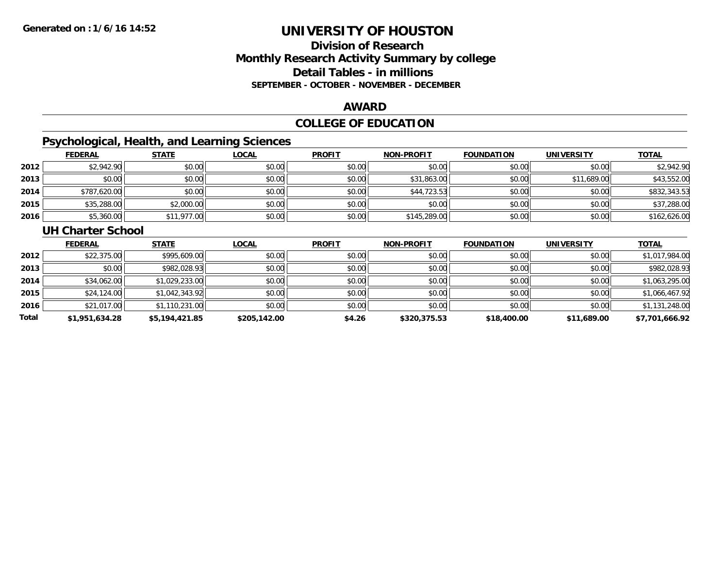# **Division of ResearchMonthly Research Activity Summary by college Detail Tables - in millions SEPTEMBER - OCTOBER - NOVEMBER - DECEMBER**

#### **AWARD**

# **COLLEGE OF EDUCATION**

# **Psychological, Health, and Learning Sciences**

|      | <b>FEDERAL</b> | <b>STATE</b> | <b>LOCAL</b> | <b>PROFIT</b> | <b>NON-PROFIT</b> | <b>FOUNDATION</b> | <b>UNIVERSITY</b> | <b>TOTAL</b> |
|------|----------------|--------------|--------------|---------------|-------------------|-------------------|-------------------|--------------|
| 2012 | \$2,942.90     | \$0.00       | \$0.00       | \$0.00        | \$0.00            | \$0.00            | \$0.00            | \$2,942.90   |
| 2013 | \$0.00         | \$0.00       | \$0.00       | \$0.00        | \$31,863.00       | \$0.00            | \$11,689.00       | \$43,552.00  |
| 2014 | \$787,620.00   | \$0.00       | \$0.00       | \$0.00        | \$44,723.53       | \$0.00            | \$0.00            | \$832,343.53 |
| 2015 | \$35,288.00    | \$2,000.00   | \$0.00       | \$0.00        | \$0.00            | \$0.00            | \$0.00            | \$37,288.00  |
| 2016 | \$5,360.00     | \$11,977.00  | \$0.00       | \$0.00        | \$145,289.00      | \$0.00            | \$0.00            | \$162,626.00 |

### **UH Charter School**

|       | <b>FEDERAL</b> | <b>STATE</b>   | <b>LOCAL</b> | <b>PROFIT</b> | <b>NON-PROFIT</b> | <b>FOUNDATION</b> | <b>UNIVERSITY</b> | <b>TOTAL</b>   |
|-------|----------------|----------------|--------------|---------------|-------------------|-------------------|-------------------|----------------|
| 2012  | \$22,375.00    | \$995,609.00   | \$0.00       | \$0.00        | \$0.00            | \$0.00            | \$0.00            | \$1,017,984.00 |
| 2013  | \$0.00         | \$982,028.93   | \$0.00       | \$0.00        | \$0.00            | \$0.00            | \$0.00            | \$982,028.93   |
| 2014  | \$34,062.00    | \$1,029,233.00 | \$0.00       | \$0.00        | \$0.00            | \$0.00            | \$0.00            | \$1,063,295.00 |
| 2015  | \$24,124.00    | \$1,042,343.92 | \$0.00       | \$0.00        | \$0.00            | \$0.00            | \$0.00            | \$1,066,467.92 |
| 2016  | \$21,017.00    | \$1,110,231.00 | \$0.00       | \$0.00        | \$0.00            | \$0.00            | \$0.00            | \$1,131,248.00 |
| Total | \$1,951,634.28 | \$5,194,421.85 | \$205,142.00 | \$4.26        | \$320,375.53      | \$18,400.00       | \$11,689.00       | \$7,701,666.92 |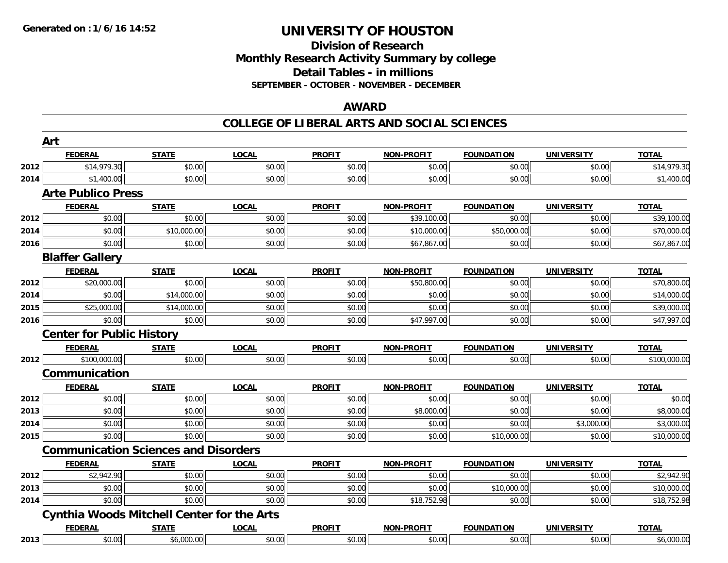## **Division of Research Monthly Research Activity Summary by college Detail Tables - in millions SEPTEMBER - OCTOBER - NOVEMBER - DECEMBER**

#### **AWARD**

|      | Art                                               |              |              |               |                   |                   |                   |              |
|------|---------------------------------------------------|--------------|--------------|---------------|-------------------|-------------------|-------------------|--------------|
|      | <b>FEDERAL</b>                                    | <b>STATE</b> | <b>LOCAL</b> | <b>PROFIT</b> | <b>NON-PROFIT</b> | <b>FOUNDATION</b> | <b>UNIVERSITY</b> | <b>TOTAL</b> |
| 2012 | \$14,979.30                                       | \$0.00       | \$0.00       | \$0.00        | \$0.00            | \$0.00            | \$0.00            | \$14,979.30  |
| 2014 | \$1,400.00                                        | \$0.00       | \$0.00       | \$0.00        | \$0.00            | \$0.00            | \$0.00            | \$1,400.00   |
|      | <b>Arte Publico Press</b>                         |              |              |               |                   |                   |                   |              |
|      | <b>FEDERAL</b>                                    | <b>STATE</b> | <b>LOCAL</b> | <b>PROFIT</b> | <b>NON-PROFIT</b> | <b>FOUNDATION</b> | <b>UNIVERSITY</b> | <b>TOTAL</b> |
| 2012 | \$0.00                                            | \$0.00       | \$0.00       | \$0.00        | \$39,100.00       | \$0.00            | \$0.00            | \$39,100.00  |
| 2014 | \$0.00                                            | \$10,000.00  | \$0.00       | \$0.00        | \$10,000.00       | \$50,000.00       | \$0.00            | \$70,000.00  |
| 2016 | \$0.00                                            | \$0.00       | \$0.00       | \$0.00        | \$67,867.00       | \$0.00            | \$0.00            | \$67,867.00  |
|      | <b>Blaffer Gallery</b>                            |              |              |               |                   |                   |                   |              |
|      | <b>FEDERAL</b>                                    | <b>STATE</b> | <b>LOCAL</b> | <b>PROFIT</b> | <b>NON-PROFIT</b> | <b>FOUNDATION</b> | <b>UNIVERSITY</b> | <b>TOTAL</b> |
| 2012 | \$20,000.00                                       | \$0.00       | \$0.00       | \$0.00        | \$50,800.00       | \$0.00            | \$0.00            | \$70,800.00  |
| 2014 | \$0.00                                            | \$14,000.00  | \$0.00       | \$0.00        | \$0.00            | \$0.00            | \$0.00            | \$14,000.00  |
| 2015 | \$25,000.00                                       | \$14,000.00  | \$0.00       | \$0.00        | \$0.00            | \$0.00            | \$0.00            | \$39,000.00  |
| 2016 | \$0.00                                            | \$0.00       | \$0.00       | \$0.00        | \$47,997.00       | \$0.00            | \$0.00            | \$47,997.00  |
|      | <b>Center for Public History</b>                  |              |              |               |                   |                   |                   |              |
|      | <b>FEDERAL</b>                                    | <b>STATE</b> | <b>LOCAL</b> | <b>PROFIT</b> | <b>NON-PROFIT</b> | <b>FOUNDATION</b> | <b>UNIVERSITY</b> | <b>TOTAL</b> |
| 2012 | \$100,000.00                                      | \$0.00       | \$0.00       | \$0.00        | \$0.00            | \$0.00            | \$0.00            | \$100,000.00 |
|      | <b>Communication</b>                              |              |              |               |                   |                   |                   |              |
|      | <b>FEDERAL</b>                                    | <b>STATE</b> | <b>LOCAL</b> | <b>PROFIT</b> | <b>NON-PROFIT</b> | <b>FOUNDATION</b> | <b>UNIVERSITY</b> | <b>TOTAL</b> |
| 2012 | \$0.00                                            | \$0.00       | \$0.00       | \$0.00        | \$0.00            | \$0.00            | \$0.00            | \$0.00       |
| 2013 | \$0.00                                            | \$0.00       | \$0.00       | \$0.00        | \$8,000.00        | \$0.00            | \$0.00            | \$8,000.00   |
| 2014 | \$0.00                                            | \$0.00       | \$0.00       | \$0.00        | \$0.00            | \$0.00            | \$3,000.00        | \$3,000.00   |
| 2015 | \$0.00                                            | \$0.00       | \$0.00       | \$0.00        | \$0.00            | \$10,000.00       | \$0.00            | \$10,000.00  |
|      | <b>Communication Sciences and Disorders</b>       |              |              |               |                   |                   |                   |              |
|      | <b>FEDERAL</b>                                    | <b>STATE</b> | <b>LOCAL</b> | <b>PROFIT</b> | <b>NON-PROFIT</b> | <b>FOUNDATION</b> | <b>UNIVERSITY</b> | <b>TOTAL</b> |
| 2012 | \$2,942.90                                        | \$0.00       | \$0.00       | \$0.00        | \$0.00            | \$0.00            | \$0.00            | \$2,942.90   |
| 2013 | \$0.00                                            | \$0.00       | \$0.00       | \$0.00        | \$0.00            | \$10,000.00       | \$0.00            | \$10,000.00  |
| 2014 | \$0.00                                            | \$0.00       | \$0.00       | \$0.00        | \$18,752.98       | \$0.00            | \$0.00            | \$18,752.98  |
|      | <b>Cynthia Woods Mitchell Center for the Arts</b> |              |              |               |                   |                   |                   |              |
|      | <b>FEDERAL</b>                                    | <b>STATE</b> | <b>LOCAL</b> | <b>PROFIT</b> | <b>NON-PROFIT</b> | <b>FOUNDATION</b> | <b>UNIVERSITY</b> | <b>TOTAL</b> |
| 2013 | \$0.00                                            | \$6,000.00   | \$0.00       | \$0.00        | \$0.00            | \$0.00            | \$0.00            | \$6,000.00   |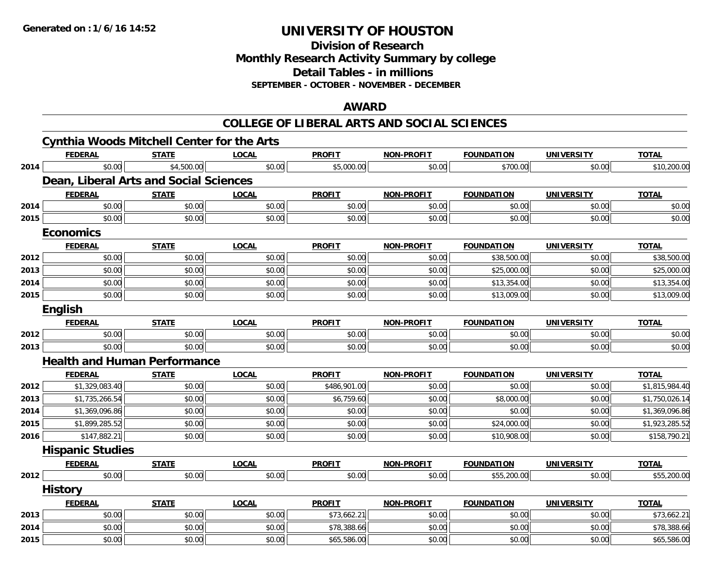**Division of Research**

**Monthly Research Activity Summary by college**

**Detail Tables - in millions**

**SEPTEMBER - OCTOBER - NOVEMBER - DECEMBER**

## **AWARD**

|      | <b>Cynthia Woods Mitchell Center for the Arts</b> |              |              |               |                   |                   |                   |                |
|------|---------------------------------------------------|--------------|--------------|---------------|-------------------|-------------------|-------------------|----------------|
|      | <b>FEDERAL</b>                                    | <b>STATE</b> | <b>LOCAL</b> | <b>PROFIT</b> | <b>NON-PROFIT</b> | <b>FOUNDATION</b> | <b>UNIVERSITY</b> | <b>TOTAL</b>   |
| 2014 | \$0.00                                            | \$4,500.00   | \$0.00       | \$5,000.00    | \$0.00            | \$700.00          | \$0.00            | \$10,200.00    |
|      | Dean, Liberal Arts and Social Sciences            |              |              |               |                   |                   |                   |                |
|      | <b>FEDERAL</b>                                    | <b>STATE</b> | <b>LOCAL</b> | <b>PROFIT</b> | <b>NON-PROFIT</b> | <b>FOUNDATION</b> | <b>UNIVERSITY</b> | <b>TOTAL</b>   |
| 2014 | \$0.00                                            | \$0.00       | \$0.00       | \$0.00        | \$0.00            | \$0.00            | \$0.00            | \$0.00         |
| 2015 | \$0.00                                            | \$0.00       | \$0.00       | \$0.00        | \$0.00            | \$0.00            | \$0.00            | \$0.00         |
|      | <b>Economics</b>                                  |              |              |               |                   |                   |                   |                |
|      | <b>FEDERAL</b>                                    | <b>STATE</b> | <b>LOCAL</b> | <b>PROFIT</b> | <b>NON-PROFIT</b> | <b>FOUNDATION</b> | <b>UNIVERSITY</b> | <b>TOTAL</b>   |
| 2012 | \$0.00                                            | \$0.00       | \$0.00       | \$0.00        | \$0.00            | \$38,500.00       | \$0.00            | \$38,500.00    |
| 2013 | \$0.00                                            | \$0.00       | \$0.00       | \$0.00        | \$0.00            | \$25,000.00       | \$0.00            | \$25,000.00    |
| 2014 | \$0.00                                            | \$0.00       | \$0.00       | \$0.00        | \$0.00            | \$13,354.00       | \$0.00            | \$13,354.00    |
| 2015 | \$0.00                                            | \$0.00       | \$0.00       | \$0.00        | \$0.00            | \$13,009.00       | \$0.00            | \$13,009.00    |
|      | English                                           |              |              |               |                   |                   |                   |                |
|      | <b>FEDERAL</b>                                    | <b>STATE</b> | <b>LOCAL</b> | <b>PROFIT</b> | <b>NON-PROFIT</b> | <b>FOUNDATION</b> | <b>UNIVERSITY</b> | <b>TOTAL</b>   |
| 2012 | \$0.00                                            | \$0.00       | \$0.00       | \$0.00        | \$0.00            | \$0.00            | \$0.00            | \$0.00         |
| 2013 | \$0.00                                            | \$0.00       | \$0.00       | \$0.00        | \$0.00            | \$0.00            | \$0.00            | \$0.00         |
|      | <b>Health and Human Performance</b>               |              |              |               |                   |                   |                   |                |
|      | <b>FEDERAL</b>                                    | <b>STATE</b> | <b>LOCAL</b> | <b>PROFIT</b> | <b>NON-PROFIT</b> | <b>FOUNDATION</b> | <b>UNIVERSITY</b> | <b>TOTAL</b>   |
| 2012 | \$1,329,083.40                                    | \$0.00       | \$0.00       | \$486,901.00  | \$0.00            | \$0.00            | \$0.00            | \$1,815,984.40 |
| 2013 | \$1,735,266.54                                    | \$0.00       | \$0.00       | \$6,759.60    | \$0.00            | \$8,000.00        | \$0.00            | \$1,750,026.14 |
| 2014 | \$1,369,096.86                                    | \$0.00       | \$0.00       | \$0.00        | \$0.00            | \$0.00            | \$0.00            | \$1,369,096.86 |
| 2015 | \$1,899,285.52                                    | \$0.00       | \$0.00       | \$0.00        | \$0.00            | \$24,000.00       | \$0.00            | \$1,923,285.52 |
| 2016 | \$147,882.21                                      | \$0.00       | \$0.00       | \$0.00        | \$0.00            | \$10,908.00       | \$0.00            | \$158,790.21   |
|      | <b>Hispanic Studies</b>                           |              |              |               |                   |                   |                   |                |
|      | <b>FEDERAL</b>                                    | <b>STATE</b> | <b>LOCAL</b> | <b>PROFIT</b> | <b>NON-PROFIT</b> | <b>FOUNDATION</b> | <b>UNIVERSITY</b> | <b>TOTAL</b>   |
| 2012 | \$0.00                                            | \$0.00       | \$0.00       | \$0.00        | \$0.00            | \$55,200.00       | \$0.00            | \$55,200.00    |
|      | <b>History</b>                                    |              |              |               |                   |                   |                   |                |
|      | <b>FEDERAL</b>                                    | <b>STATE</b> | <b>LOCAL</b> | <b>PROFII</b> | <b>NON-PROFIT</b> | <b>FOUNDATION</b> | <b>UNIVERSITY</b> | <b>TOTAL</b>   |
| 2013 | \$0.00                                            | \$0.00       | \$0.00       | \$73,662.21   | \$0.00            | \$0.00            | \$0.00            | \$73,662.21    |
| 2014 | \$0.00                                            | \$0.00       | \$0.00       | \$78,388.66   | \$0.00            | \$0.00            | \$0.00            | \$78,388.66    |
| 2015 | \$0.00                                            | \$0.00       | \$0.00       | \$65,586.00   | \$0.00            | \$0.00            | \$0.00            | \$65,586.00    |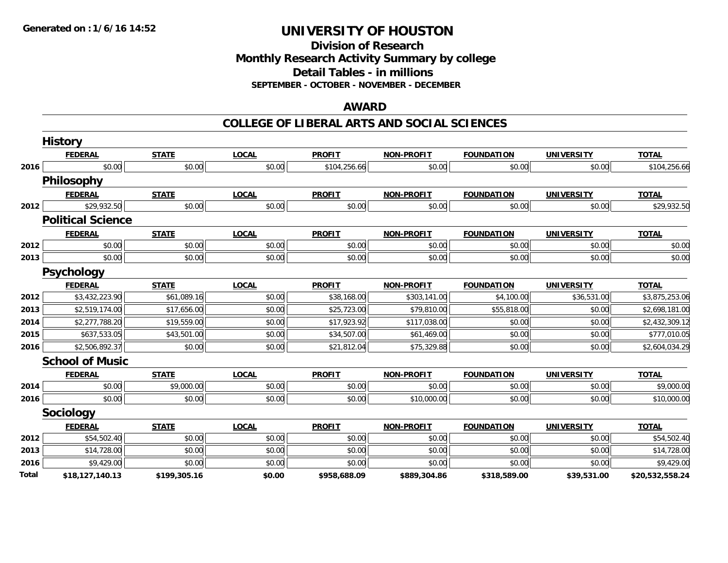**Division of ResearchMonthly Research Activity Summary by college Detail Tables - in millions SEPTEMBER - OCTOBER - NOVEMBER - DECEMBER**

## **AWARD**

|       | <b>History</b>           |              |              |               |                   |                   |                   |                 |
|-------|--------------------------|--------------|--------------|---------------|-------------------|-------------------|-------------------|-----------------|
|       | <b>FEDERAL</b>           | <b>STATE</b> | <b>LOCAL</b> | <b>PROFIT</b> | <b>NON-PROFIT</b> | <b>FOUNDATION</b> | <b>UNIVERSITY</b> | <b>TOTAL</b>    |
| 2016  | \$0.00                   | \$0.00       | \$0.00       | \$104,256.66  | \$0.00            | \$0.00            | \$0.00            | \$104,256.66    |
|       | <b>Philosophy</b>        |              |              |               |                   |                   |                   |                 |
|       | <b>FEDERAL</b>           | <b>STATE</b> | <b>LOCAL</b> | <b>PROFIT</b> | <b>NON-PROFIT</b> | <b>FOUNDATION</b> | <b>UNIVERSITY</b> | <b>TOTAL</b>    |
| 2012  | \$29,932.50              | \$0.00       | \$0.00       | \$0.00        | \$0.00            | \$0.00            | \$0.00            | \$29,932.50     |
|       | <b>Political Science</b> |              |              |               |                   |                   |                   |                 |
|       | <b>FEDERAL</b>           | <b>STATE</b> | <b>LOCAL</b> | <b>PROFIT</b> | <b>NON-PROFIT</b> | <b>FOUNDATION</b> | <b>UNIVERSITY</b> | <b>TOTAL</b>    |
| 2012  | \$0.00                   | \$0.00       | \$0.00       | \$0.00        | \$0.00            | \$0.00            | \$0.00            | \$0.00          |
| 2013  | \$0.00                   | \$0.00       | \$0.00       | \$0.00        | \$0.00            | \$0.00            | \$0.00            | \$0.00          |
|       | <b>Psychology</b>        |              |              |               |                   |                   |                   |                 |
|       | <b>FEDERAL</b>           | <b>STATE</b> | <b>LOCAL</b> | <b>PROFIT</b> | <b>NON-PROFIT</b> | <b>FOUNDATION</b> | <b>UNIVERSITY</b> | <b>TOTAL</b>    |
| 2012  | \$3,432,223.90           | \$61,089.16  | \$0.00       | \$38,168.00   | \$303,141.00      | \$4,100.00        | \$36,531.00       | \$3,875,253.06  |
| 2013  | \$2,519,174.00           | \$17,656.00  | \$0.00       | \$25,723.00   | \$79,810.00       | \$55,818.00       | \$0.00            | \$2,698,181.00  |
| 2014  | \$2,277,788.20           | \$19,559.00  | \$0.00       | \$17,923.92   | \$117,038.00      | \$0.00            | \$0.00            | \$2,432,309.12  |
| 2015  | \$637,533.05             | \$43,501.00  | \$0.00       | \$34,507.00   | \$61,469.00       | \$0.00            | \$0.00            | \$777,010.05    |
| 2016  | \$2,506,892.37           | \$0.00       | \$0.00       | \$21,812.04   | \$75,329.88       | \$0.00            | \$0.00            | \$2,604,034.29  |
|       | <b>School of Music</b>   |              |              |               |                   |                   |                   |                 |
|       | <b>FEDERAL</b>           | <b>STATE</b> | <b>LOCAL</b> | <b>PROFIT</b> | <b>NON-PROFIT</b> | <b>FOUNDATION</b> | <b>UNIVERSITY</b> | <b>TOTAL</b>    |
| 2014  | \$0.00                   | \$9,000.00   | \$0.00       | \$0.00        | \$0.00            | \$0.00            | \$0.00            | \$9,000.00      |
| 2016  | \$0.00                   | \$0.00       | \$0.00       | \$0.00        | \$10,000.00       | \$0.00            | \$0.00            | \$10,000.00     |
|       | Sociology                |              |              |               |                   |                   |                   |                 |
|       | <b>FEDERAL</b>           | <b>STATE</b> | <b>LOCAL</b> | <b>PROFIT</b> | <b>NON-PROFIT</b> | <b>FOUNDATION</b> | <b>UNIVERSITY</b> | <b>TOTAL</b>    |
| 2012  | \$54,502.40              | \$0.00       | \$0.00       | \$0.00        | \$0.00            | \$0.00            | \$0.00            | \$54,502.40     |
| 2013  | \$14,728.00              | \$0.00       | \$0.00       | \$0.00        | \$0.00            | \$0.00            | \$0.00            | \$14,728.00     |
| 2016  | \$9,429.00               | \$0.00       | \$0.00       | \$0.00        | \$0.00            | \$0.00            | \$0.00            | \$9,429.00      |
| Total | \$18,127,140.13          | \$199,305.16 | \$0.00       | \$958,688.09  | \$889,304.86      | \$318,589.00      | \$39,531.00       | \$20,532,558.24 |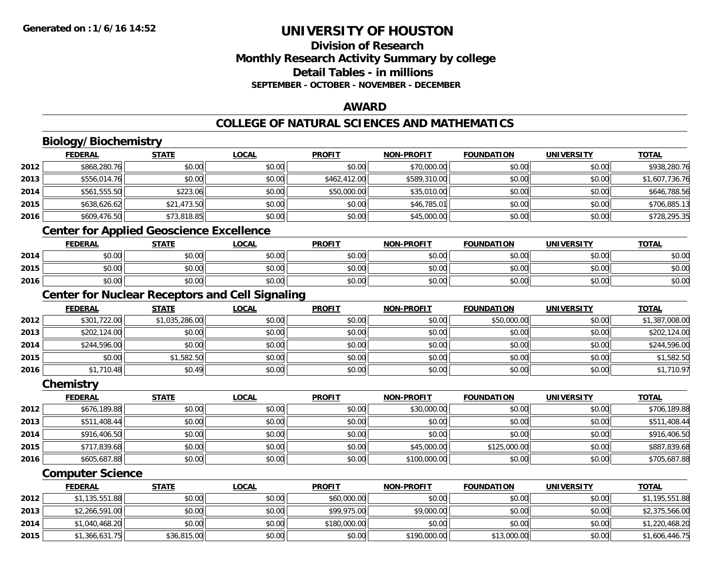## **Division of ResearchMonthly Research Activity Summary by college Detail Tables - in millionsSEPTEMBER - OCTOBER - NOVEMBER - DECEMBER**

## **AWARD**

# **COLLEGE OF NATURAL SCIENCES AND MATHEMATICS**

# **Biology/Biochemistry**

|      | <b>FEDERAL</b> | <b>STATE</b> | <u>LOCAL</u> | <b>PROFIT</b> | <b>NON-PROFIT</b> | <b>FOUNDATION</b> | <b>UNIVERSITY</b> | <b>TOTAL</b>   |
|------|----------------|--------------|--------------|---------------|-------------------|-------------------|-------------------|----------------|
| 2012 | \$868,280.76   | \$0.00       | \$0.00       | \$0.00        | \$70,000.00       | \$0.00            | \$0.00            | \$938,280.76   |
| 2013 | \$556,014.76   | \$0.00       | \$0.00       | \$462,412.00  | \$589,310.00      | \$0.00            | \$0.00            | \$1,607,736.76 |
| 2014 | \$561,555.50   | \$223.06     | \$0.00       | \$50,000.00   | \$35,010.00       | \$0.00            | \$0.00            | \$646,788.56   |
| 2015 | \$638,626.62   | \$21,473.50  | \$0.00       | \$0.00        | \$46,785.01       | \$0.00            | \$0.00            | \$706,885.13   |
| 2016 | \$609,476.50   | \$73,818.85  | \$0.00       | \$0.00        | \$45,000.00       | \$0.00            | \$0.00            | \$728,295.35   |
|      |                |              |              |               |                   |                   |                   |                |

### **Center for Applied Geoscience Excellence**

|      | <b>FEDERAL</b>                                 | <b>STATE</b> | <u>LOCAL</u> | <b>PROFIT</b> | <b>NON-PROFIT</b> | <b>FOUNDATION</b> | UNIVERSITY | <b>TOTAL</b> |
|------|------------------------------------------------|--------------|--------------|---------------|-------------------|-------------------|------------|--------------|
| 2014 | ተ በ<br>JU.UU                                   | \$0.00       | \$0.00       | \$0.00        | \$0.00            | \$0.00            | \$0.00     | \$0.00       |
| 2015 | $\mathfrak{c} \cap \mathfrak{c} \cap$<br>DU.UU | \$0.00       | \$0.00       | \$0.00        | \$0.00            | \$0.00            | \$0.00     | \$0.00       |
| 2016 | \$0.00                                         | \$0.00       | \$0.00       | \$0.00        | \$0.00            | \$0.00            | \$0.00     | \$0.00       |

# **Center for Nuclear Receptors and Cell Signaling**

|      | <b>FEDERAL</b> | <b>STATE</b>   | <u>LOCAL</u> | <b>PROFIT</b> | <b>NON-PROFIT</b> | <b>FOUNDATION</b> | <b>UNIVERSITY</b> | <b>TOTAL</b>   |
|------|----------------|----------------|--------------|---------------|-------------------|-------------------|-------------------|----------------|
| 2012 | \$301,722.00   | \$1,035,286.00 | \$0.00       | \$0.00        | \$0.00            | \$50,000.00       | \$0.00            | \$1,387,008.00 |
| 2013 | \$202,124.00   | \$0.00         | \$0.00       | \$0.00        | \$0.00            | \$0.00            | \$0.00            | \$202,124.00   |
| 2014 | \$244,596.00   | \$0.00         | \$0.00       | \$0.00        | \$0.00            | \$0.00            | \$0.00            | \$244,596.00   |
| 2015 | \$0.00         | \$1,582.50     | \$0.00       | \$0.00        | \$0.00            | \$0.00            | \$0.00            | \$1,582.50     |
| 2016 | \$1,710.48     | \$0.49         | \$0.00       | \$0.00        | \$0.00            | \$0.00            | \$0.00            | \$1,710.97     |

#### **Chemistry**

|      | <b>FEDERAL</b> | <b>STATE</b> | <u>LOCAL</u> | <b>PROFIT</b> | <b>NON-PROFIT</b> | <b>FOUNDATION</b> | <b>UNIVERSITY</b> | <b>TOTAL</b> |
|------|----------------|--------------|--------------|---------------|-------------------|-------------------|-------------------|--------------|
| 2012 | \$676,189.88   | \$0.00       | \$0.00       | \$0.00        | \$30,000.00       | \$0.00            | \$0.00            | \$706,189.88 |
| 2013 | \$511,408.44   | \$0.00       | \$0.00       | \$0.00        | \$0.00            | \$0.00            | \$0.00            | \$511,408.44 |
| 2014 | \$916,406.50   | \$0.00       | \$0.00       | \$0.00        | \$0.00            | \$0.00            | \$0.00            | \$916,406.50 |
| 2015 | \$717,839.68   | \$0.00       | \$0.00       | \$0.00        | \$45,000.00       | \$125,000.00      | \$0.00            | \$887,839.68 |
| 2016 | \$605,687.88   | \$0.00       | \$0.00       | \$0.00        | \$100,000.00      | \$0.00            | \$0.00            | \$705,687.88 |

## **Computer Science**

|      | <b>FEDERAL</b> | <b>STATE</b> | <u>LOCAL</u> | <b>PROFIT</b> | <b>NON-PROFIT</b> | <b>FOUNDATION</b> | UNIVERSITY | <b>TOTAL</b>   |
|------|----------------|--------------|--------------|---------------|-------------------|-------------------|------------|----------------|
| 2012 | \$1,135,551.88 | \$0.00       | \$0.00       | \$60,000.00   | \$0.00            | \$0.00            | \$0.00     | \$1,195,551.88 |
| 2013 | \$2,266,591.00 | \$0.00       | \$0.00       | \$99,975.00   | \$9,000.00        | \$0.00            | \$0.00     | \$2,375,566.00 |
| 2014 | \$1,040,468.20 | \$0.00       | \$0.00       | \$180,000.00  | \$0.00            | \$0.00            | \$0.00     | \$1,220,468.20 |
| 2015 | \$1,366,631.75 | \$36,815.00  | \$0.00       | \$0.00        | \$190,000.00      | \$13,000.00       | \$0.00     | \$1,606,446.75 |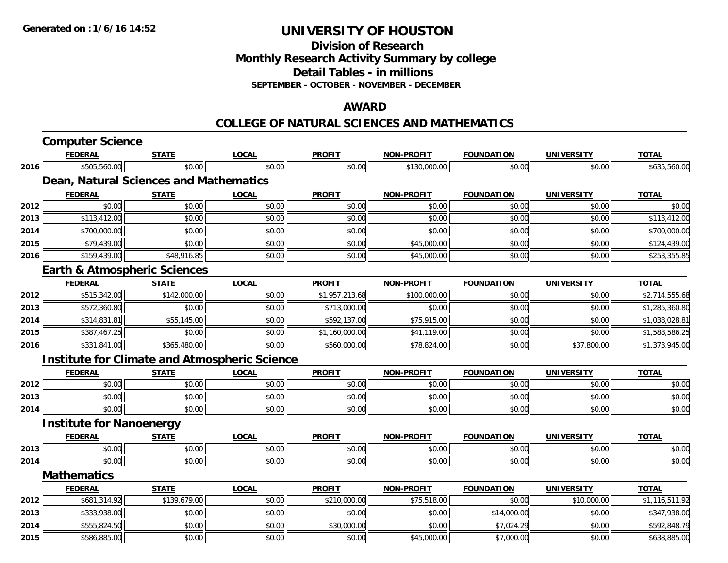**Division of ResearchMonthly Research Activity Summary by college Detail Tables - in millions SEPTEMBER - OCTOBER - NOVEMBER - DECEMBER**

### **AWARD**

#### **COLLEGE OF NATURAL SCIENCES AND MATHEMATICS**

|      | <b>Computer Science</b>                 |              |                                                      |                |                   |                   |                   |                |
|------|-----------------------------------------|--------------|------------------------------------------------------|----------------|-------------------|-------------------|-------------------|----------------|
|      | <b>FEDERAL</b>                          | <b>STATE</b> | <b>LOCAL</b>                                         | <b>PROFIT</b>  | NON-PROFIT        | <b>FOUNDATION</b> | <b>UNIVERSITY</b> | <b>TOTAL</b>   |
| 2016 | \$505,560.00                            | \$0.00       | \$0.00                                               | \$0.00         | \$130,000.00      | \$0.00            | \$0.00            | \$635,560.00   |
|      | Dean, Natural Sciences and Mathematics  |              |                                                      |                |                   |                   |                   |                |
|      | <b>FEDERAL</b>                          | <b>STATE</b> | <b>LOCAL</b>                                         | <b>PROFIT</b>  | <b>NON-PROFIT</b> | <b>FOUNDATION</b> | <b>UNIVERSITY</b> | <b>TOTAL</b>   |
| 2012 | \$0.00                                  | \$0.00       | \$0.00                                               | \$0.00         | \$0.00            | \$0.00            | \$0.00            | \$0.00         |
| 2013 | \$113,412.00                            | \$0.00       | \$0.00                                               | \$0.00         | \$0.00            | \$0.00            | \$0.00            | \$113,412.00   |
| 2014 | \$700,000.00                            | \$0.00       | \$0.00                                               | \$0.00         | \$0.00            | \$0.00            | \$0.00            | \$700,000.00   |
| 2015 | \$79,439.00                             | \$0.00       | \$0.00                                               | \$0.00         | \$45,000.00       | \$0.00            | \$0.00            | \$124,439.00   |
| 2016 | \$159,439.00                            | \$48,916.85  | \$0.00                                               | \$0.00         | \$45,000.00       | \$0.00            | \$0.00            | \$253,355.85   |
|      | <b>Earth &amp; Atmospheric Sciences</b> |              |                                                      |                |                   |                   |                   |                |
|      | <b>FEDERAL</b>                          | <b>STATE</b> | <b>LOCAL</b>                                         | <b>PROFIT</b>  | <b>NON-PROFIT</b> | <b>FOUNDATION</b> | <b>UNIVERSITY</b> | <b>TOTAL</b>   |
| 2012 | \$515,342.00                            | \$142,000.00 | \$0.00                                               | \$1,957,213.68 | \$100,000.00      | \$0.00            | \$0.00            | \$2,714,555.68 |
| 2013 | \$572,360.80                            | \$0.00       | \$0.00                                               | \$713,000.00   | \$0.00            | \$0.00            | \$0.00            | \$1,285,360.80 |
| 2014 | \$314,831.81                            | \$55,145.00  | \$0.00                                               | \$592,137.00   | \$75,915.00       | \$0.00            | \$0.00            | \$1,038,028.81 |
| 2015 | \$387,467.25                            | \$0.00       | \$0.00                                               | \$1,160,000.00 | \$41,119.00       | \$0.00            | \$0.00            | \$1,588,586.25 |
| 2016 | \$331,841.00                            | \$365,480.00 | \$0.00                                               | \$560,000.00   | \$78,824.00       | \$0.00            | \$37,800.00       | \$1,373,945.00 |
|      |                                         |              | <b>Institute for Climate and Atmospheric Science</b> |                |                   |                   |                   |                |
|      | <b>FEDERAL</b>                          | <b>STATE</b> | <b>LOCAL</b>                                         | <b>PROFIT</b>  | <b>NON-PROFIT</b> | <b>FOUNDATION</b> | <b>UNIVERSITY</b> | <b>TOTAL</b>   |
| 2012 | \$0.00                                  | \$0.00       | \$0.00                                               | \$0.00         | \$0.00            | \$0.00            | \$0.00            | \$0.00         |
| 2013 | \$0.00                                  | \$0.00       | \$0.00                                               | \$0.00         | \$0.00            | \$0.00            | \$0.00            | \$0.00         |
| 2014 | \$0.00                                  | \$0.00       | \$0.00                                               | \$0.00         | \$0.00            | \$0.00            | \$0.00            | \$0.00         |
|      | <b>Institute for Nanoenergy</b>         |              |                                                      |                |                   |                   |                   |                |
|      | <b>FEDERAL</b>                          | <b>STATE</b> | <b>LOCAL</b>                                         | <b>PROFIT</b>  | NON-PROFIT        | <b>FOUNDATION</b> | <b>UNIVERSITY</b> | <b>TOTAL</b>   |
| 2013 | \$0.00                                  | \$0.00       | \$0.00                                               | \$0.00         | \$0.00            | \$0.00            | \$0.00            | \$0.00         |
| 2014 | \$0.00                                  | \$0.00       | \$0.00                                               | \$0.00         | \$0.00            | \$0.00            | \$0.00            | \$0.00         |
|      | <b>Mathematics</b>                      |              |                                                      |                |                   |                   |                   |                |
|      | <b>FEDERAL</b>                          | <b>STATE</b> | <b>LOCAL</b>                                         | <b>PROFIT</b>  | <b>NON-PROFIT</b> | <b>FOUNDATION</b> | <b>UNIVERSITY</b> | <b>TOTAL</b>   |
| 2012 | \$681,314.92                            | \$139,679.00 | \$0.00                                               | \$210,000.00   | \$75,518.00       | \$0.00            | \$10,000.00       | \$1,116,511.92 |
| 2013 | \$333,938.00                            | \$0.00       | \$0.00                                               | \$0.00         | \$0.00            | \$14,000.00       | \$0.00            | \$347,938.00   |
| 2014 | \$555,824.50                            | \$0.00       | \$0.00                                               | \$30,000.00    | \$0.00            | \$7,024.29        | \$0.00            | \$592,848.79   |
| 2015 | \$586,885.00                            | \$0.00       | \$0.00                                               | \$0.00         | \$45,000.00       | \$7,000.00        | \$0.00            | \$638,885.00   |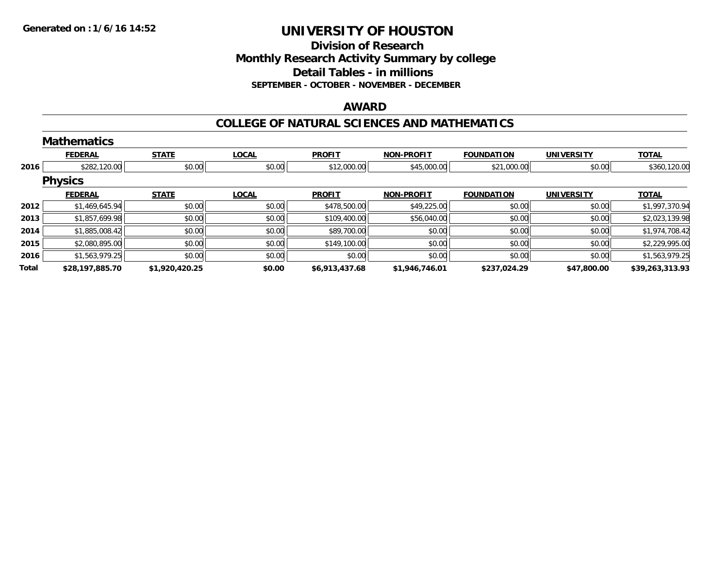## **Division of ResearchMonthly Research Activity Summary by college Detail Tables - in millions SEPTEMBER - OCTOBER - NOVEMBER - DECEMBER**

### **AWARD**

#### **COLLEGE OF NATURAL SCIENCES AND MATHEMATICS**

|       | <b>Mathematics</b> |                |              |                |                   |                   |                   |                 |
|-------|--------------------|----------------|--------------|----------------|-------------------|-------------------|-------------------|-----------------|
|       | <b>FEDERAL</b>     | <b>STATE</b>   | <b>LOCAL</b> | <b>PROFIT</b>  | <b>NON-PROFIT</b> | <b>FOUNDATION</b> | <b>UNIVERSITY</b> | <b>TOTAL</b>    |
| 2016  | \$282,120.00       | \$0.00         | \$0.00       | \$12,000.00    | \$45,000.00       | \$21,000.00       | \$0.00            | \$360,120.00    |
|       | <b>Physics</b>     |                |              |                |                   |                   |                   |                 |
|       | <b>FEDERAL</b>     | <b>STATE</b>   | <b>LOCAL</b> | <b>PROFIT</b>  | <b>NON-PROFIT</b> | <b>FOUNDATION</b> | <b>UNIVERSITY</b> | <b>TOTAL</b>    |
| 2012  | \$1,469,645.94     | \$0.00         | \$0.00       | \$478,500.00   | \$49,225.00       | \$0.00            | \$0.00            | \$1,997,370.94  |
| 2013  | \$1,857,699.98     | \$0.00         | \$0.00       | \$109,400.00   | \$56,040.00       | \$0.00            | \$0.00            | \$2,023,139.98  |
| 2014  | \$1,885,008.42     | \$0.00         | \$0.00       | \$89,700.00    | \$0.00            | \$0.00            | \$0.00            | \$1,974,708.42  |
| 2015  | \$2,080,895.00     | \$0.00         | \$0.00       | \$149,100.00   | \$0.00            | \$0.00            | \$0.00            | \$2,229,995.00  |
| 2016  | \$1,563,979.25     | \$0.00         | \$0.00       | \$0.00         | \$0.00            | \$0.00            | \$0.00            | \$1,563,979.25  |
| Total | \$28,197,885.70    | \$1,920,420.25 | \$0.00       | \$6,913,437.68 | \$1,946,746.01    | \$237,024.29      | \$47,800.00       | \$39,263,313.93 |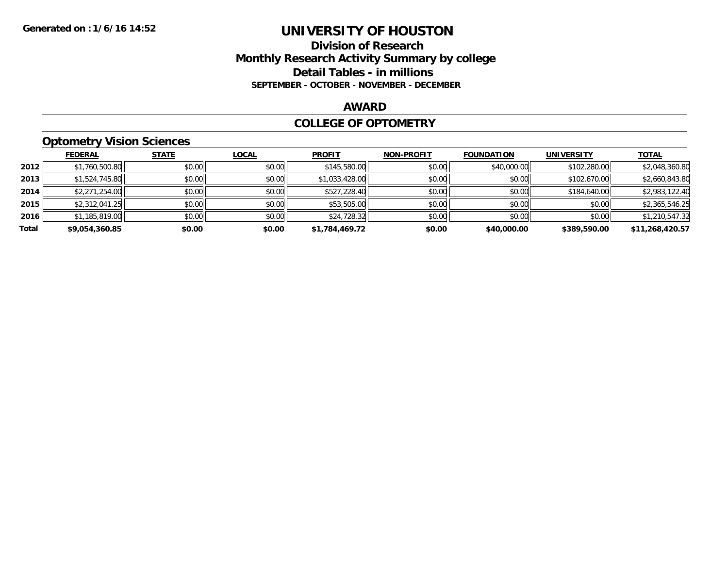### **Division of Research Monthly Research Activity Summary by college Detail Tables - in millions SEPTEMBER - OCTOBER - NOVEMBER - DECEMBER**

#### **AWARD**

#### **COLLEGE OF OPTOMETRY**

## **Optometry Vision Sciences**

|       | <b>FEDERAL</b> | <b>STATE</b> | <b>LOCAL</b> | <b>PROFIT</b>  | <b>NON-PROFIT</b> | <b>FOUNDATION</b> | <b>UNIVERSITY</b> | <u>TOTAL</u>    |
|-------|----------------|--------------|--------------|----------------|-------------------|-------------------|-------------------|-----------------|
| 2012  | \$1,760,500.80 | \$0.00       | \$0.00       | \$145,580.00   | \$0.00            | \$40,000.00       | \$102,280.00      | \$2,048,360.80  |
| 2013  | \$1,524,745.80 | \$0.00       | \$0.00       | \$1,033,428.00 | \$0.00            | \$0.00            | \$102,670.00      | \$2,660,843.80  |
| 2014  | \$2,271,254.00 | \$0.00       | \$0.00       | \$527,228.40   | \$0.00            | \$0.00            | \$184,640.00      | \$2,983,122.40  |
| 2015  | \$2,312,041.25 | \$0.00       | \$0.00       | \$53,505.00    | \$0.00            | \$0.00            | \$0.00            | \$2,365,546.25  |
| 2016  | \$1,185,819.00 | \$0.00       | \$0.00       | \$24,728.32    | \$0.00            | \$0.00            | \$0.00            | \$1,210,547.32  |
| Total | \$9,054,360.85 | \$0.00       | \$0.00       | \$1,784,469.72 | \$0.00            | \$40,000.00       | \$389,590.00      | \$11,268,420.57 |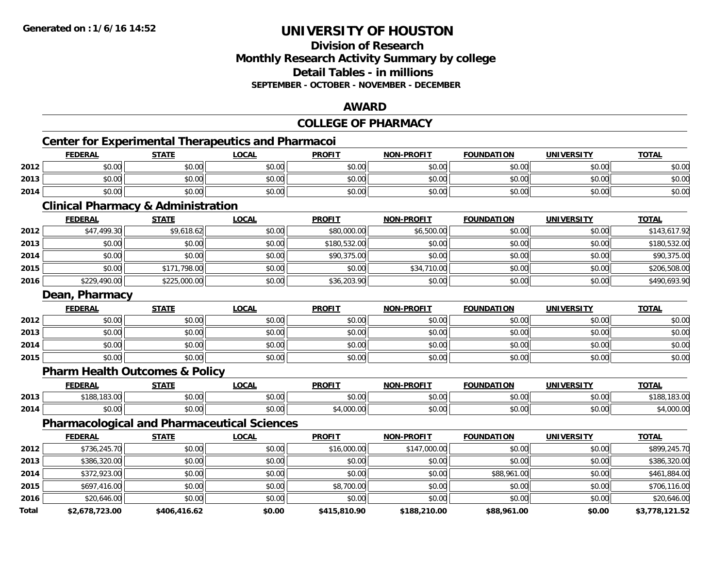## **Division of ResearchMonthly Research Activity Summary by college Detail Tables - in millions SEPTEMBER - OCTOBER - NOVEMBER - DECEMBER**

#### **AWARD**

#### **COLLEGE OF PHARMACY**

## **Center for Experimental Therapeutics and Pharmacoi**

|      |                |              | <b>Center for Experimental Therapeutics and Pharmacoi</b> |               |                   |                   |                   |              |
|------|----------------|--------------|-----------------------------------------------------------|---------------|-------------------|-------------------|-------------------|--------------|
|      | <b>FEDERAL</b> | <u>STATE</u> | <u>LOCAL</u>                                              | <b>PROFIT</b> | <b>NON-PROFIT</b> | <b>FOUNDATION</b> | <b>UNIVERSITY</b> | <b>TOTAL</b> |
| 2012 | \$0.00         | \$0.00       | \$0.00                                                    | \$0.00        | \$0.00            | \$0.00            | \$0.00            | \$0.00       |
| 2013 | \$0.00         | \$0.00       | \$0.00                                                    | \$0.00        | \$0.00            | \$0.00            | \$0.00            | \$0.00       |
| 2014 | \$0.00         | \$0.00       | \$0.00                                                    | \$0.00        | \$0.00            | \$0.00            | \$0.00            | \$0.00       |

### **Clinical Pharmacy & Administration**

|      | <b>FEDERAL</b> | <b>STATE</b> | <b>LOCAL</b> | <b>PROFIT</b> | <b>NON-PROFIT</b> | <b>FOUNDATION</b> | <b>UNIVERSITY</b> | <b>TOTAL</b> |
|------|----------------|--------------|--------------|---------------|-------------------|-------------------|-------------------|--------------|
| 2012 | \$47,499.30    | \$9,618.62   | \$0.00       | \$80,000.00   | \$6,500.00        | \$0.00            | \$0.00            | \$143,617.92 |
| 2013 | \$0.00         | \$0.00       | \$0.00       | \$180,532.00  | \$0.00            | \$0.00            | \$0.00            | \$180,532.00 |
| 2014 | \$0.00         | \$0.00       | \$0.00       | \$90,375.00   | \$0.00            | \$0.00            | \$0.00            | \$90,375.00  |
| 2015 | \$0.00         | \$171,798.00 | \$0.00       | \$0.00        | \$34,710.00       | \$0.00            | \$0.00            | \$206,508.00 |
| 2016 | \$229,490.00   | \$225,000.00 | \$0.00       | \$36,203.90   | \$0.00            | \$0.00            | \$0.00            | \$490,693.90 |

#### **Dean, Pharmacy**

|      | <b>FEDERAL</b> | <b>STATE</b> | <b>LOCAL</b> | <b>PROFIT</b> | <b>NON-PROFIT</b> | <b>FOUNDATION</b> | <b>UNIVERSITY</b> | <u>TOTAL</u> |
|------|----------------|--------------|--------------|---------------|-------------------|-------------------|-------------------|--------------|
| 2012 | \$0.00         | \$0.00       | \$0.00       | \$0.00        | \$0.00            | \$0.00            | \$0.00            | \$0.00       |
| 2013 | \$0.00         | \$0.00       | \$0.00       | \$0.00        | \$0.00            | \$0.00            | \$0.00            | \$0.00       |
| 2014 | \$0.00         | \$0.00       | \$0.00       | \$0.00        | \$0.00            | \$0.00            | \$0.00            | \$0.00       |
| 2015 | \$0.00         | \$0.00       | \$0.00       | \$0.00        | \$0.00            | \$0.00            | \$0.00            | \$0.00       |

## **Pharm Health Outcomes & Policy**

|      | <b>FEDERAL</b>                     | <b>CTATE</b>                                          | <b>OCAL</b>   | <b>PROFIT</b> | <b>DDAFIT</b><br>NON | <b>FOUNDATION</b>                   | UNIVERSITY | <b>TOTAL</b> |
|------|------------------------------------|-------------------------------------------------------|---------------|---------------|----------------------|-------------------------------------|------------|--------------|
| 2013 | $\overline{a}$<br>$A - A$<br>10J.V | $\mathsf{A} \cap \mathsf{A} \cap \mathsf{A}$<br>vv.vv | 0000<br>pu.uu | 0000<br>JU.U  | $\sim$ 00<br>pu.uu   | $\triangle$ $\triangle$ $\triangle$ | 0000       | 10J.U        |
| 2014 | $\sim$ $\sim$<br>70.UU             | 0000<br>vv.vv                                         | \$0.00        | 0000<br>uuu.t | $\sim$ 00<br>vv.vv   | 0000                                | \$0.00     | uuu          |

## **Pharmacological and Pharmaceutical Sciences**

|       | <b>FEDERAL</b> | <b>STATE</b> | LOCAL  | <b>PROFIT</b> | <b>NON-PROFIT</b> | <b>FOUNDATION</b> | <b>UNIVERSITY</b> | <b>TOTAL</b>   |
|-------|----------------|--------------|--------|---------------|-------------------|-------------------|-------------------|----------------|
| 2012  | \$736,245.70   | \$0.00       | \$0.00 | \$16,000.00   | \$147,000.00      | \$0.00            | \$0.00            | \$899,245.70   |
| 2013  | \$386,320.00   | \$0.00       | \$0.00 | \$0.00        | \$0.00            | \$0.00            | \$0.00            | \$386,320.00   |
| 2014  | \$372,923.00   | \$0.00       | \$0.00 | \$0.00        | \$0.00            | \$88,961.00       | \$0.00            | \$461,884.00   |
| 2015  | \$697,416.00   | \$0.00       | \$0.00 | \$8,700.00    | \$0.00            | \$0.00            | \$0.00            | \$706,116.00   |
| 2016  | \$20,646.00    | \$0.00       | \$0.00 | \$0.00        | \$0.00            | \$0.00            | \$0.00            | \$20,646.00    |
| Total | \$2,678,723.00 | \$406,416.62 | \$0.00 | \$415,810.90  | \$188,210.00      | \$88,961.00       | \$0.00            | \$3,778,121.52 |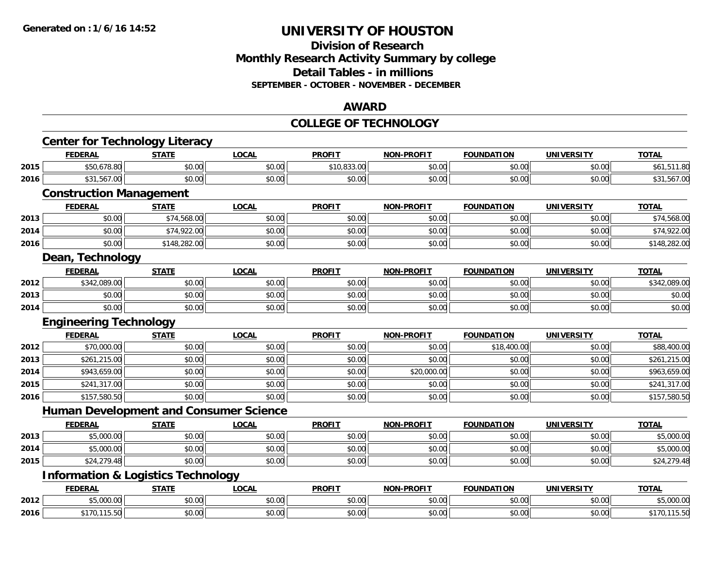### **Division of Research Monthly Research Activity Summary by college Detail Tables - in millions SEPTEMBER - OCTOBER - NOVEMBER - DECEMBER**

#### **AWARD**

#### **COLLEGE OF TECHNOLOGY**

|      | <b>Center for Technology Literacy</b>         |              |              |               |                   |                   |                   |              |
|------|-----------------------------------------------|--------------|--------------|---------------|-------------------|-------------------|-------------------|--------------|
|      | <b>FEDERAL</b>                                | <b>STATE</b> | <b>LOCAL</b> | <b>PROFIT</b> | <b>NON-PROFIT</b> | <b>FOUNDATION</b> | <b>UNIVERSITY</b> | <b>TOTAL</b> |
| 2015 | \$50,678.80                                   | \$0.00       | \$0.00       | \$10,833.00   | \$0.00            | \$0.00            | \$0.00            | \$61,511.80  |
| 2016 | \$31,567.00                                   | \$0.00       | \$0.00       | \$0.00        | \$0.00            | \$0.00            | \$0.00            | \$31,567.00  |
|      | <b>Construction Management</b>                |              |              |               |                   |                   |                   |              |
|      | <b>FEDERAL</b>                                | <b>STATE</b> | <b>LOCAL</b> | <b>PROFIT</b> | <b>NON-PROFIT</b> | <b>FOUNDATION</b> | <b>UNIVERSITY</b> | <b>TOTAL</b> |
| 2013 | \$0.00                                        | \$74,568.00  | \$0.00       | \$0.00        | \$0.00            | \$0.00            | \$0.00            | \$74,568.00  |
| 2014 | \$0.00                                        | \$74,922.00  | \$0.00       | \$0.00        | \$0.00            | \$0.00            | \$0.00            | \$74,922.00  |
| 2016 | \$0.00                                        | \$148,282.00 | \$0.00       | \$0.00        | \$0.00            | \$0.00            | \$0.00            | \$148,282.00 |
|      | Dean, Technology                              |              |              |               |                   |                   |                   |              |
|      | <b>FEDERAL</b>                                | <b>STATE</b> | <b>LOCAL</b> | <b>PROFIT</b> | <b>NON-PROFIT</b> | <b>FOUNDATION</b> | <b>UNIVERSITY</b> | <b>TOTAL</b> |
| 2012 | \$342,089.00                                  | \$0.00       | \$0.00       | \$0.00        | \$0.00            | \$0.00            | \$0.00            | \$342,089.00 |
| 2013 | \$0.00                                        | \$0.00       | \$0.00       | \$0.00        | \$0.00            | \$0.00            | \$0.00            | \$0.00       |
| 2014 | \$0.00                                        | \$0.00       | \$0.00       | \$0.00        | \$0.00            | \$0.00            | \$0.00            | \$0.00       |
|      | <b>Engineering Technology</b>                 |              |              |               |                   |                   |                   |              |
|      | <b>FEDERAL</b>                                | <b>STATE</b> | <b>LOCAL</b> | <b>PROFIT</b> | <b>NON-PROFIT</b> | <b>FOUNDATION</b> | <b>UNIVERSITY</b> | <b>TOTAL</b> |
| 2012 | \$70,000.00                                   | \$0.00       | \$0.00       | \$0.00        | \$0.00            | \$18,400.00       | \$0.00            | \$88,400.00  |
| 2013 | \$261,215.00                                  |              |              |               |                   |                   |                   |              |
|      |                                               | \$0.00       | \$0.00       | \$0.00        | \$0.00            | \$0.00            | \$0.00            | \$261,215.00 |
| 2014 | \$943,659.00                                  | \$0.00       | \$0.00       | \$0.00        | \$20,000.00       | \$0.00            | \$0.00            | \$963,659.00 |
| 2015 | \$241,317.00                                  | \$0.00       | \$0.00       | \$0.00        | \$0.00            | \$0.00            | \$0.00            | \$241,317.00 |
| 2016 | \$157,580.50                                  | \$0.00       | \$0.00       | \$0.00        | \$0.00            | \$0.00            | \$0.00            | \$157,580.50 |
|      | <b>Human Development and Consumer Science</b> |              |              |               |                   |                   |                   |              |
|      | <b>FEDERAL</b>                                | <b>STATE</b> | <b>LOCAL</b> | <b>PROFIT</b> | <b>NON-PROFIT</b> | <b>FOUNDATION</b> | <b>UNIVERSITY</b> | <b>TOTAL</b> |
| 2013 | \$5,000.00                                    | \$0.00       | \$0.00       | \$0.00        | \$0.00            | \$0.00            | \$0.00            | \$5,000.00   |
| 2014 | \$5,000.00                                    | \$0.00       | \$0.00       | \$0.00        | \$0.00            | \$0.00            | \$0.00            | \$5,000.00   |
| 2015 | \$24,279.48                                   | \$0.00       | \$0.00       | \$0.00        | \$0.00            | \$0.00            | \$0.00            | \$24,279.48  |
|      | <b>Information &amp; Logistics Technology</b> |              |              |               |                   |                   |                   |              |
|      | <b>FEDERAL</b>                                | <b>STATE</b> | <b>LOCAL</b> | <b>PROFIT</b> | <b>NON-PROFIT</b> | <b>FOUNDATION</b> | <b>UNIVERSITY</b> | <b>TOTAL</b> |
| 2012 | \$5,000.00<br>\$170,115.50                    | \$0.00       | \$0.00       | \$0.00        | \$0.00            | \$0.00            | \$0.00            | \$5,000.00   |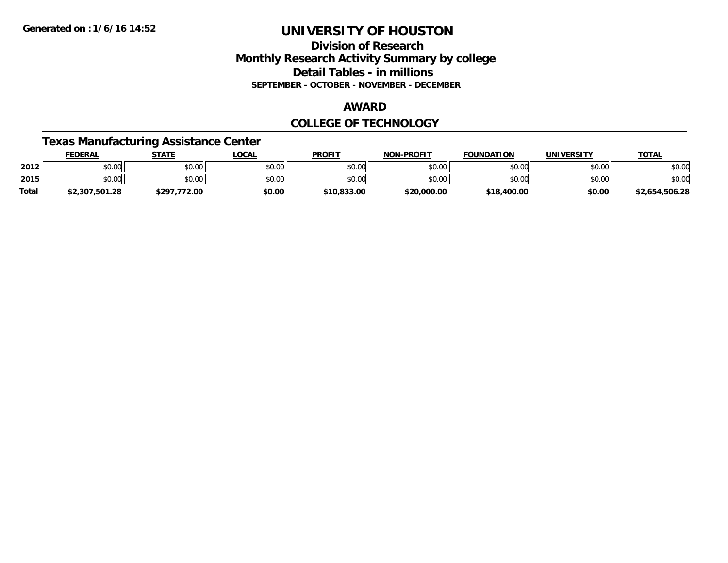### **Division of Research Monthly Research Activity Summary by college Detail Tables - in millions SEPTEMBER - OCTOBER - NOVEMBER - DECEMBER**

#### **AWARD**

### **COLLEGE OF TECHNOLOGY**

### **Texas Manufacturing Assistance Center**

|              | <b>FEDERAL</b> | <b>STATE</b> | _OCAL  | <b>PROFIT</b> | <b>NON-PROFIT</b> | <b>FOUNDATION</b> | UNIVERSITY | <b>TOTAL</b>   |
|--------------|----------------|--------------|--------|---------------|-------------------|-------------------|------------|----------------|
| 2012         | \$0.00         | \$0.00       | \$0.00 | \$0.00        | \$0.00            | \$0.00            | \$0.00     | \$0.00         |
| 2015         | \$0.00         | \$0.00       | \$0.00 | \$0.00        | \$0.00            | \$0.00            | \$0.00     | \$0.00         |
| <b>Total</b> | \$2,307,501.28 | \$297.772.00 | \$0.00 | \$10,833,00   | \$20,000.00       | \$18,400.00       | \$0.00     | \$2,654,506.28 |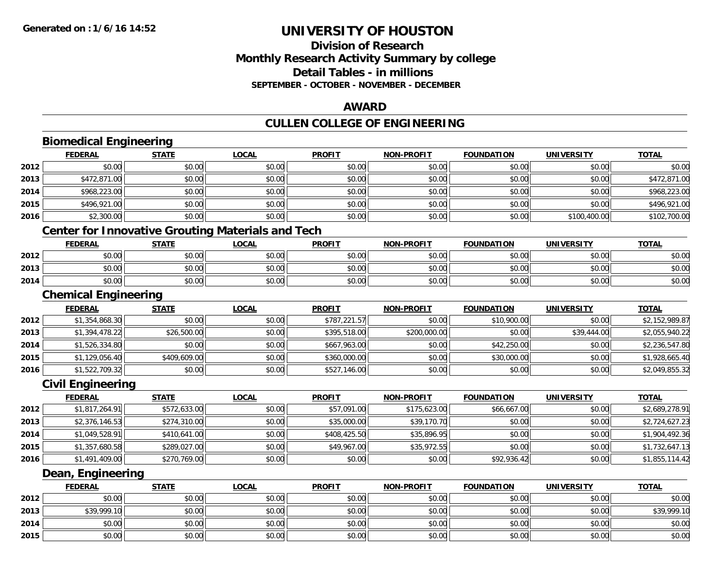**2014**

**2015**

# **UNIVERSITY OF HOUSTON**

## **Division of ResearchMonthly Research Activity Summary by college Detail Tables - in millions SEPTEMBER - OCTOBER - NOVEMBER - DECEMBER**

### **AWARD**

## **CULLEN COLLEGE OF ENGINEERING**

|      | <b>FEDERAL</b>                                           | <b>STATE</b> | <b>LOCAL</b> | <b>PROFIT</b> | <b>NON-PROFIT</b> | <b>FOUNDATION</b> | <b>UNIVERSITY</b> | <b>TOTAL</b>   |
|------|----------------------------------------------------------|--------------|--------------|---------------|-------------------|-------------------|-------------------|----------------|
| 2012 | \$0.00                                                   | \$0.00       | \$0.00       | \$0.00        | \$0.00            | \$0.00            | \$0.00            | \$0.00         |
| 2013 | \$472,871.00                                             | \$0.00       | \$0.00       | \$0.00        | \$0.00            | \$0.00            | \$0.00            | \$472,871.00   |
| 2014 | \$968,223.00                                             | \$0.00       | \$0.00       | \$0.00        | \$0.00            | \$0.00            | \$0.00            | \$968,223.00   |
| 2015 | \$496,921.00                                             | \$0.00       | \$0.00       | \$0.00        | \$0.00            | \$0.00            | \$0.00            | \$496,921.00   |
| 2016 | \$2,300.00                                               | \$0.00       | \$0.00       | \$0.00        | \$0.00            | \$0.00            | \$100,400.00      | \$102,700.00   |
|      | <b>Center for Innovative Grouting Materials and Tech</b> |              |              |               |                   |                   |                   |                |
|      | <b>FEDERAL</b>                                           | <b>STATE</b> | <b>LOCAL</b> | <b>PROFIT</b> | <b>NON-PROFIT</b> | <b>FOUNDATION</b> | <b>UNIVERSITY</b> | <b>TOTAL</b>   |
| 2012 | \$0.00                                                   | \$0.00       | \$0.00       | \$0.00        | \$0.00            | \$0.00            | \$0.00            | \$0.00         |
| 2013 | \$0.00                                                   | \$0.00       | \$0.00       | \$0.00        | \$0.00            | \$0.00            | \$0.00            | \$0.00         |
| 2014 | \$0.00                                                   | \$0.00       | \$0.00       | \$0.00        | \$0.00            | \$0.00            | \$0.00            | \$0.00         |
|      | <b>Chemical Engineering</b>                              |              |              |               |                   |                   |                   |                |
|      | <b>FEDERAL</b>                                           | <b>STATE</b> | <b>LOCAL</b> | <b>PROFIT</b> | <b>NON-PROFIT</b> | <b>FOUNDATION</b> | <b>UNIVERSITY</b> | <b>TOTAL</b>   |
| 2012 | \$1,354,868.30                                           | \$0.00       | \$0.00       | \$787,221.57  | \$0.00            | \$10,900.00       | \$0.00            | \$2,152,989.87 |
| 2013 | \$1,394,478.22                                           | \$26,500.00  | \$0.00       | \$395,518.00  | \$200,000.00      | \$0.00            | \$39,444.00       | \$2,055,940.22 |
| 2014 | \$1,526,334.80                                           | \$0.00       | \$0.00       | \$667,963.00  | \$0.00            | \$42,250.00       | \$0.00            | \$2,236,547.80 |
| 2015 | \$1,129,056.40                                           | \$409,609.00 | \$0.00       | \$360,000.00  | \$0.00            | \$30,000.00       | \$0.00            | \$1,928,665.40 |
| 2016 | \$1,522,709.32                                           | \$0.00       | \$0.00       | \$527,146.00  | \$0.00            | \$0.00            | \$0.00            | \$2,049,855.32 |
|      | <b>Civil Engineering</b>                                 |              |              |               |                   |                   |                   |                |
|      | <b>FEDERAL</b>                                           | <b>STATE</b> | <b>LOCAL</b> | <b>PROFIT</b> | <b>NON-PROFIT</b> | <b>FOUNDATION</b> | <b>UNIVERSITY</b> | <b>TOTAL</b>   |
| 2012 | \$1,817,264.91                                           | \$572,633.00 | \$0.00       | \$57,091.00   | \$175,623.00      | \$66,667.00       | \$0.00            | \$2,689,278.91 |
| 2013 | \$2,376,146.53                                           | \$274,310.00 | \$0.00       | \$35,000.00   | \$39,170.70       | \$0.00            | \$0.00            | \$2,724,627.23 |
| 2014 | \$1,049,528.91                                           | \$410,641.00 | \$0.00       | \$408,425.50  | \$35,896.95       | \$0.00            | \$0.00            | \$1,904,492.36 |
| 2015 | \$1,357,680.58                                           | \$289,027.00 | \$0.00       | \$49,967.00   | \$35,972.55       | \$0.00            | \$0.00            | \$1,732,647.13 |
| 2016 | \$1,491,409.00                                           | \$270,769.00 | \$0.00       | \$0.00        | \$0.00            | \$92,936.42       | \$0.00            | \$1,855,114.42 |
|      | Dean, Engineering                                        |              |              |               |                   |                   |                   |                |
|      | <b>FEDERAL</b>                                           | <b>STATE</b> | <b>LOCAL</b> | <b>PROFIT</b> | <b>NON-PROFIT</b> | <b>FOUNDATION</b> | <b>UNIVERSITY</b> | <b>TOTAL</b>   |
| 2012 | \$0.00                                                   | \$0.00       | \$0.00       | \$0.00        | \$0.00            | \$0.00            | \$0.00            | \$0.00         |
| 2013 | \$39,999.10                                              | \$0.00       | \$0.00       | \$0.00        | \$0.00            | \$0.00            | \$0.00            | \$39,999.10    |

4 \$0.00 \$0.00 \$0.00 \$0.00 \$0.00 \$0.00 \$0.00 \$0.00 \$0.00 \$0.00 \$0.00 \$0.00 \$0.00 \$0.00 \$0.00 \$0.00 \$0.00

\$0.00 \$0.00 \$0.00 \$0.00 \$0.00 \$0.00 \$0.00 \$0.00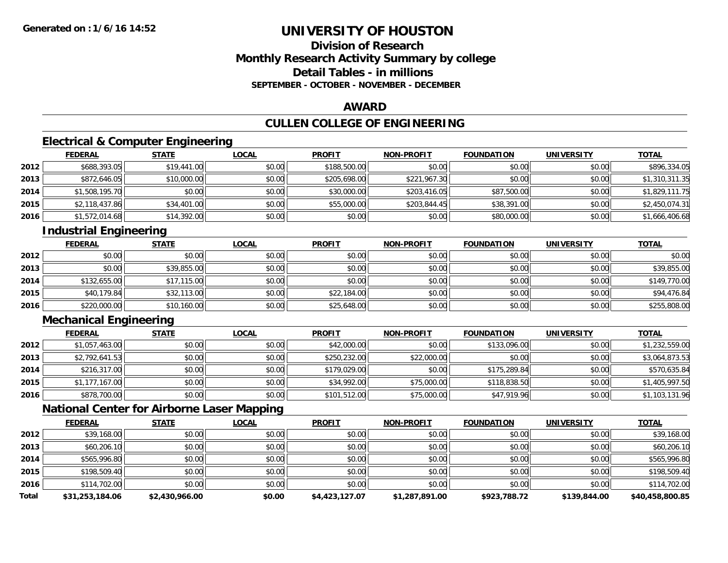## **Division of ResearchMonthly Research Activity Summary by college Detail Tables - in millionsSEPTEMBER - OCTOBER - NOVEMBER - DECEMBER**

### **AWARD**

## **CULLEN COLLEGE OF ENGINEERING**

## **Electrical & Computer Engineering**

|      | <b>FEDERAL</b> | <b>STATE</b> | <u>LOCAL</u> | <b>PROFIT</b> | <b>NON-PROFIT</b> | <b>FOUNDATION</b> | <b>UNIVERSITY</b> | <b>TOTAL</b>   |
|------|----------------|--------------|--------------|---------------|-------------------|-------------------|-------------------|----------------|
| 2012 | \$688,393.05   | \$19,441.00  | \$0.00       | \$188,500.00  | \$0.00            | \$0.00            | \$0.00            | \$896,334.05   |
| 2013 | \$872,646.05   | \$10,000.00  | \$0.00       | \$205,698.00  | \$221,967.30      | \$0.00            | \$0.00            | \$1,310,311.35 |
| 2014 | \$1,508,195.70 | \$0.00       | \$0.00       | \$30,000.00   | \$203,416.05      | \$87,500.00       | \$0.00            | \$1,829,111.75 |
| 2015 | \$2,118,437.86 | \$34,401.00  | \$0.00       | \$55,000.00   | \$203,844.45      | \$38,391.00       | \$0.00            | \$2,450,074.31 |
| 2016 | \$1,572,014.68 | \$14,392.00  | \$0.00       | \$0.00        | \$0.00            | \$80,000.00       | \$0.00            | \$1,666,406.68 |

## **Industrial Engineering**

|      | <b>FEDERAL</b> | <b>STATE</b> | <b>LOCAL</b> | <b>PROFIT</b> | <b>NON-PROFIT</b> | <b>FOUNDATION</b> | <b>UNIVERSITY</b> | <b>TOTAL</b> |
|------|----------------|--------------|--------------|---------------|-------------------|-------------------|-------------------|--------------|
| 2012 | \$0.00         | \$0.00       | \$0.00       | \$0.00        | \$0.00            | \$0.00            | \$0.00            | \$0.00       |
| 2013 | \$0.00         | \$39,855.00  | \$0.00       | \$0.00        | \$0.00            | \$0.00            | \$0.00            | \$39,855.00  |
| 2014 | \$132,655.00   | \$17,115.00  | \$0.00       | \$0.00        | \$0.00            | \$0.00            | \$0.00            | \$149,770.00 |
| 2015 | \$40,179.84    | \$32,113.00  | \$0.00       | \$22,184.00   | \$0.00            | \$0.00            | \$0.00            | \$94,476.84  |
| 2016 | \$220,000.00   | \$10,160.00  | \$0.00       | \$25,648.00   | \$0.00            | \$0.00            | \$0.00            | \$255,808.00 |

## **Mechanical Engineering**

|      | <b>FEDERAL</b> | <b>STATE</b> | <b>LOCAL</b> | <b>PROFIT</b> | <b>NON-PROFIT</b> | <b>FOUNDATION</b> | <b>UNIVERSITY</b> | <b>TOTAL</b>   |
|------|----------------|--------------|--------------|---------------|-------------------|-------------------|-------------------|----------------|
| 2012 | \$1,057,463.00 | \$0.00       | \$0.00       | \$42,000.00   | \$0.00            | \$133,096.00      | \$0.00            | \$1,232,559.00 |
| 2013 | \$2,792,641.53 | \$0.00       | \$0.00       | \$250,232.00  | \$22,000.00       | \$0.00            | \$0.00            | \$3,064,873.53 |
| 2014 | \$216,317.00   | \$0.00       | \$0.00       | \$179,029.00  | \$0.00            | \$175,289.84      | \$0.00            | \$570,635.84   |
| 2015 | \$1,177,167.00 | \$0.00       | \$0.00       | \$34,992.00   | \$75,000.00       | \$118,838.50      | \$0.00            | \$1,405,997.50 |
| 2016 | \$878,700.00   | \$0.00       | \$0.00       | \$101,512.00  | \$75,000.00       | \$47,919.96       | \$0.00            | \$1,103,131.96 |

## **National Center for Airborne Laser Mapping**

|       | <b>FEDERAL</b>  | <b>STATE</b>   | <b>LOCAL</b> | <b>PROFIT</b>  | <b>NON-PROFIT</b> | <b>FOUNDATION</b> | <b>UNIVERSITY</b> | <b>TOTAL</b>    |
|-------|-----------------|----------------|--------------|----------------|-------------------|-------------------|-------------------|-----------------|
| 2012  | \$39,168.00     | \$0.00         | \$0.00       | \$0.00         | \$0.00            | \$0.00            | \$0.00            | \$39,168.00     |
| 2013  | \$60,206.10     | \$0.00         | \$0.00       | \$0.00         | \$0.00            | \$0.00            | \$0.00            | \$60,206.10     |
| 2014  | \$565,996.80    | \$0.00         | \$0.00       | \$0.00         | \$0.00            | \$0.00            | \$0.00            | \$565,996.80    |
| 2015  | \$198,509.40    | \$0.00         | \$0.00       | \$0.00         | \$0.00            | \$0.00            | \$0.00            | \$198,509.40    |
| 2016  | \$114,702.00    | \$0.00         | \$0.00       | \$0.00         | \$0.00            | \$0.00            | \$0.00            | \$114,702.00    |
| Total | \$31,253,184.06 | \$2.430.966.00 | \$0.00       | \$4,423,127.07 | \$1,287,891.00    | \$923,788.72      | \$139,844.00      | \$40,458,800.85 |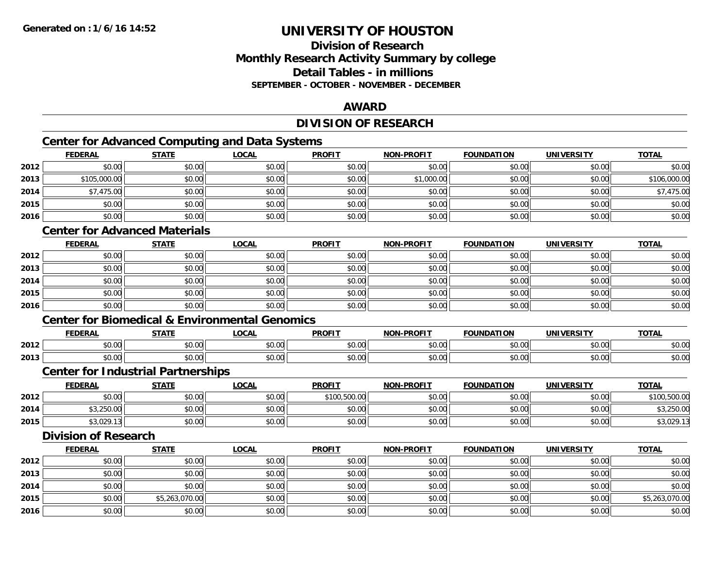## **Division of ResearchMonthly Research Activity Summary by college Detail Tables - in millionsSEPTEMBER - OCTOBER - NOVEMBER - DECEMBER**

### **AWARD**

## **DIVISION OF RESEARCH**

<u> 1980 - Johann Barbara, martxa amerikan personal (h. 1980).</u>

## **Center for Advanced Computing and Data Systems**

|      | <b>FEDERAL</b> | <b>STATE</b> | <b>LOCAL</b> | <b>PROFIT</b> | <b>NON-PROFIT</b> | <b>FOUNDATION</b> | <b>UNIVERSITY</b> | <b>TOTAL</b> |
|------|----------------|--------------|--------------|---------------|-------------------|-------------------|-------------------|--------------|
| 2012 | \$0.00         | \$0.00       | \$0.00       | \$0.00        | \$0.00            | \$0.00            | \$0.00            | \$0.00       |
| 2013 | \$105,000.00   | \$0.00       | \$0.00       | \$0.00        | \$1,000.00        | \$0.00            | \$0.00            | \$106,000.00 |
| 2014 | \$7,475.00     | \$0.00       | \$0.00       | \$0.00        | \$0.00            | \$0.00            | \$0.00            | \$7,475.00   |
| 2015 | \$0.00         | \$0.00       | \$0.00       | \$0.00        | \$0.00            | \$0.00            | \$0.00            | \$0.00       |
| 2016 | \$0.00         | \$0.00       | \$0.00       | \$0.00        | \$0.00            | \$0.00            | \$0.00            | \$0.00       |

## **Center for Advanced Materials**

|      | <b>FEDERAL</b> | <b>STATE</b> | <u>LOCAL</u> | <b>PROFIT</b> | <b>NON-PROFIT</b> | <b>FOUNDATION</b> | <b>UNIVERSITY</b> | <b>TOTAL</b> |
|------|----------------|--------------|--------------|---------------|-------------------|-------------------|-------------------|--------------|
| 2012 | \$0.00         | \$0.00       | \$0.00       | \$0.00        | \$0.00            | \$0.00            | \$0.00            | \$0.00       |
| 2013 | \$0.00         | \$0.00       | \$0.00       | \$0.00        | \$0.00            | \$0.00            | \$0.00            | \$0.00       |
| 2014 | \$0.00         | \$0.00       | \$0.00       | \$0.00        | \$0.00            | \$0.00            | \$0.00            | \$0.00       |
| 2015 | \$0.00         | \$0.00       | \$0.00       | \$0.00        | \$0.00            | \$0.00            | \$0.00            | \$0.00       |
| 2016 | \$0.00         | \$0.00       | \$0.00       | \$0.00        | \$0.00            | \$0.00            | \$0.00            | \$0.00       |

#### **Center for Biomedical & Environmental Genomics**

|      | <b>FEDERAL</b> | <b>CTATE</b>        | .OCAI              | <b>PROFIT</b>                   | <b>PROFIT</b><br><b>NION</b> | דמחוחוה<br>ΓΙΟΝ | UNIVERSITY           | <b>TOTAL</b>  |
|------|----------------|---------------------|--------------------|---------------------------------|------------------------------|-----------------|----------------------|---------------|
| 2012 | 0000<br>טט.טע  | $\uparrow$<br>טט.טע | ሶስ ሰሰ<br>vu.vu     | $\sim$ $\sim$<br>$\cap$<br>ט.טע | 0000<br>งบ.บเ                | 0000<br>,u.uu   | 0000<br>JU.UU        | \$0.00        |
| 2013 | 0000<br>DU.UU  | $\sim$<br>JU.UU     | $\sim$ 00<br>JU.UU | \$0.00                          | \$0.00                       | \$0.00          | 0000<br><b>DU.UU</b> | 0000<br>ນບ.ບປ |

### **Center for Industrial Partnerships**

|      | <b>FEDERAL</b>          | <b>STATE</b>   | <u>LOCAL</u> | <b>PROFIT</b>               | <b>NON-PROFIT</b> | <b>FOUNDATION</b> | <b>UNIVERSITY</b> | <b>TOTAL</b>           |
|------|-------------------------|----------------|--------------|-----------------------------|-------------------|-------------------|-------------------|------------------------|
| 2012 | 0000<br>,u.uu           | ≮∩ ∩∩<br>PU.UU | \$0.00       | \$100,500.00                | \$0.00            | \$0.00            | \$0.00            | 50000<br>UU.UV         |
| 2014 | ומח חבר רי<br>99,290.00 | 40.00<br>JU.UU | \$0.00       | ≮∩ ∩∩<br>JU.UU              | \$0.00            | \$0.00            | \$0.00            | ,250.00                |
| 2015 | \$3,029.13              | \$0.00         | \$0.00       | $\triangle$<br><b>SU.UU</b> | \$0.00            | \$0.00            | \$0.00            | $3,029.1$ <sup>-</sup> |

## **Division of Research**

|      | <b>FEDERAL</b> | <b>STATE</b>   | <b>LOCAL</b> | <b>PROFIT</b> | <b>NON-PROFIT</b> | <b>FOUNDATION</b> | <b>UNIVERSITY</b> | <b>TOTAL</b>   |
|------|----------------|----------------|--------------|---------------|-------------------|-------------------|-------------------|----------------|
| 2012 | \$0.00         | \$0.00         | \$0.00       | \$0.00        | \$0.00            | \$0.00            | \$0.00            | \$0.00         |
| 2013 | \$0.00         | \$0.00         | \$0.00       | \$0.00        | \$0.00            | \$0.00            | \$0.00            | \$0.00         |
| 2014 | \$0.00         | \$0.00         | \$0.00       | \$0.00        | \$0.00            | \$0.00            | \$0.00            | \$0.00         |
| 2015 | \$0.00         | \$5,263,070.00 | \$0.00       | \$0.00        | \$0.00            | \$0.00            | \$0.00            | \$5,263,070.00 |
| 2016 | \$0.00         | \$0.00         | \$0.00       | \$0.00        | \$0.00            | \$0.00            | \$0.00            | \$0.00         |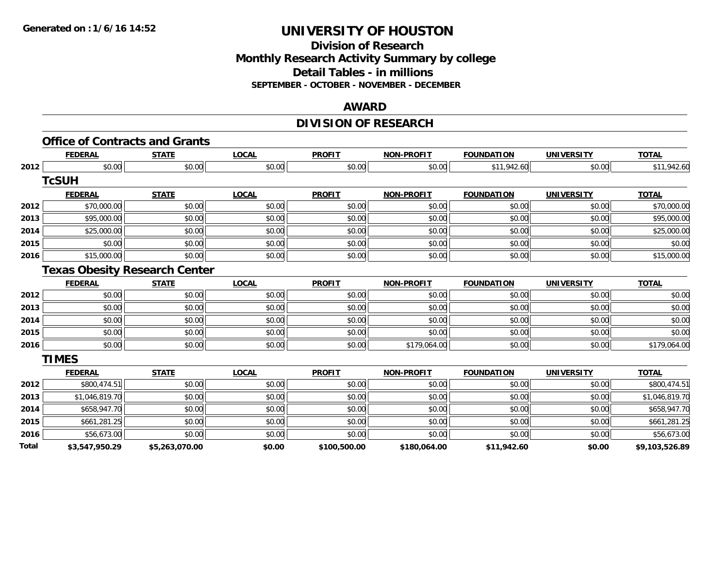### **Division of Research Monthly Research Activity Summary by college Detail Tables - in millions SEPTEMBER - OCTOBER - NOVEMBER - DECEMBER**

### **AWARD**

## **DIVISION OF RESEARCH**

|       | <b>FEDERAL</b> | <b>STATE</b>                         | <b>LOCAL</b> | <b>PROFIT</b> | <b>NON-PROFIT</b> | <b>FOUNDATION</b> | <b>UNIVERSITY</b> | <b>TOTAL</b>   |
|-------|----------------|--------------------------------------|--------------|---------------|-------------------|-------------------|-------------------|----------------|
| 2012  | \$0.00         | \$0.00                               | \$0.00       | \$0.00        | \$0.00            | \$11,942.60       | \$0.00            | \$11,942.60    |
|       | <b>TcSUH</b>   |                                      |              |               |                   |                   |                   |                |
|       | <b>FEDERAL</b> | <b>STATE</b>                         | <b>LOCAL</b> | <b>PROFIT</b> | <b>NON-PROFIT</b> | <b>FOUNDATION</b> | <b>UNIVERSITY</b> | <b>TOTAL</b>   |
| 2012  | \$70,000.00    | \$0.00                               | \$0.00       | \$0.00        | \$0.00            | \$0.00            | \$0.00            | \$70,000.00    |
| 2013  | \$95,000.00    | \$0.00                               | \$0.00       | \$0.00        | \$0.00            | \$0.00            | \$0.00            | \$95,000.00    |
| 2014  | \$25,000.00    | \$0.00                               | \$0.00       | \$0.00        | \$0.00            | \$0.00            | \$0.00            | \$25,000.00    |
| 2015  | \$0.00         | \$0.00                               | \$0.00       | \$0.00        | \$0.00            | \$0.00            | \$0.00            | \$0.00         |
| 2016  | \$15,000.00    | \$0.00                               | \$0.00       | \$0.00        | \$0.00            | \$0.00            | \$0.00            | \$15,000.00    |
|       |                | <b>Texas Obesity Research Center</b> |              |               |                   |                   |                   |                |
|       | <b>FEDERAL</b> | <b>STATE</b>                         | <b>LOCAL</b> | <b>PROFIT</b> | <b>NON-PROFIT</b> | <b>FOUNDATION</b> | <b>UNIVERSITY</b> | <b>TOTAL</b>   |
| 2012  | \$0.00         | \$0.00                               | \$0.00       | \$0.00        | \$0.00            | \$0.00            | \$0.00            | \$0.00         |
| 2013  | \$0.00         | \$0.00                               | \$0.00       | \$0.00        | \$0.00            | \$0.00            | \$0.00            | \$0.00         |
| 2014  | \$0.00         | \$0.00                               | \$0.00       | \$0.00        | \$0.00            | \$0.00            | \$0.00            | \$0.00         |
| 2015  | \$0.00         | \$0.00                               | \$0.00       | \$0.00        | \$0.00            | \$0.00            | \$0.00            | \$0.00         |
| 2016  | \$0.00         | \$0.00                               | \$0.00       | \$0.00        | \$179,064.00      | \$0.00            | \$0.00            | \$179,064.00   |
|       | <b>TIMES</b>   |                                      |              |               |                   |                   |                   |                |
|       | <b>FEDERAL</b> | <b>STATE</b>                         | <b>LOCAL</b> | <b>PROFIT</b> | <b>NON-PROFIT</b> | <b>FOUNDATION</b> | <b>UNIVERSITY</b> | <b>TOTAL</b>   |
| 2012  | \$800,474.51   | \$0.00                               | \$0.00       | \$0.00        | \$0.00            | \$0.00            | \$0.00            | \$800,474.51   |
| 2013  | \$1,046,819.70 | \$0.00                               | \$0.00       | \$0.00        | \$0.00            | \$0.00            | \$0.00            | \$1,046,819.70 |
| 2014  | \$658,947.70   | \$0.00                               | \$0.00       | \$0.00        | \$0.00            | \$0.00            | \$0.00            | \$658,947.70   |
| 2015  | \$661,281.25   | \$0.00                               | \$0.00       | \$0.00        | \$0.00            | \$0.00            | \$0.00            | \$661,281.25   |
| 2016  | \$56,673.00    | \$0.00                               | \$0.00       | \$0.00        | \$0.00            | \$0.00            | \$0.00            | \$56,673.00    |
| Total | \$3,547,950.29 | \$5,263,070.00                       | \$0.00       | \$100,500.00  | \$180,064.00      | \$11,942.60       | \$0.00            | \$9,103,526.89 |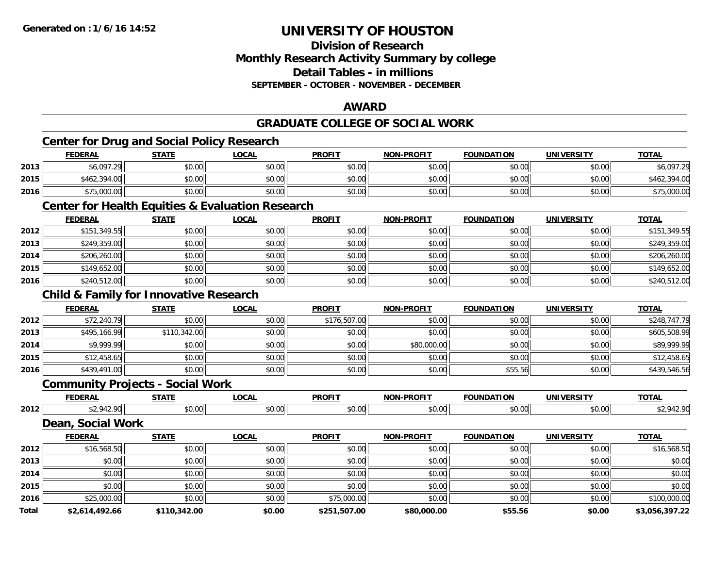## **Division of ResearchMonthly Research Activity Summary by college Detail Tables - in millionsSEPTEMBER - OCTOBER - NOVEMBER - DECEMBER**

#### **AWARD**

## **GRADUATE COLLEGE OF SOCIAL WORK**

## **Center for Drug and Social Policy Research**

|      | <b>FEDERAL</b> | <b>STATE</b> | <b>LOCAL</b> | <b>PROFIT</b> | <b>NON-PROFIT</b> | <b>FOUNDATION</b> | UNIVERSITY | <b>TOTAL</b> |
|------|----------------|--------------|--------------|---------------|-------------------|-------------------|------------|--------------|
| 2013 | \$6,097.29     | \$0.00       | \$0.00       | \$0.00        | \$0.00            | \$0.00            | \$0.00     | \$6,097.29   |
| 2015 | \$462,394.00   | \$0.00       | \$0.00       | \$0.00        | \$0.00            | \$0.00            | \$0.00     | \$462,394.00 |
| 2016 | \$75,000.00    | \$0.00       | \$0.00       | \$0.00        | \$0.00            | \$0.00            | \$0.00     | \$75,000.00  |

#### **Center for Health Equities & Evaluation Research**

|      | <b>FEDERAL</b> | <b>STATE</b> | <u>LOCAL</u> | <b>PROFIT</b> | <b>NON-PROFIT</b> | <b>FOUNDATION</b> | <b>UNIVERSITY</b> | <b>TOTAL</b> |
|------|----------------|--------------|--------------|---------------|-------------------|-------------------|-------------------|--------------|
| 2012 | \$151,349.55   | \$0.00       | \$0.00       | \$0.00        | \$0.00            | \$0.00            | \$0.00            | \$151,349.55 |
| 2013 | \$249,359.00   | \$0.00       | \$0.00       | \$0.00        | \$0.00            | \$0.00            | \$0.00            | \$249,359.00 |
| 2014 | \$206,260.00   | \$0.00       | \$0.00       | \$0.00        | \$0.00            | \$0.00            | \$0.00            | \$206,260.00 |
| 2015 | \$149,652.00   | \$0.00       | \$0.00       | \$0.00        | \$0.00            | \$0.00            | \$0.00            | \$149,652.00 |
| 2016 | \$240,512.00   | \$0.00       | \$0.00       | \$0.00        | \$0.00            | \$0.00            | \$0.00            | \$240,512.00 |

## **Child & Family for Innovative Research**

|      | <b>FEDERAL</b> | <b>STATE</b> | <u>LOCAL</u> | <b>PROFIT</b> | <b>NON-PROFIT</b> | <b>FOUNDATION</b> | <b>UNIVERSITY</b> | <b>TOTAL</b> |
|------|----------------|--------------|--------------|---------------|-------------------|-------------------|-------------------|--------------|
| 2012 | \$72,240.79    | \$0.00       | \$0.00       | \$176,507.00  | \$0.00            | \$0.00            | \$0.00            | \$248,747.79 |
| 2013 | \$495,166.99   | \$110,342.00 | \$0.00       | \$0.00        | \$0.00            | \$0.00            | \$0.00            | \$605,508.99 |
| 2014 | \$9,999.99     | \$0.00       | \$0.00       | \$0.00        | \$80,000.00       | \$0.00            | \$0.00            | \$89,999.99  |
| 2015 | \$12,458.65    | \$0.00       | \$0.00       | \$0.00        | \$0.00            | \$0.00            | \$0.00            | \$12,458.65  |
| 2016 | \$439,491.00   | \$0.00       | \$0.00       | \$0.00        | \$0.00            | \$55.56           | \$0.00            | \$439,546.56 |

#### **Community Projects - Social Work**

|      | ---- | $- - - -$ | $\sim$             | <b>DDOEIT</b><br>Ξπι. | <b>TIME</b> | INF                                                                      | <b>IBIT</b><br>Ш | <b>TOTA</b>      |
|------|------|-----------|--------------------|-----------------------|-------------|--------------------------------------------------------------------------|------------------|------------------|
| 2012 |      | $\sim$    | $\sim$ 0.0<br>v.vu | $\sim$<br>$\sim$<br>. | טט.         | $\begin{array}{c} \uparrow \\ \uparrow \\ \uparrow \end{array}$<br>יש.טי | ሐሴ ሰሴ<br>DU.UC   | .01 <sup>2</sup> |

### **Dean, Social Work**

|       | <b>FEDERAL</b> | <b>STATE</b> | LOCAL  | <b>PROFIT</b> | <b>NON-PROFIT</b> | <b>FOUNDATION</b> | <b>UNIVERSITY</b> | <b>TOTAL</b>   |
|-------|----------------|--------------|--------|---------------|-------------------|-------------------|-------------------|----------------|
| 2012  | \$16,568.50    | \$0.00       | \$0.00 | \$0.00        | \$0.00            | \$0.00            | \$0.00            | \$16,568.50    |
| 2013  | \$0.00         | \$0.00       | \$0.00 | \$0.00        | \$0.00            | \$0.00            | \$0.00            | \$0.00         |
| 2014  | \$0.00         | \$0.00       | \$0.00 | \$0.00        | \$0.00            | \$0.00            | \$0.00            | \$0.00         |
| 2015  | \$0.00         | \$0.00       | \$0.00 | \$0.00        | \$0.00            | \$0.00            | \$0.00            | \$0.00         |
| 2016  | \$25,000.00    | \$0.00       | \$0.00 | \$75,000.00   | \$0.00            | \$0.00            | \$0.00            | \$100,000.00   |
| Total | \$2,614,492.66 | \$110,342.00 | \$0.00 | \$251,507.00  | \$80,000.00       | \$55.56           | \$0.00            | \$3,056,397.22 |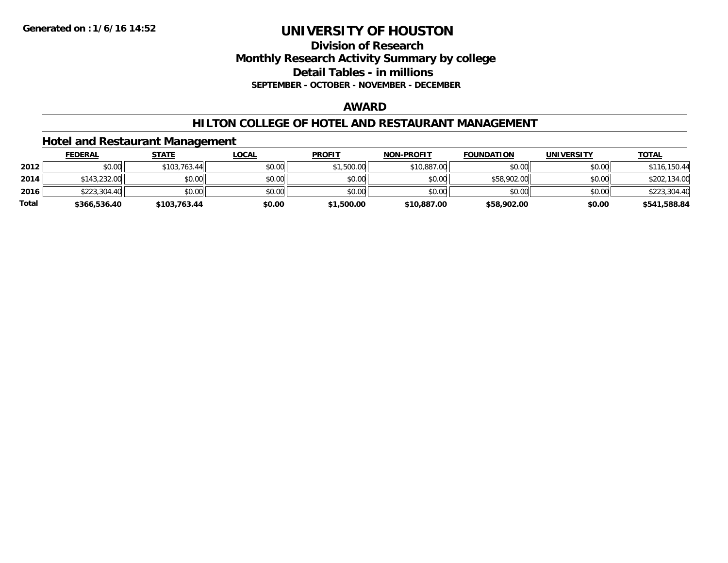### **Division of Research Monthly Research Activity Summary by college Detail Tables - in millions SEPTEMBER - OCTOBER - NOVEMBER - DECEMBER**

#### **AWARD**

### **HILTON COLLEGE OF HOTEL AND RESTAURANT MANAGEMENT**

### **Hotel and Restaurant Management**

|              | <b>FEDERAL</b> | <u>STATE</u> | <u>LOCAL</u> | <b>PROFIT</b> | <b>NON-PROFIT</b> | <b>FOUNDATION</b> | UNIVERSITY | <b>TOTAL</b> |
|--------------|----------------|--------------|--------------|---------------|-------------------|-------------------|------------|--------------|
| 2012         | \$0.00         | \$103.763.44 | \$0.00       | \$1,500.00    | \$10,887.00       | \$0.00            | \$0.00     | \$116,150.44 |
| 2014         | \$143,232.00   | \$0.00       | \$0.00       | \$0.00        | \$0.00            | \$58,902.00       | \$0.00     | \$202,134.00 |
| 2016         | \$223,304.40   | \$0.00       | \$0.00       | \$0.00        | \$0.00            | \$0.00            | \$0.00     | \$223,304.40 |
| <b>Total</b> | \$366,536.40   | \$103,763.44 | \$0.00       | \$1,500.00    | \$10,887.00       | \$58,902.00       | \$0.00     | \$541,588.84 |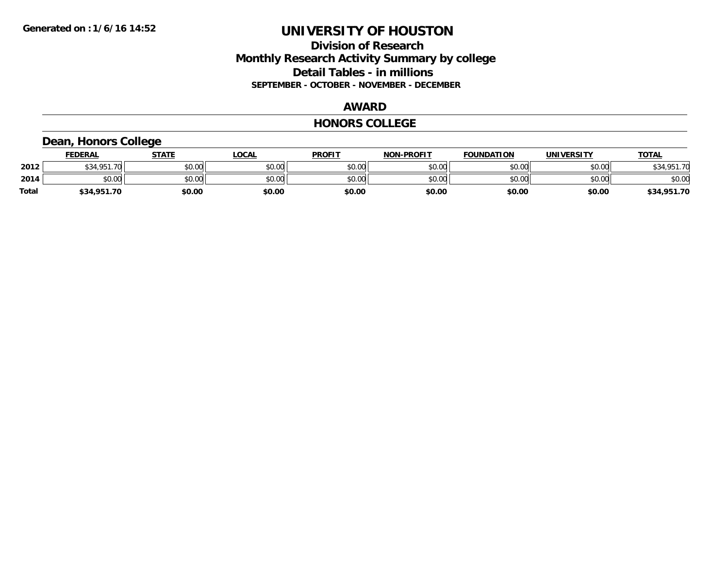## **Division of Research Monthly Research Activity Summary by college Detail Tables - in millions SEPTEMBER - OCTOBER - NOVEMBER - DECEMBER**

#### **AWARD**

#### **HONORS COLLEGE**

## **Dean, Honors College**

|       | <b>FEDERAL</b>      | <b>STATE</b> | LOCAL  | <b>PROFIT</b> | <b>NON-PROFIT</b> | <b>FOUNDATION</b> | <b>UNIVERSITY</b> | <b>TOTAL</b> |
|-------|---------------------|--------------|--------|---------------|-------------------|-------------------|-------------------|--------------|
| 2012  | \$34.951.70<br>DJ4. | \$0.00       | \$0.00 | \$0.00        | \$0.00            | \$0.00            | \$0.00            | \$34,951.70  |
| 2014  | \$0.00              | \$0.00       | \$0.00 | \$0.00        | \$0.00            | \$0.00            | \$0.00            | \$0.00       |
| Total | \$34,951.70         | \$0.00       | \$0.00 | \$0.00        | \$0.00            | \$0.00            | \$0.00            | \$34,951.70  |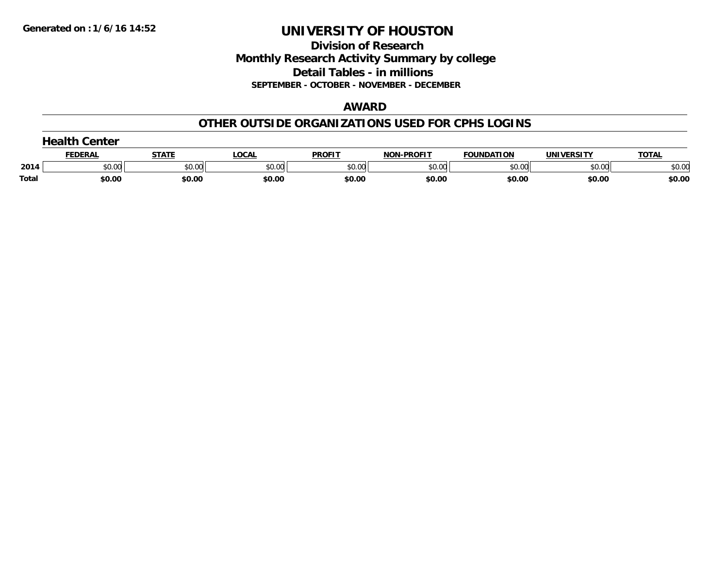**Division of Research Monthly Research Activity Summary by college Detail Tables - in millions SEPTEMBER - OCTOBER - NOVEMBER - DECEMBER**

#### **AWARD**

#### **OTHER OUTSIDE ORGANIZATIONS USED FOR CPHS LOGINS**

|              | .<br>Center  |        |        |               |                   |                   |                   |              |  |  |
|--------------|--------------|--------|--------|---------------|-------------------|-------------------|-------------------|--------------|--|--|
|              | <b>EDERA</b> | STATI  | .OCAI  | <b>PROFIT</b> | <b>NON-PROFIT</b> | <b>FOUNDATION</b> | <b>UNIVERSITY</b> | <b>TOTAL</b> |  |  |
| 2014         | \$0.00       | \$0.00 | \$0.00 | \$0.00        | \$0.00            | \$0.00            | \$0.00            | \$0.00       |  |  |
| <b>Total</b> | \$0.00       | \$0.00 | \$0.00 | \$0.00        | \$0.00            | \$0.00            | \$0.00            | \$0.00       |  |  |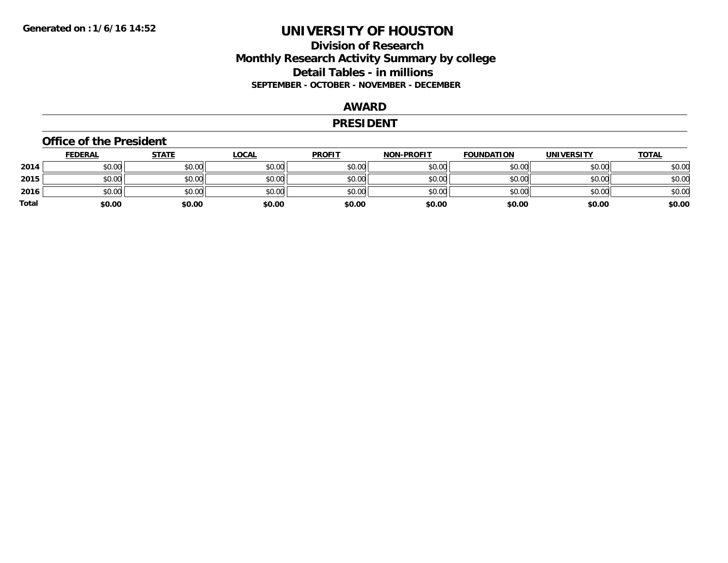## **Division of Research Monthly Research Activity Summary by college Detail Tables - in millions SEPTEMBER - OCTOBER - NOVEMBER - DECEMBER**

#### **AWARD**

#### **PRESIDENT**

#### **Office of the President**

|       | <b>FEDERAL</b> | <b>STATE</b> | <b>LOCAL</b> | <b>PROFIT</b> | <b>NON-PROFIT</b> | <b>FOUNDATION</b> | <b>UNIVERSITY</b> | <u>TOTAL</u> |
|-------|----------------|--------------|--------------|---------------|-------------------|-------------------|-------------------|--------------|
| 2014  | \$0.00         | \$0.00       | \$0.00       | \$0.00        | \$0.00            | \$0.00            | \$0.00            | \$0.00       |
| 2015  | \$0.00         | \$0.00       | \$0.00       | \$0.00        | \$0.00            | \$0.00            | \$0.00            | \$0.00       |
| 2016  | \$0.00         | \$0.00       | \$0.00       | \$0.00        | \$0.00            | \$0.00            | \$0.00            | \$0.00       |
| Total | \$0.00         | \$0.00       | \$0.00       | \$0.00        | \$0.00            | \$0.00            | \$0.00            | \$0.00       |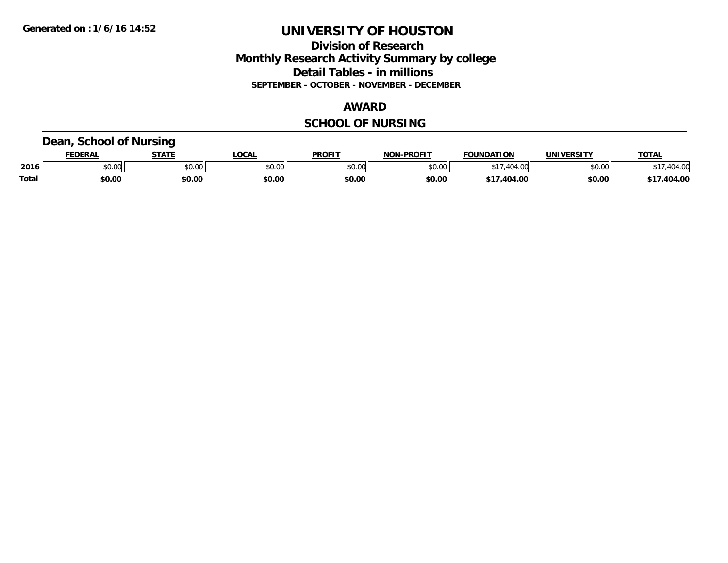### **Division of Research Monthly Research Activity Summary by college Detail Tables - in millions SEPTEMBER - OCTOBER - NOVEMBER - DECEMBER**

#### **AWARD**

## **SCHOOL OF NURSING**

### **Dean, School of Nursing**

|              | <b>DERAI</b> | <b>STATE</b>           | <b>OCAL</b>             | <b>PROFIT</b> | <b>DDAEIT</b><br><b>ארות</b> | <b>FOUNDATION</b> | UNIVERSITY | TOTAL  |
|--------------|--------------|------------------------|-------------------------|---------------|------------------------------|-------------------|------------|--------|
| 2016         | \$0.00       | 0 <sup>n</sup><br>υυ., | 0 <sup>n</sup><br>50.UC | 0000<br>JU.UU | ልስ ባህ<br>,u.uu               | $\Lambda$         | \$0.00     | $\sim$ |
| <b>Total</b> | \$0.00       | \$0.00                 | \$0.00                  | \$0.00        | \$0.00                       | 104.00<br>* 1 -   | \$0.00     | 404.00 |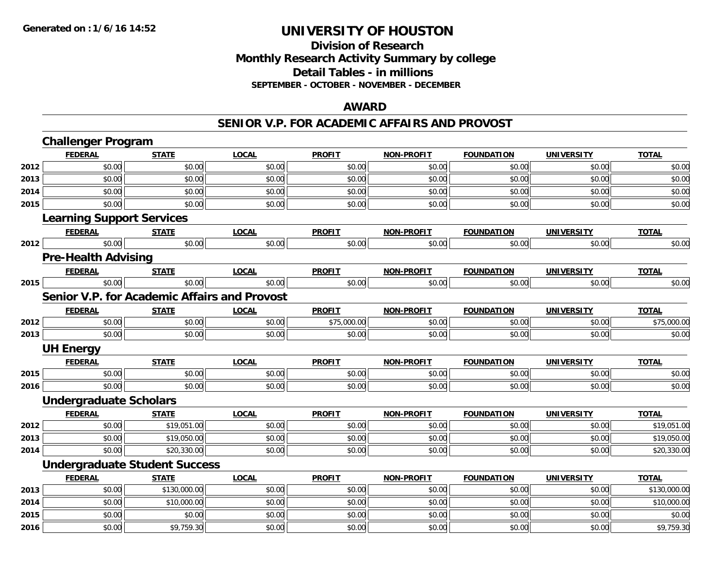**2016**

# **UNIVERSITY OF HOUSTON**

## **Division of ResearchMonthly Research Activity Summary by college Detail Tables - in millions SEPTEMBER - OCTOBER - NOVEMBER - DECEMBER**

### **AWARD**

#### **SENIOR V.P. FOR ACADEMIC AFFAIRS AND PROVOST**

|      | <b>Challenger Program</b>                           |                                      |              |               |                   |                   |                   |              |  |  |  |
|------|-----------------------------------------------------|--------------------------------------|--------------|---------------|-------------------|-------------------|-------------------|--------------|--|--|--|
|      | <b>FEDERAL</b>                                      | <b>STATE</b>                         | <b>LOCAL</b> | <b>PROFIT</b> | NON-PROFIT        | <b>FOUNDATION</b> | <b>UNIVERSITY</b> | <b>TOTAL</b> |  |  |  |
| 2012 | \$0.00                                              | \$0.00                               | \$0.00       | \$0.00        | \$0.00            | \$0.00            | \$0.00            | \$0.00       |  |  |  |
| 2013 | \$0.00                                              | \$0.00                               | \$0.00       | \$0.00        | \$0.00            | \$0.00            | \$0.00            | \$0.00       |  |  |  |
| 2014 | \$0.00                                              | \$0.00                               | \$0.00       | \$0.00        | \$0.00            | \$0.00            | \$0.00            | \$0.00       |  |  |  |
| 2015 | \$0.00                                              | \$0.00                               | \$0.00       | \$0.00        | \$0.00            | \$0.00            | \$0.00            | \$0.00       |  |  |  |
|      | <b>Learning Support Services</b>                    |                                      |              |               |                   |                   |                   |              |  |  |  |
|      | <b>FEDERAL</b>                                      | <b>STATE</b>                         | <b>LOCAL</b> | <b>PROFIT</b> | <b>NON-PROFIT</b> | <b>FOUNDATION</b> | <b>UNIVERSITY</b> | <b>TOTAL</b> |  |  |  |
| 2012 | \$0.00                                              | \$0.00                               | \$0.00       | \$0.00        | \$0.00            | \$0.00            | \$0.00            | \$0.00       |  |  |  |
|      | <b>Pre-Health Advising</b>                          |                                      |              |               |                   |                   |                   |              |  |  |  |
|      | <b>FEDERAL</b>                                      | <b>STATE</b>                         | <b>LOCAL</b> | <b>PROFIT</b> | <b>NON-PROFIT</b> | <b>FOUNDATION</b> | <b>UNIVERSITY</b> | <b>TOTAL</b> |  |  |  |
| 2015 | \$0.00                                              | \$0.00                               | \$0.00       | \$0.00        | \$0.00            | \$0.00            | \$0.00            | \$0.00       |  |  |  |
|      | <b>Senior V.P. for Academic Affairs and Provost</b> |                                      |              |               |                   |                   |                   |              |  |  |  |
|      | <b>FEDERAL</b>                                      | <b>STATE</b>                         | <b>LOCAL</b> | <b>PROFIT</b> | <b>NON-PROFIT</b> | <b>FOUNDATION</b> | <b>UNIVERSITY</b> | <b>TOTAL</b> |  |  |  |
| 2012 | \$0.00                                              | \$0.00                               | \$0.00       | \$75,000.00   | \$0.00            | \$0.00            | \$0.00            | \$75,000.00  |  |  |  |
| 2013 | \$0.00                                              | \$0.00                               | \$0.00       | \$0.00        | \$0.00            | \$0.00            | \$0.00            | \$0.00       |  |  |  |
|      | <b>UH Energy</b>                                    |                                      |              |               |                   |                   |                   |              |  |  |  |
|      | <b>FEDERAL</b>                                      | <b>STATE</b>                         | <b>LOCAL</b> | <b>PROFIT</b> | <b>NON-PROFIT</b> | <b>FOUNDATION</b> | <b>UNIVERSITY</b> | <b>TOTAL</b> |  |  |  |
| 2015 | \$0.00                                              | \$0.00                               | \$0.00       | \$0.00        | \$0.00            | \$0.00            | \$0.00            | \$0.00       |  |  |  |
| 2016 | \$0.00                                              | \$0.00                               | \$0.00       | \$0.00        | \$0.00            | \$0.00            | \$0.00            | \$0.00       |  |  |  |
|      | <b>Undergraduate Scholars</b>                       |                                      |              |               |                   |                   |                   |              |  |  |  |
|      | <b>FEDERAL</b>                                      | <b>STATE</b>                         | <b>LOCAL</b> | <b>PROFIT</b> | <b>NON-PROFIT</b> | <b>FOUNDATION</b> | <b>UNIVERSITY</b> | <b>TOTAL</b> |  |  |  |
| 2012 | \$0.00                                              | \$19,051.00                          | \$0.00       | \$0.00        | \$0.00            | \$0.00            | \$0.00            | \$19,051.00  |  |  |  |
| 2013 | \$0.00                                              | \$19,050.00                          | \$0.00       | \$0.00        | \$0.00            | \$0.00            | \$0.00            | \$19,050.00  |  |  |  |
| 2014 | \$0.00                                              | \$20,330.00                          | \$0.00       | \$0.00        | \$0.00            | \$0.00            | \$0.00            | \$20,330.00  |  |  |  |
|      |                                                     | <b>Undergraduate Student Success</b> |              |               |                   |                   |                   |              |  |  |  |
|      | <b>FEDERAL</b>                                      | <b>STATE</b>                         | <b>LOCAL</b> | <b>PROFIT</b> | <b>NON-PROFIT</b> | <b>FOUNDATION</b> | <b>UNIVERSITY</b> | <b>TOTAL</b> |  |  |  |
| 2013 | \$0.00                                              | \$130,000.00                         | \$0.00       | \$0.00        | \$0.00            | \$0.00            | \$0.00            | \$130,000.00 |  |  |  |
| 2014 | \$0.00                                              | \$10,000.00                          | \$0.00       | \$0.00        | \$0.00            | \$0.00            | \$0.00            | \$10,000.00  |  |  |  |
| 2015 | \$0.00                                              | \$0.00                               | \$0.00       | \$0.00        | \$0.00            | \$0.00            | \$0.00            | \$0.00       |  |  |  |

6 \$0.00 \$0.00 \$9,759.30 \$0.00 \$0.00 \$0.00 \$0.00 \$0.00 \$0.00 \$0.00 \$0.00 \$0.00 \$9,759.30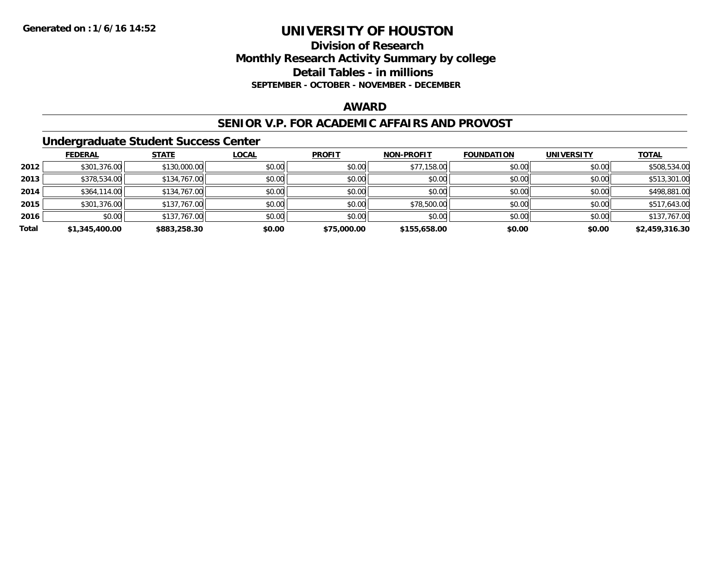### **Division of Research Monthly Research Activity Summary by college Detail Tables - in millions SEPTEMBER - OCTOBER - NOVEMBER - DECEMBER**

### **AWARD**

#### **SENIOR V.P. FOR ACADEMIC AFFAIRS AND PROVOST**

### **Undergraduate Student Success Center**

|       | <b>FEDERAL</b> | <b>STATE</b> | <b>LOCAL</b> | <b>PROFIT</b> | <b>NON-PROFIT</b> | <b>FOUNDATION</b> | <b>UNIVERSITY</b> | <b>TOTAL</b>   |
|-------|----------------|--------------|--------------|---------------|-------------------|-------------------|-------------------|----------------|
| 2012  | \$301,376.00   | \$130,000.00 | \$0.00       | \$0.00        | \$77,158.00       | \$0.00            | \$0.00            | \$508,534.00   |
| 2013  | \$378,534.00   | \$134,767.00 | \$0.00       | \$0.00        | \$0.00            | \$0.00            | \$0.00            | \$513,301.00   |
| 2014  | \$364,114.00   | \$134,767.00 | \$0.00       | \$0.00        | \$0.00            | \$0.00            | \$0.00            | \$498,881.00   |
| 2015  | \$301,376.00   | \$137,767.00 | \$0.00       | \$0.00        | \$78,500.00       | \$0.00            | \$0.00            | \$517,643.00   |
| 2016  | \$0.00         | \$137,767.00 | \$0.00       | \$0.00        | \$0.00            | \$0.00            | \$0.00            | \$137,767.00   |
| Total | \$1,345,400.00 | \$883,258.30 | \$0.00       | \$75,000.00   | \$155,658.00      | \$0.00            | \$0.00            | \$2,459,316.30 |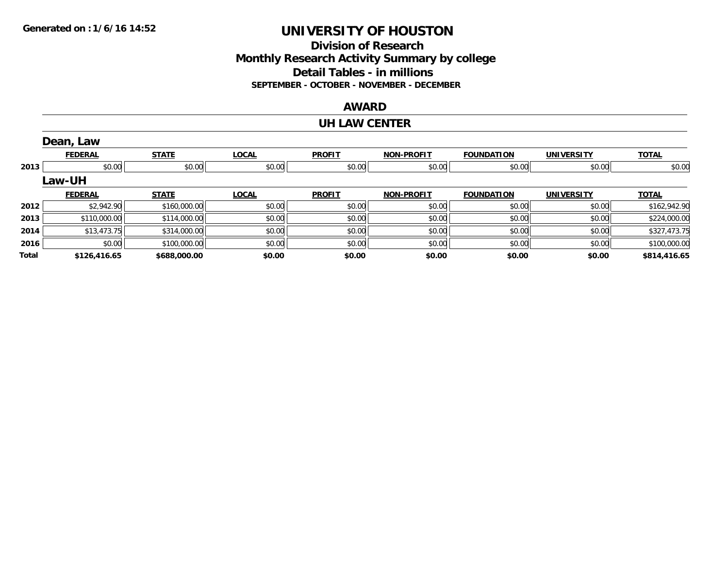### **Division of Research Monthly Research Activity Summary by college Detail Tables - in millions SEPTEMBER - OCTOBER - NOVEMBER - DECEMBER**

#### **AWARD**

#### **UH LAW CENTER**

|              | Dean, Law      |              |              |               |                   |                   |                   |              |
|--------------|----------------|--------------|--------------|---------------|-------------------|-------------------|-------------------|--------------|
|              | <b>FEDERAL</b> | <b>STATE</b> | <b>LOCAL</b> | <b>PROFIT</b> | <b>NON-PROFIT</b> | <b>FOUNDATION</b> | <b>UNIVERSITY</b> | <b>TOTAL</b> |
| 2013         | \$0.00         | \$0.00       | \$0.00       | \$0.00        | \$0.00            | \$0.00            | \$0.00            | \$0.00       |
|              | Law-UH         |              |              |               |                   |                   |                   |              |
|              | <b>FEDERAL</b> | <b>STATE</b> | <b>LOCAL</b> | <b>PROFIT</b> | <b>NON-PROFIT</b> | <b>FOUNDATION</b> | <b>UNIVERSITY</b> | <b>TOTAL</b> |
| 2012         | \$2,942.90     | \$160,000.00 | \$0.00       | \$0.00        | \$0.00            | \$0.00            | \$0.00            | \$162,942.90 |
| 2013         | \$110,000.00   | \$114,000.00 | \$0.00       | \$0.00        | \$0.00            | \$0.00            | \$0.00            | \$224,000.00 |
| 2014         | \$13,473.75    | \$314,000.00 | \$0.00       | \$0.00        | \$0.00            | \$0.00            | \$0.00            | \$327,473.75 |
| 2016         | \$0.00         | \$100,000.00 | \$0.00       | \$0.00        | \$0.00            | \$0.00            | \$0.00            | \$100,000.00 |
| <b>Total</b> | \$126,416.65   | \$688,000.00 | \$0.00       | \$0.00        | \$0.00            | \$0.00            | \$0.00            | \$814,416.65 |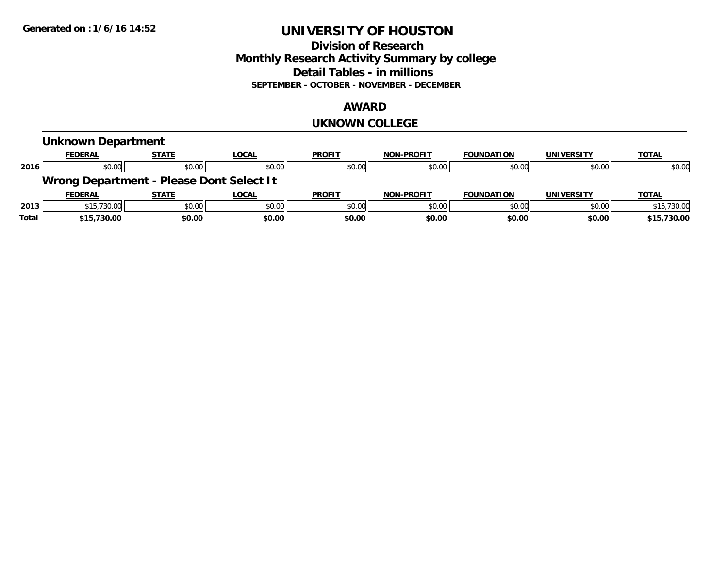### **Division of Research Monthly Research Activity Summary by college Detail Tables - in millions SEPTEMBER - OCTOBER - NOVEMBER - DECEMBER**

#### **AWARD**

#### **UKNOWN COLLEGE**

|       | <b>Unknown Department</b>                |              |              |               |                   |                   |                   |              |
|-------|------------------------------------------|--------------|--------------|---------------|-------------------|-------------------|-------------------|--------------|
|       | <b>FEDERAL</b>                           | <b>STATE</b> | <b>LOCAL</b> | <b>PROFIT</b> | <b>NON-PROFIT</b> | <b>FOUNDATION</b> | <b>UNIVERSITY</b> | <b>TOTAL</b> |
| 2016  | \$0.00                                   | \$0.00       | \$0.00       | \$0.00        | \$0.00            | \$0.00            | \$0.00            | \$0.00       |
|       | Wrong Department - Please Dont Select It |              |              |               |                   |                   |                   |              |
|       | <b>FEDERAL</b>                           | <b>STATE</b> | <b>LOCAL</b> | <b>PROFIT</b> | <b>NON-PROFIT</b> | <b>FOUNDATION</b> | <b>UNIVERSITY</b> | <b>TOTAL</b> |
| 2013  | \$15,730.00                              | \$0.00       | \$0.00       | \$0.00        | \$0.00            | \$0.00            | \$0.00            | \$15,730.00  |
| Total | \$15,730.00                              | \$0.00       | \$0.00       | \$0.00        | \$0.00            | \$0.00            | \$0.00            | \$15,730.00  |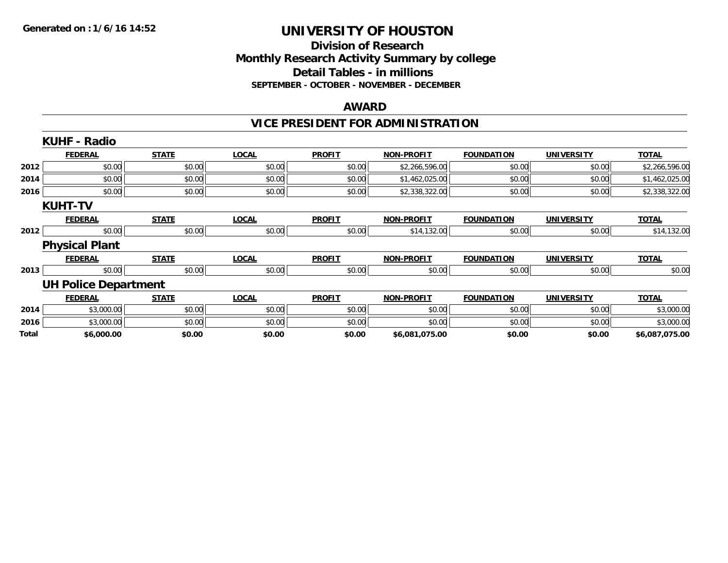### **Division of Research Monthly Research Activity Summary by college Detail Tables - in millions SEPTEMBER - OCTOBER - NOVEMBER - DECEMBER**

#### **AWARD**

## **VICE PRESIDENT FOR ADMINISTRATION**

|       | <b>KUHF - Radio</b>         |              |              |               |                   |                   |                   |                |
|-------|-----------------------------|--------------|--------------|---------------|-------------------|-------------------|-------------------|----------------|
|       | <b>FEDERAL</b>              | <b>STATE</b> | <b>LOCAL</b> | <b>PROFIT</b> | <b>NON-PROFIT</b> | <b>FOUNDATION</b> | <b>UNIVERSITY</b> | <b>TOTAL</b>   |
| 2012  | \$0.00                      | \$0.00       | \$0.00       | \$0.00        | \$2,266,596.00    | \$0.00            | \$0.00            | \$2,266,596.00 |
| 2014  | \$0.00                      | \$0.00       | \$0.00       | \$0.00        | \$1,462,025.00    | \$0.00            | \$0.00            | \$1,462,025.00 |
| 2016  | \$0.00                      | \$0.00       | \$0.00       | \$0.00        | \$2,338,322.00    | \$0.00            | \$0.00            | \$2,338,322.00 |
|       | <b>KUHT-TV</b>              |              |              |               |                   |                   |                   |                |
|       | <b>FEDERAL</b>              | <b>STATE</b> | <b>LOCAL</b> | <b>PROFIT</b> | <b>NON-PROFIT</b> | <b>FOUNDATION</b> | <b>UNIVERSITY</b> | <b>TOTAL</b>   |
| 2012  | \$0.00                      | \$0.00       | \$0.00       | \$0.00        | \$14,132.00       | \$0.00            | \$0.00            | \$14,132.00    |
|       | <b>Physical Plant</b>       |              |              |               |                   |                   |                   |                |
|       | <b>FEDERAL</b>              | <b>STATE</b> | <b>LOCAL</b> | <b>PROFIT</b> | <b>NON-PROFIT</b> | <b>FOUNDATION</b> | <b>UNIVERSITY</b> | <b>TOTAL</b>   |
| 2013  | \$0.00                      | \$0.00       | \$0.00       | \$0.00        | \$0.00            | \$0.00            | \$0.00            | \$0.00         |
|       | <b>UH Police Department</b> |              |              |               |                   |                   |                   |                |
|       | <b>FEDERAL</b>              | <b>STATE</b> | <b>LOCAL</b> | <b>PROFIT</b> | <b>NON-PROFIT</b> | <b>FOUNDATION</b> | <b>UNIVERSITY</b> | <b>TOTAL</b>   |
| 2014  | \$3,000.00                  | \$0.00       | \$0.00       | \$0.00        | \$0.00            | \$0.00            | \$0.00            | \$3,000.00     |
| 2016  | \$3,000.00                  | \$0.00       | \$0.00       | \$0.00        | \$0.00            | \$0.00            | \$0.00            | \$3,000.00     |
| Total | \$6,000.00                  | \$0.00       | \$0.00       | \$0.00        | \$6,081,075.00    | \$0.00            | \$0.00            | \$6,087,075.00 |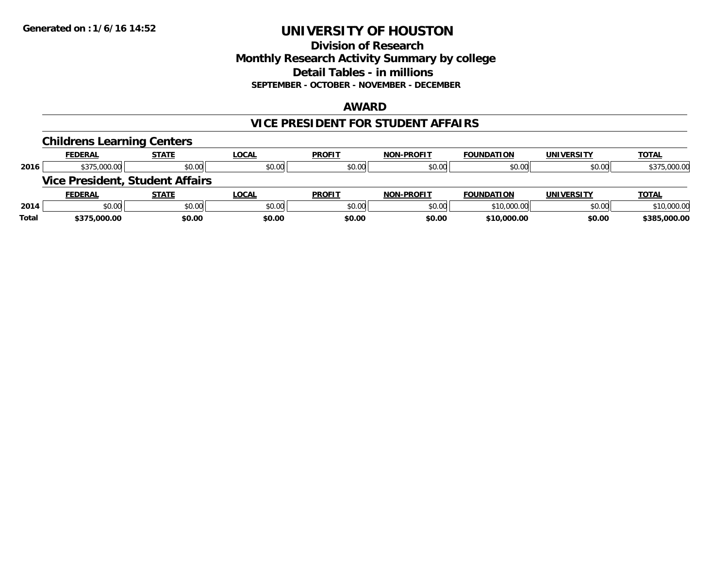### **Division of Research Monthly Research Activity Summary by college Detail Tables - in millions SEPTEMBER - OCTOBER - NOVEMBER - DECEMBER**

#### **AWARD**

### **VICE PRESIDENT FOR STUDENT AFFAIRS**

|       | <b>Childrens Learning Centers</b> |                                        |              |               |                   |                   |                   |              |
|-------|-----------------------------------|----------------------------------------|--------------|---------------|-------------------|-------------------|-------------------|--------------|
|       | <b>FEDERAL</b>                    | <b>STATE</b>                           | <b>LOCAL</b> | <b>PROFIT</b> | <b>NON-PROFIT</b> | <b>FOUNDATION</b> | <b>UNIVERSITY</b> | <b>TOTAL</b> |
| 2016  | \$375,000.00                      | \$0.00                                 | \$0.00       | \$0.00        | \$0.00            | \$0.00            | \$0.00            | \$375,000.00 |
|       |                                   | <b>Vice President, Student Affairs</b> |              |               |                   |                   |                   |              |
|       | <b>FEDERAL</b>                    | <b>STATE</b>                           | <b>LOCAL</b> | <b>PROFIT</b> | <b>NON-PROFIT</b> | <b>FOUNDATION</b> | <b>UNIVERSITY</b> | <b>TOTAL</b> |
| 2014  | \$0.00                            | \$0.00                                 | \$0.00       | \$0.00        | \$0.00            | \$10,000.00       | \$0.00            | \$10,000.00  |
| Total | \$375,000.00                      | \$0.00                                 | \$0.00       | \$0.00        | \$0.00            | \$10,000.00       | \$0.00            | \$385,000.00 |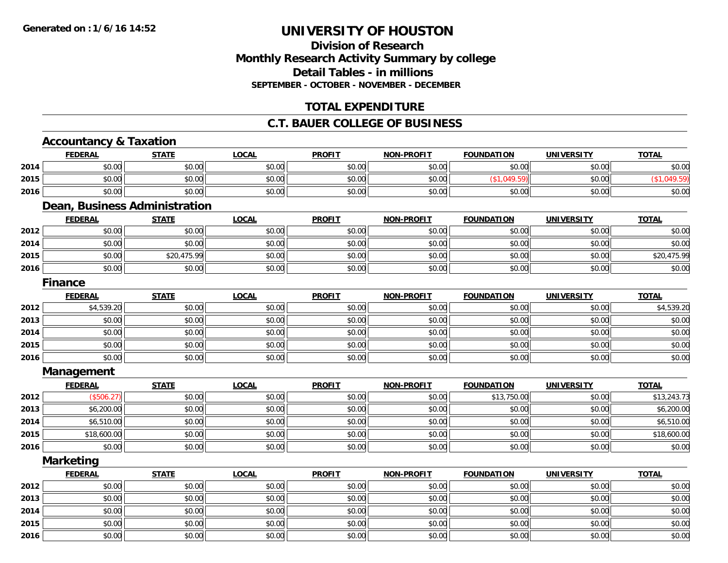## **Division of ResearchMonthly Research Activity Summary by college Detail Tables - in millions SEPTEMBER - OCTOBER - NOVEMBER - DECEMBER**

## **TOTAL EXPENDITURE**

### **C.T. BAUER COLLEGE OF BUSINESS**

# **Accountancy & Taxation**

**2016**

|      | <b>FEDERAL</b>                | <b>STATE</b> | <b>LOCAL</b> | <b>PROFIT</b> | <b>NON-PROFIT</b> | <b>FOUNDATION</b> | <b>UNIVERSITY</b> | <b>TOTAL</b> |
|------|-------------------------------|--------------|--------------|---------------|-------------------|-------------------|-------------------|--------------|
| 2014 | \$0.00                        | \$0.00       | \$0.00       | \$0.00        | \$0.00            | \$0.00            | \$0.00            | \$0.00       |
| 2015 | \$0.00                        | \$0.00       | \$0.00       | \$0.00        | \$0.00            | (\$1,049.59)      | \$0.00            | (\$1,049.59) |
| 2016 | \$0.00                        | \$0.00       | \$0.00       | \$0.00        | \$0.00            | \$0.00            | \$0.00            | \$0.00       |
|      | Dean, Business Administration |              |              |               |                   |                   |                   |              |
|      | <b>FEDERAL</b>                | <b>STATE</b> | <b>LOCAL</b> | <b>PROFIT</b> | <b>NON-PROFIT</b> | <b>FOUNDATION</b> | <b>UNIVERSITY</b> | <b>TOTAL</b> |
| 2012 | \$0.00                        | \$0.00       | \$0.00       | \$0.00        | \$0.00            | \$0.00            | \$0.00            | \$0.00       |
| 2014 | \$0.00                        | \$0.00       | \$0.00       | \$0.00        | \$0.00            | \$0.00            | \$0.00            | \$0.00       |
| 2015 | \$0.00                        | \$20,475.99  | \$0.00       | \$0.00        | \$0.00            | \$0.00            | \$0.00            | \$20,475.99  |
| 2016 | \$0.00                        | \$0.00       | \$0.00       | \$0.00        | \$0.00            | \$0.00            | \$0.00            | \$0.00       |
|      | <b>Finance</b>                |              |              |               |                   |                   |                   |              |
|      | <b>FEDERAL</b>                | <b>STATE</b> | <b>LOCAL</b> | <b>PROFIT</b> | <b>NON-PROFIT</b> | <b>FOUNDATION</b> | <b>UNIVERSITY</b> | <b>TOTAL</b> |
| 2012 | \$4,539.20                    | \$0.00       | \$0.00       | \$0.00        | \$0.00            | \$0.00            | \$0.00            | \$4,539.20   |
| 2013 | \$0.00                        | \$0.00       | \$0.00       | \$0.00        | \$0.00            | \$0.00            | \$0.00            | \$0.00       |
| 2014 | \$0.00                        | \$0.00       | \$0.00       | \$0.00        | \$0.00            | \$0.00            | \$0.00            | \$0.00       |
| 2015 | \$0.00                        | \$0.00       | \$0.00       | \$0.00        | \$0.00            | \$0.00            | \$0.00            | \$0.00       |
| 2016 | \$0.00                        | \$0.00       | \$0.00       | \$0.00        | \$0.00            | \$0.00            | \$0.00            | \$0.00       |
|      | <b>Management</b>             |              |              |               |                   |                   |                   |              |
|      | <b>FEDERAL</b>                | <b>STATE</b> | <b>LOCAL</b> | <b>PROFIT</b> | <b>NON-PROFIT</b> | <b>FOUNDATION</b> | <b>UNIVERSITY</b> | <b>TOTAL</b> |
| 2012 | (\$506.27)                    | \$0.00       | \$0.00       | \$0.00        | \$0.00            | \$13,750.00       | \$0.00            | \$13,243.73  |
| 2013 | \$6,200.00                    | \$0.00       | \$0.00       | \$0.00        | \$0.00            | \$0.00            | \$0.00            | \$6,200.00   |
| 2014 | \$6,510.00                    | \$0.00       | \$0.00       | \$0.00        | \$0.00            | \$0.00            | \$0.00            | \$6,510.00   |
| 2015 | \$18,600.00                   | \$0.00       | \$0.00       | \$0.00        | \$0.00            | \$0.00            | \$0.00            | \$18,600.00  |
| 2016 | \$0.00                        | \$0.00       | \$0.00       | \$0.00        | \$0.00            | \$0.00            | \$0.00            | \$0.00       |
|      | <b>Marketing</b>              |              |              |               |                   |                   |                   |              |
|      | <b>FEDERAL</b>                | <b>STATE</b> | <b>LOCAL</b> | <b>PROFIT</b> | <b>NON-PROFIT</b> | <b>FOUNDATION</b> | <b>UNIVERSITY</b> | <b>TOTAL</b> |
| 2012 | \$0.00                        | \$0.00       | \$0.00       | \$0.00        | \$0.00            | \$0.00            | \$0.00            | \$0.00       |
| 2013 | \$0.00                        | \$0.00       | \$0.00       | \$0.00        | \$0.00            | \$0.00            | \$0.00            | \$0.00       |
| 2014 | \$0.00                        | \$0.00       | \$0.00       | \$0.00        | \$0.00            | \$0.00            | \$0.00            | \$0.00       |
| 2015 | \$0.00                        | \$0.00       | \$0.00       | \$0.00        | \$0.00            | \$0.00            | \$0.00            | \$0.00       |

6 \$0.00 \$0.00 \$0.00 \$0.00 \$0.00 \$0.00 \$0.00 \$0.00 \$0.00 \$0.00 \$0.00 \$0.00 \$0.00 \$0.00 \$0.00 \$0.00 \$0.00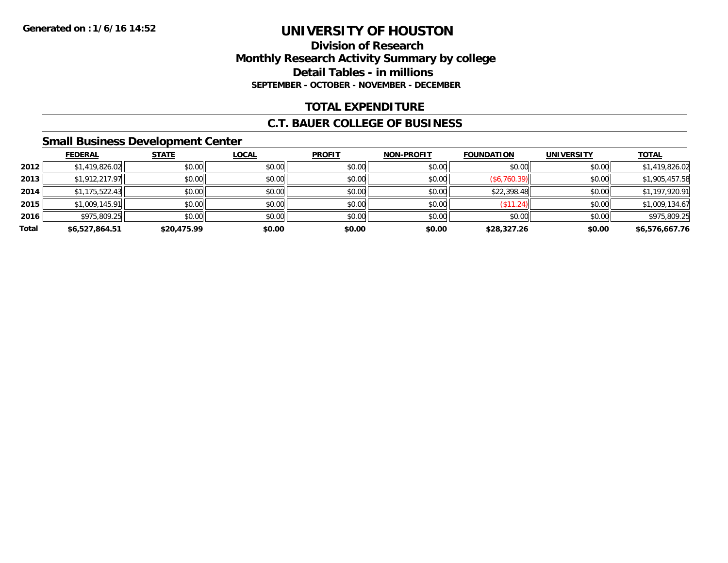## **Division of ResearchMonthly Research Activity Summary by college Detail Tables - in millions SEPTEMBER - OCTOBER - NOVEMBER - DECEMBER**

## **TOTAL EXPENDITURE**

#### **C.T. BAUER COLLEGE OF BUSINESS**

### **Small Business Development Center**

|       | <b>FEDERAL</b> | <b>STATE</b> | <b>LOCAL</b> | <b>PROFIT</b> | <b>NON-PROFIT</b> | <b>FOUNDATION</b> | <b>UNIVERSITY</b> | <b>TOTAL</b>   |
|-------|----------------|--------------|--------------|---------------|-------------------|-------------------|-------------------|----------------|
| 2012  | \$1,419,826.02 | \$0.00       | \$0.00       | \$0.00        | \$0.00            | \$0.00            | \$0.00            | \$1,419,826.02 |
| 2013  | \$1,912,217.97 | \$0.00       | \$0.00       | \$0.00        | \$0.00            | (\$6,760.39)      | \$0.00            | \$1,905,457.58 |
| 2014  | \$1,175,522.43 | \$0.00       | \$0.00       | \$0.00        | \$0.00            | \$22,398.48       | \$0.00            | \$1,197,920.91 |
| 2015  | \$1,009,145.91 | \$0.00       | \$0.00       | \$0.00        | \$0.00            | (\$11.24)         | \$0.00            | \$1,009,134.67 |
| 2016  | \$975,809.25   | \$0.00       | \$0.00       | \$0.00        | \$0.00            | \$0.00            | \$0.00            | \$975,809.25   |
| Total | \$6,527,864.51 | \$20,475.99  | \$0.00       | \$0.00        | \$0.00            | \$28,327.26       | \$0.00            | \$6,576,667.76 |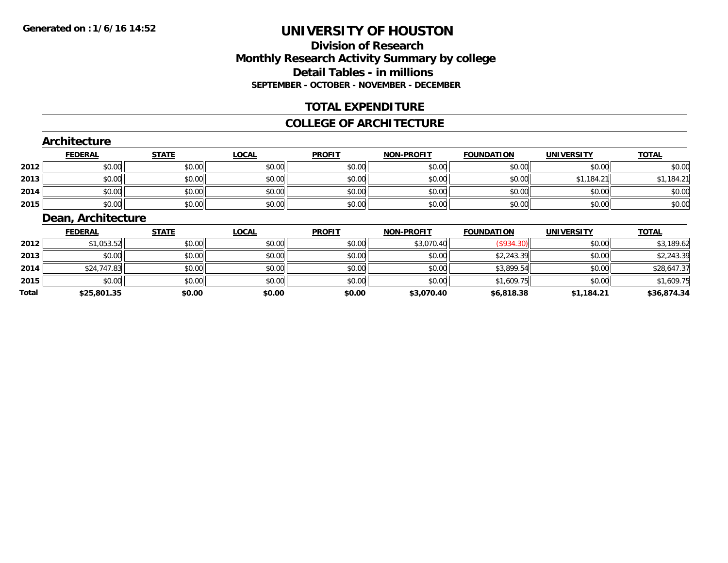## **Division of ResearchMonthly Research Activity Summary by college Detail Tables - in millions SEPTEMBER - OCTOBER - NOVEMBER - DECEMBER**

### **TOTAL EXPENDITURE**

#### **COLLEGE OF ARCHITECTURE**

#### **Architecture**

|      | <b>FEDERAL</b> | <b>STATE</b> | <u>LOCAL</u> | <b>PROFIT</b> | <b>NON-PROFIT</b> | <b>FOUNDATION</b> | <b>UNIVERSITY</b> | <b>TOTAL</b> |
|------|----------------|--------------|--------------|---------------|-------------------|-------------------|-------------------|--------------|
| 2012 | \$0.00         | \$0.00       | \$0.00       | \$0.00        | \$0.00            | \$0.00            | \$0.00            | \$0.00       |
| 2013 | \$0.00         | \$0.00       | \$0.00       | \$0.00        | \$0.00            | \$0.00            | .184.21           | 1,184.21     |
| 2014 | \$0.00         | \$0.00       | \$0.00       | \$0.00        | \$0.00            | \$0.00            | \$0.00            | \$0.00       |
| 2015 | \$0.00         | \$0.00       | \$0.00       | \$0.00        | \$0.00            | \$0.00            | \$0.00            | \$0.00       |

### **Dean, Architecture**

|       | <b>FEDERAL</b> | <b>STATE</b> | <u>LOCAL</u> | <b>PROFIT</b> | <b>NON-PROFIT</b> | <b>FOUNDATION</b> | <b>UNIVERSITY</b> | <b>TOTAL</b> |
|-------|----------------|--------------|--------------|---------------|-------------------|-------------------|-------------------|--------------|
| 2012  | \$1,053.52     | \$0.00       | \$0.00       | \$0.00        | \$3,070.40        | (\$934.30)        | \$0.00            | \$3,189.62   |
| 2013  | \$0.00         | \$0.00       | \$0.00       | \$0.00        | \$0.00            | \$2,243.39        | \$0.00            | \$2,243.39   |
| 2014  | \$24,747.83    | \$0.00       | \$0.00       | \$0.00        | \$0.00            | \$3,899.54        | \$0.00            | \$28,647.37  |
| 2015  | \$0.00         | \$0.00       | \$0.00       | \$0.00        | \$0.00            | \$1,609.75        | \$0.00            | \$1,609.75   |
| Total | \$25,801.35    | \$0.00       | \$0.00       | \$0.00        | \$3,070.40        | \$6,818.38        | \$1,184.21        | \$36,874.34  |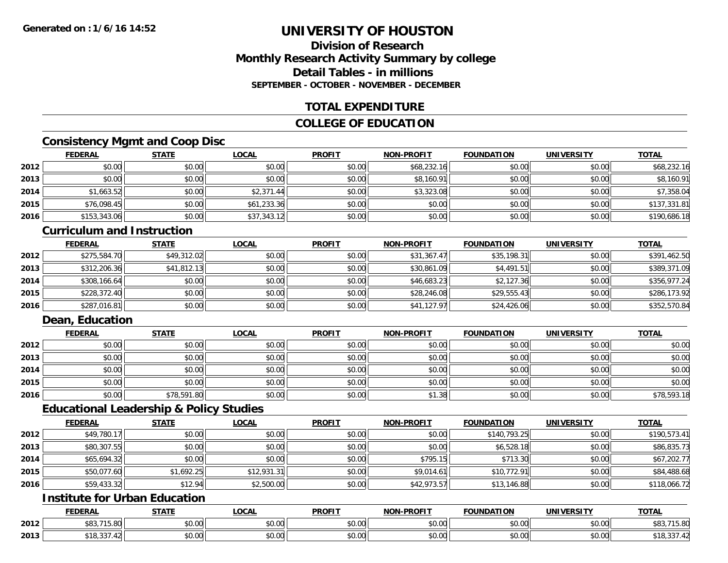## **Division of ResearchMonthly Research Activity Summary by college Detail Tables - in millionsSEPTEMBER - OCTOBER - NOVEMBER - DECEMBER**

### **TOTAL EXPENDITURE**

## **COLLEGE OF EDUCATION**

## **Consistency Mgmt and Coop Disc**

|      | <b>FEDERAL</b> | <b>STATE</b> | <b>LOCAL</b> | <b>PROFIT</b> | <b>NON-PROFIT</b> | <b>FOUNDATION</b> | <b>UNIVERSITY</b> | <b>TOTAL</b> |
|------|----------------|--------------|--------------|---------------|-------------------|-------------------|-------------------|--------------|
| 2012 | \$0.00         | \$0.00       | \$0.00       | \$0.00        | \$68,232.16       | \$0.00            | \$0.00            | \$68,232.16  |
| 2013 | \$0.00         | \$0.00       | \$0.00       | \$0.00        | \$8,160.91        | \$0.00            | \$0.00            | \$8,160.91   |
| 2014 | \$1,663.52     | \$0.00       | \$2,371.44   | \$0.00        | \$3,323.08        | \$0.00            | \$0.00            | \$7,358.04   |
| 2015 | \$76,098.45    | \$0.00       | \$61,233.36  | \$0.00        | \$0.00            | \$0.00            | \$0.00            | \$137,331.81 |
| 2016 | \$153,343.06   | \$0.00       | \$37,343.12  | \$0.00        | \$0.00            | \$0.00            | \$0.00            | \$190,686.18 |

#### **Curriculum and Instruction**

|      | <b>FEDERAL</b> | <b>STATE</b> | <b>LOCAL</b> | <b>PROFIT</b> | <b>NON-PROFIT</b> | <b>FOUNDATION</b> | <b>UNIVERSITY</b> | <b>TOTAL</b> |
|------|----------------|--------------|--------------|---------------|-------------------|-------------------|-------------------|--------------|
| 2012 | \$275,584.70   | \$49,312.02  | \$0.00       | \$0.00        | \$31,367.47       | \$35,198.31       | \$0.00            | \$391,462.50 |
| 2013 | \$312,206.36   | \$41,812.13  | \$0.00       | \$0.00        | \$30,861.09       | \$4,491.51        | \$0.00            | \$389,371.09 |
| 2014 | \$308,166.64   | \$0.00       | \$0.00       | \$0.00        | \$46,683.23       | \$2,127.36        | \$0.00            | \$356,977.24 |
| 2015 | \$228,372.40   | \$0.00       | \$0.00       | \$0.00        | \$28,246.08       | \$29,555.43       | \$0.00            | \$286,173.92 |
| 2016 | \$287,016.81   | \$0.00       | \$0.00       | \$0.00        | \$41,127.97       | \$24,426.06       | \$0.00            | \$352,570.84 |

## **Dean, Education**

|      | <b>FEDERAL</b> | <b>STATE</b> | <u>LOCAL</u> | <b>PROFIT</b> | <b>NON-PROFIT</b> | <b>FOUNDATION</b> | <b>UNIVERSITY</b> | <b>TOTAL</b> |
|------|----------------|--------------|--------------|---------------|-------------------|-------------------|-------------------|--------------|
| 2012 | \$0.00         | \$0.00       | \$0.00       | \$0.00        | \$0.00            | \$0.00            | \$0.00            | \$0.00       |
| 2013 | \$0.00         | \$0.00       | \$0.00       | \$0.00        | \$0.00            | \$0.00            | \$0.00            | \$0.00       |
| 2014 | \$0.00         | \$0.00       | \$0.00       | \$0.00        | \$0.00            | \$0.00            | \$0.00            | \$0.00       |
| 2015 | \$0.00         | \$0.00       | \$0.00       | \$0.00        | \$0.00            | \$0.00            | \$0.00            | \$0.00       |
| 2016 | \$0.00         | \$78,591.80  | \$0.00       | \$0.00        | \$1.38            | \$0.00            | \$0.00            | \$78,593.18  |

#### **Educational Leadership & Policy Studies**

|      | <b>FEDERAL</b> | <b>STATE</b> | <u>LOCAL</u> | <b>PROFIT</b> | <b>NON-PROFIT</b> | <b>FOUNDATION</b> | <b>UNIVERSITY</b> | <b>TOTAL</b> |
|------|----------------|--------------|--------------|---------------|-------------------|-------------------|-------------------|--------------|
| 2012 | \$49,780.17    | \$0.00       | \$0.00       | \$0.00        | \$0.00            | \$140,793.25      | \$0.00            | \$190,573.41 |
| 2013 | \$80,307.55    | \$0.00       | \$0.00       | \$0.00        | \$0.00            | \$6,528.18        | \$0.00            | \$86,835.73  |
| 2014 | \$65,694.32    | \$0.00       | \$0.00       | \$0.00        | \$795.15          | \$713.30          | \$0.00            | \$67,202.77  |
| 2015 | \$50,077.60    | \$1,692.25   | \$12,931.31  | \$0.00        | \$9,014.61        | \$10,772.91       | \$0.00            | \$84,488.68  |
| 2016 | \$59,433.32    | \$12.94      | \$2,500.00   | \$0.00        | \$42,973.57       | \$13,146.88       | \$0.00            | \$118,066.72 |

## **Institute for Urban Education**

|      | <b>FEDERAL</b>                               | <b>STATE</b><br>1711 | LOCAL         | <b>PROFIT</b> | <b>J-PROFIT</b><br><b>NIONI</b> | <b>FOUNDATION</b> | <b>UNIVERSITY</b> | <b>TOTAL</b>   |
|------|----------------------------------------------|----------------------|---------------|---------------|---------------------------------|-------------------|-------------------|----------------|
| 2012 | ሰበገ<br><b>715.00</b><br>၂၁.၀ပ<br>JUJ,        | 0000<br>DU.UU        | 0.00<br>vv.vv | 0000<br>JU.UU | 0.00<br>vv.vv                   | \$0.00            | \$0.00            | 15.80<br>JUJ., |
| 2013 | $\sim$ $\sim$ $\sim$<br>0.10<br>.42<br>၂၀,၁၁ | 0000<br>DU.UU        | 0.00<br>vu.vu | \$0.00        | 0000<br>PO.OO                   | \$0.00            | \$0.00            | 10,337         |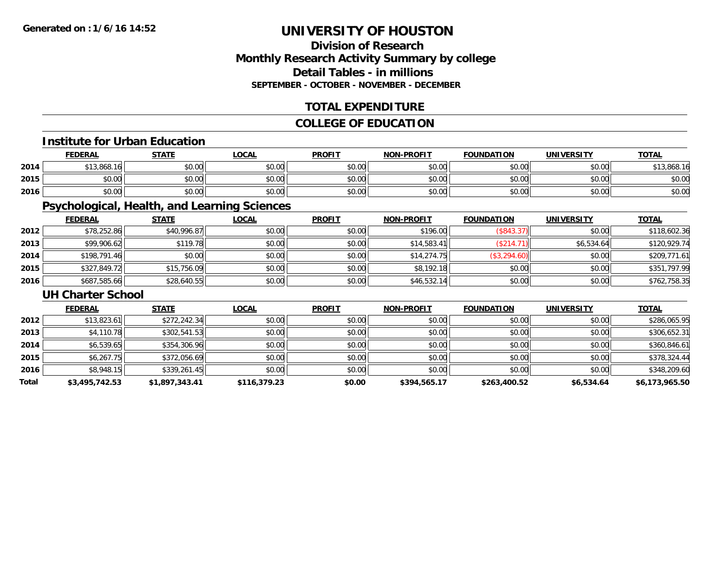## **Division of ResearchMonthly Research Activity Summary by college Detail Tables - in millionsSEPTEMBER - OCTOBER - NOVEMBER - DECEMBER**

## **TOTAL EXPENDITURE**

## **COLLEGE OF EDUCATION**

#### **Institute for Urban Education**

|      | <b>FEDERAL</b> | <b>STATE</b> | <b>_OCAL</b> | <b>PROFIT</b> | <b>NON-PROFIT</b> | <b>FOUNDATION</b> | <b>UNIVERSITY</b> | <b>TOTAL</b> |
|------|----------------|--------------|--------------|---------------|-------------------|-------------------|-------------------|--------------|
| 2014 | \$13,868.16    | \$0.00       | \$0.00       | \$0.00        | \$0.00            | \$0.00            | \$0.00            | \$13,868.16  |
| 2015 | \$0.00         | \$0.00       | \$0.00       | \$0.00        | \$0.00            | \$0.00            | \$0.00            | \$0.00       |
| 2016 | \$0.00         | \$0.00       | \$0.00       | \$0.00        | \$0.00            | \$0.00            | \$0.00            | \$0.00       |

## **Psychological, Health, and Learning Sciences**

|      | <b>FEDERAL</b> | <b>STATE</b> | <b>LOCAL</b> | <b>PROFIT</b> | <b>NON-PROFIT</b> | <b>FOUNDATION</b> | <b>UNIVERSITY</b> | <b>TOTAL</b> |
|------|----------------|--------------|--------------|---------------|-------------------|-------------------|-------------------|--------------|
| 2012 | \$78,252.86    | \$40,996.87  | \$0.00       | \$0.00        | \$196.00          | (\$843.37)        | \$0.00            | \$118,602.36 |
| 2013 | \$99,906.62    | \$119.78     | \$0.00       | \$0.00        | \$14,583.41       | (\$214.71)        | \$6,534.64        | \$120,929.74 |
| 2014 | \$198,791.46   | \$0.00       | \$0.00       | \$0.00        | \$14,274.75       | \$3,294.60        | \$0.00            | \$209,771.61 |
| 2015 | \$327,849.72   | \$15,756.09  | \$0.00       | \$0.00        | \$8,192.18        | \$0.00            | \$0.00            | \$351,797.99 |
| 2016 | \$687,585.66   | \$28,640.55  | \$0.00       | \$0.00        | \$46,532.14       | \$0.00            | \$0.00            | \$762,758.35 |

#### **UH Charter School**

|       | <b>FEDERAL</b> | <u>STATE</u>   | <b>LOCAL</b> | <b>PROFIT</b> | <b>NON-PROFIT</b> | <b>FOUNDATION</b> | <b>UNIVERSITY</b> | <b>TOTAL</b>   |
|-------|----------------|----------------|--------------|---------------|-------------------|-------------------|-------------------|----------------|
| 2012  | \$13,823.61    | \$272,242.34   | \$0.00       | \$0.00        | \$0.00            | \$0.00            | \$0.00            | \$286,065.95   |
| 2013  | \$4,110.78     | \$302,541.53   | \$0.00       | \$0.00        | \$0.00            | \$0.00            | \$0.00            | \$306,652.31   |
| 2014  | \$6,539.65     | \$354,306.96   | \$0.00       | \$0.00        | \$0.00            | \$0.00            | \$0.00            | \$360,846.61   |
| 2015  | \$6,267.75     | \$372,056.69   | \$0.00       | \$0.00        | \$0.00            | \$0.00            | \$0.00            | \$378,324.44   |
| 2016  | \$8,948.15     | \$339,261.45   | \$0.00       | \$0.00        | \$0.00            | \$0.00            | \$0.00            | \$348,209.60   |
| Total | \$3,495,742.53 | \$1,897,343.41 | \$116,379.23 | \$0.00        | \$394,565.17      | \$263,400.52      | \$6,534.64        | \$6,173,965.50 |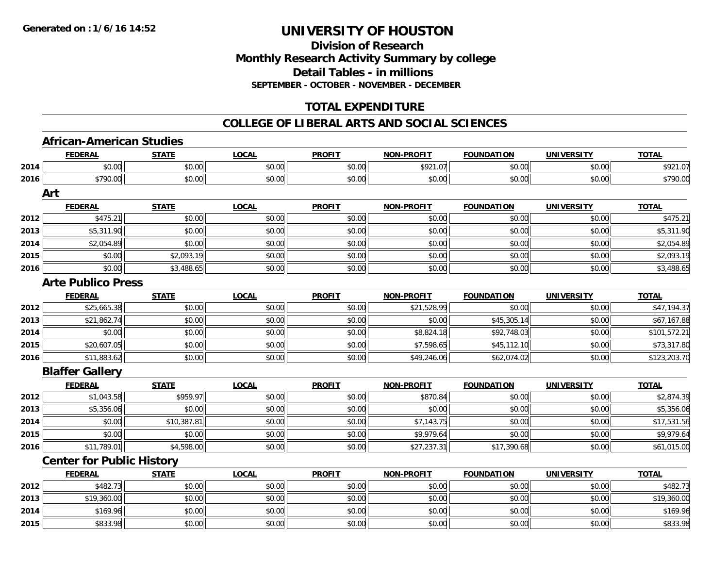## **Division of ResearchMonthly Research Activity Summary by college Detail Tables - in millions SEPTEMBER - OCTOBER - NOVEMBER - DECEMBER**

## **TOTAL EXPENDITURE**

#### **COLLEGE OF LIBERAL ARTS AND SOCIAL SCIENCES**

### **African-American Studies**

|      | <u>FEDERAL</u>                   | <b>STATE</b> | <b>LOCAL</b> | <b>PROFIT</b> | <u>NON-PROFIT</u> | <b>FOUNDATION</b> | <b>UNIVERSITY</b> | <b>TOTAL</b> |
|------|----------------------------------|--------------|--------------|---------------|-------------------|-------------------|-------------------|--------------|
| 2014 | \$0.00                           | \$0.00       | \$0.00       | \$0.00        | \$921.07          | \$0.00            | \$0.00            | \$921.07     |
| 2016 | \$790.00                         | \$0.00       | \$0.00       | \$0.00        | \$0.00            | \$0.00            | \$0.00            | \$790.00     |
|      | Art                              |              |              |               |                   |                   |                   |              |
|      | <b>FEDERAL</b>                   | <b>STATE</b> | <b>LOCAL</b> | <b>PROFIT</b> | <b>NON-PROFIT</b> | <b>FOUNDATION</b> | <b>UNIVERSITY</b> | <b>TOTAL</b> |
| 2012 | \$475.21                         | \$0.00       | \$0.00       | \$0.00        | \$0.00            | \$0.00            | \$0.00            | \$475.21     |
| 2013 | \$5,311.90                       | \$0.00       | \$0.00       | \$0.00        | \$0.00            | \$0.00            | \$0.00            | \$5,311.90   |
| 2014 | \$2,054.89                       | \$0.00       | \$0.00       | \$0.00        | \$0.00            | \$0.00            | \$0.00            | \$2,054.89   |
| 2015 | \$0.00                           | \$2,093.19   | \$0.00       | \$0.00        | \$0.00            | \$0.00            | \$0.00            | \$2,093.19   |
| 2016 | \$0.00                           | \$3,488.65   | \$0.00       | \$0.00        | \$0.00            | \$0.00            | \$0.00            | \$3,488.65   |
|      | <b>Arte Publico Press</b>        |              |              |               |                   |                   |                   |              |
|      | <b>FEDERAL</b>                   | <b>STATE</b> | <b>LOCAL</b> | <b>PROFIT</b> | <b>NON-PROFIT</b> | <b>FOUNDATION</b> | <b>UNIVERSITY</b> | <b>TOTAL</b> |
| 2012 | \$25,665.38                      | \$0.00       | \$0.00       | \$0.00        | \$21,528.99       | \$0.00            | \$0.00            | \$47,194.37  |
| 2013 | \$21,862.74                      | \$0.00       | \$0.00       | \$0.00        | \$0.00            | \$45,305.14       | \$0.00            | \$67,167.88  |
| 2014 | \$0.00                           | \$0.00       | \$0.00       | \$0.00        | \$8,824.18        | \$92,748.03       | \$0.00            | \$101,572.21 |
| 2015 | \$20,607.05                      | \$0.00       | \$0.00       | \$0.00        | \$7,598.65        | \$45,112.10       | \$0.00            | \$73,317.80  |
| 2016 | \$11,883.62                      | \$0.00       | \$0.00       | \$0.00        | \$49,246.06       | \$62,074.02       | \$0.00            | \$123,203.70 |
|      | <b>Blaffer Gallery</b>           |              |              |               |                   |                   |                   |              |
|      | <b>FEDERAL</b>                   | <b>STATE</b> | <b>LOCAL</b> | <b>PROFIT</b> | <b>NON-PROFIT</b> | <b>FOUNDATION</b> | <b>UNIVERSITY</b> | <b>TOTAL</b> |
| 2012 | \$1,043.58                       | \$959.97     | \$0.00       | \$0.00        | \$870.84          | \$0.00            | \$0.00            | \$2,874.39   |
| 2013 | \$5,356.06                       | \$0.00       | \$0.00       | \$0.00        | \$0.00            | \$0.00            | \$0.00            | \$5,356.06   |
| 2014 | \$0.00                           | \$10,387.81  | \$0.00       | \$0.00        | \$7,143.75        | \$0.00            | \$0.00            | \$17,531.56  |
| 2015 | \$0.00                           | \$0.00       | \$0.00       | \$0.00        | \$9,979.64        | \$0.00            | \$0.00            | \$9,979.64   |
| 2016 | \$11,789.01                      | \$4,598.00   | \$0.00       | \$0.00        | \$27,237.31       | \$17,390.68       | \$0.00            | \$61,015.00  |
|      | <b>Center for Public History</b> |              |              |               |                   |                   |                   |              |
|      | <b>FEDERAL</b>                   | <b>STATE</b> | <b>LOCAL</b> | <b>PROFIT</b> | <b>NON-PROFIT</b> | <b>FOUNDATION</b> | <b>UNIVERSITY</b> | <b>TOTAL</b> |
| 2012 | \$482.73                         | \$0.00       | \$0.00       | \$0.00        | \$0.00            | \$0.00            | \$0.00            | \$482.73     |
| 2013 | \$19,360.00                      | \$0.00       | \$0.00       | \$0.00        | \$0.00            | \$0.00            | \$0.00            | \$19,360.00  |
| 2014 | \$169.96                         | \$0.00       | \$0.00       | \$0.00        | \$0.00            | \$0.00            | \$0.00            | \$169.96     |
| 2015 | \$833.98                         | \$0.00       | \$0.00       | \$0.00        | \$0.00            | \$0.00            | \$0.00            | \$833.98     |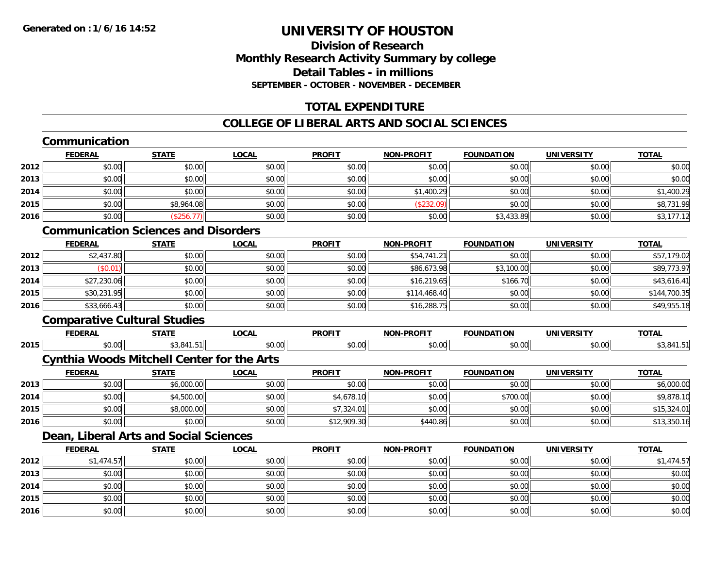## **Division of ResearchMonthly Research Activity Summary by college Detail Tables - in millionsSEPTEMBER - OCTOBER - NOVEMBER - DECEMBER**

## **TOTAL EXPENDITURE**

## **COLLEGE OF LIBERAL ARTS AND SOCIAL SCIENCES**

## **Communication**

|      | <b>FEDERAL</b> | <b>STATE</b> | <b>LOCAL</b> | <b>PROFIT</b> | <b>NON-PROFIT</b> | <b>FOUNDATION</b> | <b>UNIVERSITY</b> | <b>TOTAL</b> |
|------|----------------|--------------|--------------|---------------|-------------------|-------------------|-------------------|--------------|
| 2012 | \$0.00         | \$0.00       | \$0.00       | \$0.00        | \$0.00            | \$0.00            | \$0.00            | \$0.00       |
| 2013 | \$0.00         | \$0.00       | \$0.00       | \$0.00        | \$0.00            | \$0.00            | \$0.00            | \$0.00       |
| 2014 | \$0.00         | \$0.00       | \$0.00       | \$0.00        | \$1,400.29        | \$0.00            | \$0.00            | \$1,400.29   |
| 2015 | \$0.00         | \$8,964.08   | \$0.00       | \$0.00        | (\$232.09)        | \$0.00            | \$0.00            | \$8,731.99   |
| 2016 | \$0.00         | (\$256.77)   | \$0.00       | \$0.00        | \$0.00            | \$3,433.89        | \$0.00            | \$3,177.12   |

## **Communication Sciences and Disorders**

|      | <u>FEDERAL</u> | <b>STATE</b> | <b>LOCAL</b> | <b>PROFIT</b> | <b>NON-PROFIT</b> | <b>FOUNDATION</b> | <b>UNIVERSITY</b> | <b>TOTAL</b> |
|------|----------------|--------------|--------------|---------------|-------------------|-------------------|-------------------|--------------|
| 2012 | \$2,437.80     | \$0.00       | \$0.00       | \$0.00        | \$54,741.21       | \$0.00            | \$0.00            | \$57,179.02  |
| 2013 | \$0.01         | \$0.00       | \$0.00       | \$0.00        | \$86,673.98       | \$3,100.00        | \$0.00            | \$89,773.97  |
| 2014 | \$27,230.06    | \$0.00       | \$0.00       | \$0.00        | \$16,219.65       | \$166.70          | \$0.00            | \$43,616.41  |
| 2015 | \$30,231.95    | \$0.00       | \$0.00       | \$0.00        | \$114,468.40      | \$0.00            | \$0.00            | \$144,700.35 |
| 2016 | \$33,666.43    | \$0.00       | \$0.00       | \$0.00        | \$16,288.75       | \$0.00            | \$0.00            | \$49,955.18  |

## **Comparative Cultural Studies**

|      | <b>FEDERA</b>          | -----<br>. . | $\sim$ $\sim$ $\sim$<br>LUCAI | <b>DDOEIT</b><br>-מש | <b>DDAEIT</b><br>אמוי<br>6 J.H | .<br>™MD.<br>$\mathbf{v}$        | max1<br>JNIV    | <b>TOTAL</b> |
|------|------------------------|--------------|-------------------------------|----------------------|--------------------------------|----------------------------------|-----------------|--------------|
| 2015 | $\sim$ $\sim$<br>-v.vv | 51           | 0.00<br>טט.טע                 | 0.00                 | $\sim$ 00<br>ישי               | $\sim$ $\sim$ $\sim$<br>.<br>v.v | $\sim$<br>JUU.U |              |

## **Cynthia Woods Mitchell Center for the Arts**

|      | <b>FEDERAL</b> | STATE      | <u>LOCAL</u> | <b>PROFIT</b> | <b>NON-PROFIT</b> | <b>FOUNDATION</b> | UNIVERSITY | <b>TOTAL</b> |
|------|----------------|------------|--------------|---------------|-------------------|-------------------|------------|--------------|
| 2013 | \$0.00         | \$6,000.00 | \$0.00       | \$0.00        | \$0.00            | \$0.00            | \$0.00     | \$6,000.00   |
| 2014 | \$0.00         | \$4,500.00 | \$0.00       | \$4,678.10    | \$0.00            | \$700.00          | \$0.00     | \$9,878.10   |
| 2015 | \$0.00         | \$8,000.00 | \$0.00       | \$7,324.01    | \$0.00            | \$0.00            | \$0.00     | \$15,324.01  |
| 2016 | \$0.00         | \$0.00     | \$0.00       | \$12,909.30   | \$440.86          | \$0.00            | \$0.00     | \$13,350.16  |

## **Dean, Liberal Arts and Social Sciences**

|      | <b>FEDERAL</b> | <b>STATE</b> | <b>LOCAL</b> | <b>PROFIT</b> | <b>NON-PROFIT</b> | <b>FOUNDATION</b> | <b>UNIVERSITY</b> | <b>TOTAL</b> |
|------|----------------|--------------|--------------|---------------|-------------------|-------------------|-------------------|--------------|
| 2012 | \$1,474.57     | \$0.00       | \$0.00       | \$0.00        | \$0.00            | \$0.00            | \$0.00            | \$1,474.57   |
| 2013 | \$0.00         | \$0.00       | \$0.00       | \$0.00        | \$0.00            | \$0.00            | \$0.00            | \$0.00       |
| 2014 | \$0.00         | \$0.00       | \$0.00       | \$0.00        | \$0.00            | \$0.00            | \$0.00            | \$0.00       |
| 2015 | \$0.00         | \$0.00       | \$0.00       | \$0.00        | \$0.00            | \$0.00            | \$0.00            | \$0.00       |
| 2016 | \$0.00         | \$0.00       | \$0.00       | \$0.00        | \$0.00            | \$0.00            | \$0.00            | \$0.00       |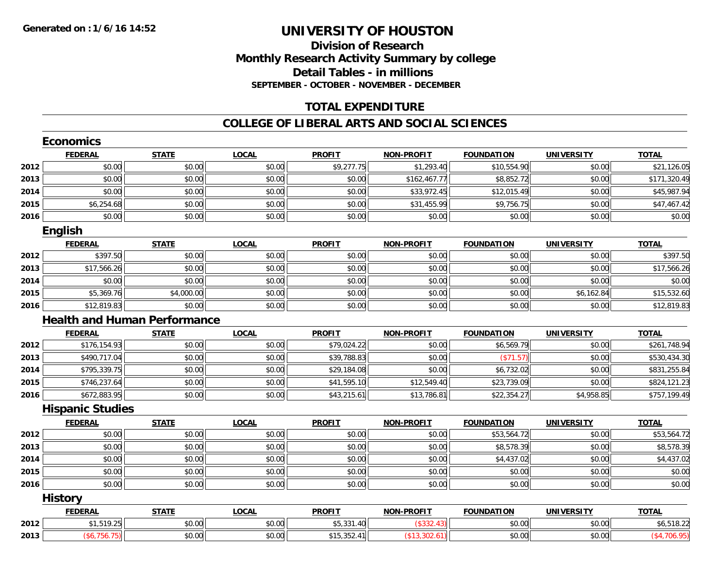### **Division of Research Monthly Research Activity Summary by college Detail Tables - in millions SEPTEMBER - OCTOBER - NOVEMBER - DECEMBER**

## **TOTAL EXPENDITURE**

#### **COLLEGE OF LIBERAL ARTS AND SOCIAL SCIENCES**

|      | <b>Economics</b>        |                                     |              |               |                   |                   |                   |              |
|------|-------------------------|-------------------------------------|--------------|---------------|-------------------|-------------------|-------------------|--------------|
|      | <b>FEDERAL</b>          | <b>STATE</b>                        | <b>LOCAL</b> | <b>PROFIT</b> | <b>NON-PROFIT</b> | <b>FOUNDATION</b> | <b>UNIVERSITY</b> | <b>TOTAL</b> |
| 2012 | \$0.00                  | \$0.00                              | \$0.00       | \$9,277.75    | \$1,293.40        | \$10,554.90       | \$0.00            | \$21,126.05  |
| 2013 | \$0.00                  | \$0.00                              | \$0.00       | \$0.00        | \$162,467.77      | \$8,852.72        | \$0.00            | \$171,320.49 |
| 2014 | \$0.00                  | \$0.00                              | \$0.00       | \$0.00        | \$33,972.45       | \$12,015.49       | \$0.00            | \$45,987.94  |
| 2015 | \$6,254.68              | \$0.00                              | \$0.00       | \$0.00        | \$31,455.99       | \$9,756.75        | \$0.00            | \$47,467.42  |
| 2016 | \$0.00                  | \$0.00                              | \$0.00       | \$0.00        | \$0.00            | \$0.00            | \$0.00            | \$0.00       |
|      | English                 |                                     |              |               |                   |                   |                   |              |
|      | <b>FEDERAL</b>          | <b>STATE</b>                        | <b>LOCAL</b> | <b>PROFIT</b> | <b>NON-PROFIT</b> | <b>FOUNDATION</b> | <b>UNIVERSITY</b> | <b>TOTAL</b> |
| 2012 | \$397.50                | \$0.00                              | \$0.00       | \$0.00        | \$0.00            | \$0.00            | \$0.00            | \$397.50     |
| 2013 | \$17,566.26             | \$0.00                              | \$0.00       | \$0.00        | \$0.00            | \$0.00            | \$0.00            | \$17,566.26  |
| 2014 | \$0.00                  | \$0.00                              | \$0.00       | \$0.00        | \$0.00            | \$0.00            | \$0.00            | \$0.00       |
| 2015 | \$5,369.76              | \$4,000.00                          | \$0.00       | \$0.00        | \$0.00            | \$0.00            | \$6,162.84        | \$15,532.60  |
| 2016 | \$12,819.83             | \$0.00                              | \$0.00       | \$0.00        | \$0.00            | \$0.00            | \$0.00            | \$12,819.83  |
|      |                         | <b>Health and Human Performance</b> |              |               |                   |                   |                   |              |
|      | <b>FEDERAL</b>          | <b>STATE</b>                        | <b>LOCAL</b> | <b>PROFIT</b> | <b>NON-PROFIT</b> | <b>FOUNDATION</b> | <b>UNIVERSITY</b> | <b>TOTAL</b> |
| 2012 | \$176,154.93            | \$0.00                              | \$0.00       | \$79,024.22   | \$0.00            | \$6,569.79        | \$0.00            | \$261,748.94 |
| 2013 | \$490,717.04            | \$0.00                              | \$0.00       | \$39,788.83   | \$0.00            | (\$71.57)         | \$0.00            | \$530,434.30 |
| 2014 | \$795,339.75            | \$0.00                              | \$0.00       | \$29,184.08   | \$0.00            | \$6,732.02        | \$0.00            | \$831,255.84 |
| 2015 | \$746,237.64            | \$0.00                              | \$0.00       | \$41,595.10   | \$12,549.40       | \$23,739.09       | \$0.00            | \$824,121.23 |
| 2016 | \$672,883.95            | \$0.00                              | \$0.00       | \$43,215.61   | \$13,786.81       | \$22,354.27       | \$4,958.85        | \$757,199.49 |
|      | <b>Hispanic Studies</b> |                                     |              |               |                   |                   |                   |              |
|      | <b>FEDERAL</b>          | <b>STATE</b>                        | <b>LOCAL</b> | <b>PROFIT</b> | <b>NON-PROFIT</b> | <b>FOUNDATION</b> | <b>UNIVERSITY</b> | <b>TOTAL</b> |
| 2012 | \$0.00                  | \$0.00                              | \$0.00       | \$0.00        | \$0.00            | \$53,564.72       | \$0.00            | \$53,564.72  |
| 2013 | \$0.00                  | \$0.00                              | \$0.00       | \$0.00        | \$0.00            | \$8,578.39        | \$0.00            | \$8,578.39   |
| 2014 | \$0.00                  | \$0.00                              | \$0.00       | \$0.00        | \$0.00            | \$4,437.02        | \$0.00            | \$4,437.02   |
| 2015 | \$0.00                  | \$0.00                              | \$0.00       | \$0.00        | \$0.00            | \$0.00            | \$0.00            | \$0.00       |
| 2016 | \$0.00                  | \$0.00                              | \$0.00       | \$0.00        | \$0.00            | \$0.00            | \$0.00            | \$0.00       |
|      | <b>History</b>          |                                     |              |               |                   |                   |                   |              |
|      | <b>FEDERAL</b>          | <b>STATE</b>                        | <b>LOCAL</b> | <b>PROFIT</b> | <b>NON-PROFIT</b> | <b>FOUNDATION</b> | <b>UNIVERSITY</b> | <b>TOTAL</b> |
| 2012 | \$1,519.25              | \$0.00                              | \$0.00       | \$5,331.40    | (\$332.43)        | \$0.00            | \$0.00            | \$6,518.22   |
| 2013 | (\$6,756.75)            | \$0.00                              | \$0.00       | \$15,352.41   | (\$13,302.61)     | \$0.00            | \$0.00            | (\$4,706.95) |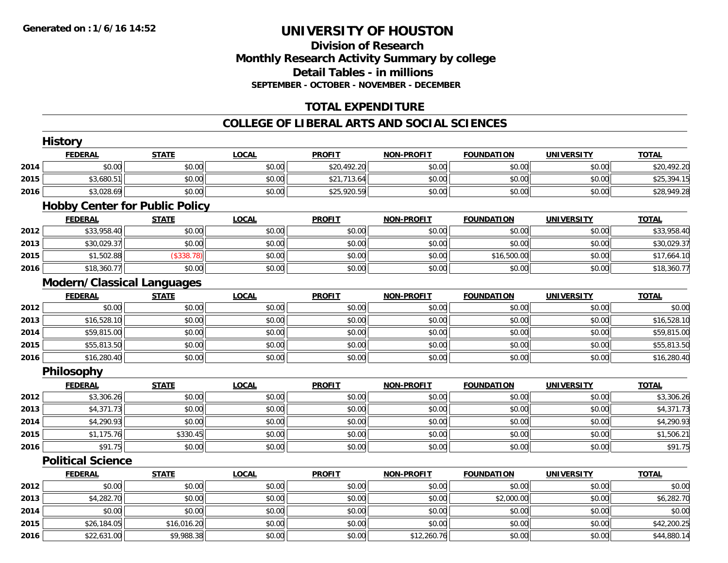### **Division of Research Monthly Research Activity Summary by college Detail Tables - in millions SEPTEMBER - OCTOBER - NOVEMBER - DECEMBER**

## **TOTAL EXPENDITURE**

#### **COLLEGE OF LIBERAL ARTS AND SOCIAL SCIENCES**

|      | <b>History</b>                    |                                       |              |               |                   |                   |                   |              |
|------|-----------------------------------|---------------------------------------|--------------|---------------|-------------------|-------------------|-------------------|--------------|
|      | <b>FEDERAL</b>                    | <b>STATE</b>                          | <b>LOCAL</b> | <b>PROFIT</b> | <b>NON-PROFIT</b> | <b>FOUNDATION</b> | <b>UNIVERSITY</b> | <b>TOTAL</b> |
| 2014 | \$0.00                            | \$0.00                                | \$0.00       | \$20,492.20   | \$0.00            | \$0.00            | \$0.00            | \$20,492.20  |
| 2015 | \$3,680.51                        | \$0.00                                | \$0.00       | \$21,713.64   | \$0.00            | \$0.00            | \$0.00            | \$25,394.15  |
| 2016 | \$3,028.69                        | \$0.00                                | \$0.00       | \$25,920.59   | \$0.00            | \$0.00            | \$0.00            | \$28,949.28  |
|      |                                   | <b>Hobby Center for Public Policy</b> |              |               |                   |                   |                   |              |
|      | <b>FEDERAL</b>                    | <b>STATE</b>                          | <b>LOCAL</b> | <b>PROFIT</b> | <b>NON-PROFIT</b> | <b>FOUNDATION</b> | <b>UNIVERSITY</b> | <b>TOTAL</b> |
| 2012 | \$33,958.40                       | \$0.00                                | \$0.00       | \$0.00        | \$0.00            | \$0.00            | \$0.00            | \$33,958.40  |
| 2013 | \$30,029.37                       | \$0.00                                | \$0.00       | \$0.00        | \$0.00            | \$0.00            | \$0.00            | \$30,029.37  |
| 2015 | \$1,502.88                        | (\$338.78)                            | \$0.00       | \$0.00        | \$0.00            | \$16,500.00       | \$0.00            | \$17,664.10  |
| 2016 | \$18,360.77                       | \$0.00                                | \$0.00       | \$0.00        | \$0.00            | \$0.00            | \$0.00            | \$18,360.77  |
|      | <b>Modern/Classical Languages</b> |                                       |              |               |                   |                   |                   |              |
|      | <b>FEDERAL</b>                    | <b>STATE</b>                          | <b>LOCAL</b> | <b>PROFIT</b> | <b>NON-PROFIT</b> | <b>FOUNDATION</b> | <b>UNIVERSITY</b> | <b>TOTAL</b> |
| 2012 | \$0.00                            | \$0.00                                | \$0.00       | \$0.00        | \$0.00            | \$0.00            | \$0.00            | \$0.00       |
| 2013 | \$16,528.10                       | \$0.00                                | \$0.00       | \$0.00        | \$0.00            | \$0.00            | \$0.00            | \$16,528.10  |
| 2014 | \$59,815.00                       | \$0.00                                | \$0.00       | \$0.00        | \$0.00            | \$0.00            | \$0.00            | \$59,815.00  |
| 2015 | \$55,813.50                       | \$0.00                                | \$0.00       | \$0.00        | \$0.00            | \$0.00            | \$0.00            | \$55,813.50  |
| 2016 | \$16,280.40                       | \$0.00                                | \$0.00       | \$0.00        | \$0.00            | \$0.00            | \$0.00            | \$16,280.40  |
|      | Philosophy                        |                                       |              |               |                   |                   |                   |              |
|      | <b>FEDERAL</b>                    | <b>STATE</b>                          | <b>LOCAL</b> | <b>PROFIT</b> | <b>NON-PROFIT</b> | <b>FOUNDATION</b> | <b>UNIVERSITY</b> | <b>TOTAL</b> |
| 2012 | \$3,306.26                        | \$0.00                                | \$0.00       | \$0.00        | \$0.00            | \$0.00            | \$0.00            | \$3,306.26   |
| 2013 | \$4,371.73                        | \$0.00                                | \$0.00       | \$0.00        | \$0.00            | \$0.00            | \$0.00            | \$4,371.73   |
| 2014 | \$4,290.93                        | \$0.00                                | \$0.00       | \$0.00        | \$0.00            | \$0.00            | \$0.00            | \$4,290.93   |
| 2015 | \$1,175.76                        | \$330.45                              | \$0.00       | \$0.00        | \$0.00            | \$0.00            | \$0.00            | \$1,506.21   |
| 2016 | \$91.75                           | \$0.00                                | \$0.00       | \$0.00        | \$0.00            | \$0.00            | \$0.00            | \$91.75      |
|      | <b>Political Science</b>          |                                       |              |               |                   |                   |                   |              |
|      | <b>FEDERAL</b>                    | <b>STATE</b>                          | <b>LOCAL</b> | <b>PROFIT</b> | <b>NON-PROFIT</b> | <b>FOUNDATION</b> | <b>UNIVERSITY</b> | <b>TOTAL</b> |
| 2012 | \$0.00                            | \$0.00                                | \$0.00       | \$0.00        | \$0.00            | \$0.00            | \$0.00            | \$0.00       |
| 2013 | \$4,282.70                        | \$0.00                                | \$0.00       | \$0.00        | \$0.00            | \$2,000.00        | \$0.00            | \$6,282.70   |
| 2014 | \$0.00                            | \$0.00                                | \$0.00       | \$0.00        | \$0.00            | \$0.00            | \$0.00            | \$0.00       |
| 2015 | \$26,184.05                       | \$16,016.20                           | \$0.00       | \$0.00        | \$0.00            | \$0.00            | \$0.00            | \$42,200.25  |
| 2016 | \$22,631.00                       | \$9,988.38                            | \$0.00       | \$0.00        | \$12,260.76       | \$0.00            | \$0.00            | \$44,880.14  |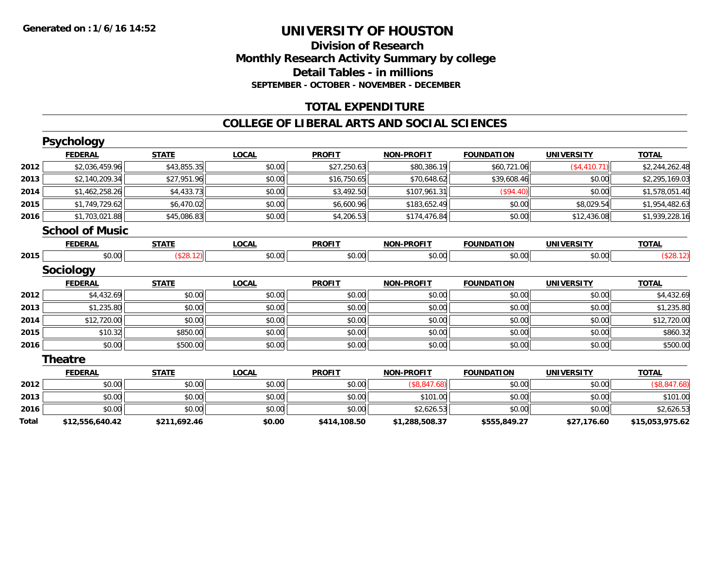### **Division of Research Monthly Research Activity Summary by college Detail Tables - in millions SEPTEMBER - OCTOBER - NOVEMBER - DECEMBER**

## **TOTAL EXPENDITURE**

#### **COLLEGE OF LIBERAL ARTS AND SOCIAL SCIENCES**

|       | <b>Psychology</b>      |              |              |               |                   |                   |                   |                 |
|-------|------------------------|--------------|--------------|---------------|-------------------|-------------------|-------------------|-----------------|
|       | <b>FEDERAL</b>         | <b>STATE</b> | <b>LOCAL</b> | <b>PROFIT</b> | <b>NON-PROFIT</b> | <b>FOUNDATION</b> | <b>UNIVERSITY</b> | <b>TOTAL</b>    |
| 2012  | \$2,036,459.96         | \$43,855.35  | \$0.00       | \$27,250.63   | \$80,386.19       | \$60,721.06       | (\$4,410.71)      | \$2,244,262.48  |
| 2013  | \$2,140,209.34         | \$27,951.96  | \$0.00       | \$16,750.65   | \$70,648.62       | \$39,608.46       | \$0.00            | \$2,295,169.03  |
| 2014  | \$1,462,258.26         | \$4,433.73   | \$0.00       | \$3,492.50    | \$107,961.31      | (\$94.40)         | \$0.00            | \$1,578,051.40  |
| 2015  | \$1,749,729.62         | \$6,470.02   | \$0.00       | \$6,600.96    | \$183,652.49      | \$0.00            | \$8,029.54        | \$1,954,482.63  |
| 2016  | \$1,703,021.88         | \$45,086.83  | \$0.00       | \$4,206.53    | \$174,476.84      | \$0.00            | \$12,436.08       | \$1,939,228.16  |
|       | <b>School of Music</b> |              |              |               |                   |                   |                   |                 |
|       | <b>FEDERAL</b>         | <b>STATE</b> | <b>LOCAL</b> | <b>PROFIT</b> | <b>NON-PROFIT</b> | <b>FOUNDATION</b> | <b>UNIVERSITY</b> | <b>TOTAL</b>    |
| 2015  | \$0.00                 | (\$28.12)    | \$0.00       | \$0.00        | \$0.00            | \$0.00            | \$0.00            | (\$28.12)       |
|       | <b>Sociology</b>       |              |              |               |                   |                   |                   |                 |
|       | <b>FEDERAL</b>         | <b>STATE</b> | <b>LOCAL</b> | <b>PROFIT</b> | <b>NON-PROFIT</b> | <b>FOUNDATION</b> | <b>UNIVERSITY</b> | <b>TOTAL</b>    |
| 2012  | \$4,432.69             | \$0.00       | \$0.00       | \$0.00        | \$0.00            | \$0.00            | \$0.00            | \$4,432.69      |
| 2013  | \$1,235.80             | \$0.00       | \$0.00       | \$0.00        | \$0.00            | \$0.00            | \$0.00            | \$1,235.80      |
| 2014  | \$12,720.00            | \$0.00       | \$0.00       | \$0.00        | \$0.00            | \$0.00            | \$0.00            | \$12,720.00     |
| 2015  | \$10.32                | \$850.00     | \$0.00       | \$0.00        | \$0.00            | \$0.00            | \$0.00            | \$860.32        |
| 2016  | \$0.00                 | \$500.00     | \$0.00       | \$0.00        | \$0.00            | \$0.00            | \$0.00            | \$500.00        |
|       | <b>Theatre</b>         |              |              |               |                   |                   |                   |                 |
|       | <b>FEDERAL</b>         | <b>STATE</b> | <b>LOCAL</b> | <b>PROFIT</b> | <b>NON-PROFIT</b> | <b>FOUNDATION</b> | <b>UNIVERSITY</b> | <b>TOTAL</b>    |
| 2012  | \$0.00                 | \$0.00       | \$0.00       | \$0.00        | (\$8,847.68)      | \$0.00            | \$0.00            | (\$8,847.68)    |
| 2013  | \$0.00                 | \$0.00       | \$0.00       | \$0.00        | \$101.00          | \$0.00            | \$0.00            | \$101.00        |
| 2016  | \$0.00                 | \$0.00       | \$0.00       | \$0.00        | \$2,626.53        | \$0.00            | \$0.00            | \$2,626.53      |
| Total | \$12,556,640.42        | \$211,692.46 | \$0.00       | \$414,108.50  | \$1,288,508.37    | \$555,849.27      | \$27,176.60       | \$15,053,975.62 |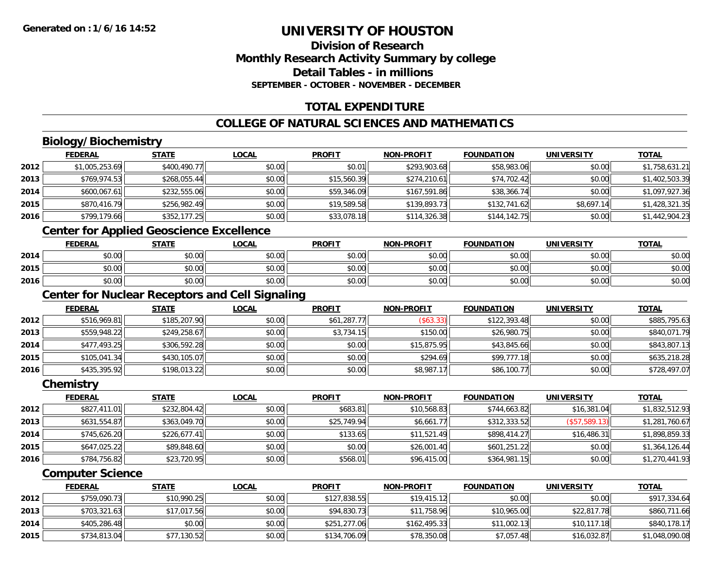## **Division of ResearchMonthly Research Activity Summary by college Detail Tables - in millions SEPTEMBER - OCTOBER - NOVEMBER - DECEMBER**

## **TOTAL EXPENDITURE**

## **COLLEGE OF NATURAL SCIENCES AND MATHEMATICS**

## **Biology/Biochemistry**

|      | <b>FEDERAL</b> | <u>STATE</u> | <u>LOCAL</u> | <b>PROFIT</b> | <b>NON-PROFIT</b> | <b>FOUNDATION</b> | <b>UNIVERSITY</b> | <b>TOTAL</b>   |
|------|----------------|--------------|--------------|---------------|-------------------|-------------------|-------------------|----------------|
| 2012 | \$1,005,253.69 | \$400,490.77 | \$0.00       | \$0.01        | \$293,903.68      | \$58,983.06       | \$0.00            | \$1,758,631.21 |
| 2013 | \$769,974.53   | \$268,055.44 | \$0.00       | \$15,560.39   | \$274,210.61      | \$74,702.42       | \$0.00            | \$1,402,503.39 |
| 2014 | \$600,067.61   | \$232,555.06 | \$0.00       | \$59,346.09   | \$167,591.86      | \$38,366.74       | \$0.00            | \$1,097,927.36 |
| 2015 | \$870,416.79   | \$256,982.49 | \$0.00       | \$19,589.58   | \$139,893.73      | \$132,741.62      | \$8,697.14        | \$1,428,321.35 |
| 2016 | \$799,179.66   | \$352,177.25 | \$0.00       | \$33,078.18   | \$114,326.38      | \$144,142.75      | \$0.00            | \$1,442,904.23 |

## **Center for Applied Geoscience Excellence**

|      | <b>FEDERAL</b> | <b>STATE</b> | <u>LOCAL</u> | <b>PROFIT</b> | <b>NON-PROFIT</b> | <b>FOUNDATION</b> | UNIVERSITY | <b>TOTAL</b> |
|------|----------------|--------------|--------------|---------------|-------------------|-------------------|------------|--------------|
| 2014 | ተ በ<br>DU.UU   | \$0.00       | \$0.00       | \$0.00        | \$0.00            | \$0.00            | \$0.00     | \$0.00       |
| 2015 | \$0.00         | \$0.00       | \$0.00       | \$0.00        | \$0.00            | \$0.00            | \$0.00     | \$0.00       |
| 2016 | \$0.00         | \$0.00       | \$0.00       | \$0.00        | \$0.00            | \$0.00            | \$0.00     | \$0.00       |

<u> 1980 - Johann Stoff, deutscher Stoff, der Stoff, der Stoff, der Stoff, der Stoff, der Stoff, der Stoff, der S</u>

## **Center for Nuclear Receptors and Cell Signaling**

|      | <b>FEDERAL</b> | <u>STATE</u> | <b>LOCAL</b> | <b>PROFIT</b> | <b>NON-PROFIT</b> | <b>FOUNDATION</b> | <b>UNIVERSITY</b> | <u>TOTAL</u> |
|------|----------------|--------------|--------------|---------------|-------------------|-------------------|-------------------|--------------|
| 2012 | \$516,969.81   | \$185,207.90 | \$0.00       | \$61,287.77   | (\$63.33)         | \$122,393.48      | \$0.00            | \$885,795.63 |
| 2013 | \$559,948.22   | \$249,258.67 | \$0.00       | \$3,734.15    | \$150.00          | \$26,980.75       | \$0.00            | \$840,071.79 |
| 2014 | \$477,493.25   | \$306,592.28 | \$0.00       | \$0.00        | \$15,875.95       | \$43,845.66       | \$0.00            | \$843,807.13 |
| 2015 | \$105,041.34   | \$430,105.07 | \$0.00       | \$0.00        | \$294.69          | \$99,777.18       | \$0.00            | \$635,218.28 |
| 2016 | \$435,395.92   | \$198,013.22 | \$0.00       | \$0.00        | \$8,987.17        | \$86,100.77       | \$0.00            | \$728,497.07 |

#### **Chemistry**

|      | <b>FEDERAL</b> | <u>STATE</u> | <u>LOCAL</u> | <b>PROFIT</b> | <b>NON-PROFIT</b> | <b>FOUNDATION</b> | <b>UNIVERSITY</b> | <b>TOTAL</b>   |
|------|----------------|--------------|--------------|---------------|-------------------|-------------------|-------------------|----------------|
| 2012 | \$827,411.01   | \$232,804.42 | \$0.00       | \$683.81      | \$10,568.83       | \$744,663.82      | \$16,381.04       | \$1,832,512.93 |
| 2013 | \$631,554.87   | \$363,049.70 | \$0.00       | \$25,749.94   | \$6,661.77        | \$312,333.52      | (\$57,589.13)     | \$1,281,760.67 |
| 2014 | \$745,626.20   | \$226,677.41 | \$0.00       | \$133.65      | \$11,521.49       | \$898,414.27      | \$16,486.31       | \$1,898,859.33 |
| 2015 | \$647,025.22   | \$89,848.60  | \$0.00       | \$0.00        | \$26,001.40       | \$601,251.22      | \$0.00            | \$1,364,126.44 |
| 2016 | \$784,756.82   | \$23,720.95  | \$0.00       | \$568.01      | \$96,415.00       | \$364,981.15      | \$0.00            | \$1,270,441.93 |

#### **Computer Science**

|      | <b>FEDERAL</b> | <u>STATE</u> | <u>LOCAL</u> | <b>PROFIT</b> | <b>NON-PROFIT</b> | <b>FOUNDATION</b> | <b>UNIVERSITY</b> | <b>TOTAL</b>   |
|------|----------------|--------------|--------------|---------------|-------------------|-------------------|-------------------|----------------|
| 2012 | \$759,090.73   | \$10,990.25  | \$0.00       | \$127,838.55  | \$19,415.12       | \$0.00            | \$0.00            | \$917,334.64   |
| 2013 | \$703,321.63   | \$17,017.56  | \$0.00       | \$94,830.73   | \$11,758.96       | \$10,965.00       | \$22,817.78       | \$860,711.66   |
| 2014 | \$405,286.48   | \$0.00       | \$0.00       | \$251,277.06  | \$162.495.33      | \$11,002.13       | \$10,117.18       | \$840,178.17   |
| 2015 | \$734,813.04   | \$77,130.52  | \$0.00       | \$134,706.09  | \$78,350.08       | \$7,057.48        | \$16,032.87       | \$1,048,090.08 |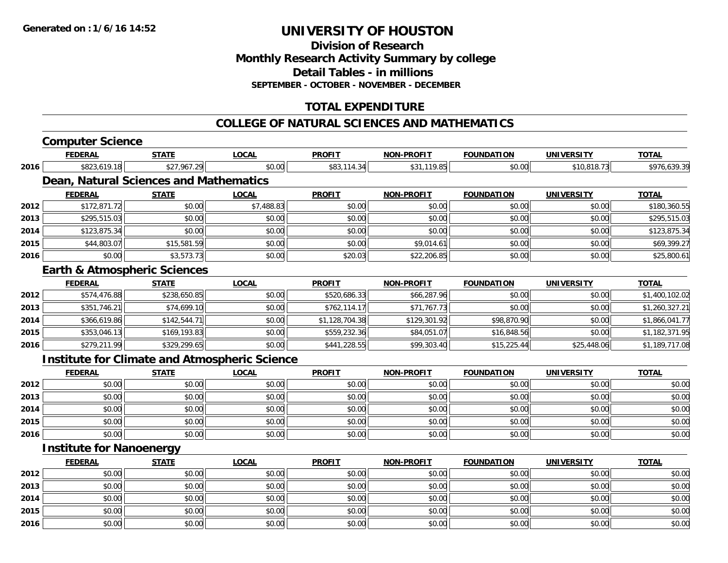**Division of ResearchMonthly Research Activity Summary by college Detail Tables - in millions SEPTEMBER - OCTOBER - NOVEMBER - DECEMBER**

## **TOTAL EXPENDITURE**

#### **COLLEGE OF NATURAL SCIENCES AND MATHEMATICS**

# **Computer Science**

**2014**

**2015**

**2016**

|      | <b>FEDERAL</b>                                       | <b>STATE</b> | <b>LOCAL</b> | <b>PROFIT</b>  | <b>NON-PROFIT</b> | <b>FOUNDATION</b> | UNIVERSITY        | <b>TOTAL</b>   |
|------|------------------------------------------------------|--------------|--------------|----------------|-------------------|-------------------|-------------------|----------------|
| 2016 | \$823,619.18                                         | \$27,967.29  | \$0.00       | \$83,114.34    | \$31,119.85       | \$0.00            | \$10,818.73       | \$976,639.39   |
|      | Dean, Natural Sciences and Mathematics               |              |              |                |                   |                   |                   |                |
|      | <b>FEDERAL</b>                                       | <b>STATE</b> | <b>LOCAL</b> | <b>PROFIT</b>  | <b>NON-PROFIT</b> | <b>FOUNDATION</b> | <b>UNIVERSITY</b> | <b>TOTAL</b>   |
| 2012 | \$172,871.72                                         | \$0.00       | \$7,488.83   | \$0.00         | \$0.00            | \$0.00            | \$0.00            | \$180,360.55   |
| 2013 | \$295,515.03                                         | \$0.00       | \$0.00       | \$0.00         | \$0.00            | \$0.00            | \$0.00            | \$295,515.03   |
| 2014 | \$123,875.34                                         | \$0.00       | \$0.00       | \$0.00         | \$0.00            | \$0.00            | \$0.00            | \$123,875.34   |
| 2015 | \$44,803.07                                          | \$15,581.59  | \$0.00       | \$0.00         | \$9,014.61        | \$0.00            | \$0.00            | \$69,399.27    |
| 2016 | \$0.00                                               | \$3,573.73   | \$0.00       | \$20.03        | \$22,206.85       | \$0.00            | \$0.00            | \$25,800.61    |
|      | <b>Earth &amp; Atmospheric Sciences</b>              |              |              |                |                   |                   |                   |                |
|      | <b>FEDERAL</b>                                       | <b>STATE</b> | <b>LOCAL</b> | <b>PROFIT</b>  | <b>NON-PROFIT</b> | <b>FOUNDATION</b> | <b>UNIVERSITY</b> | <b>TOTAL</b>   |
| 2012 | \$574,476.88                                         | \$238,650.85 | \$0.00       | \$520,686.33   | \$66,287.96       | \$0.00            | \$0.00            | \$1,400,102.02 |
| 2013 | \$351,746.21                                         | \$74,699.10  | \$0.00       | \$762,114.17   | \$71,767.73       | \$0.00            | \$0.00            | \$1,260,327.21 |
| 2014 | \$366,619.86                                         | \$142,544.71 | \$0.00       | \$1,128,704.38 | \$129,301.92      | \$98,870.90       | \$0.00            | \$1,866,041.77 |
| 2015 | \$353,046.13                                         | \$169,193.83 | \$0.00       | \$559,232.36   | \$84,051.07       | \$16,848.56       | \$0.00            | \$1,182,371.95 |
| 2016 | \$279,211.99                                         | \$329,299.65 | \$0.00       | \$441,228.55   | \$99,303.40       | \$15,225.44       | \$25,448.06       | \$1,189,717.08 |
|      | <b>Institute for Climate and Atmospheric Science</b> |              |              |                |                   |                   |                   |                |
|      | <b>FEDERAL</b>                                       | <b>STATE</b> | <b>LOCAL</b> | <b>PROFIT</b>  | <b>NON-PROFIT</b> | <b>FOUNDATION</b> | <b>UNIVERSITY</b> | <b>TOTAL</b>   |
| 2012 | \$0.00                                               | \$0.00       | \$0.00       | \$0.00         | \$0.00            | \$0.00            | \$0.00            | \$0.00         |
| 2013 | \$0.00                                               | \$0.00       | \$0.00       | \$0.00         | \$0.00            | \$0.00            | \$0.00            | \$0.00         |
| 2014 | \$0.00                                               | \$0.00       | \$0.00       | \$0.00         | \$0.00            | \$0.00            | \$0.00            | \$0.00         |
| 2015 | \$0.00                                               | \$0.00       | \$0.00       | \$0.00         | \$0.00            | \$0.00            | \$0.00            | \$0.00         |
| 2016 | \$0.00                                               | \$0.00       | \$0.00       | \$0.00         | \$0.00            | \$0.00            | \$0.00            | \$0.00         |
|      | <b>Institute for Nanoenergy</b>                      |              |              |                |                   |                   |                   |                |
|      | <b>FEDERAL</b>                                       | <b>STATE</b> | <b>LOCAL</b> | <b>PROFIT</b>  | <b>NON-PROFIT</b> | <b>FOUNDATION</b> | <b>UNIVERSITY</b> | <b>TOTAL</b>   |
| 2012 | \$0.00                                               | \$0.00       | \$0.00       | \$0.00         | \$0.00            | \$0.00            | \$0.00            | \$0.00         |
| 2013 | \$0.00                                               | \$0.00       | \$0.00       | \$0.00         | \$0.00            | \$0.00            | \$0.00            | \$0.00         |

4 \$0.00 \$0.00 \$0.00 \$0.00 \$0.00 \$0.00 \$0.00 \$0.00 \$0.00 \$0.00 \$0.00 \$0.00 \$0.00 \$0.00 \$0.00 \$0.00 \$0.00

\$0.00 \$0.00 \$0.00 \$0.00 \$0.00 \$0.00 \$0.00 \$0.00

6 \$0.00 \$0.00 \$0.00 \$0.00 \$0.00 \$0.00 \$0.00 \$0.00 \$0.00 \$0.00 \$0.00 \$0.00 \$0.00 \$0.00 \$0.00 \$0.00 \$0.00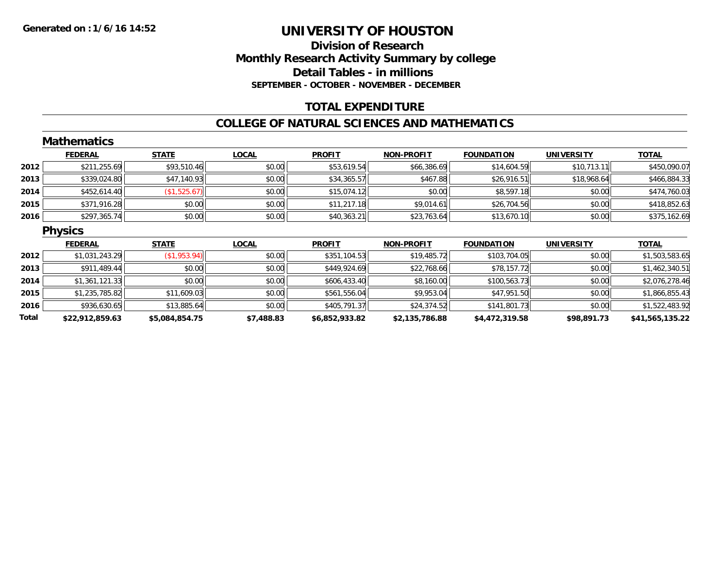### **Division of Research Monthly Research Activity Summary by college Detail Tables - in millions SEPTEMBER - OCTOBER - NOVEMBER - DECEMBER**

## **TOTAL EXPENDITURE**

#### **COLLEGE OF NATURAL SCIENCES AND MATHEMATICS**

|       | <b>Mathematics</b> |                |              |                |                   |                   |                   |                 |
|-------|--------------------|----------------|--------------|----------------|-------------------|-------------------|-------------------|-----------------|
|       | <b>FEDERAL</b>     | <b>STATE</b>   | <b>LOCAL</b> | <b>PROFIT</b>  | NON-PROFIT        | <b>FOUNDATION</b> | <b>UNIVERSITY</b> | <b>TOTAL</b>    |
| 2012  | \$211,255.69       | \$93,510.46    | \$0.00       | \$53,619.54    | \$66,386.69       | \$14,604.59       | \$10,713.11       | \$450,090.07    |
| 2013  | \$339,024.80       | \$47,140.93    | \$0.00       | \$34,365.57    | \$467.88          | \$26,916.51       | \$18,968.64       | \$466,884.33    |
| 2014  | \$452,614.40       | (\$1,525.67)   | \$0.00       | \$15,074.12    | \$0.00            | \$8,597.18        | \$0.00            | \$474,760.03    |
| 2015  | \$371,916.28       | \$0.00         | \$0.00       | \$11,217.18    | \$9,014.61        | \$26,704.56       | \$0.00            | \$418,852.63    |
| 2016  | \$297,365.74       | \$0.00         | \$0.00       | \$40,363.21    | \$23,763.64       | \$13,670.10       | \$0.00            | \$375,162.69    |
|       | <b>Physics</b>     |                |              |                |                   |                   |                   |                 |
|       | <b>FEDERAL</b>     | <b>STATE</b>   | <b>LOCAL</b> | <b>PROFIT</b>  | <b>NON-PROFIT</b> | <b>FOUNDATION</b> | <b>UNIVERSITY</b> | <b>TOTAL</b>    |
| 2012  | \$1,031,243.29     | (\$1,953.94)   | \$0.00       | \$351,104.53   | \$19,485.72       | \$103,704.05      | \$0.00            | \$1,503,583.65  |
| 2013  | \$911,489.44       | \$0.00         | \$0.00       | \$449,924.69   | \$22,768.66       | \$78,157.72       | \$0.00            | \$1,462,340.51  |
| 2014  | \$1,361,121.33     | \$0.00         | \$0.00       | \$606,433.40   | \$8,160.00        | \$100,563.73      | \$0.00            | \$2,076,278.46  |
| 2015  | \$1,235,785.82     | \$11,609.03    | \$0.00       | \$561,556.04   | \$9,953.04        | \$47,951.50       | \$0.00            | \$1,866,855.43  |
| 2016  | \$936,630.65       | \$13,885.64    | \$0.00       | \$405,791.37   | \$24,374.52       | \$141,801.73      | \$0.00            | \$1,522,483.92  |
| Total | \$22,912,859.63    | \$5,084,854.75 | \$7,488.83   | \$6,852,933.82 | \$2,135,786.88    | \$4,472,319.58    | \$98,891.73       | \$41,565,135.22 |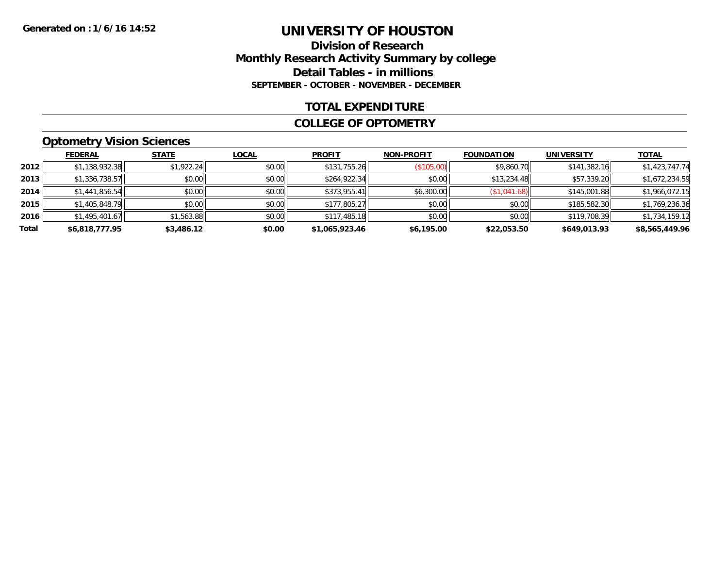### **Division of Research Monthly Research Activity Summary by college Detail Tables - in millions SEPTEMBER - OCTOBER - NOVEMBER - DECEMBER**

### **TOTAL EXPENDITURE**

#### **COLLEGE OF OPTOMETRY**

## **Optometry Vision Sciences**

|       | <b>FEDERAL</b> | <b>STATE</b> | <b>LOCAL</b> | <b>PROFIT</b>  | <b>NON-PROFIT</b> | <b>FOUNDATION</b> | <b>UNIVERSITY</b> | <b>TOTAL</b>   |
|-------|----------------|--------------|--------------|----------------|-------------------|-------------------|-------------------|----------------|
| 2012  | \$1,138,932.38 | \$1,922.24   | \$0.00       | \$131,755.26   | (\$105.00)        | \$9,860.70        | \$141,382.16      | \$1,423,747.74 |
| 2013  | \$1,336,738.57 | \$0.00       | \$0.00       | \$264,922.34   | \$0.00            | \$13,234.48       | \$57,339.20       | \$1,672,234.59 |
| 2014  | \$1,441,856.54 | \$0.00       | \$0.00       | \$373,955.41   | \$6,300.00        | (\$1,041.68)      | \$145,001.88      | \$1,966,072.15 |
| 2015  | \$1,405,848.79 | \$0.00       | \$0.00       | \$177,805.27   | \$0.00            | \$0.00            | \$185,582.30      | \$1,769,236.36 |
| 2016  | \$1,495,401.67 | \$1,563.88   | \$0.00       | \$117,485.18   | \$0.00            | \$0.00            | \$119,708.39      | \$1,734,159.12 |
| Total | \$6,818,777.95 | \$3,486.12   | \$0.00       | \$1,065,923.46 | \$6,195.00        | \$22,053.50       | \$649,013.93      | \$8,565,449.96 |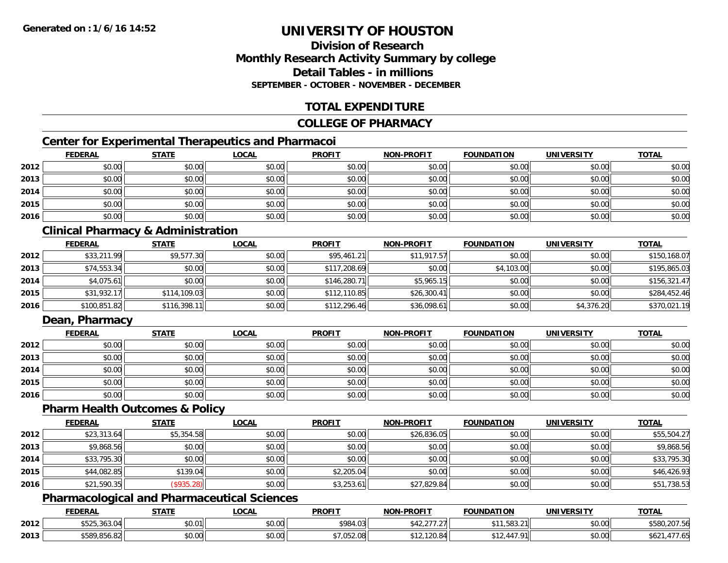#### **Division of ResearchMonthly Research Activity Summary by college Detail Tables - in millionsSEPTEMBER - OCTOBER - NOVEMBER - DECEMBER**

#### **TOTAL EXPENDITURE**

#### **COLLEGE OF PHARMACY**

#### **Center for Experimental Therapeutics and Pharmacoi**

|      | <b>FEDERAL</b> | <b>STATE</b> | <b>LOCAL</b> | <b>PROFIT</b> | <b>NON-PROFIT</b> | <b>FOUNDATION</b> | <b>UNIVERSITY</b> | <b>TOTAL</b> |
|------|----------------|--------------|--------------|---------------|-------------------|-------------------|-------------------|--------------|
| 2012 | \$0.00         | \$0.00       | \$0.00       | \$0.00        | \$0.00            | \$0.00            | \$0.00            | \$0.00       |
| 2013 | \$0.00         | \$0.00       | \$0.00       | \$0.00        | \$0.00            | \$0.00            | \$0.00            | \$0.00       |
| 2014 | \$0.00         | \$0.00       | \$0.00       | \$0.00        | \$0.00            | \$0.00            | \$0.00            | \$0.00       |
| 2015 | \$0.00         | \$0.00       | \$0.00       | \$0.00        | \$0.00            | \$0.00            | \$0.00            | \$0.00       |
| 2016 | \$0.00         | \$0.00       | \$0.00       | \$0.00        | \$0.00            | \$0.00            | \$0.00            | \$0.00       |

#### **Clinical Pharmacy & Administration**

|      | <b>FEDERAL</b> | <b>STATE</b> | <u>LOCAL</u> | <b>PROFIT</b> | <b>NON-PROFIT</b> | <b>FOUNDATION</b> | <b>UNIVERSITY</b> | <b>TOTAL</b> |
|------|----------------|--------------|--------------|---------------|-------------------|-------------------|-------------------|--------------|
| 2012 | \$33,211.99    | \$9,577.30   | \$0.00       | \$95,461.21   | \$11,917.57       | \$0.00            | \$0.00            | \$150,168.07 |
| 2013 | \$74,553.34    | \$0.00       | \$0.00       | \$117,208.69  | \$0.00            | \$4,103.00        | \$0.00            | \$195,865.03 |
| 2014 | \$4,075.61     | \$0.00       | \$0.00       | \$146,280.71  | \$5,965.15        | \$0.00            | \$0.00            | \$156,321.47 |
| 2015 | \$31,932.17    | \$114,109.03 | \$0.00       | \$112,110.85  | \$26,300.41       | \$0.00            | \$0.00            | \$284,452.46 |
| 2016 | \$100,851.82   | \$116,398.11 | \$0.00       | \$112,296.46  | \$36,098.61       | \$0.00            | \$4,376.20        | \$370,021.19 |

#### **Dean, Pharmacy**

|      | <b>FEDERAL</b> | <b>STATE</b> | <u>LOCAL</u> | <b>PROFIT</b> | <b>NON-PROFIT</b> | <b>FOUNDATION</b> | <b>UNIVERSITY</b> | <b>TOTAL</b> |
|------|----------------|--------------|--------------|---------------|-------------------|-------------------|-------------------|--------------|
| 2012 | \$0.00         | \$0.00       | \$0.00       | \$0.00        | \$0.00            | \$0.00            | \$0.00            | \$0.00       |
| 2013 | \$0.00         | \$0.00       | \$0.00       | \$0.00        | \$0.00            | \$0.00            | \$0.00            | \$0.00       |
| 2014 | \$0.00         | \$0.00       | \$0.00       | \$0.00        | \$0.00            | \$0.00            | \$0.00            | \$0.00       |
| 2015 | \$0.00         | \$0.00       | \$0.00       | \$0.00        | \$0.00            | \$0.00            | \$0.00            | \$0.00       |
| 2016 | \$0.00         | \$0.00       | \$0.00       | \$0.00        | \$0.00            | \$0.00            | \$0.00            | \$0.00       |

#### **Pharm Health Outcomes & Policy**

|      | <b>FEDERAL</b> | <b>STATE</b>      | <b>LOCAL</b> | <b>PROFIT</b> | <b>NON-PROFIT</b> | <b>FOUNDATION</b> | <b>UNIVERSITY</b> | <b>TOTAL</b> |
|------|----------------|-------------------|--------------|---------------|-------------------|-------------------|-------------------|--------------|
| 2012 | \$23,313.64    | \$5,354.58        | \$0.00       | \$0.00        | \$26,836.05       | \$0.00            | \$0.00            | \$55,504.27  |
| 2013 | \$9,868.56     | \$0.00            | \$0.00       | \$0.00        | \$0.00            | \$0.00            | \$0.00            | \$9,868.56   |
| 2014 | \$33,795.30    | \$0.00            | \$0.00       | \$0.00        | \$0.00            | \$0.00            | \$0.00            | \$33,795.30  |
| 2015 | \$44,082.85    | \$139.04          | \$0.00       | \$2,205.04    | \$0.00            | \$0.00            | \$0.00            | \$46,426.93  |
| 2016 | \$21,590.35    | $($ \$935.28) $ $ | \$0.00       | \$3,253.61    | \$27,829.84       | \$0.00            | \$0.00            | \$51,738.53  |

#### **Pharmacological and Pharmaceutical Sciences**

|      | <b>FEDERAL</b>                       | <b>STATE</b>     | LOCAL                     | <b>PROFIT</b>     | <b>NON-PROFIT</b> | <b>UNDATION</b>          | UNIVERSITY | <b>TOTAL</b>        |
|------|--------------------------------------|------------------|---------------------------|-------------------|-------------------|--------------------------|------------|---------------------|
| 2012 | $+ - - -$<br>⊅J∠J,JUJ.U <del>∽</del> | \$0.01<br>DU.U I | $\sim$ 00<br>10.UU        | 0.00102<br>704.UJ |                   | .583.21                  | \$0.00     | CCD<br>\$580,207.56 |
| 2013 | \$589.856.82                         | \$0.00           | $\sim$<br>$\sim$<br>PU.UU | ,052.08           | –∪.o <del>∽</del> | 47 91<br>$\Delta \Delta$ | \$0.00     | 1.0.                |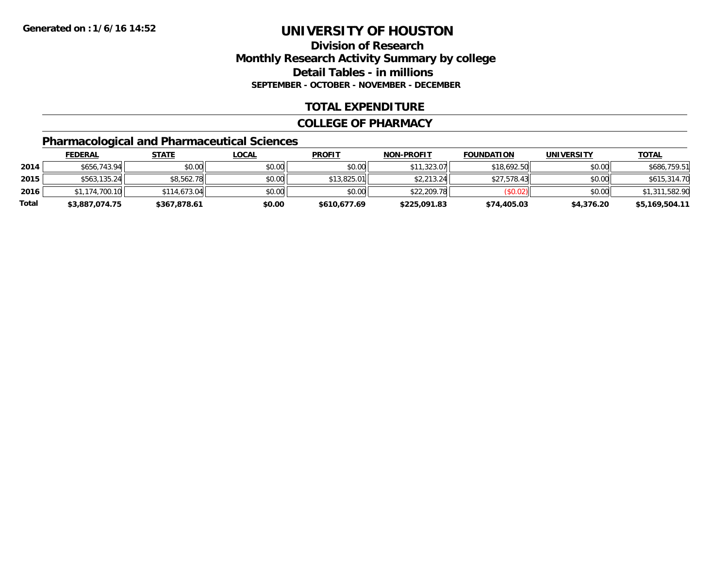#### **Division of ResearchMonthly Research Activity Summary by college Detail Tables - in millions SEPTEMBER - OCTOBER - NOVEMBER - DECEMBER**

#### **TOTAL EXPENDITURE**

#### **COLLEGE OF PHARMACY**

### **Pharmacological and Pharmaceutical Sciences**

|       | <b>FEDERAL</b> | <u>STATE</u> | <u>LOCAL</u> | <b>PROFIT</b> | <b>NON-PROFIT</b> | <b>FOUNDATION</b> | <b>UNIVERSITY</b> | <u>TOTAL</u>   |
|-------|----------------|--------------|--------------|---------------|-------------------|-------------------|-------------------|----------------|
| 2014  | \$656,743.94   | \$0.00       | \$0.00       | \$0.00        | \$11,323.07       | \$18,692.50       | \$0.00            | \$686,759.51   |
| 2015  | \$563,135.24   | \$8,562.78   | \$0.00       | \$13,825.01   | \$2,213.24        | \$27,578.43       | \$0.00            | \$615,314.70   |
| 2016  | \$1,174,700.10 | \$114,673.04 | \$0.00       | \$0.00        | \$22,209.78       | (S0.02)           | \$0.00            | \$1,311,582.90 |
| Total | \$3,887,074.75 | \$367,878.61 | \$0.00       | \$610,677.69  | \$225,091.83      | \$74,405.03       | \$4,376.20        | \$5,169,504.11 |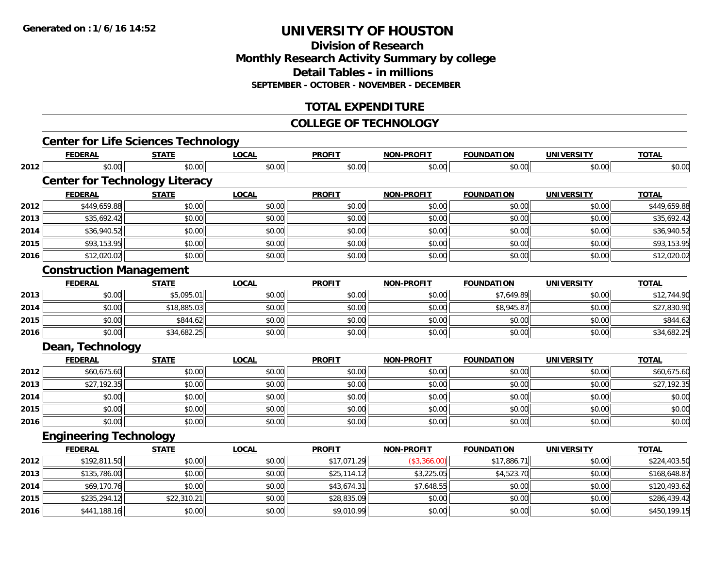**Division of ResearchMonthly Research Activity Summary by college Detail Tables - in millions SEPTEMBER - OCTOBER - NOVEMBER - DECEMBER**

#### **TOTAL EXPENDITURE**

#### **COLLEGE OF TECHNOLOGY**

|      | <b>Center for Life Sciences Technology</b> |              |              |               |                   |                   |                   |              |
|------|--------------------------------------------|--------------|--------------|---------------|-------------------|-------------------|-------------------|--------------|
|      | <b>FEDERAL</b>                             | <b>STATE</b> | <b>LOCAL</b> | <b>PROFIT</b> | <b>NON-PROFIT</b> | <b>FOUNDATION</b> | <b>UNIVERSITY</b> | <b>TOTAL</b> |
| 2012 | \$0.00                                     | \$0.00       | \$0.00       | \$0.00        | \$0.00            | \$0.00            | \$0.00            | \$0.00       |
|      | <b>Center for Technology Literacy</b>      |              |              |               |                   |                   |                   |              |
|      | <b>FEDERAL</b>                             | <b>STATE</b> | <b>LOCAL</b> | <b>PROFIT</b> | <b>NON-PROFIT</b> | <b>FOUNDATION</b> | <b>UNIVERSITY</b> | <b>TOTAL</b> |
| 2012 | \$449,659.88                               | \$0.00       | \$0.00       | \$0.00        | \$0.00            | \$0.00            | \$0.00            | \$449,659.88 |
| 2013 | \$35,692.42                                | \$0.00       | \$0.00       | \$0.00        | \$0.00            | \$0.00            | \$0.00            | \$35,692.42  |
| 2014 | \$36,940.52                                | \$0.00       | \$0.00       | \$0.00        | \$0.00            | \$0.00            | \$0.00            | \$36,940.52  |
| 2015 | \$93,153.95                                | \$0.00       | \$0.00       | \$0.00        | \$0.00            | \$0.00            | \$0.00            | \$93,153.95  |
| 2016 | \$12,020.02                                | \$0.00       | \$0.00       | \$0.00        | \$0.00            | \$0.00            | \$0.00            | \$12,020.02  |
|      | <b>Construction Management</b>             |              |              |               |                   |                   |                   |              |
|      | <b>FEDERAL</b>                             | <b>STATE</b> | <b>LOCAL</b> | <b>PROFIT</b> | <b>NON-PROFIT</b> | <b>FOUNDATION</b> | <b>UNIVERSITY</b> | <b>TOTAL</b> |
| 2013 | \$0.00                                     | \$5,095.01   | \$0.00       | \$0.00        | \$0.00            | \$7,649.89        | \$0.00            | \$12,744.90  |
| 2014 | \$0.00                                     | \$18,885.03  | \$0.00       | \$0.00        | \$0.00            | \$8,945.87        | \$0.00            | \$27,830.90  |
| 2015 | \$0.00                                     | \$844.62     | \$0.00       | \$0.00        | \$0.00            | \$0.00            | \$0.00            | \$844.62     |
| 2016 | \$0.00                                     | \$34,682.25  | \$0.00       | \$0.00        | \$0.00            | \$0.00            | \$0.00            | \$34,682.25  |
|      | Dean, Technology                           |              |              |               |                   |                   |                   |              |
|      | <b>FEDERAL</b>                             | <b>STATE</b> | <b>LOCAL</b> | <b>PROFIT</b> | <b>NON-PROFIT</b> | <b>FOUNDATION</b> | <b>UNIVERSITY</b> | <b>TOTAL</b> |
| 2012 | \$60.675.60                                | \$0.00       | \$0.00       | \$0.00        | \$0.00            | \$0.00            | \$0.00            | \$60,675.60  |
| 2013 | \$27,192.35                                | \$0.00       | \$0.00       | \$0.00        | \$0.00            | \$0.00            | \$0.00            | \$27,192.35  |
| 2014 | \$0.00                                     | \$0.00       | \$0.00       | \$0.00        | \$0.00            | \$0.00            | \$0.00            | \$0.00       |
| 2015 | \$0.00                                     | \$0.00       | \$0.00       | \$0.00        | \$0.00            | \$0.00            | \$0.00            | \$0.00       |
| 2016 | \$0.00                                     | \$0.00       | \$0.00       | \$0.00        | \$0.00            | \$0.00            | \$0.00            | \$0.00       |
|      | <b>Engineering Technology</b>              |              |              |               |                   |                   |                   |              |
|      | <b>FEDERAL</b>                             | <b>STATE</b> | <b>LOCAL</b> | <b>PROFIT</b> | <b>NON-PROFIT</b> | <b>FOUNDATION</b> | <b>UNIVERSITY</b> | <b>TOTAL</b> |
| 2012 | \$192,811.50                               | \$0.00       | \$0.00       | \$17,071.29   | (\$3,366.00)      | \$17,886.71       | \$0.00            | \$224,403.50 |
| 2013 | \$135,786.00                               | \$0.00       | \$0.00       | \$25,114.12   | \$3,225.05        | \$4,523.70        | \$0.00            | \$168,648.87 |
| 2014 | \$69,170.76                                | \$0.00       | \$0.00       | \$43,674.31   | \$7,648.55        | \$0.00            | \$0.00            | \$120,493.62 |
| 2015 | \$235,294.12                               | \$22,310.21  | \$0.00       | \$28,835.09   | \$0.00            | \$0.00            | \$0.00            | \$286,439.42 |
| 2016 | \$441,188.16                               | \$0.00       | \$0.00       | \$9,010.99    | \$0.00            | \$0.00            | \$0.00            | \$450,199.15 |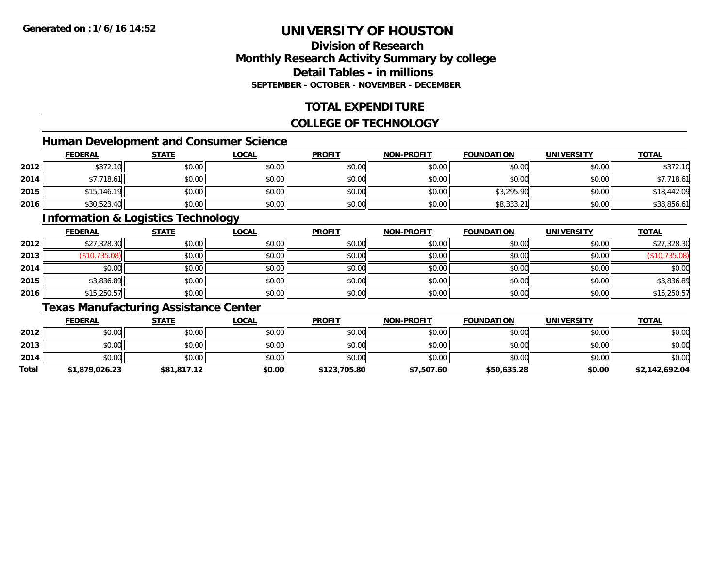#### **Division of ResearchMonthly Research Activity Summary by college Detail Tables - in millionsSEPTEMBER - OCTOBER - NOVEMBER - DECEMBER**

#### **TOTAL EXPENDITURE**

#### **COLLEGE OF TECHNOLOGY**

#### **Human Development and Consumer Science**

|      | <b>FEDERAL</b> | <b>STATE</b> | <u>LOCAL</u> | <b>PROFIT</b> | <b>NON-PROFIT</b> | <b>FOUNDATION</b> | <b>UNIVERSITY</b> | <b>TOTAL</b> |
|------|----------------|--------------|--------------|---------------|-------------------|-------------------|-------------------|--------------|
| 2012 | \$372.10       | \$0.00       | \$0.00       | \$0.00        | \$0.00            | \$0.00            | \$0.00            | \$372.10     |
| 2014 | \$7,718.61     | \$0.00       | \$0.00       | \$0.00        | \$0.00            | \$0.00            | \$0.00            | \$7,718.61   |
| 2015 | \$15,146.19    | \$0.00       | \$0.00       | \$0.00        | \$0.00            | \$3,295.90        | \$0.00            | \$18,442.09  |
| 2016 | \$30,523.40    | \$0.00       | \$0.00       | \$0.00        | \$0.00            | \$8,333.21        | \$0.00            | \$38,856.61  |

#### **Information & Logistics Technology**

|      | <b>FEDERAL</b> | <b>STATE</b> | <u>LOCAL</u> | <b>PROFIT</b> | <b>NON-PROFIT</b> | <b>FOUNDATION</b> | <b>UNIVERSITY</b> | <b>TOTAL</b>       |
|------|----------------|--------------|--------------|---------------|-------------------|-------------------|-------------------|--------------------|
| 2012 | \$27,328.30    | \$0.00       | \$0.00       | \$0.00        | \$0.00            | \$0.00            | \$0.00            | \$27,328.30        |
| 2013 | (S10, 735.08)  | \$0.00       | \$0.00       | \$0.00        | \$0.00            | \$0.00            | \$0.00            | 735.08)<br>′\$10,7 |
| 2014 | \$0.00         | \$0.00       | \$0.00       | \$0.00        | \$0.00            | \$0.00            | \$0.00            | \$0.00             |
| 2015 | \$3,836.89     | \$0.00       | \$0.00       | \$0.00        | \$0.00            | \$0.00            | \$0.00            | \$3,836.89         |
| 2016 | \$15,250.57    | \$0.00       | \$0.00       | \$0.00        | \$0.00            | \$0.00            | \$0.00            | \$15,250.57        |

### **Texas Manufacturing Assistance Center**

|       | <b>FEDERAL</b> | <u>STATE</u> | <u>LOCAL</u> | <b>PROFIT</b> | <b>NON-PROFIT</b> | <b>FOUNDATION</b> | <b>UNIVERSITY</b> | <b>TOTAL</b>   |
|-------|----------------|--------------|--------------|---------------|-------------------|-------------------|-------------------|----------------|
| 2012  | \$0.00         | \$0.00       | \$0.00       | \$0.00        | \$0.00            | \$0.00            | \$0.00            | \$0.00         |
| 2013  | \$0.00         | \$0.00       | \$0.00       | \$0.00        | \$0.00            | \$0.00            | \$0.00            | \$0.00         |
| 2014  | \$0.00         | \$0.00       | \$0.00       | \$0.00        | \$0.00            | \$0.00            | \$0.00            | \$0.00         |
| Total | \$1,879,026.23 | \$81,817.12  | \$0.00       | \$123,705.80  | \$7,507.60        | \$50,635.28       | \$0.00            | \$2,142,692.04 |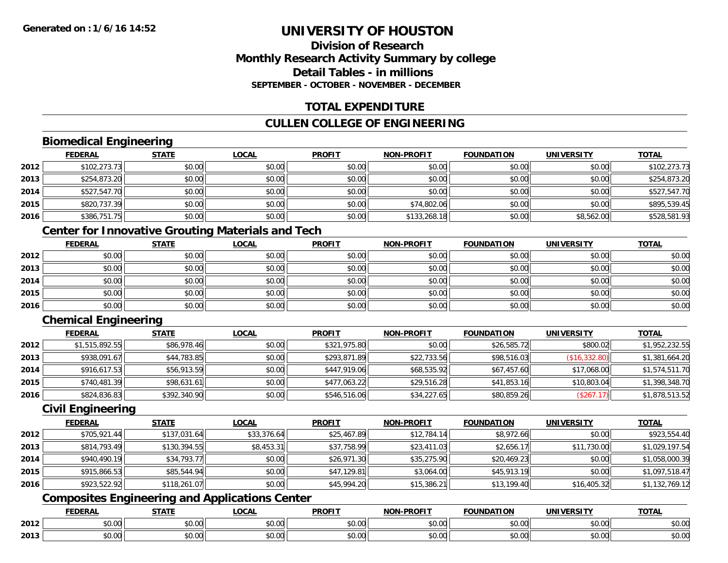#### **Division of ResearchMonthly Research Activity Summary by college Detail Tables - in millionsSEPTEMBER - OCTOBER - NOVEMBER - DECEMBER**

#### **TOTAL EXPENDITURE**

#### **CULLEN COLLEGE OF ENGINEERING**

#### **Biomedical Engineering**

|      | <b>FEDERAL</b> | <b>STATE</b> | <u>LOCAL</u> | <b>PROFIT</b> | <b>NON-PROFIT</b> | <b>FOUNDATION</b> | <b>UNIVERSITY</b> | <b>TOTAL</b> |
|------|----------------|--------------|--------------|---------------|-------------------|-------------------|-------------------|--------------|
| 2012 | \$102,273.73   | \$0.00       | \$0.00       | \$0.00        | \$0.00            | \$0.00            | \$0.00            | \$102,273.73 |
| 2013 | \$254,873.20   | \$0.00       | \$0.00       | \$0.00        | \$0.00            | \$0.00            | \$0.00            | \$254,873.20 |
| 2014 | \$527,547.70   | \$0.00       | \$0.00       | \$0.00        | \$0.00            | \$0.00            | \$0.00            | \$527,547.70 |
| 2015 | \$820,737.39   | \$0.00       | \$0.00       | \$0.00        | \$74,802.06       | \$0.00            | \$0.00            | \$895,539.45 |
| 2016 | \$386,751.75   | \$0.00       | \$0.00       | \$0.00        | \$133,268.18      | \$0.00            | \$8,562.00        | \$528,581.93 |

#### **Center for Innovative Grouting Materials and Tech**

|      | <b>FEDERAL</b> | <b>STATE</b> | <u>LOCAL</u> | <b>PROFIT</b> | <b>NON-PROFIT</b> | <b>FOUNDATION</b> | <b>UNIVERSITY</b> | <b>TOTAL</b> |
|------|----------------|--------------|--------------|---------------|-------------------|-------------------|-------------------|--------------|
| 2012 | \$0.00         | \$0.00       | \$0.00       | \$0.00        | \$0.00            | \$0.00            | \$0.00            | \$0.00       |
| 2013 | \$0.00         | \$0.00       | \$0.00       | \$0.00        | \$0.00            | \$0.00            | \$0.00            | \$0.00       |
| 2014 | \$0.00         | \$0.00       | \$0.00       | \$0.00        | \$0.00            | \$0.00            | \$0.00            | \$0.00       |
| 2015 | \$0.00         | \$0.00       | \$0.00       | \$0.00        | \$0.00            | \$0.00            | \$0.00            | \$0.00       |
| 2016 | \$0.00         | \$0.00       | \$0.00       | \$0.00        | \$0.00            | \$0.00            | \$0.00            | \$0.00       |

#### **Chemical Engineering**

|      | <b>FEDERAL</b> | <b>STATE</b> | <u>LOCAL</u> | <b>PROFIT</b> | <b>NON-PROFIT</b> | <b>FOUNDATION</b> | <b>UNIVERSITY</b> | <b>TOTAL</b>   |
|------|----------------|--------------|--------------|---------------|-------------------|-------------------|-------------------|----------------|
| 2012 | \$1,515,892.55 | \$86,978.46  | \$0.00       | \$321,975.80  | \$0.00            | \$26,585.72       | \$800.02          | \$1,952,232.55 |
| 2013 | \$938,091.67   | \$44,783.85  | \$0.00       | \$293,871.89  | \$22,733.56       | \$98,516.03       | (\$16,332.80)     | \$1,381,664.20 |
| 2014 | \$916,617.53   | \$56,913.59  | \$0.00       | \$447,919.06  | \$68,535.92       | \$67,457.60       | \$17,068.00       | \$1,574,511.70 |
| 2015 | \$740,481.39   | \$98,631.61  | \$0.00       | \$477,063.22  | \$29,516.28       | \$41,853.16       | \$10,803.04       | \$1,398,348.70 |
| 2016 | \$824,836.83   | \$392,340.90 | \$0.00       | \$546,516.06  | \$34,227.65       | \$80,859.26       | (\$267.17)        | \$1,878,513.52 |

#### **Civil Engineering**

|      | <b>FEDERAL</b> | <b>STATE</b> | <b>LOCAL</b> | <b>PROFIT</b> | <b>NON-PROFIT</b> | <b>FOUNDATION</b> | <b>UNIVERSITY</b> | <b>TOTAL</b>   |
|------|----------------|--------------|--------------|---------------|-------------------|-------------------|-------------------|----------------|
| 2012 | \$705,921.44   | \$137,031.64 | \$33,376.64  | \$25,467.89   | \$12,784.14       | \$8,972.66        | \$0.00            | \$923,554.40   |
| 2013 | \$814,793.49   | \$130,394.55 | \$8,453.31   | \$37,758.99   | \$23,411.03       | \$2,656.17        | \$11,730.00       | \$1,029,197.54 |
| 2014 | \$940,490.19   | \$34,793.77  | \$0.00       | \$26,971.30   | \$35,275.90       | \$20,469.23       | \$0.00            | \$1,058,000.39 |
| 2015 | \$915,866.53   | \$85,544.94  | \$0.00       | \$47,129.81   | \$3,064.00        | \$45,913.19       | \$0.00            | \$1,097,518.47 |
| 2016 | \$923,522.92   | \$118,261.07 | \$0.00       | \$45,994.20   | \$15,386.21       | \$13,199.40       | \$16,405.32       | \$1,132,769.12 |

#### **Composites Engineering and Applications Center**

|      | <b>DERAL</b>                     | <b>CTATI</b>          | $\bigcap$<br>.OCAI     | <b>PROFIT</b>                               | <b>DDAEIT</b><br><b>NION</b> | .<br>ב נוחו<br>LION | - R.J.         | <b>TOTAL</b>   |
|------|----------------------------------|-----------------------|------------------------|---------------------------------------------|------------------------------|---------------------|----------------|----------------|
| 2012 | $\sim$<br>$. \cup . \cup \cup$   | $\overline{ }$<br>ט.ט | $\sim$ 00<br>pu.uu     | $\sim$ 00<br>ູ∞ບ.ບບ                         | 0.00<br>PO.OO                | vv.vv               | 0.001<br>vv.vv | 0000<br>\$U.UU |
| 2013 | $\sim$ $\sim$<br>$\sim$<br>,u.uu | しいい                   | $\sim$ $\sim$<br>vu.uu | $\sim$ 00<br>$\vee$ . Use the set of $\vee$ | 0.00<br>PO.OO                | JU.UU               | 0.00<br>PO.OO  | ስ ለሰ<br>JU.UU  |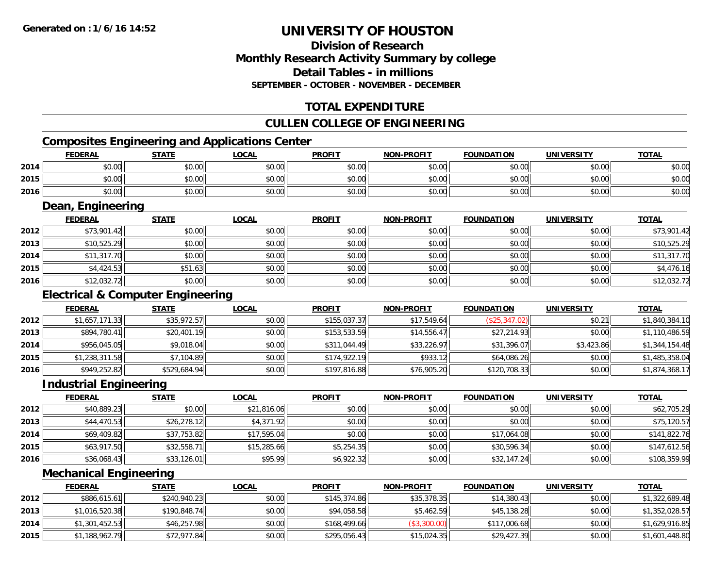#### **Division of ResearchMonthly Research Activity Summary by college Detail Tables - in millions SEPTEMBER - OCTOBER - NOVEMBER - DECEMBER**

#### **TOTAL EXPENDITURE**

#### **CULLEN COLLEGE OF ENGINEERING**

#### **Composites Engineering and Applications Center**

|      | <b>FEDERAL</b>    | <b>STATE</b> | <b>LOCAL</b> | <b>PROFIT</b> | <b>NON-PROFIT</b> | FOUNDATION | <b>UNIVERSITY</b> | <b>TOTAL</b> |  |
|------|-------------------|--------------|--------------|---------------|-------------------|------------|-------------------|--------------|--|
| 2014 | \$0.00            | \$0.00       | \$0.00       | \$0.00        | \$0.00            | \$0.00     | \$0.00            | \$0.00       |  |
| 2015 | \$0.00            | \$0.00       | \$0.00       | \$0.00        | \$0.00            | \$0.00     | \$0.00            | \$0.00       |  |
| 2016 | \$0.00            | \$0.00       | \$0.00       | \$0.00        | \$0.00            | \$0.00     | \$0.00            | \$0.00       |  |
|      | Dean, Engineering |              |              |               |                   |            |                   |              |  |

#### **FEDERAL STATE LOCAL PROFIT NON-PROFIT FOUNDATION UNIVERSITY TOTALTOTAL 2012**2 | \$73,901.42|| \$0.00|| \$0.00|| \$0.00|| \$0.00|| \$0.00|| \$0.00|| \$0.00|| \$0.00|| \$73,901.42 **2013** \$10,525.29 \$0.00 \$0.00 \$0.00 \$0.00 \$0.00 \$0.00 \$10,525.29 **2014**4 \$11,317.70| \$0.00| \$0.00| \$0.00| \$0.00| \$0.00| \$0.00| \$11,317.70 **2015** \$4,424.53 \$51.63 \$0.00 \$0.00 \$0.00 \$0.00 \$0.00 \$4,476.16 **2016**6 \$12,032.72 \$0.00 \$0.00 \$0.00 \$0.00 \$0.00 \$0.00 \$0.00 \$0.00 \$0.00 \$0.00 \$0.00 \$12,032.72

#### **Electrical & Computer Engineering**

|      | <b>FEDERAL</b> | <b>STATE</b> | <b>LOCAL</b> | <b>PROFIT</b> | <b>NON-PROFIT</b> | <b>FOUNDATION</b> | <b>UNIVERSITY</b> | <b>TOTAL</b>   |
|------|----------------|--------------|--------------|---------------|-------------------|-------------------|-------------------|----------------|
| 2012 | \$1,657,171.33 | \$35,972.57  | \$0.00       | \$155,037.37  | \$17,549.64       | (\$25,347.02)     | \$0.21            | \$1,840,384.10 |
| 2013 | \$894,780.41   | \$20,401.19  | \$0.00       | \$153,533.59  | \$14,556.47       | \$27,214.93       | \$0.00            | \$1,110,486.59 |
| 2014 | \$956,045.05   | \$9,018.04   | \$0.00       | \$311,044.49  | \$33,226.97       | \$31,396.07       | \$3,423.86        | \$1,344,154.48 |
| 2015 | \$1,238,311.58 | \$7,104.89   | \$0.00       | \$174.922.19  | \$933.12          | \$64,086.26       | \$0.00            | \$1,485,358.04 |
| 2016 | \$949,252.82   | \$529,684.94 | \$0.00       | \$197,816.88  | \$76,905.20       | \$120,708.33      | \$0.00            | \$1,874,368.17 |

#### **Industrial Engineering**

|      | <u>FEDERAL</u> | <b>STATE</b> | <b>LOCAL</b> | <b>PROFIT</b> | <b>NON-PROFIT</b> | <b>FOUNDATION</b> | <b>UNIVERSITY</b> | <b>TOTAL</b> |
|------|----------------|--------------|--------------|---------------|-------------------|-------------------|-------------------|--------------|
| 2012 | \$40,889.23    | \$0.00       | \$21,816.06  | \$0.00        | \$0.00            | \$0.00            | \$0.00            | \$62,705.29  |
| 2013 | \$44,470.53    | \$26,278.12  | \$4,371.92   | \$0.00        | \$0.00            | \$0.00            | \$0.00            | \$75,120.57  |
| 2014 | \$69,409.82    | \$37,753.82  | \$17,595.04  | \$0.00        | \$0.00            | \$17,064.08       | \$0.00            | \$141,822.76 |
| 2015 | \$63,917.50    | \$32,558.71  | \$15,285.66  | \$5,254.35    | \$0.00            | \$30,596.34       | \$0.00            | \$147,612.56 |
| 2016 | \$36,068.43    | \$33,126.01  | \$95.99      | \$6,922.32    | \$0.00            | \$32,147.24       | \$0.00            | \$108,359.99 |

#### **Mechanical Engineering**

|      | <b>FEDERAL</b> | <b>STATE</b> | <u>LOCAL</u> | <b>PROFIT</b> | <b>NON-PROFIT</b> | <b>FOUNDATION</b> | <b>UNIVERSITY</b> | <b>TOTAL</b>   |
|------|----------------|--------------|--------------|---------------|-------------------|-------------------|-------------------|----------------|
| 2012 | \$886,615.61   | \$240,940.23 | \$0.00       | \$145,374.86  | \$35,378.35       | \$14,380.43       | \$0.00            | \$1,322,689.48 |
| 2013 | \$1,016,520.38 | \$190,848.74 | \$0.00       | \$94,058.58   | \$5,462.59        | \$45,138.28       | \$0.00            | \$1,352,028.57 |
| 2014 | \$1,301,452.53 | \$46,257.98  | \$0.00       | \$168,499.66  | (\$3,300.00)      | \$117,006.68      | \$0.00            | \$1,629,916.85 |
| 2015 | \$1,188,962.79 | \$72,977.84  | \$0.00       | \$295,056.43  | \$15,024.35       | \$29,427.39       | \$0.00            | \$1,601,448.80 |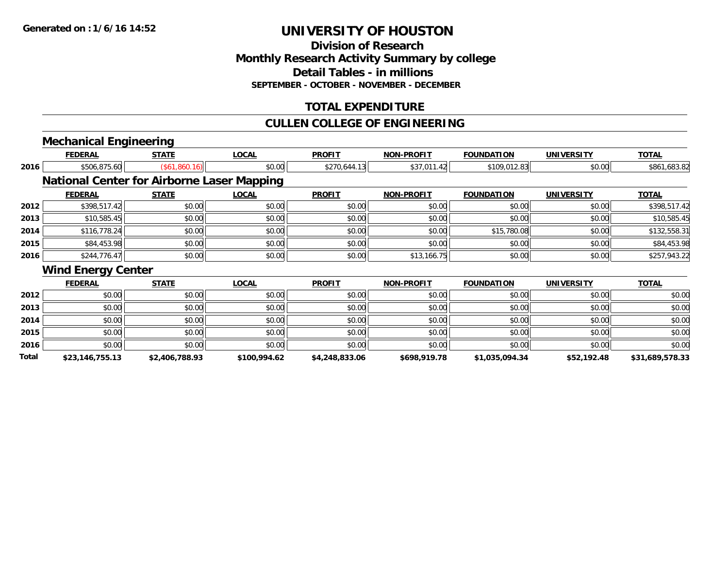#### **Division of ResearchMonthly Research Activity Summary by college Detail Tables - in millions SEPTEMBER - OCTOBER - NOVEMBER - DECEMBER**

#### **TOTAL EXPENDITURE**

#### **CULLEN COLLEGE OF ENGINEERING**

## **Mechanical Engineering**

|              | <b>FEDERAL</b>                                    | <b>STATE</b>         | <b>LOCAL</b> | <b>PROFIT</b>  | <b>NON-PROFIT</b> | <b>FOUNDATION</b> | <b>UNIVERSITY</b> | <b>TOTAL</b>    |
|--------------|---------------------------------------------------|----------------------|--------------|----------------|-------------------|-------------------|-------------------|-----------------|
| 2016         | \$506,875.60                                      | $($ \$61,860.16) $ $ | \$0.00       | \$270,644.13   | \$37,011.42       | \$109,012.83      | \$0.00            | \$861,683.82    |
|              | <b>National Center for Airborne Laser Mapping</b> |                      |              |                |                   |                   |                   |                 |
|              | <b>FEDERAL</b>                                    | <b>STATE</b>         | <b>LOCAL</b> | <b>PROFIT</b>  | <b>NON-PROFIT</b> | <b>FOUNDATION</b> | <b>UNIVERSITY</b> | <b>TOTAL</b>    |
| 2012         | \$398,517.42                                      | \$0.00               | \$0.00       | \$0.00         | \$0.00            | \$0.00            | \$0.00            | \$398,517.42    |
| 2013         | \$10,585.45                                       | \$0.00               | \$0.00       | \$0.00         | \$0.00            | \$0.00            | \$0.00            | \$10,585.45     |
| 2014         | \$116,778.24                                      | \$0.00               | \$0.00       | \$0.00         | \$0.00            | \$15,780.08       | \$0.00            | \$132,558.31    |
| 2015         | \$84,453.98                                       | \$0.00               | \$0.00       | \$0.00         | \$0.00            | \$0.00            | \$0.00            | \$84,453.98     |
| 2016         | \$244,776.47                                      | \$0.00               | \$0.00       | \$0.00         | \$13,166.75       | \$0.00            | \$0.00            | \$257,943.22    |
|              | <b>Wind Energy Center</b>                         |                      |              |                |                   |                   |                   |                 |
|              | <b>FEDERAL</b>                                    | <b>STATE</b>         | <b>LOCAL</b> | <b>PROFIT</b>  | <b>NON-PROFIT</b> | <b>FOUNDATION</b> | <b>UNIVERSITY</b> | <b>TOTAL</b>    |
| 2012         | \$0.00                                            | \$0.00               | \$0.00       | \$0.00         | \$0.00            | \$0.00            | \$0.00            | \$0.00          |
| 2013         | \$0.00                                            | \$0.00               | \$0.00       | \$0.00         | \$0.00            | \$0.00            | \$0.00            | \$0.00          |
| 2014         | \$0.00                                            | \$0.00               | \$0.00       | \$0.00         | \$0.00            | \$0.00            | \$0.00            | \$0.00          |
| 2015         | \$0.00                                            | \$0.00               | \$0.00       | \$0.00         | \$0.00            | \$0.00            | \$0.00            | \$0.00          |
| 2016         | \$0.00                                            | \$0.00               | \$0.00       | \$0.00         | \$0.00            | \$0.00            | \$0.00            | \$0.00          |
| <b>Total</b> | \$23,146,755.13                                   | \$2,406,788.93       | \$100,994.62 | \$4,248,833.06 | \$698,919.78      | \$1,035,094.34    | \$52,192.48       | \$31,689,578.33 |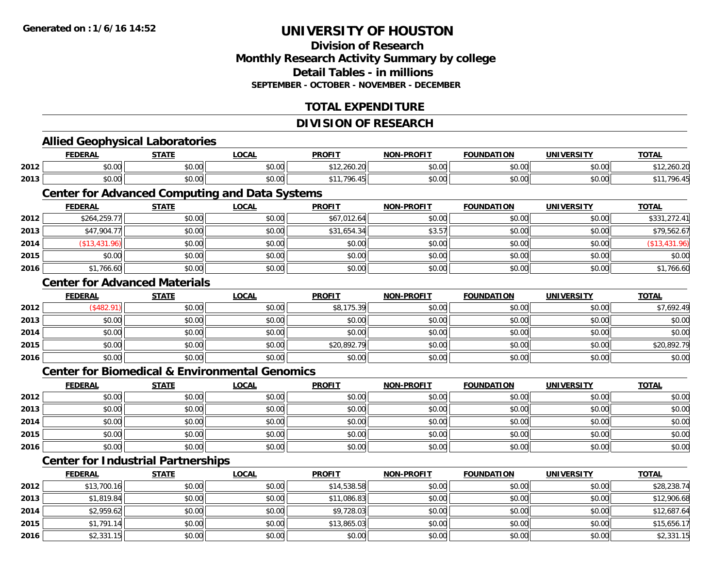#### **Division of ResearchMonthly Research Activity Summary by college Detail Tables - in millionsSEPTEMBER - OCTOBER - NOVEMBER - DECEMBER**

#### **TOTAL EXPENDITURE**

#### **DIVISION OF RESEARCH**

# **Allied Geophysical Laboratories**

|      | <b>FEDERAL</b> | ╶╌┰╻┰┍         | ne n<br>.UUAL | <b>PROFI</b>                          | <b>NION</b><br>-PROFIT | <b>FOUNDATION</b> | UNIVERSITY           | ----          |
|------|----------------|----------------|---------------|---------------------------------------|------------------------|-------------------|----------------------|---------------|
| 2012 | 0000<br>,u.uu  | ደስ ሰሰ<br>JU.UU | 0000<br>JU.UU | A<br>12.260.20                        | \$0.00                 | \$0.00            | 0000<br>\$U.UU       | $\sim$ $\sim$ |
| 2013 | 0000<br>ט.טע   | \$0.00         | 0000<br>JU.UU | $\overline{\phantom{a}}$<br>AA<br>.טל | \$0.00                 | \$0.00            | 0000<br><b>DU.UU</b> |               |

## **Center for Advanced Computing and Data Systems**

|      | <b>FEDERAL</b> | <u>STATE</u> | <u>LOCAL</u> | <b>PROFIT</b> | <b>NON-PROFIT</b> | <b>FOUNDATION</b> | <b>UNIVERSITY</b> | <b>TOTAL</b>  |
|------|----------------|--------------|--------------|---------------|-------------------|-------------------|-------------------|---------------|
| 2012 | \$264,259.77   | \$0.00       | \$0.00       | \$67,012.64   | \$0.00            | \$0.00            | \$0.00            | \$331,272.41  |
| 2013 | \$47,904.77    | \$0.00       | \$0.00       | \$31,654.34   | \$3.57            | \$0.00            | \$0.00            | \$79,562.67   |
| 2014 | (\$13,431.96)  | \$0.00       | \$0.00       | \$0.00        | \$0.00            | \$0.00            | \$0.00            | (\$13,431.96) |
| 2015 | \$0.00         | \$0.00       | \$0.00       | \$0.00        | \$0.00            | \$0.00            | \$0.00            | \$0.00        |
| 2016 | \$1,766.60     | \$0.00       | \$0.00       | \$0.00        | \$0.00            | \$0.00            | \$0.00            | \$1,766.60    |

#### **Center for Advanced Materials**

|      | <b>FEDERAL</b> | <b>STATE</b> | <u>LOCAL</u> | <b>PROFIT</b> | <b>NON-PROFIT</b> | <b>FOUNDATION</b> | <b>UNIVERSITY</b> | <b>TOTAL</b> |
|------|----------------|--------------|--------------|---------------|-------------------|-------------------|-------------------|--------------|
| 2012 | \$482.91       | \$0.00       | \$0.00       | \$8,175.39    | \$0.00            | \$0.00            | \$0.00            | \$7,692.49   |
| 2013 | \$0.00         | \$0.00       | \$0.00       | \$0.00        | \$0.00            | \$0.00            | \$0.00            | \$0.00       |
| 2014 | \$0.00         | \$0.00       | \$0.00       | \$0.00        | \$0.00            | \$0.00            | \$0.00            | \$0.00       |
| 2015 | \$0.00         | \$0.00       | \$0.00       | \$20,892.79   | \$0.00            | \$0.00            | \$0.00            | \$20,892.79  |
| 2016 | \$0.00         | \$0.00       | \$0.00       | \$0.00        | \$0.00            | \$0.00            | \$0.00            | \$0.00       |

#### **Center for Biomedical & Environmental Genomics**

|      | <u>FEDERAL</u> | <b>STATE</b> | <b>LOCAL</b> | <b>PROFIT</b> | <b>NON-PROFIT</b> | <b>FOUNDATION</b> | <b>UNIVERSITY</b> | <b>TOTAL</b> |
|------|----------------|--------------|--------------|---------------|-------------------|-------------------|-------------------|--------------|
| 2012 | \$0.00         | \$0.00       | \$0.00       | \$0.00        | \$0.00            | \$0.00            | \$0.00            | \$0.00       |
| 2013 | \$0.00         | \$0.00       | \$0.00       | \$0.00        | \$0.00            | \$0.00            | \$0.00            | \$0.00       |
| 2014 | \$0.00         | \$0.00       | \$0.00       | \$0.00        | \$0.00            | \$0.00            | \$0.00            | \$0.00       |
| 2015 | \$0.00         | \$0.00       | \$0.00       | \$0.00        | \$0.00            | \$0.00            | \$0.00            | \$0.00       |
| 2016 | \$0.00         | \$0.00       | \$0.00       | \$0.00        | \$0.00            | \$0.00            | \$0.00            | \$0.00       |

### **Center for Industrial Partnerships**

|      | <b>FEDERAL</b> | <b>STATE</b> | <u>LOCAL</u> | <b>PROFIT</b> | <b>NON-PROFIT</b> | <b>FOUNDATION</b> | <b>UNIVERSITY</b> | <b>TOTAL</b> |
|------|----------------|--------------|--------------|---------------|-------------------|-------------------|-------------------|--------------|
| 2012 | \$13,700.16    | \$0.00       | \$0.00       | \$14,538.58   | \$0.00            | \$0.00            | \$0.00            | \$28,238.74  |
| 2013 | \$1,819.84     | \$0.00       | \$0.00       | \$11,086.83   | \$0.00            | \$0.00            | \$0.00            | \$12,906.68  |
| 2014 | \$2,959.62     | \$0.00       | \$0.00       | \$9,728.03    | \$0.00            | \$0.00            | \$0.00            | \$12,687.64  |
| 2015 | \$1,791.14     | \$0.00       | \$0.00       | \$13,865.03   | \$0.00            | \$0.00            | \$0.00            | \$15,656.17  |
| 2016 | \$2,331.15     | \$0.00       | \$0.00       | \$0.00        | \$0.00            | \$0.00            | \$0.00            | \$2,331.15   |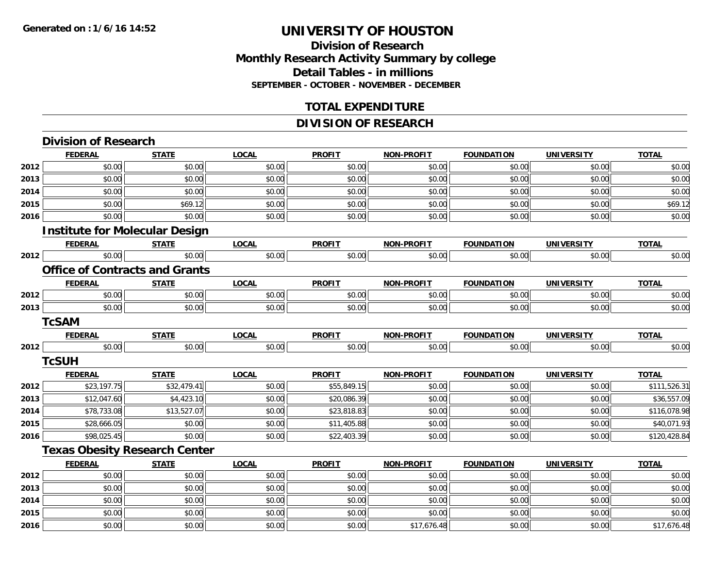**2015**

**2016**

## **UNIVERSITY OF HOUSTON**

#### **Division of ResearchMonthly Research Activity Summary by college Detail Tables - in millions SEPTEMBER - OCTOBER - NOVEMBER - DECEMBER**

#### **TOTAL EXPENDITURE**

#### **DIVISION OF RESEARCH**

|      | <b>Division of Research</b>           |              |              |               |                   |                   |                   |              |
|------|---------------------------------------|--------------|--------------|---------------|-------------------|-------------------|-------------------|--------------|
|      | <b>FEDERAL</b>                        | <b>STATE</b> | <b>LOCAL</b> | <b>PROFIT</b> | <b>NON-PROFIT</b> | <b>FOUNDATION</b> | <b>UNIVERSITY</b> | <b>TOTAL</b> |
| 2012 | \$0.00                                | \$0.00       | \$0.00       | \$0.00        | \$0.00            | \$0.00            | \$0.00            | \$0.00       |
| 2013 | \$0.00                                | \$0.00       | \$0.00       | \$0.00        | \$0.00            | \$0.00            | \$0.00            | \$0.00       |
| 2014 | \$0.00                                | \$0.00       | \$0.00       | \$0.00        | \$0.00            | \$0.00            | \$0.00            | \$0.00       |
| 2015 | \$0.00                                | \$69.12      | \$0.00       | \$0.00        | \$0.00            | \$0.00            | \$0.00            | \$69.12      |
| 2016 | \$0.00                                | \$0.00       | \$0.00       | \$0.00        | \$0.00            | \$0.00            | \$0.00            | \$0.00       |
|      | <b>Institute for Molecular Design</b> |              |              |               |                   |                   |                   |              |
|      | <b>FEDERAL</b>                        | <b>STATE</b> | <b>LOCAL</b> | <b>PROFIT</b> | <b>NON-PROFIT</b> | <b>FOUNDATION</b> | <b>UNIVERSITY</b> | <b>TOTAL</b> |
| 2012 | \$0.00                                | \$0.00       | \$0.00       | \$0.00        | \$0.00            | \$0.00            | \$0.00            | \$0.00       |
|      | <b>Office of Contracts and Grants</b> |              |              |               |                   |                   |                   |              |
|      | <b>FEDERAL</b>                        | <b>STATE</b> | <b>LOCAL</b> | <b>PROFIT</b> | <b>NON-PROFIT</b> | <b>FOUNDATION</b> | <b>UNIVERSITY</b> | <b>TOTAL</b> |
| 2012 | \$0.00                                | \$0.00       | \$0.00       | \$0.00        | \$0.00            | \$0.00            | \$0.00            | \$0.00       |
| 2013 | \$0.00                                | \$0.00       | \$0.00       | \$0.00        | \$0.00            | \$0.00            | \$0.00            | \$0.00       |
|      | <b>TcSAM</b>                          |              |              |               |                   |                   |                   |              |
|      | <b>FEDERAL</b>                        | <b>STATE</b> | <b>LOCAL</b> | <b>PROFIT</b> | <b>NON-PROFIT</b> | <b>FOUNDATION</b> | <b>UNIVERSITY</b> | <b>TOTAL</b> |
| 2012 | \$0.00                                | \$0.00       | \$0.00       | \$0.00        | \$0.00            | \$0.00            | \$0.00            | \$0.00       |
|      | <b>TcSUH</b>                          |              |              |               |                   |                   |                   |              |
|      | <b>FEDERAL</b>                        | <b>STATE</b> | <b>LOCAL</b> | <b>PROFIT</b> | <b>NON-PROFIT</b> | <b>FOUNDATION</b> | <b>UNIVERSITY</b> | <b>TOTAL</b> |
| 2012 | \$23,197.75                           | \$32,479.41  | \$0.00       | \$55,849.15   | \$0.00            | \$0.00            | \$0.00            | \$111,526.31 |
| 2013 | \$12,047.60                           | \$4,423.10   | \$0.00       | \$20,086.39   | \$0.00            | \$0.00            | \$0.00            | \$36,557.09  |
| 2014 | \$78,733.08                           | \$13,527.07  | \$0.00       | \$23,818.83   | \$0.00            | \$0.00            | \$0.00            | \$116,078.98 |
| 2015 | \$28,666.05                           | \$0.00       | \$0.00       | \$11,405.88   | \$0.00            | \$0.00            | \$0.00            | \$40,071.93  |
| 2016 | \$98,025.45                           | \$0.00       | \$0.00       | \$22,403.39   | \$0.00            | \$0.00            | \$0.00            | \$120,428.84 |
|      | <b>Texas Obesity Research Center</b>  |              |              |               |                   |                   |                   |              |
|      | <b>FEDERAL</b>                        | <b>STATE</b> | <b>LOCAL</b> | <b>PROFIT</b> | <b>NON-PROFIT</b> | <b>FOUNDATION</b> | <b>UNIVERSITY</b> | <b>TOTAL</b> |
| 2012 | \$0.00                                | \$0.00       | \$0.00       | \$0.00        | \$0.00            | \$0.00            | \$0.00            | \$0.00       |
| 2013 | \$0.00                                | \$0.00       | \$0.00       | \$0.00        | \$0.00            | \$0.00            | \$0.00            | \$0.00       |
| 2014 | \$0.00                                | \$0.00       | \$0.00       | \$0.00        | \$0.00            | \$0.00            | \$0.00            | \$0.00       |

\$0.00 \$0.00 \$0.00 \$0.00 \$0.00 \$0.00 \$0.00 \$0.00

6 \$0.00 \$0.00 \$0.00 \$0.00 \$0.00 \$0.00 \$0.00 \$0.00 \$0.00 \$17,676.48 \$17,676.48 \$0.00 \$17,676.48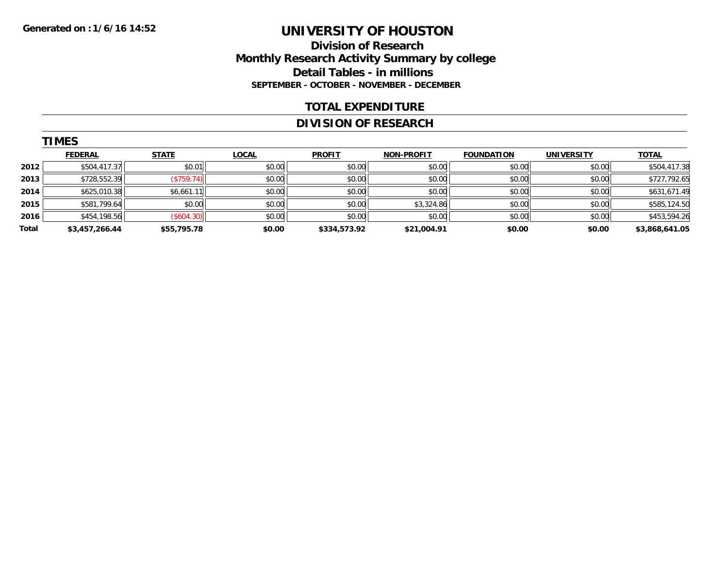#### **Division of Research Monthly Research Activity Summary by college Detail Tables - in millions SEPTEMBER - OCTOBER - NOVEMBER - DECEMBER**

#### **TOTAL EXPENDITURE**

#### **DIVISION OF RESEARCH**

|       | <b>TIMES</b>   |              |              |               |                   |                   |                   |                |  |  |  |
|-------|----------------|--------------|--------------|---------------|-------------------|-------------------|-------------------|----------------|--|--|--|
|       | <b>FEDERAL</b> | <b>STATE</b> | <b>LOCAL</b> | <b>PROFIT</b> | <b>NON-PROFIT</b> | <b>FOUNDATION</b> | <b>UNIVERSITY</b> | <b>TOTAL</b>   |  |  |  |
| 2012  | \$504,417.37   | \$0.01       | \$0.00       | \$0.00        | \$0.00            | \$0.00            | \$0.00            | \$504,417.38   |  |  |  |
| 2013  | \$728,552.39   | (S759.74)    | \$0.00       | \$0.00        | \$0.00            | \$0.00            | \$0.00            | \$727,792.65   |  |  |  |
| 2014  | \$625,010.38   | \$6,661.11   | \$0.00       | \$0.00        | \$0.00            | \$0.00            | \$0.00            | \$631,671.49   |  |  |  |
| 2015  | \$581,799.64   | \$0.00       | \$0.00       | \$0.00        | \$3,324.86        | \$0.00            | \$0.00            | \$585,124.50   |  |  |  |
| 2016  | \$454,198.56   | (\$604.30)   | \$0.00       | \$0.00        | \$0.00            | \$0.00            | \$0.00            | \$453,594.26   |  |  |  |
| Total | \$3,457,266.44 | \$55,795.78  | \$0.00       | \$334,573.92  | \$21,004.91       | \$0.00            | \$0.00            | \$3,868,641.05 |  |  |  |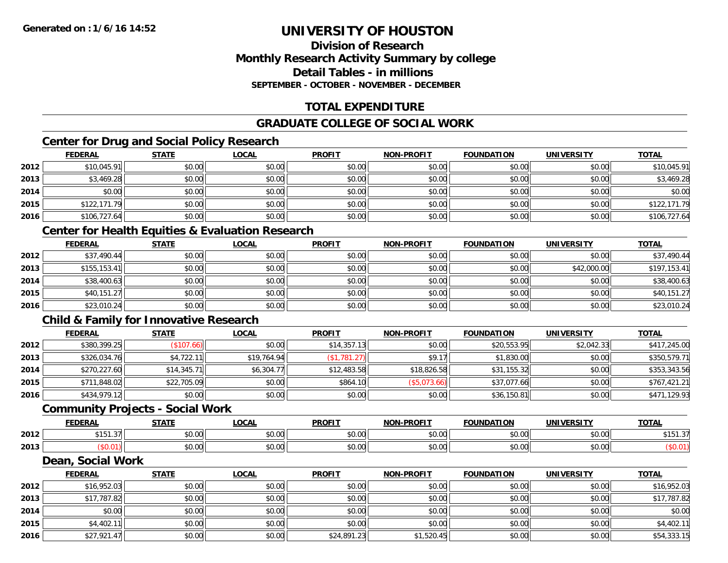#### **Division of ResearchMonthly Research Activity Summary by college Detail Tables - in millions SEPTEMBER - OCTOBER - NOVEMBER - DECEMBER**

#### **TOTAL EXPENDITURE**

#### **GRADUATE COLLEGE OF SOCIAL WORK**

#### **Center for Drug and Social Policy Research**

|      | <b>FEDERAL</b> | <b>STATE</b> | <b>LOCAL</b> | <b>PROFIT</b> | <b>NON-PROFIT</b> | <b>FOUNDATION</b> | <b>UNIVERSITY</b> | <b>TOTAL</b> |
|------|----------------|--------------|--------------|---------------|-------------------|-------------------|-------------------|--------------|
| 2012 | \$10,045.91    | \$0.00       | \$0.00       | \$0.00        | \$0.00            | \$0.00            | \$0.00            | \$10,045.91  |
| 2013 | \$3,469.28     | \$0.00       | \$0.00       | \$0.00        | \$0.00            | \$0.00            | \$0.00            | \$3,469.28   |
| 2014 | \$0.00         | \$0.00       | \$0.00       | \$0.00        | \$0.00            | \$0.00            | \$0.00            | \$0.00       |
| 2015 | \$122,171.79   | \$0.00       | \$0.00       | \$0.00        | \$0.00            | \$0.00            | \$0.00            | \$122,171.79 |
| 2016 | \$106,727.64   | \$0.00       | \$0.00       | \$0.00        | \$0.00            | \$0.00            | \$0.00            | \$106,727.64 |

#### **Center for Health Equities & Evaluation Research**

|      | <b>FEDERAL</b> | <b>STATE</b> | <u>LOCAL</u> | <b>PROFIT</b> | <b>NON-PROFIT</b> | <b>FOUNDATION</b> | <b>UNIVERSITY</b> | <b>TOTAL</b> |
|------|----------------|--------------|--------------|---------------|-------------------|-------------------|-------------------|--------------|
| 2012 | \$37,490.44    | \$0.00       | \$0.00       | \$0.00        | \$0.00            | \$0.00            | \$0.00            | \$37,490.44  |
| 2013 | \$155, 153.41  | \$0.00       | \$0.00       | \$0.00        | \$0.00            | \$0.00            | \$42,000.00       | \$197,153.41 |
| 2014 | \$38,400.63    | \$0.00       | \$0.00       | \$0.00        | \$0.00            | \$0.00            | \$0.00            | \$38,400.63  |
| 2015 | \$40,151.27    | \$0.00       | \$0.00       | \$0.00        | \$0.00            | \$0.00            | \$0.00            | \$40,151.27  |
| 2016 | \$23,010.24    | \$0.00       | \$0.00       | \$0.00        | \$0.00            | \$0.00            | \$0.00            | \$23,010.24  |

#### **Child & Family for Innovative Research**

|      | <b>FEDERAL</b> | <u>STATE</u> | <b>LOCAL</b> | <b>PROFIT</b> | <b>NON-PROFIT</b> | <b>FOUNDATION</b> | <b>UNIVERSITY</b> | <b>TOTAL</b> |
|------|----------------|--------------|--------------|---------------|-------------------|-------------------|-------------------|--------------|
| 2012 | \$380,399.25   | (\$107.66)   | \$0.00       | \$14,357.13   | \$0.00            | \$20,553.95       | \$2,042.33        | \$417,245.00 |
| 2013 | \$326,034.76   | \$4,722.11   | \$19,764.94  | \$1,781.27    | \$9.17            | \$1,830.00        | \$0.00            | \$350,579.71 |
| 2014 | \$270,227.60   | \$14,345.71  | \$6,304.77   | \$12,483.58   | \$18,826.58       | \$31,155.32       | \$0.00            | \$353,343.56 |
| 2015 | \$711,848.02   | \$22,705.09  | \$0.00       | \$864.10      | (\$5,073.66)      | \$37,077.66       | \$0.00            | \$767,421.21 |
| 2016 | \$434,979.12   | \$0.00       | \$0.00       | \$0.00        | \$0.00            | \$36,150.81       | \$0.00            | \$471,129.93 |

#### **Community Projects - Social Work**

|      | EENEDA<br>LIVE                   | C T A T T          | <b>OCAL</b>   | <b>PROFIT</b>                                                                       | <b>-PROFIT</b><br>NON. | <b>FOUNDATION</b> | UNIVERSITY                   | <b>TOTAL</b>   |
|------|----------------------------------|--------------------|---------------|-------------------------------------------------------------------------------------|------------------------|-------------------|------------------------------|----------------|
| 2012 | ----<br>$\sim$ $\sim$<br>3151.31 | ሶስ ሰሰ<br>90.UU     | 0.00<br>vv.vv | $\uparrow$ $\uparrow$ $\uparrow$ $\uparrow$ $\uparrow$ $\uparrow$ $\uparrow$<br>JU. | 0000<br>vv.vv          | 0000<br>u.uu      | $\uparrow$ $\wedge$ $\wedge$ | $AA = A$<br>15 |
| 2013 |                                  | $\sim$ 00<br>JU.UU | 0.00<br>JU.UU | JU.L                                                                                | 0000<br>JU.UU          | 0000<br>u.uu      | 0000<br>JU.UU                |                |

#### **Dean, Social Work**

|      | <b>FEDERAL</b> | <b>STATE</b> | <u>LOCAL</u> | <b>PROFIT</b> | <b>NON-PROFIT</b> | <b>FOUNDATION</b> | <b>UNIVERSITY</b> | <b>TOTAL</b> |
|------|----------------|--------------|--------------|---------------|-------------------|-------------------|-------------------|--------------|
| 2012 | \$16,952.03    | \$0.00       | \$0.00       | \$0.00        | \$0.00            | \$0.00            | \$0.00            | \$16,952.03  |
| 2013 | \$17,787.82    | \$0.00       | \$0.00       | \$0.00        | \$0.00            | \$0.00            | \$0.00            | \$17,787.82  |
| 2014 | \$0.00         | \$0.00       | \$0.00       | \$0.00        | \$0.00            | \$0.00            | \$0.00            | \$0.00       |
| 2015 | \$4,402.11     | \$0.00       | \$0.00       | \$0.00        | \$0.00            | \$0.00            | \$0.00            | \$4,402.11   |
| 2016 | \$27,921.47    | \$0.00       | \$0.00       | \$24,891.23   | \$1,520.45        | \$0.00            | \$0.00            | \$54,333.15  |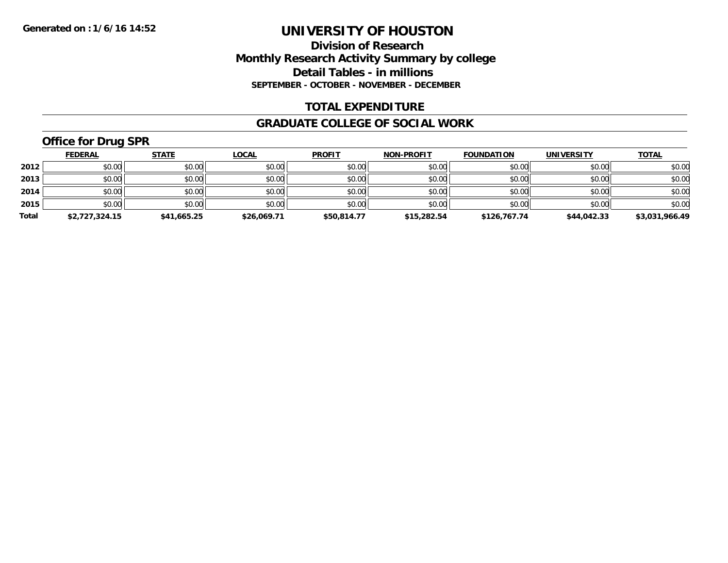#### **Division of Research Monthly Research Activity Summary by college Detail Tables - in millions SEPTEMBER - OCTOBER - NOVEMBER - DECEMBER**

#### **TOTAL EXPENDITURE**

#### **GRADUATE COLLEGE OF SOCIAL WORK**

## **Office for Drug SPR**

|       | <b>FEDERAL</b> | <u>STATE</u> | <b>LOCAL</b> | <b>PROFIT</b> | <b>NON-PROFIT</b> | <b>FOUNDATION</b> | <b>UNIVERSITY</b> | <b>TOTAL</b>   |
|-------|----------------|--------------|--------------|---------------|-------------------|-------------------|-------------------|----------------|
| 2012  | \$0.00         | \$0.00       | \$0.00       | \$0.00        | \$0.00            | \$0.00            | \$0.00            | \$0.00         |
| 2013  | \$0.00         | \$0.00       | \$0.00       | \$0.00        | \$0.00            | \$0.00            | \$0.00            | \$0.00         |
| 2014  | \$0.00         | \$0.00       | \$0.00       | \$0.00        | \$0.00            | \$0.00            | \$0.00            | \$0.00         |
| 2015  | \$0.00         | \$0.00       | \$0.00       | \$0.00        | \$0.00            | \$0.00            | \$0.00            | \$0.00         |
| Total | \$2,727,324.15 | \$41,665.25  | \$26,069.71  | \$50,814.77   | \$15,282.54       | \$126,767.74      | \$44,042.33       | \$3,031,966.49 |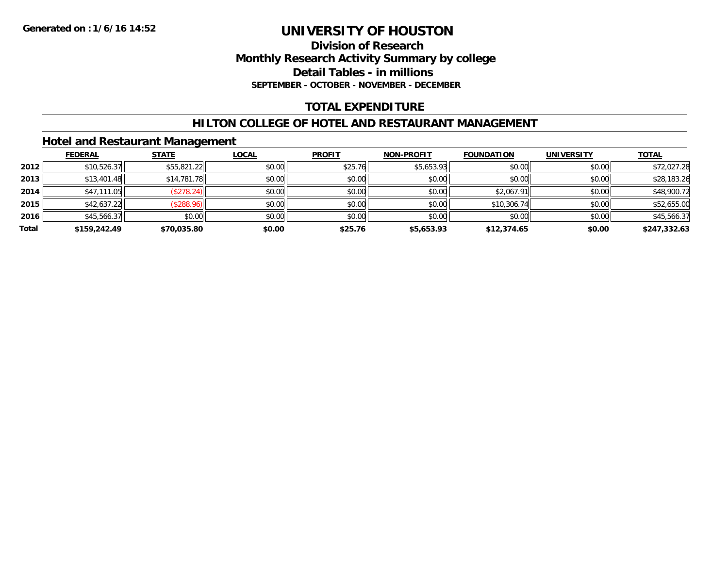#### **Division of Research Monthly Research Activity Summary by college Detail Tables - in millions SEPTEMBER - OCTOBER - NOVEMBER - DECEMBER**

#### **TOTAL EXPENDITURE**

#### **HILTON COLLEGE OF HOTEL AND RESTAURANT MANAGEMENT**

#### **Hotel and Restaurant Management**

|       | <b>FEDERAL</b> | <b>STATE</b> | <u>LOCAL</u> | <b>PROFIT</b> | <b>NON-PROFIT</b> | <b>FOUNDATION</b> | <b>UNIVERSITY</b> | <b>TOTAL</b> |
|-------|----------------|--------------|--------------|---------------|-------------------|-------------------|-------------------|--------------|
| 2012  | \$10,526.37    | \$55,821.22  | \$0.00       | \$25.76       | \$5,653.93        | \$0.00            | \$0.00            | \$72,027.28  |
| 2013  | \$13,401.48    | \$14,781.78  | \$0.00       | \$0.00        | \$0.00            | \$0.00            | \$0.00            | \$28,183.26  |
| 2014  | \$47,111.05    | (\$278.24)   | \$0.00       | \$0.00        | \$0.00            | \$2,067.91        | \$0.00            | \$48,900.72  |
| 2015  | \$42,637.22    | (\$288.96)   | \$0.00       | \$0.00        | \$0.00            | \$10,306.74       | \$0.00            | \$52,655.00  |
| 2016  | \$45,566.37    | \$0.00       | \$0.00       | \$0.00        | \$0.00            | \$0.00            | \$0.00            | \$45,566.37  |
| Total | \$159,242.49   | \$70,035.80  | \$0.00       | \$25.76       | \$5,653.93        | \$12,374.65       | \$0.00            | \$247,332.63 |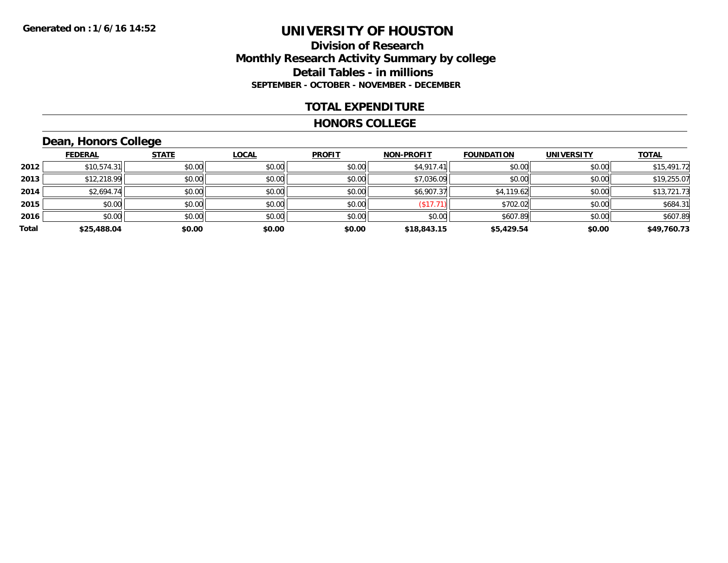#### **Division of Research Monthly Research Activity Summary by college Detail Tables - in millions SEPTEMBER - OCTOBER - NOVEMBER - DECEMBER**

#### **TOTAL EXPENDITURE**

#### **HONORS COLLEGE**

## **Dean, Honors College**

|       | <b>FEDERAL</b> | <b>STATE</b> | <b>LOCAL</b> | <b>PROFIT</b> | <b>NON-PROFIT</b> | <b>FOUNDATION</b> | <b>UNIVERSITY</b> | <b>TOTAL</b> |
|-------|----------------|--------------|--------------|---------------|-------------------|-------------------|-------------------|--------------|
| 2012  | \$10,574.31    | \$0.00       | \$0.00       | \$0.00        | \$4,917.41        | \$0.00            | \$0.00            | \$15,491.72  |
| 2013  | \$12,218.99    | \$0.00       | \$0.00       | \$0.00        | \$7,036.09        | \$0.00            | \$0.00            | \$19,255.07  |
| 2014  | \$2,694.74     | \$0.00       | \$0.00       | \$0.00        | \$6,907.37        | \$4,119.62        | \$0.00            | \$13,721.73  |
| 2015  | \$0.00         | \$0.00       | \$0.00       | \$0.00        | (\$17.71)         | \$702.02          | \$0.00            | \$684.31     |
| 2016  | \$0.00         | \$0.00       | \$0.00       | \$0.00        | \$0.00            | \$607.89          | \$0.00            | \$607.89     |
| Total | \$25,488.04    | \$0.00       | \$0.00       | \$0.00        | \$18,843.15       | \$5,429.54        | \$0.00            | \$49,760.73  |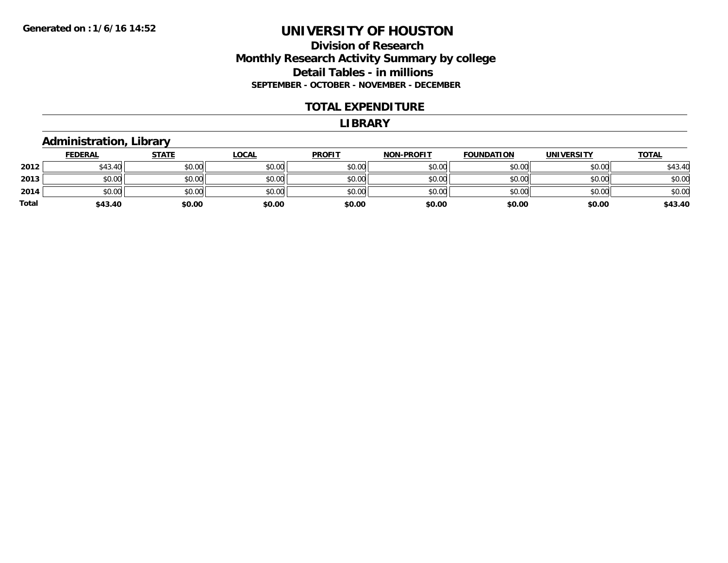#### **Division of Research Monthly Research Activity Summary by college Detail Tables - in millions SEPTEMBER - OCTOBER - NOVEMBER - DECEMBER**

#### **TOTAL EXPENDITURE**

#### **LIBRARY**

#### **Administration, Library**

|              | <b>FEDERAL</b> | <b>STATE</b> | <b>LOCAL</b> | <b>PROFIT</b> | <b>NON-PROFIT</b> | <b>FOUNDATION</b> | <b>UNIVERSITY</b> | <b>TOTAL</b> |
|--------------|----------------|--------------|--------------|---------------|-------------------|-------------------|-------------------|--------------|
| 2012         | \$43.40        | \$0.00       | \$0.00       | \$0.00        | \$0.00            | \$0.00            | \$0.00            | \$43.40      |
| 2013         | \$0.00         | \$0.00       | \$0.00       | \$0.00        | \$0.00            | \$0.00            | \$0.00            | \$0.00       |
| 2014         | \$0.00         | \$0.00       | \$0.00       | \$0.00        | \$0.00            | \$0.00            | \$0.00            | \$0.00       |
| <b>Total</b> | \$43.40        | \$0.00       | \$0.00       | \$0.00        | \$0.00            | \$0.00            | \$0.00            | \$43.40      |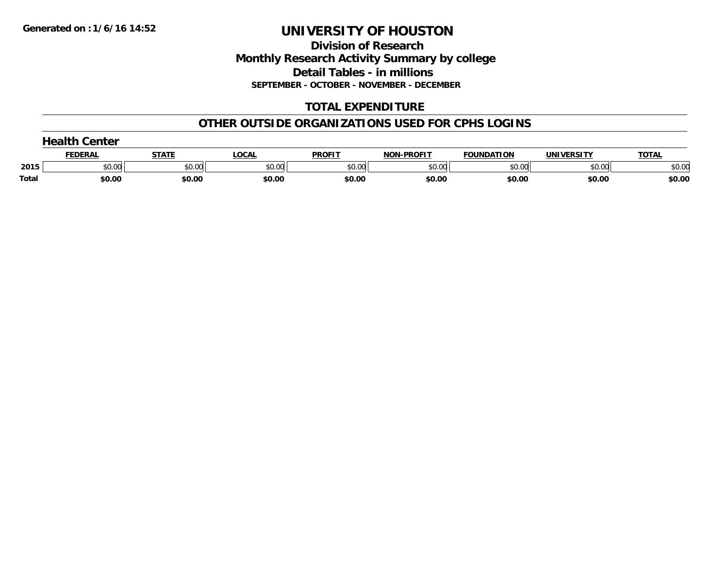**Division of Research Monthly Research Activity Summary by college Detail Tables - in millions SEPTEMBER - OCTOBER - NOVEMBER - DECEMBER**

#### **TOTAL EXPENDITURE**

#### **OTHER OUTSIDE ORGANIZATIONS USED FOR CPHS LOGINS**

| <b>Health Center</b> |         |        |        |               |                   |                   |                   |              |  |
|----------------------|---------|--------|--------|---------------|-------------------|-------------------|-------------------|--------------|--|
|                      | FEDERAL | STATI  | LOCAL  | <b>PROFIT</b> | <b>NON-PROFIT</b> | <b>FOUNDATION</b> | <b>UNIVERSITY</b> | <b>TOTAL</b> |  |
| 2015                 | \$0.00  | \$0.00 | \$0.00 | \$0.00        | \$0.00            | \$0.00            | \$0.00            | \$0.00       |  |
| Total                | \$0.00  | \$0.00 | \$0.00 | \$0.00        | \$0.00            | \$0.00            | \$0.00            | \$0.00       |  |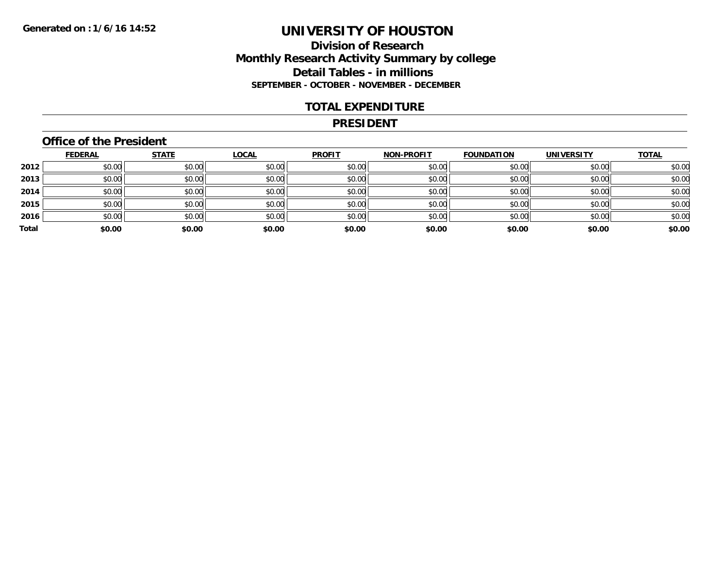#### **Division of Research Monthly Research Activity Summary by college Detail Tables - in millions SEPTEMBER - OCTOBER - NOVEMBER - DECEMBER**

#### **TOTAL EXPENDITURE**

#### **PRESIDENT**

#### **Office of the President**

|       | <b>FEDERAL</b> | <b>STATE</b> | <b>LOCAL</b> | <b>PROFIT</b> | <b>NON-PROFIT</b> | <b>FOUNDATION</b> | <b>UNIVERSITY</b> | <b>TOTAL</b> |
|-------|----------------|--------------|--------------|---------------|-------------------|-------------------|-------------------|--------------|
| 2012  | \$0.00         | \$0.00       | \$0.00       | \$0.00        | \$0.00            | \$0.00            | \$0.00            | \$0.00       |
| 2013  | \$0.00         | \$0.00       | \$0.00       | \$0.00        | \$0.00            | \$0.00            | \$0.00            | \$0.00       |
| 2014  | \$0.00         | \$0.00       | \$0.00       | \$0.00        | \$0.00            | \$0.00            | \$0.00            | \$0.00       |
| 2015  | \$0.00         | \$0.00       | \$0.00       | \$0.00        | \$0.00            | \$0.00            | \$0.00            | \$0.00       |
| 2016  | \$0.00         | \$0.00       | \$0.00       | \$0.00        | \$0.00            | \$0.00            | \$0.00            | \$0.00       |
| Total | \$0.00         | \$0.00       | \$0.00       | \$0.00        | \$0.00            | \$0.00            | \$0.00            | \$0.00       |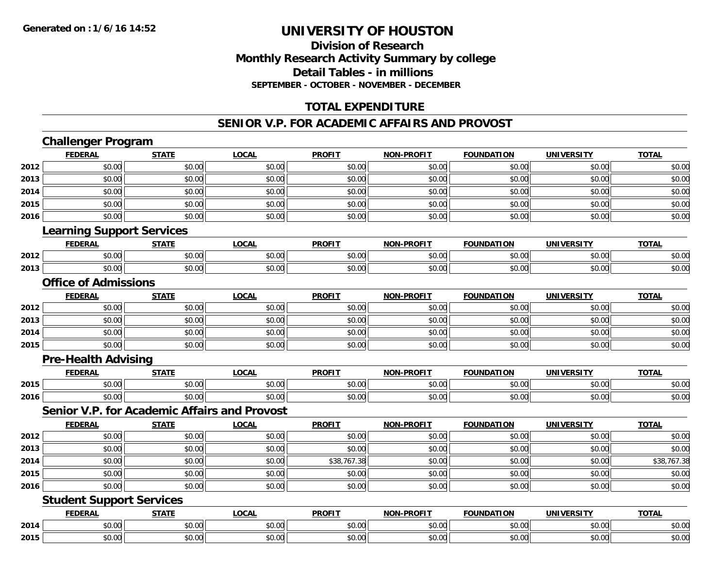#### **Division of ResearchMonthly Research Activity Summary by college Detail Tables - in millions SEPTEMBER - OCTOBER - NOVEMBER - DECEMBER**

#### **TOTAL EXPENDITURE**

#### **SENIOR V.P. FOR ACADEMIC AFFAIRS AND PROVOST**

## **Challenger Program**

|      | <b>FEDERAL</b>                                      | <b>STATE</b> | <b>LOCAL</b> | <b>PROFIT</b> | <b>NON-PROFIT</b> | <b>FOUNDATION</b> | <b>UNIVERSITY</b> | <b>TOTAL</b> |
|------|-----------------------------------------------------|--------------|--------------|---------------|-------------------|-------------------|-------------------|--------------|
| 2012 | \$0.00                                              | \$0.00       | \$0.00       | \$0.00        | \$0.00            | \$0.00            | \$0.00            | \$0.00       |
| 2013 | \$0.00                                              | \$0.00       | \$0.00       | \$0.00        | \$0.00            | \$0.00            | \$0.00            | \$0.00       |
| 2014 | \$0.00                                              | \$0.00       | \$0.00       | \$0.00        | \$0.00            | \$0.00            | \$0.00            | \$0.00       |
| 2015 | \$0.00                                              | \$0.00       | \$0.00       | \$0.00        | \$0.00            | \$0.00            | \$0.00            | \$0.00       |
| 2016 | \$0.00                                              | \$0.00       | \$0.00       | \$0.00        | \$0.00            | \$0.00            | \$0.00            | \$0.00       |
|      | <b>Learning Support Services</b>                    |              |              |               |                   |                   |                   |              |
|      | <b>FEDERAL</b>                                      | <b>STATE</b> | <b>LOCAL</b> | <b>PROFIT</b> | <b>NON-PROFIT</b> | <b>FOUNDATION</b> | <b>UNIVERSITY</b> | <b>TOTAL</b> |
| 2012 | \$0.00                                              | \$0.00       | \$0.00       | \$0.00        | \$0.00            | \$0.00            | \$0.00            | \$0.00       |
| 2013 | \$0.00                                              | \$0.00       | \$0.00       | \$0.00        | \$0.00            | \$0.00            | \$0.00            | \$0.00       |
|      | <b>Office of Admissions</b>                         |              |              |               |                   |                   |                   |              |
|      | <b>FEDERAL</b>                                      | <b>STATE</b> | <b>LOCAL</b> | <b>PROFIT</b> | <b>NON-PROFIT</b> | <b>FOUNDATION</b> | <b>UNIVERSITY</b> | <b>TOTAL</b> |
| 2012 | \$0.00                                              | \$0.00       | \$0.00       | \$0.00        | \$0.00            | \$0.00            | \$0.00            | \$0.00       |
| 2013 | \$0.00                                              | \$0.00       | \$0.00       | \$0.00        | \$0.00            | \$0.00            | \$0.00            | \$0.00       |
| 2014 | \$0.00                                              | \$0.00       | \$0.00       | \$0.00        | \$0.00            | \$0.00            | \$0.00            | \$0.00       |
| 2015 | \$0.00                                              | \$0.00       | \$0.00       | \$0.00        | \$0.00            | \$0.00            | \$0.00            | \$0.00       |
|      | <b>Pre-Health Advising</b>                          |              |              |               |                   |                   |                   |              |
|      | <b>FEDERAL</b>                                      | <b>STATE</b> | <b>LOCAL</b> | <b>PROFIT</b> | <b>NON-PROFIT</b> | <b>FOUNDATION</b> | <b>UNIVERSITY</b> | <b>TOTAL</b> |
| 2015 | \$0.00                                              | \$0.00       | \$0.00       | \$0.00        | \$0.00            | \$0.00            | \$0.00            | \$0.00       |
| 2016 | \$0.00                                              | \$0.00       | \$0.00       | \$0.00        | \$0.00            | \$0.00            | \$0.00            | \$0.00       |
|      | <b>Senior V.P. for Academic Affairs and Provost</b> |              |              |               |                   |                   |                   |              |
|      | <b>FEDERAL</b>                                      | <b>STATE</b> | <b>LOCAL</b> | <b>PROFIT</b> | <b>NON-PROFIT</b> | <b>FOUNDATION</b> | <b>UNIVERSITY</b> | <b>TOTAL</b> |
| 2012 | \$0.00                                              | \$0.00       | \$0.00       | \$0.00        | \$0.00            | \$0.00            | \$0.00            | \$0.00       |
| 2013 | \$0.00                                              | \$0.00       | \$0.00       | \$0.00        | \$0.00            | \$0.00            | \$0.00            | \$0.00       |
| 2014 | \$0.00                                              | \$0.00       | \$0.00       | \$38,767.38   | \$0.00            | \$0.00            | \$0.00            | \$38,767.38  |
| 2015 | \$0.00                                              | \$0.00       | \$0.00       | \$0.00        | \$0.00            | \$0.00            | \$0.00            | \$0.00       |
| 2016 | \$0.00                                              | \$0.00       | \$0.00       | \$0.00        | \$0.00            | \$0.00            | \$0.00            | \$0.00       |
|      | <b>Student Support Services</b>                     |              |              |               |                   |                   |                   |              |
|      | <b>FEDERAL</b>                                      | <b>STATE</b> | <b>LOCAL</b> | <b>PROFIT</b> | <b>NON-PROFIT</b> | <b>FOUNDATION</b> | <b>UNIVERSITY</b> | <b>TOTAL</b> |
| 2014 | \$0.00                                              | \$0.00       | \$0.00       | \$0.00        | \$0.00            | \$0.00            | \$0.00            | \$0.00       |
| 2015 | \$0.00                                              | \$0.00       | \$0.00       | \$0.00        | \$0.00            | \$0.00            | \$0.00            | \$0.00       |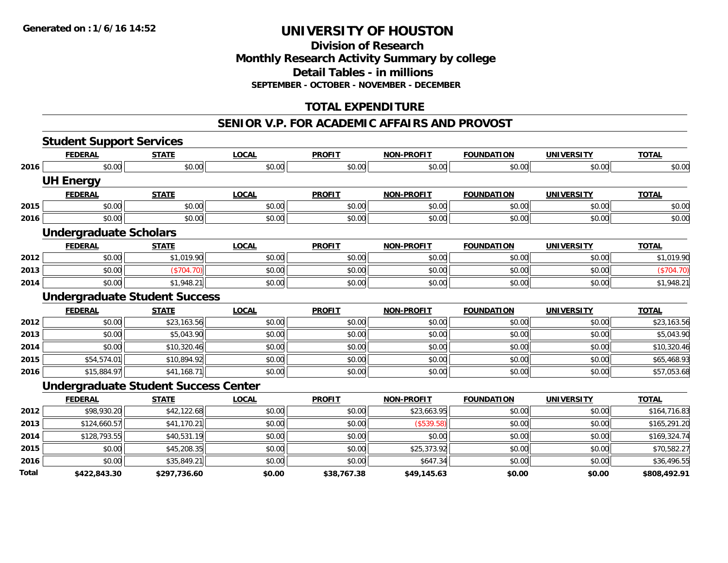#### **Division of Research Monthly Research Activity Summary by college Detail Tables - in millions SEPTEMBER - OCTOBER - NOVEMBER - DECEMBER**

#### **TOTAL EXPENDITURE**

#### **SENIOR V.P. FOR ACADEMIC AFFAIRS AND PROVOST**

|       | <b>Student Support Services</b> |                                             |              |               |                   |                   |                   |              |
|-------|---------------------------------|---------------------------------------------|--------------|---------------|-------------------|-------------------|-------------------|--------------|
|       | <b>FEDERAL</b>                  | <b>STATE</b>                                | <b>LOCAL</b> | <b>PROFIT</b> | <b>NON-PROFIT</b> | <b>FOUNDATION</b> | <b>UNIVERSITY</b> | <b>TOTAL</b> |
| 2016  | \$0.00                          | \$0.00                                      | \$0.00       | \$0.00        | \$0.00            | \$0.00            | \$0.00            | \$0.00       |
|       | <b>UH Energy</b>                |                                             |              |               |                   |                   |                   |              |
|       | <b>FEDERAL</b>                  | <b>STATE</b>                                | <b>LOCAL</b> | <b>PROFIT</b> | <b>NON-PROFIT</b> | <b>FOUNDATION</b> | <b>UNIVERSITY</b> | <b>TOTAL</b> |
| 2015  | \$0.00                          | \$0.00                                      | \$0.00       | \$0.00        | \$0.00            | \$0.00            | \$0.00            | \$0.00       |
| 2016  | \$0.00                          | \$0.00                                      | \$0.00       | \$0.00        | \$0.00            | \$0.00            | \$0.00            | \$0.00       |
|       | <b>Undergraduate Scholars</b>   |                                             |              |               |                   |                   |                   |              |
|       | <b>FEDERAL</b>                  | <b>STATE</b>                                | <b>LOCAL</b> | <b>PROFIT</b> | <b>NON-PROFIT</b> | <b>FOUNDATION</b> | <b>UNIVERSITY</b> | <b>TOTAL</b> |
| 2012  | \$0.00                          | \$1,019.90                                  | \$0.00       | \$0.00        | \$0.00            | \$0.00            | \$0.00            | \$1,019.90   |
| 2013  | \$0.00                          | (\$704.70)                                  | \$0.00       | \$0.00        | \$0.00            | \$0.00            | \$0.00            | (\$704.70)   |
| 2014  | \$0.00                          | \$1,948.21                                  | \$0.00       | \$0.00        | \$0.00            | \$0.00            | \$0.00            | \$1,948.21   |
|       |                                 | <b>Undergraduate Student Success</b>        |              |               |                   |                   |                   |              |
|       | <b>FEDERAL</b>                  | <b>STATE</b>                                | <b>LOCAL</b> | <b>PROFIT</b> | <b>NON-PROFIT</b> | <b>FOUNDATION</b> | <b>UNIVERSITY</b> | <b>TOTAL</b> |
| 2012  | \$0.00                          | \$23,163.56                                 | \$0.00       | \$0.00        | \$0.00            | \$0.00            | \$0.00            | \$23,163.56  |
| 2013  | \$0.00                          | \$5,043.90                                  | \$0.00       | \$0.00        | \$0.00            | \$0.00            | \$0.00            | \$5,043.90   |
| 2014  | \$0.00                          | \$10,320.46                                 | \$0.00       | \$0.00        | \$0.00            | \$0.00            | \$0.00            | \$10,320.46  |
| 2015  | \$54,574.01                     | \$10,894.92                                 | \$0.00       | \$0.00        | \$0.00            | \$0.00            | \$0.00            | \$65,468.93  |
| 2016  | \$15,884.97                     | \$41,168.71                                 | \$0.00       | \$0.00        | \$0.00            | \$0.00            | \$0.00            | \$57,053.68  |
|       |                                 | <b>Undergraduate Student Success Center</b> |              |               |                   |                   |                   |              |
|       | <b>FEDERAL</b>                  | <b>STATE</b>                                | <b>LOCAL</b> | <b>PROFIT</b> | <b>NON-PROFIT</b> | <b>FOUNDATION</b> | <b>UNIVERSITY</b> | <b>TOTAL</b> |
| 2012  | \$98,930.20                     | \$42,122.68                                 | \$0.00       | \$0.00        | \$23,663.95       | \$0.00            | \$0.00            | \$164,716.83 |
| 2013  | \$124,660.57                    | \$41,170.21                                 | \$0.00       | \$0.00        | (\$539.58)        | \$0.00            | \$0.00            | \$165,291.20 |
| 2014  | \$128,793.55                    | \$40,531.19                                 | \$0.00       | \$0.00        | \$0.00            | \$0.00            | \$0.00            | \$169,324.74 |
| 2015  | \$0.00                          | \$45,208.35                                 | \$0.00       | \$0.00        | \$25,373.92       | \$0.00            | \$0.00            | \$70,582.27  |
| 2016  | \$0.00                          | \$35,849.21                                 | \$0.00       | \$0.00        | \$647.34          | \$0.00            | \$0.00            | \$36,496.55  |
| Total | \$422,843.30                    | \$297,736.60                                | \$0.00       | \$38,767.38   | \$49,145.63       | \$0.00            | \$0.00            | \$808,492.91 |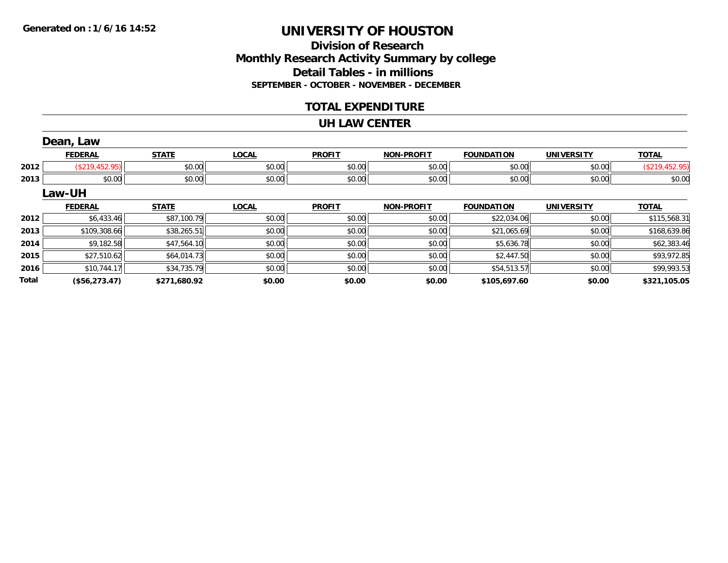**Total**

## **UNIVERSITY OF HOUSTON**

#### **Division of Research Monthly Research Activity Summary by college Detail Tables - in millions SEPTEMBER - OCTOBER - NOVEMBER - DECEMBER**

#### **TOTAL EXPENDITURE**

#### **UH LAW CENTER**

|      | Dean, Law      |              |              |               |                   |                   |                   |                |
|------|----------------|--------------|--------------|---------------|-------------------|-------------------|-------------------|----------------|
|      | <b>FEDERAL</b> | <b>STATE</b> | <b>LOCAL</b> | <b>PROFIT</b> | <b>NON-PROFIT</b> | <b>FOUNDATION</b> | <b>UNIVERSITY</b> | <b>TOTAL</b>   |
| 2012 | (\$219,452.95) | \$0.00       | \$0.00       | \$0.00        | \$0.00            | \$0.00            | \$0.00            | (\$219,452.95) |
| 2013 | \$0.00         | \$0.00       | \$0.00       | \$0.00        | \$0.00            | \$0.00            | \$0.00            | \$0.00         |
|      | Law-UH         |              |              |               |                   |                   |                   |                |
|      | <b>FEDERAL</b> | <b>STATE</b> | <b>LOCAL</b> | <b>PROFIT</b> | <b>NON-PROFIT</b> | <b>FOUNDATION</b> | <b>UNIVERSITY</b> | <b>TOTAL</b>   |
| 2012 | \$6,433.46     | \$87,100.79  | \$0.00       | \$0.00        | \$0.00            | \$22,034.06       | \$0.00            | \$115,568.31   |
| 2013 | \$109,308.66   | \$38,265.51  | \$0.00       | \$0.00        | \$0.00            | \$21,065.69       | \$0.00            | \$168,639.86   |
| 2014 | \$9,182.58     | \$47,564.10  | \$0.00       | \$0.00        | \$0.00            | \$5,636.78        | \$0.00            | \$62,383.46    |
| 2015 | \$27,510.62    | \$64,014.73  | \$0.00       | \$0.00        | \$0.00            | \$2,447.50        | \$0.00            | \$93,972.85    |
|      |                |              |              |               |                   |                   |                   | \$99,993.53    |

**(\$56,273.47) \$271,680.92 \$0.00 \$0.00 \$0.00 \$105,697.60 \$0.00 \$321,105.05**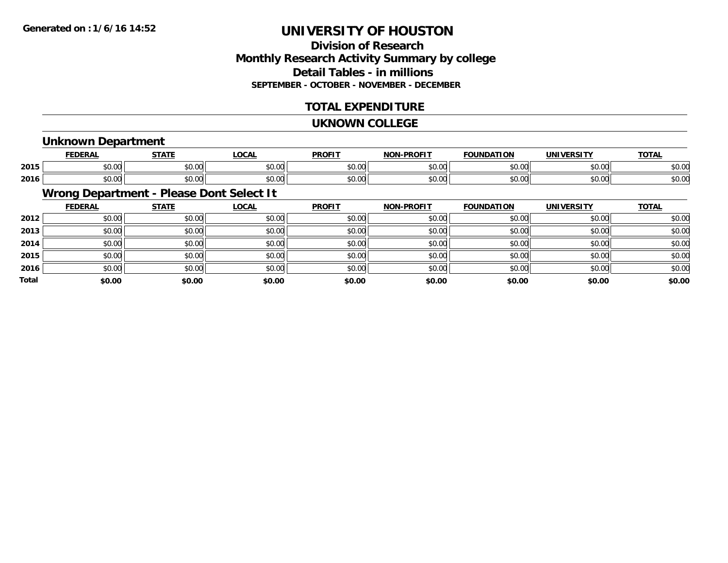#### **Division of ResearchMonthly Research Activity Summary by college Detail Tables - in millions SEPTEMBER - OCTOBER - NOVEMBER - DECEMBER**

#### **TOTAL EXPENDITURE**

#### **UKNOWN COLLEGE**

#### **Unknown Department**

|      | <b>FFBFBA</b> | $- - - -$                                    | <b>OCAL</b>                      | <b>DDOEIT</b>  | <b>NIO'</b> | יחי<br>10     |               | $-2$                     |
|------|---------------|----------------------------------------------|----------------------------------|----------------|-------------|---------------|---------------|--------------------------|
| 2015 | ሖ へ           | $\sim$ $\sim$                                | $\uparrow$ $\uparrow$ $\uparrow$ | 0 <sup>n</sup> | $\sim$ 00   | $\sim$ $\sim$ | 0.000         | $\overline{\phantom{a}}$ |
|      | ט.ט           | vv.vv                                        | ט.טע                             | <b>JU.U</b>    | pv.uu       | טט.טע         | vv.vv         | DU.U                     |
|      | ט.ט           | $\mathsf{A} \cap \mathsf{A} \cap \mathsf{A}$ | 0.00                             | 0000           | $\sim$ 00   | 0000          | $\sim$ $\sim$ | $\sim$ $\sim$            |
| 2016 |               | vv.vu                                        | ט.טע                             | JU.U'          | pv.uu       | טט.           | JU.UU         | ⊅∪.∪                     |

### **Wrong Department - Please Dont Select It**

|       | <b>FEDERAL</b> | <b>STATE</b> | <u>LOCAL</u> | <b>PROFIT</b> | <b>NON-PROFIT</b> | <b>FOUNDATION</b> | <b>UNIVERSITY</b> | <b>TOTAL</b> |
|-------|----------------|--------------|--------------|---------------|-------------------|-------------------|-------------------|--------------|
| 2012  | \$0.00         | \$0.00       | \$0.00       | \$0.00        | \$0.00            | \$0.00            | \$0.00            | \$0.00       |
| 2013  | \$0.00         | \$0.00       | \$0.00       | \$0.00        | \$0.00            | \$0.00            | \$0.00            | \$0.00       |
| 2014  | \$0.00         | \$0.00       | \$0.00       | \$0.00        | \$0.00            | \$0.00            | \$0.00            | \$0.00       |
| 2015  | \$0.00         | \$0.00       | \$0.00       | \$0.00        | \$0.00            | \$0.00            | \$0.00            | \$0.00       |
| 2016  | \$0.00         | \$0.00       | \$0.00       | \$0.00        | \$0.00            | \$0.00            | \$0.00            | \$0.00       |
| Total | \$0.00         | \$0.00       | \$0.00       | \$0.00        | \$0.00            | \$0.00            | \$0.00            | \$0.00       |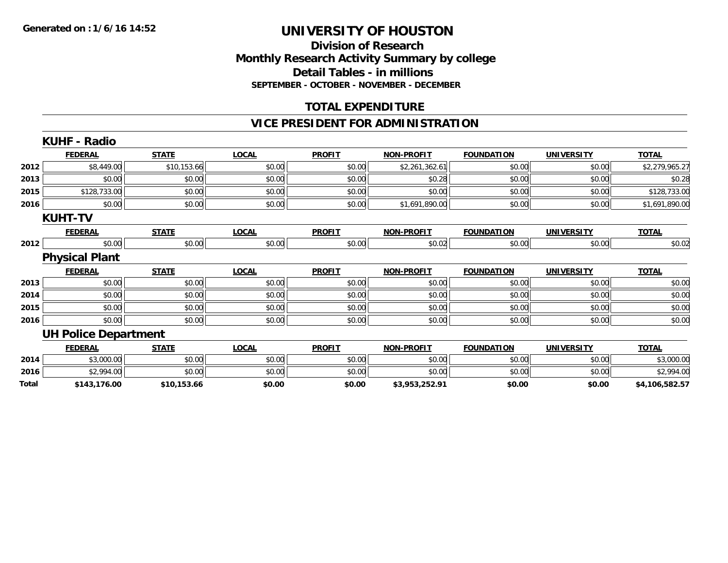#### **Division of Research Monthly Research Activity Summary by college Detail Tables - in millions SEPTEMBER - OCTOBER - NOVEMBER - DECEMBER**

#### **TOTAL EXPENDITURE**

#### **VICE PRESIDENT FOR ADMINISTRATION**

|       | <b>KUHF - Radio</b>         |              |              |               |                   |                   |                   |                |
|-------|-----------------------------|--------------|--------------|---------------|-------------------|-------------------|-------------------|----------------|
|       | <b>FEDERAL</b>              | <b>STATE</b> | <b>LOCAL</b> | <b>PROFIT</b> | <b>NON-PROFIT</b> | <b>FOUNDATION</b> | <b>UNIVERSITY</b> | <b>TOTAL</b>   |
| 2012  | \$8,449.00                  | \$10,153.66  | \$0.00       | \$0.00        | \$2,261,362.61    | \$0.00            | \$0.00            | \$2,279,965.27 |
| 2013  | \$0.00                      | \$0.00       | \$0.00       | \$0.00        | \$0.28            | \$0.00            | \$0.00            | \$0.28         |
| 2015  | \$128,733.00                | \$0.00       | \$0.00       | \$0.00        | \$0.00            | \$0.00            | \$0.00            | \$128,733.00   |
| 2016  | \$0.00                      | \$0.00       | \$0.00       | \$0.00        | \$1,691,890.00    | \$0.00            | \$0.00            | \$1,691,890.00 |
|       | <b>KUHT-TV</b>              |              |              |               |                   |                   |                   |                |
|       | <b>FEDERAL</b>              | <b>STATE</b> | <b>LOCAL</b> | <b>PROFIT</b> | <b>NON-PROFIT</b> | <b>FOUNDATION</b> | <b>UNIVERSITY</b> | <b>TOTAL</b>   |
| 2012  | \$0.00                      | \$0.00       | \$0.00       | \$0.00        | \$0.02            | \$0.00            | \$0.00            | \$0.02         |
|       | <b>Physical Plant</b>       |              |              |               |                   |                   |                   |                |
|       | <b>FEDERAL</b>              | <b>STATE</b> | <b>LOCAL</b> | <b>PROFIT</b> | <b>NON-PROFIT</b> | <b>FOUNDATION</b> | <b>UNIVERSITY</b> | <b>TOTAL</b>   |
| 2013  | \$0.00                      | \$0.00       | \$0.00       | \$0.00        | \$0.00            | \$0.00            | \$0.00            | \$0.00         |
| 2014  | \$0.00                      | \$0.00       | \$0.00       | \$0.00        | \$0.00            | \$0.00            | \$0.00            | \$0.00         |
| 2015  | \$0.00                      | \$0.00       | \$0.00       | \$0.00        | \$0.00            | \$0.00            | \$0.00            | \$0.00         |
| 2016  | \$0.00                      | \$0.00       | \$0.00       | \$0.00        | \$0.00            | \$0.00            | \$0.00            | \$0.00         |
|       | <b>UH Police Department</b> |              |              |               |                   |                   |                   |                |
|       | <b>FEDERAL</b>              | <b>STATE</b> | <b>LOCAL</b> | <b>PROFIT</b> | <b>NON-PROFIT</b> | <b>FOUNDATION</b> | <b>UNIVERSITY</b> | <b>TOTAL</b>   |
| 2014  | \$3,000.00                  | \$0.00       | \$0.00       | \$0.00        | \$0.00            | \$0.00            | \$0.00            | \$3,000.00     |
| 2016  | \$2,994.00                  | \$0.00       | \$0.00       | \$0.00        | \$0.00            | \$0.00            | \$0.00            | \$2,994.00     |
| Total | \$143,176.00                | \$10,153.66  | \$0.00       | \$0.00        | \$3,953,252.91    | \$0.00            | \$0.00            | \$4,106,582.57 |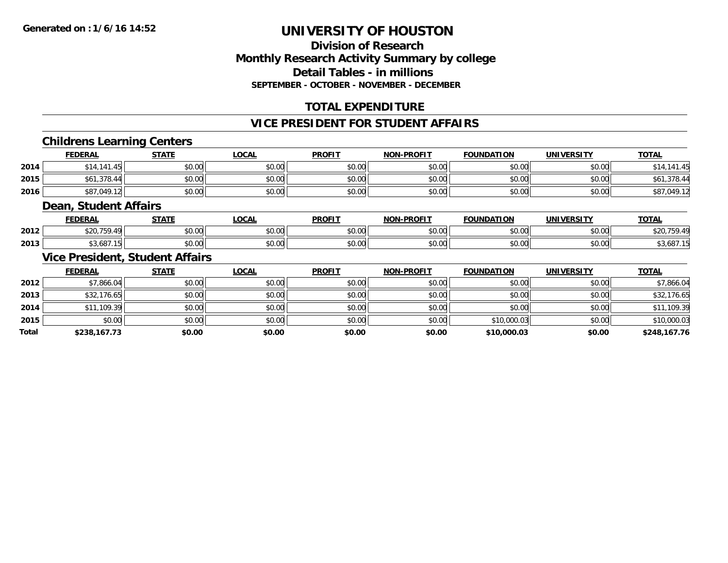#### **Division of ResearchMonthly Research Activity Summary by college Detail Tables - in millions SEPTEMBER - OCTOBER - NOVEMBER - DECEMBER**

#### **TOTAL EXPENDITURE**

#### **VICE PRESIDENT FOR STUDENT AFFAIRS**

#### **Childrens Learning Centers**

|      | <u>FEDERAL</u> | <b>STATE</b> | <u>LOCAL</u> | <b>PROFIT</b> | <b>NON-PROFIT</b> | <b>FOUNDATION</b> | <b>UNIVERSITY</b> | <b>TOTAL</b> |
|------|----------------|--------------|--------------|---------------|-------------------|-------------------|-------------------|--------------|
| 2014 | \$14,141.45    | \$0.00       | \$0.00       | \$0.00        | \$0.00            | \$0.00            | \$0.00            | \$14,141.45  |
| 2015 | \$61,378.44    | \$0.00       | \$0.00       | \$0.00        | \$0.00            | \$0.00            | \$0.00            | \$61,378.44  |
| 2016 | \$87,049.12    | \$0.00       | \$0.00       | \$0.00        | \$0.00            | \$0.00            | \$0.00            | \$87,049.12  |

#### **Dean, Student Affairs**

|      | <b>FFBFB8</b><br>-        | C T A T T                                             | <b>OCAL</b><br>$\mathbf{u}$ | <b>DDOEIT</b>          | <b>DDAEIT</b><br><b>NON</b> | <b>FOUNDATION</b> | <b><i>INIVERSITY</i></b> | $-0$ |
|------|---------------------------|-------------------------------------------------------|-----------------------------|------------------------|-----------------------------|-------------------|--------------------------|------|
| 2012 | ---<br>$\sim$             | $\mathsf{A} \cap \mathsf{A} \cap \mathsf{A}$<br>₽U.UU | 0.00<br>JU.UU               | 0 <sub>n</sub><br>vv.v | $\sim$ 00<br>₽U.UU          | 0000              | $\sim$ 00<br>vv.vv       |      |
| 2013 | $\sqrt{2}$<br>. UU .<br>. | $\sim$ 00<br>JU.UU                                    | 0.00<br>PU.UU               | 0 <sub>n</sub><br>JU.U | $\sim$ 00<br>vv.vv          | ስ ለሰ              | $\sim$ 00<br>PO.OO       |      |

#### **Vice President, Student Affairs**

|              | <b>FEDERAL</b> | <b>STATE</b> | <u>LOCAL</u> | <b>PROFIT</b> | <b>NON-PROFIT</b> | <b>FOUNDATION</b> | <b>UNIVERSITY</b> | <b>TOTAL</b> |
|--------------|----------------|--------------|--------------|---------------|-------------------|-------------------|-------------------|--------------|
| 2012         | \$7,866.04     | \$0.00       | \$0.00       | \$0.00        | \$0.00            | \$0.00            | \$0.00            | \$7,866.04   |
| 2013         | \$32,176.65    | \$0.00       | \$0.00       | \$0.00        | \$0.00            | \$0.00            | \$0.00            | \$32,176.65  |
| 2014         | \$11,109.39    | \$0.00       | \$0.00       | \$0.00        | \$0.00            | \$0.00            | \$0.00            | \$11,109.39  |
| 2015         | \$0.00         | \$0.00       | \$0.00       | \$0.00        | \$0.00            | \$10,000.03       | \$0.00            | \$10,000.03  |
| <b>Total</b> | \$238,167.73   | \$0.00       | \$0.00       | \$0.00        | \$0.00            | \$10,000.03       | \$0.00            | \$248,167.76 |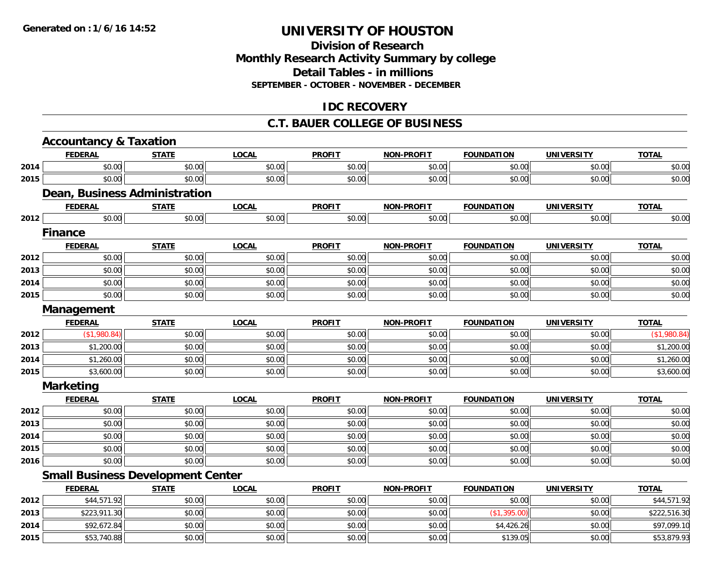#### **Division of ResearchMonthly Research Activity Summary by college Detail Tables - in millions SEPTEMBER - OCTOBER - NOVEMBER - DECEMBER**

#### **IDC RECOVERY**

#### **C.T. BAUER COLLEGE OF BUSINESS**

|      | <b>Accountancy &amp; Taxation</b>        |              |              |               |                   |                   |                   |              |
|------|------------------------------------------|--------------|--------------|---------------|-------------------|-------------------|-------------------|--------------|
|      | <b>FEDERAL</b>                           | <b>STATE</b> | <b>LOCAL</b> | <b>PROFIT</b> | <b>NON-PROFIT</b> | <b>FOUNDATION</b> | <b>UNIVERSITY</b> | <b>TOTAL</b> |
| 2014 | \$0.00                                   | \$0.00       | \$0.00       | \$0.00        | \$0.00            | \$0.00            | \$0.00            | \$0.00       |
| 2015 | \$0.00                                   | \$0.00       | \$0.00       | \$0.00        | \$0.00            | \$0.00            | \$0.00            | \$0.00       |
|      | <b>Dean, Business Administration</b>     |              |              |               |                   |                   |                   |              |
|      | <b>FEDERAL</b>                           | <b>STATE</b> | <b>LOCAL</b> | <b>PROFIT</b> | <b>NON-PROFIT</b> | <b>FOUNDATION</b> | <b>UNIVERSITY</b> | <b>TOTAL</b> |
| 2012 | \$0.00                                   | \$0.00       | \$0.00       | \$0.00        | \$0.00            | \$0.00            | \$0.00            | \$0.00       |
|      | <b>Finance</b>                           |              |              |               |                   |                   |                   |              |
|      | <b>FEDERAL</b>                           | <b>STATE</b> | <b>LOCAL</b> | <b>PROFIT</b> | <b>NON-PROFIT</b> | <b>FOUNDATION</b> | <b>UNIVERSITY</b> | <b>TOTAL</b> |
| 2012 | \$0.00                                   | \$0.00       | \$0.00       | \$0.00        | \$0.00            | \$0.00            | \$0.00            | \$0.00       |
| 2013 | \$0.00                                   | \$0.00       | \$0.00       | \$0.00        | \$0.00            | \$0.00            | \$0.00            | \$0.00       |
| 2014 | \$0.00                                   | \$0.00       | \$0.00       | \$0.00        | \$0.00            | \$0.00            | \$0.00            | \$0.00       |
| 2015 | \$0.00                                   | \$0.00       | \$0.00       | \$0.00        | \$0.00            | \$0.00            | \$0.00            | \$0.00       |
|      | Management                               |              |              |               |                   |                   |                   |              |
|      | <b>FEDERAL</b>                           | <b>STATE</b> | <b>LOCAL</b> | <b>PROFIT</b> | <b>NON-PROFIT</b> | <b>FOUNDATION</b> | <b>UNIVERSITY</b> | <b>TOTAL</b> |
| 2012 | (\$1,980.84)                             | \$0.00       | \$0.00       | \$0.00        | \$0.00            | \$0.00            | \$0.00            | (\$1,980.84) |
| 2013 | \$1,200.00                               | \$0.00       | \$0.00       | \$0.00        | \$0.00            | \$0.00            | \$0.00            | \$1,200.00   |
| 2014 | \$1,260.00                               | \$0.00       | \$0.00       | \$0.00        | \$0.00            | \$0.00            | \$0.00            | \$1,260.00   |
| 2015 | \$3,600.00                               | \$0.00       | \$0.00       | \$0.00        | \$0.00            | \$0.00            | \$0.00            | \$3,600.00   |
|      | <b>Marketing</b>                         |              |              |               |                   |                   |                   |              |
|      | <b>FEDERAL</b>                           | <b>STATE</b> | <b>LOCAL</b> | <b>PROFIT</b> | <b>NON-PROFIT</b> | <b>FOUNDATION</b> | <b>UNIVERSITY</b> | <b>TOTAL</b> |
| 2012 | \$0.00                                   | \$0.00       | \$0.00       | \$0.00        | \$0.00            | \$0.00            | \$0.00            | \$0.00       |
| 2013 | \$0.00                                   | \$0.00       | \$0.00       | \$0.00        | \$0.00            | \$0.00            | \$0.00            | \$0.00       |
| 2014 | \$0.00                                   | \$0.00       | \$0.00       | \$0.00        | \$0.00            | \$0.00            | \$0.00            | \$0.00       |
| 2015 | \$0.00                                   | \$0.00       | \$0.00       | \$0.00        | \$0.00            | \$0.00            | \$0.00            | \$0.00       |
| 2016 | \$0.00                                   | \$0.00       | \$0.00       | \$0.00        | \$0.00            | \$0.00            | \$0.00            | \$0.00       |
|      | <b>Small Business Development Center</b> |              |              |               |                   |                   |                   |              |
|      | <b>FEDERAL</b>                           | <b>STATE</b> | <b>LOCAL</b> | <b>PROFIT</b> | <b>NON-PROFIT</b> | <b>FOUNDATION</b> | <b>UNIVERSITY</b> | <b>TOTAL</b> |
| 2012 | \$44,571.92                              | \$0.00       | \$0.00       | \$0.00        | \$0.00            | \$0.00            | \$0.00            | \$44,571.92  |
| 2013 | \$223,911.30                             | \$0.00       | \$0.00       | \$0.00        | \$0.00            | (\$1,395.00)      | \$0.00            | \$222,516.30 |
| 2014 | \$92,672.84                              | \$0.00       | \$0.00       | \$0.00        | \$0.00            | \$4,426.26        | \$0.00            | \$97,099.10  |
| 2015 | \$53,740.88                              | \$0.00       | \$0.00       | \$0.00        | \$0.00            | \$139.05          | \$0.00            | \$53,879.93  |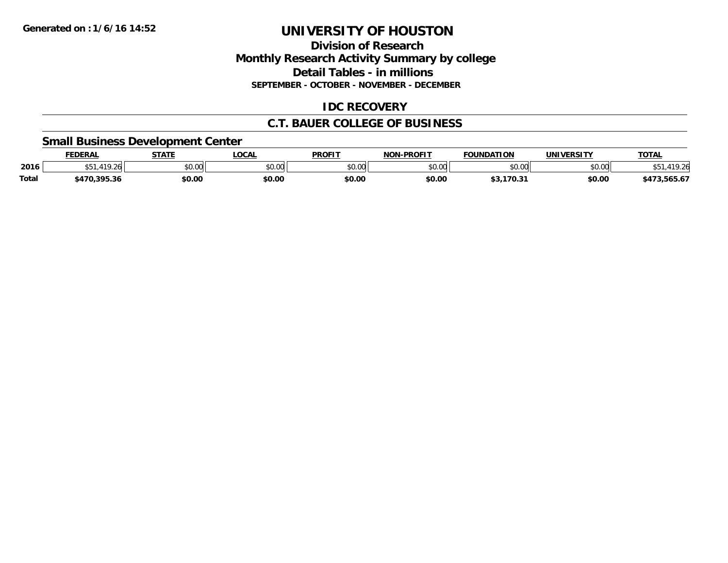#### **Division of ResearchMonthly Research Activity Summary by college Detail Tables - in millions SEPTEMBER - OCTOBER - NOVEMBER - DECEMBER**

#### **IDC RECOVERY**

#### **C.T. BAUER COLLEGE OF BUSINESS**

#### **Small Business Development Center**

|       | <b>FEDERAL</b> | <b>STATE</b>  | .OCA.                    | <b>PROFIT</b> | -PROFIT<br>NON | <b>FOUNDATION</b>                | <b>UNIVERSITY</b> | <b>TOTAL</b>       |
|-------|----------------|---------------|--------------------------|---------------|----------------|----------------------------------|-------------------|--------------------|
| 2016  | 11C<br>$\sim$  | 0000<br>JU.UU | $\epsilon$ n nn<br>,u.uu | \$0.00        | \$0.00         | ልስ ሀህ                            | \$0.00            | $\sim$             |
| Total | 6470,395.36    | \$0.00        | \$0.00                   | \$0.00        | \$0.00         | <b>¢2 170 2.</b><br>, , , ,<br>. | \$0.00            | ELE LT<br>0.COC, i |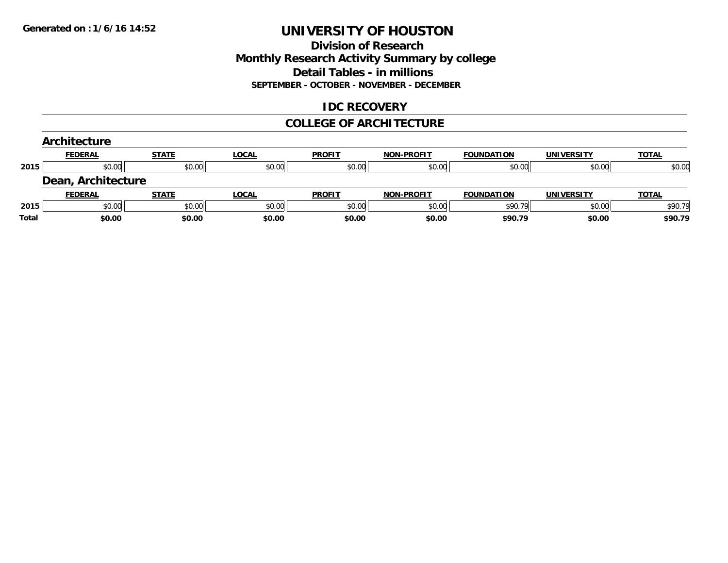#### **Division of Research Monthly Research Activity Summary by college Detail Tables - in millions SEPTEMBER - OCTOBER - NOVEMBER - DECEMBER**

#### **IDC RECOVERY**

#### **COLLEGE OF ARCHITECTURE**

|       | Architecture       |              |              |               |                   |                   |                   |              |
|-------|--------------------|--------------|--------------|---------------|-------------------|-------------------|-------------------|--------------|
|       | <b>FEDERAL</b>     | <b>STATE</b> | <b>LOCAL</b> | <b>PROFIT</b> | <b>NON-PROFIT</b> | <b>FOUNDATION</b> | <b>UNIVERSITY</b> | <b>TOTAL</b> |
| 2015  | \$0.00             | \$0.00       | \$0.00       | \$0.00        | \$0.00            | \$0.00            | \$0.00            | \$0.00       |
|       | Dean, Architecture |              |              |               |                   |                   |                   |              |
|       | <b>FEDERAL</b>     | <b>STATE</b> | <b>LOCAL</b> | <b>PROFIT</b> | <b>NON-PROFIT</b> | <b>FOUNDATION</b> | <b>UNIVERSITY</b> | <b>TOTAL</b> |
| 2015  | \$0.00             | \$0.00       | \$0.00       | \$0.00        | \$0.00            | \$90.79           | \$0.00            | \$90.79      |
| Total | \$0.00             | \$0.00       | \$0.00       | \$0.00        | \$0.00            | \$90.79           | \$0.00            | \$90.79      |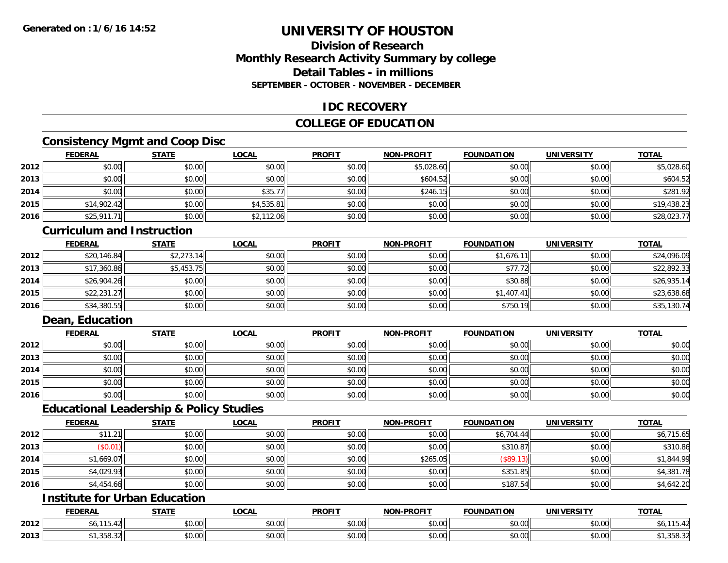#### **Division of ResearchMonthly Research Activity Summary by college Detail Tables - in millionsSEPTEMBER - OCTOBER - NOVEMBER - DECEMBER**

#### **IDC RECOVERY**

#### **COLLEGE OF EDUCATION**

#### **Consistency Mgmt and Coop Disc**

|      | <b>FEDERAL</b> | <b>STATE</b> | <b>LOCAL</b> | <b>PROFIT</b> | <b>NON-PROFIT</b> | <b>FOUNDATION</b> | <b>UNIVERSITY</b> | <b>TOTAL</b> |
|------|----------------|--------------|--------------|---------------|-------------------|-------------------|-------------------|--------------|
| 2012 | \$0.00         | \$0.00       | \$0.00       | \$0.00        | \$5,028.60        | \$0.00            | \$0.00            | \$5,028.60   |
| 2013 | \$0.00         | \$0.00       | \$0.00       | \$0.00        | \$604.52          | \$0.00            | \$0.00            | \$604.52     |
| 2014 | \$0.00         | \$0.00       | \$35.77      | \$0.00        | \$246.15          | \$0.00            | \$0.00            | \$281.92     |
| 2015 | \$14,902.42    | \$0.00       | \$4,535.81   | \$0.00        | \$0.00            | \$0.00            | \$0.00            | \$19,438.23  |
| 2016 | \$25,911.71    | \$0.00       | \$2,112.06   | \$0.00        | \$0.00            | \$0.00            | \$0.00            | \$28,023.77  |

#### **Curriculum and Instruction**

|      | <b>FEDERAL</b> | <u>STATE</u> | <u>LOCAL</u> | <b>PROFIT</b> | <b>NON-PROFIT</b> | <b>FOUNDATION</b> | <b>UNIVERSITY</b> | <b>TOTAL</b> |
|------|----------------|--------------|--------------|---------------|-------------------|-------------------|-------------------|--------------|
| 2012 | \$20,146.84    | \$2,273.14   | \$0.00       | \$0.00        | \$0.00            | \$1,676.11        | \$0.00            | \$24,096.09  |
| 2013 | \$17,360.86    | \$5,453.75   | \$0.00       | \$0.00        | \$0.00            | \$77.72           | \$0.00            | \$22,892.33  |
| 2014 | \$26,904.26    | \$0.00       | \$0.00       | \$0.00        | \$0.00            | \$30.88           | \$0.00            | \$26,935.14  |
| 2015 | \$22,231.27    | \$0.00       | \$0.00       | \$0.00        | \$0.00            | \$1,407.41        | \$0.00            | \$23,638.68  |
| 2016 | \$34,380.55    | \$0.00       | \$0.00       | \$0.00        | \$0.00            | \$750.19          | \$0.00            | \$35,130.74  |

#### **Dean, Education**

|      | <b>FEDERAL</b> | <b>STATE</b> | <u>LOCAL</u> | <b>PROFIT</b> | <b>NON-PROFIT</b> | <b>FOUNDATION</b> | <b>UNIVERSITY</b> | <b>TOTAL</b> |
|------|----------------|--------------|--------------|---------------|-------------------|-------------------|-------------------|--------------|
| 2012 | \$0.00         | \$0.00       | \$0.00       | \$0.00        | \$0.00            | \$0.00            | \$0.00            | \$0.00       |
| 2013 | \$0.00         | \$0.00       | \$0.00       | \$0.00        | \$0.00            | \$0.00            | \$0.00            | \$0.00       |
| 2014 | \$0.00         | \$0.00       | \$0.00       | \$0.00        | \$0.00            | \$0.00            | \$0.00            | \$0.00       |
| 2015 | \$0.00         | \$0.00       | \$0.00       | \$0.00        | \$0.00            | \$0.00            | \$0.00            | \$0.00       |
| 2016 | \$0.00         | \$0.00       | \$0.00       | \$0.00        | \$0.00            | \$0.00            | \$0.00            | \$0.00       |

#### **Educational Leadership & Policy Studies**

|      | <b>FEDERAL</b> | <b>STATE</b> | <b>LOCAL</b> | <b>PROFIT</b> | <b>NON-PROFIT</b> | <b>FOUNDATION</b> | <b>UNIVERSITY</b> | <b>TOTAL</b> |
|------|----------------|--------------|--------------|---------------|-------------------|-------------------|-------------------|--------------|
| 2012 | \$11.21        | \$0.00       | \$0.00       | \$0.00        | \$0.00            | \$6,704.44        | \$0.00            | \$6,715.65   |
| 2013 | (S0.01)        | \$0.00       | \$0.00       | \$0.00        | \$0.00            | \$310.87          | \$0.00            | \$310.86     |
| 2014 | \$1,669.07     | \$0.00       | \$0.00       | \$0.00        | \$265.05          | (\$89.13)         | \$0.00            | \$1,844.99   |
| 2015 | \$4,029.93     | \$0.00       | \$0.00       | \$0.00        | \$0.00            | \$351.85          | \$0.00            | \$4,381.78   |
| 2016 | \$4,454.66     | \$0.00       | \$0.00       | \$0.00        | \$0.00            | \$187.54          | \$0.00            | \$4,642.20   |

#### **Institute for Urban Education**

|      | <b>FEDERAL</b>              | <b>STATE</b>  | LOCAI              | <b>PROFIT</b>                     | <b>J-PROFIT</b><br><b>BIABI</b>           | <b>FOUNDATION</b>    | <b>UNIVERSITY</b>    | <b>TOTAL</b>     |
|------|-----------------------------|---------------|--------------------|-----------------------------------|-------------------------------------------|----------------------|----------------------|------------------|
| 2012 | <b>A</b> 4<br>1.3.42<br>υυ. | 0000<br>JU.UU | $\sim$<br>งง.งง    | $\sim$ 00<br>DU.UU                | 0.00<br>pu.uu                             | 0000<br><b>JU.UU</b> | 0.00<br>JU.UU        | . <del>.</del> . |
| 2013 | . აეი. აჯ                   | 0000<br>JU.UU | $\sim$ 00<br>vu.vu | $*$ $\cap$ $\cap$ $\cap$<br>JU.UU | $\uparrow$ $\uparrow$ $\uparrow$<br>JU.UU | 0000<br>JU.UU        | 0.00<br><b>JU.UU</b> | ∠د.סככ,          |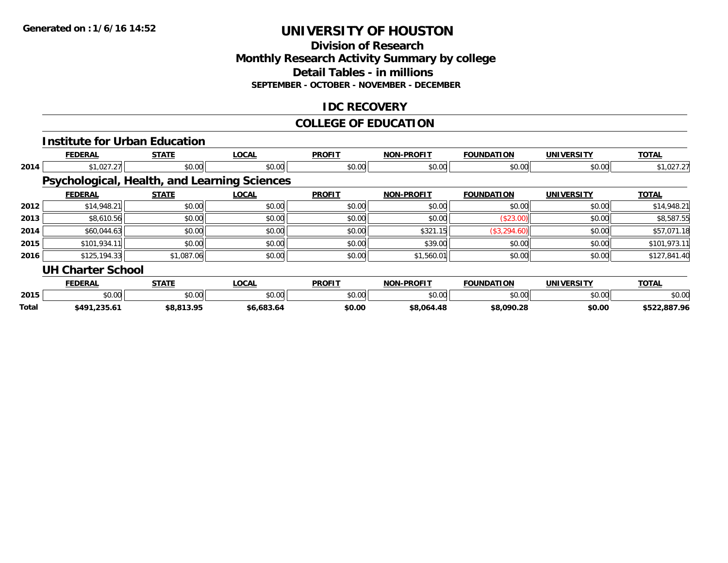#### **Division of Research Monthly Research Activity Summary by college Detail Tables - in millions SEPTEMBER - OCTOBER - NOVEMBER - DECEMBER**

#### **IDC RECOVERY**

#### **COLLEGE OF EDUCATION**

|       |                          | <b>Institute for Urban Education</b>                |              |               |                   |                   |                   |              |
|-------|--------------------------|-----------------------------------------------------|--------------|---------------|-------------------|-------------------|-------------------|--------------|
|       | <b>FEDERAL</b>           | <b>STATE</b>                                        | <b>LOCAL</b> | <b>PROFIT</b> | <b>NON-PROFIT</b> | <b>FOUNDATION</b> | <b>UNIVERSITY</b> | <b>TOTAL</b> |
| 2014  | \$1,027.27               | \$0.00                                              | \$0.00       | \$0.00        | \$0.00            | \$0.00            | \$0.00            | \$1,027.27   |
|       |                          | <b>Psychological, Health, and Learning Sciences</b> |              |               |                   |                   |                   |              |
|       | <b>FEDERAL</b>           | <b>STATE</b>                                        | <b>LOCAL</b> | <b>PROFIT</b> | <b>NON-PROFIT</b> | <b>FOUNDATION</b> | <b>UNIVERSITY</b> | <b>TOTAL</b> |
| 2012  | \$14,948.21              | \$0.00                                              | \$0.00       | \$0.00        | \$0.00            | \$0.00            | \$0.00            | \$14,948.21  |
| 2013  | \$8,610.56               | \$0.00                                              | \$0.00       | \$0.00        | \$0.00            | (\$23.00)         | \$0.00            | \$8,587.55   |
| 2014  | \$60,044.63              | \$0.00                                              | \$0.00       | \$0.00        | \$321.15          | (\$3,294.60)      | \$0.00            | \$57,071.18  |
| 2015  | \$101,934.11             | \$0.00                                              | \$0.00       | \$0.00        | \$39.00           | \$0.00            | \$0.00            | \$101,973.11 |
| 2016  | \$125,194.33             | \$1,087.06                                          | \$0.00       | \$0.00        | \$1,560.01        | \$0.00            | \$0.00            | \$127,841.40 |
|       | <b>UH Charter School</b> |                                                     |              |               |                   |                   |                   |              |
|       | <b>FEDERAL</b>           | <b>STATE</b>                                        | <b>LOCAL</b> | <b>PROFIT</b> | <b>NON-PROFIT</b> | <b>FOUNDATION</b> | <b>UNIVERSITY</b> | <b>TOTAL</b> |
| 2015  | \$0.00                   | \$0.00                                              | \$0.00       | \$0.00        | \$0.00            | \$0.00            | \$0.00            | \$0.00       |
| Total | \$491,235.61             | \$8,813.95                                          | \$6,683.64   | \$0.00        | \$8,064.48        | \$8,090.28        | \$0.00            | \$522,887.96 |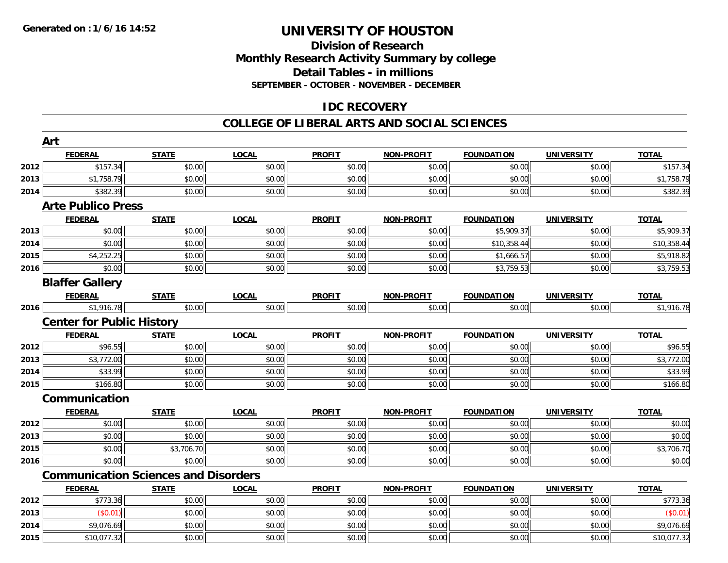#### **Division of ResearchMonthly Research Activity Summary by college Detail Tables - in millions SEPTEMBER - OCTOBER - NOVEMBER - DECEMBER**

#### **IDC RECOVERY**

#### **COLLEGE OF LIBERAL ARTS AND SOCIAL SCIENCES**

|      | Art                                         |              |              |               |                   |                   |                   |              |
|------|---------------------------------------------|--------------|--------------|---------------|-------------------|-------------------|-------------------|--------------|
|      | <b>FEDERAL</b>                              | <b>STATE</b> | <b>LOCAL</b> | <b>PROFIT</b> | <b>NON-PROFIT</b> | <b>FOUNDATION</b> | <b>UNIVERSITY</b> | <b>TOTAL</b> |
| 2012 | \$157.34                                    | \$0.00       | \$0.00       | \$0.00        | \$0.00            | \$0.00            | \$0.00            | \$157.34     |
| 2013 | \$1,758.79                                  | \$0.00       | \$0.00       | \$0.00        | \$0.00            | \$0.00            | \$0.00            | \$1,758.79   |
| 2014 | \$382.39                                    | \$0.00       | \$0.00       | \$0.00        | \$0.00            | \$0.00            | \$0.00            | \$382.39     |
|      | <b>Arte Publico Press</b>                   |              |              |               |                   |                   |                   |              |
|      | <b>FEDERAL</b>                              | <b>STATE</b> | <b>LOCAL</b> | <b>PROFIT</b> | <b>NON-PROFIT</b> | <b>FOUNDATION</b> | <b>UNIVERSITY</b> | <b>TOTAL</b> |
| 2013 | \$0.00                                      | \$0.00       | \$0.00       | \$0.00        | \$0.00            | \$5,909.37        | \$0.00            | \$5,909.37   |
| 2014 | \$0.00                                      | \$0.00       | \$0.00       | \$0.00        | \$0.00            | \$10,358.44       | \$0.00            | \$10,358.44  |
| 2015 | \$4,252.25                                  | \$0.00       | \$0.00       | \$0.00        | \$0.00            | \$1,666.57        | \$0.00            | \$5,918.82   |
| 2016 | \$0.00                                      | \$0.00       | \$0.00       | \$0.00        | \$0.00            | \$3,759.53        | \$0.00            | \$3,759.53   |
|      | <b>Blaffer Gallery</b>                      |              |              |               |                   |                   |                   |              |
|      | <b>FEDERAL</b>                              | <b>STATE</b> | <b>LOCAL</b> | <b>PROFIT</b> | <b>NON-PROFIT</b> | <b>FOUNDATION</b> | <b>UNIVERSITY</b> | <b>TOTAL</b> |
| 2016 | \$1,916.78                                  | \$0.00       | \$0.00       | \$0.00        | \$0.00            | \$0.00            | \$0.00            | \$1,916.78   |
|      | <b>Center for Public History</b>            |              |              |               |                   |                   |                   |              |
|      | <b>FEDERAL</b>                              | <b>STATE</b> | <b>LOCAL</b> | <b>PROFIT</b> | <b>NON-PROFIT</b> | <b>FOUNDATION</b> | <b>UNIVERSITY</b> | <b>TOTAL</b> |
| 2012 | \$96.55                                     | \$0.00       | \$0.00       | \$0.00        | \$0.00            | \$0.00            | \$0.00            | \$96.55      |
| 2013 | \$3,772.00                                  | \$0.00       | \$0.00       | \$0.00        | \$0.00            | \$0.00            | \$0.00            | \$3,772.00   |
| 2014 | \$33.99                                     | \$0.00       | \$0.00       | \$0.00        | \$0.00            | \$0.00            | \$0.00            | \$33.99      |
| 2015 | \$166.80                                    | \$0.00       | \$0.00       | \$0.00        | \$0.00            | \$0.00            | \$0.00            | \$166.80     |
|      | Communication                               |              |              |               |                   |                   |                   |              |
|      | <b>FEDERAL</b>                              | <b>STATE</b> | <b>LOCAL</b> | <b>PROFIT</b> | <b>NON-PROFIT</b> | <b>FOUNDATION</b> | <b>UNIVERSITY</b> | <b>TOTAL</b> |
| 2012 | \$0.00                                      | \$0.00       | \$0.00       | \$0.00        | \$0.00            | \$0.00            | \$0.00            | \$0.00       |
| 2013 | \$0.00                                      | \$0.00       | \$0.00       | \$0.00        | \$0.00            | \$0.00            | \$0.00            | \$0.00       |
| 2015 | \$0.00                                      | \$3,706.70   | \$0.00       | \$0.00        | \$0.00            | \$0.00            | \$0.00            | \$3,706.70   |
| 2016 | \$0.00                                      | \$0.00       | \$0.00       | \$0.00        | \$0.00            | \$0.00            | \$0.00            | \$0.00       |
|      | <b>Communication Sciences and Disorders</b> |              |              |               |                   |                   |                   |              |
|      | <b>FEDERAL</b>                              | <b>STATE</b> | <b>LOCAL</b> | <b>PROFIT</b> | <b>NON-PROFIT</b> | <b>FOUNDATION</b> | <b>UNIVERSITY</b> | <b>TOTAL</b> |
| 2012 | \$773.36                                    | \$0.00       | \$0.00       | \$0.00        | \$0.00            | \$0.00            | \$0.00            | \$773.36     |
| 2013 | (S0.01)                                     | \$0.00       | \$0.00       | \$0.00        | \$0.00            | \$0.00            | \$0.00            | (\$0.01)     |
| 2014 | \$9,076.69                                  | \$0.00       | \$0.00       | \$0.00        | \$0.00            | \$0.00            | \$0.00            | \$9,076.69   |
| 2015 | \$10,077.32                                 | \$0.00       | \$0.00       | \$0.00        | \$0.00            | \$0.00            | \$0.00            | \$10,077.32  |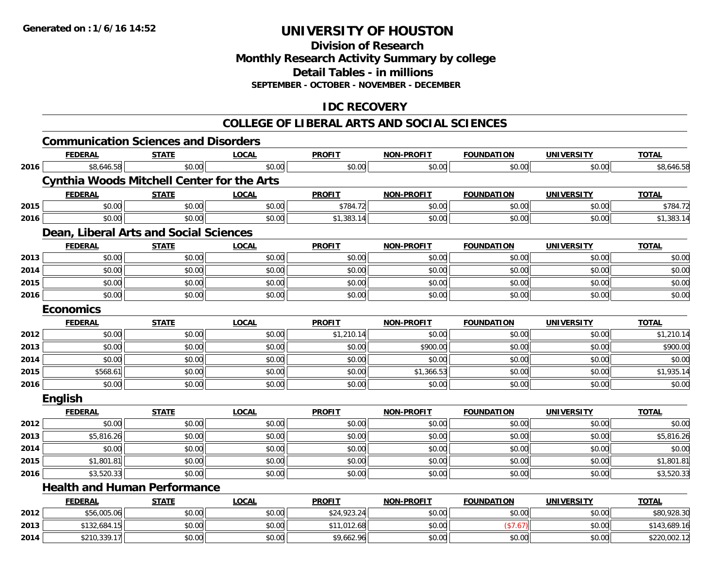#### **Division of ResearchMonthly Research Activity Summary by college Detail Tables - in millions SEPTEMBER - OCTOBER - NOVEMBER - DECEMBER**

#### **IDC RECOVERY**

#### **COLLEGE OF LIBERAL ARTS AND SOCIAL SCIENCES**

|      | <b>Communication Sciences and Disorders</b>       |              |              |               |                   |                   |                   |              |
|------|---------------------------------------------------|--------------|--------------|---------------|-------------------|-------------------|-------------------|--------------|
|      | <b>FEDERAL</b>                                    | <b>STATE</b> | <b>LOCAL</b> | <b>PROFIT</b> | NON-PROFIT        | <b>FOUNDATION</b> | <b>UNIVERSITY</b> | <b>TOTAL</b> |
| 2016 | \$8,646.58                                        | \$0.00       | \$0.00       | \$0.00        | \$0.00            | \$0.00            | \$0.00            | \$8,646.58   |
|      | <b>Cynthia Woods Mitchell Center for the Arts</b> |              |              |               |                   |                   |                   |              |
|      | <b>FEDERAL</b>                                    | <b>STATE</b> | <b>LOCAL</b> | <b>PROFIT</b> | <b>NON-PROFIT</b> | <b>FOUNDATION</b> | <b>UNIVERSITY</b> | <b>TOTAL</b> |
| 2015 | \$0.00                                            | \$0.00       | \$0.00       | \$784.72      | \$0.00            | \$0.00            | \$0.00            | \$784.72     |
| 2016 | \$0.00                                            | \$0.00       | \$0.00       | \$1,383.14    | \$0.00            | \$0.00            | \$0.00            | \$1,383.14   |
|      | Dean, Liberal Arts and Social Sciences            |              |              |               |                   |                   |                   |              |
|      | <b>FEDERAL</b>                                    | <b>STATE</b> | <b>LOCAL</b> | <b>PROFIT</b> | <b>NON-PROFIT</b> | <b>FOUNDATION</b> | <b>UNIVERSITY</b> | <b>TOTAL</b> |
| 2013 | \$0.00                                            | \$0.00       | \$0.00       | \$0.00        | \$0.00            | \$0.00            | \$0.00            | \$0.00       |
| 2014 | \$0.00                                            | \$0.00       | \$0.00       | \$0.00        | \$0.00            | \$0.00            | \$0.00            | \$0.00       |
| 2015 | \$0.00                                            | \$0.00       | \$0.00       | \$0.00        | \$0.00            | \$0.00            | \$0.00            | \$0.00       |
| 2016 | \$0.00                                            | \$0.00       | \$0.00       | \$0.00        | \$0.00            | \$0.00            | \$0.00            | \$0.00       |
|      | <b>Economics</b>                                  |              |              |               |                   |                   |                   |              |
|      | <b>FEDERAL</b>                                    | <b>STATE</b> | <b>LOCAL</b> | <b>PROFIT</b> | <b>NON-PROFIT</b> | <b>FOUNDATION</b> | <b>UNIVERSITY</b> | <b>TOTAL</b> |
| 2012 | \$0.00                                            | \$0.00       | \$0.00       | \$1,210.14    | \$0.00            | \$0.00            | \$0.00            | \$1,210.14   |
| 2013 | \$0.00                                            | \$0.00       | \$0.00       | \$0.00        | \$900.00          | \$0.00            | \$0.00            | \$900.00     |
| 2014 | \$0.00                                            | \$0.00       | \$0.00       | \$0.00        | \$0.00            | \$0.00            | \$0.00            | \$0.00       |
| 2015 | \$568.61                                          | \$0.00       | \$0.00       | \$0.00        | \$1,366.53        | \$0.00            | \$0.00            | \$1,935.14   |
| 2016 | \$0.00                                            | \$0.00       | \$0.00       | \$0.00        | \$0.00            | \$0.00            | \$0.00            | \$0.00       |
|      | English                                           |              |              |               |                   |                   |                   |              |
|      | <b>FEDERAL</b>                                    | <b>STATE</b> | <b>LOCAL</b> | <b>PROFIT</b> | <b>NON-PROFIT</b> | <b>FOUNDATION</b> | <b>UNIVERSITY</b> | <b>TOTAL</b> |
| 2012 | \$0.00                                            | \$0.00       | \$0.00       | \$0.00        | \$0.00            | \$0.00            | \$0.00            | \$0.00       |
| 2013 | \$5,816.26                                        | \$0.00       | \$0.00       | \$0.00        | \$0.00            | \$0.00            | \$0.00            | \$5,816.26   |
| 2014 | \$0.00                                            | \$0.00       | \$0.00       | \$0.00        | \$0.00            | \$0.00            | \$0.00            | \$0.00       |
| 2015 | \$1,801.81                                        | \$0.00       | \$0.00       | \$0.00        | \$0.00            | \$0.00            | \$0.00            | \$1,801.81   |
| 2016 | \$3,520.33                                        | \$0.00       | \$0.00       | \$0.00        | \$0.00            | \$0.00            | \$0.00            | \$3,520.33   |
|      | <b>Health and Human Performance</b>               |              |              |               |                   |                   |                   |              |
|      | <b>FEDERAL</b>                                    | <b>STATE</b> | <b>LOCAL</b> | <b>PROFIT</b> | <b>NON-PROFIT</b> | <b>FOUNDATION</b> | <b>UNIVERSITY</b> | <b>TOTAL</b> |
| 2012 | \$56,005.06                                       | \$0.00       | \$0.00       | \$24,923.24   | \$0.00            | \$0.00            | \$0.00            | \$80,928.30  |
| 2013 | \$132,684.15                                      | \$0.00       | \$0.00       | \$11,012.68   | \$0.00            | (\$7.67)          | \$0.00            | \$143,689.16 |
| 2014 | \$210,339.17                                      | \$0.00       | \$0.00       | \$9,662.96    | \$0.00            | \$0.00            | \$0.00            | \$220,002.12 |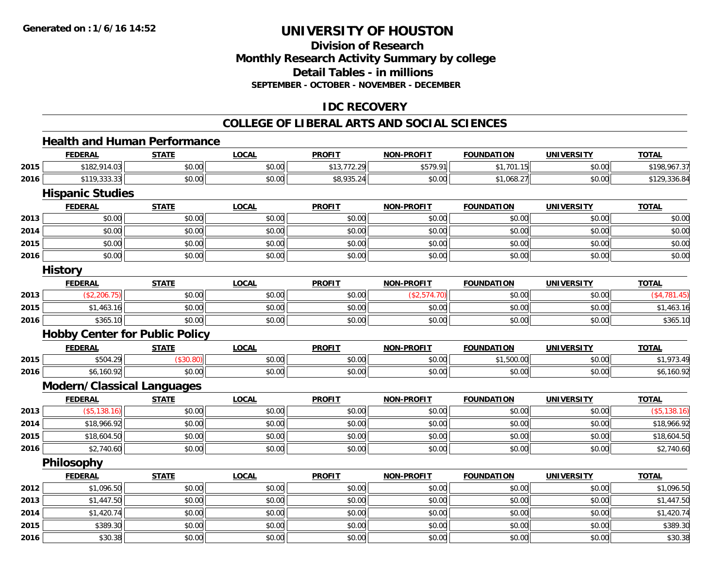#### **Division of ResearchMonthly Research Activity Summary by college Detail Tables - in millions SEPTEMBER - OCTOBER - NOVEMBER - DECEMBER**

#### **IDC RECOVERY**

#### **COLLEGE OF LIBERAL ARTS AND SOCIAL SCIENCES**

#### **Health and Human Performance**

|      | <b>FEDERAL</b>                        | <b>STATE</b> | <b>LOCAL</b> | <b>PROFIT</b> | <b>NON-PROFIT</b> | <b>FOUNDATION</b> | <b>UNIVERSITY</b> | <b>TOTAL</b> |
|------|---------------------------------------|--------------|--------------|---------------|-------------------|-------------------|-------------------|--------------|
| 2015 | \$182,914.03                          | \$0.00       | \$0.00       | \$13,772.29   | \$579.91          | \$1,701.15        | \$0.00            | \$198,967.37 |
| 2016 | \$119,333.33                          | \$0.00       | \$0.00       | \$8,935.24    | \$0.00            | \$1,068.27        | \$0.00            | \$129,336.84 |
|      | <b>Hispanic Studies</b>               |              |              |               |                   |                   |                   |              |
|      | <b>FEDERAL</b>                        | <b>STATE</b> | <b>LOCAL</b> | <b>PROFIT</b> | <b>NON-PROFIT</b> | <b>FOUNDATION</b> | <b>UNIVERSITY</b> | <b>TOTAL</b> |
| 2013 | \$0.00                                | \$0.00       | \$0.00       | \$0.00        | \$0.00            | \$0.00            | \$0.00            | \$0.00       |
| 2014 | \$0.00                                | \$0.00       | \$0.00       | \$0.00        | \$0.00            | \$0.00            | \$0.00            | \$0.00       |
| 2015 | \$0.00                                | \$0.00       | \$0.00       | \$0.00        | \$0.00            | \$0.00            | \$0.00            | \$0.00       |
| 2016 | \$0.00                                | \$0.00       | \$0.00       | \$0.00        | \$0.00            | \$0.00            | \$0.00            | \$0.00       |
|      | <b>History</b>                        |              |              |               |                   |                   |                   |              |
|      | <b>FEDERAL</b>                        | <b>STATE</b> | <b>LOCAL</b> | <b>PROFIT</b> | <b>NON-PROFIT</b> | <b>FOUNDATION</b> | <b>UNIVERSITY</b> | <b>TOTAL</b> |
| 2013 | (\$2,206.75)                          | \$0.00       | \$0.00       | \$0.00        | (\$2,574.70)      | \$0.00            | \$0.00            | (\$4,781.45) |
| 2015 | \$1,463.16                            | \$0.00       | \$0.00       | \$0.00        | \$0.00            | \$0.00            | \$0.00            | \$1,463.16   |
| 2016 | \$365.10                              | \$0.00       | \$0.00       | \$0.00        | \$0.00            | \$0.00            | \$0.00            | \$365.10     |
|      | <b>Hobby Center for Public Policy</b> |              |              |               |                   |                   |                   |              |
|      | <b>FEDERAL</b>                        | <b>STATE</b> | <b>LOCAL</b> | <b>PROFIT</b> | <b>NON-PROFIT</b> | <b>FOUNDATION</b> | <b>UNIVERSITY</b> | <b>TOTAL</b> |
| 2015 | \$504.29                              | (\$30.80)    | \$0.00       | \$0.00        | \$0.00            | \$1,500.00        | \$0.00            | \$1,973.49   |
| 2016 | \$6,160.92                            | \$0.00       | \$0.00       | \$0.00        | \$0.00            | \$0.00            | \$0.00            | \$6,160.92   |
|      | <b>Modern/Classical Languages</b>     |              |              |               |                   |                   |                   |              |
|      | <b>FEDERAL</b>                        | <b>STATE</b> | <b>LOCAL</b> | <b>PROFIT</b> | <b>NON-PROFIT</b> | <b>FOUNDATION</b> | <b>UNIVERSITY</b> | <b>TOTAL</b> |
| 2013 | (\$5,138.16)                          | \$0.00       | \$0.00       | \$0.00        | \$0.00            | \$0.00            | \$0.00            | (\$5,138.16) |
| 2014 | \$18,966.92                           | \$0.00       | \$0.00       | \$0.00        | \$0.00            | \$0.00            | \$0.00            | \$18,966.92  |
| 2015 | \$18,604.50                           | \$0.00       | \$0.00       | \$0.00        | \$0.00            | \$0.00            | \$0.00            | \$18,604.50  |
| 2016 | \$2,740.60                            | \$0.00       | \$0.00       | \$0.00        | \$0.00            | \$0.00            | \$0.00            | \$2,740.60   |
|      | <b>Philosophy</b>                     |              |              |               |                   |                   |                   |              |
|      | <b>FEDERAL</b>                        | <b>STATE</b> | <b>LOCAL</b> | <b>PROFIT</b> | <b>NON-PROFIT</b> | <b>FOUNDATION</b> | <b>UNIVERSITY</b> | <b>TOTAL</b> |
| 2012 | \$1,096.50                            | \$0.00       | \$0.00       | \$0.00        | \$0.00            | \$0.00            | \$0.00            | \$1,096.50   |
| 2013 | \$1,447.50                            | \$0.00       | \$0.00       | \$0.00        | \$0.00            | \$0.00            | \$0.00            | \$1,447.50   |
| 2014 | \$1,420.74                            | \$0.00       | \$0.00       | \$0.00        | \$0.00            | \$0.00            | \$0.00            | \$1,420.74   |
| 2015 | \$389.30                              | \$0.00       | \$0.00       | \$0.00        | \$0.00            | \$0.00            | \$0.00            | \$389.30     |
| 2016 | \$30.38                               | \$0.00       | \$0.00       | \$0.00        | \$0.00            | \$0.00            | \$0.00            | \$30.38      |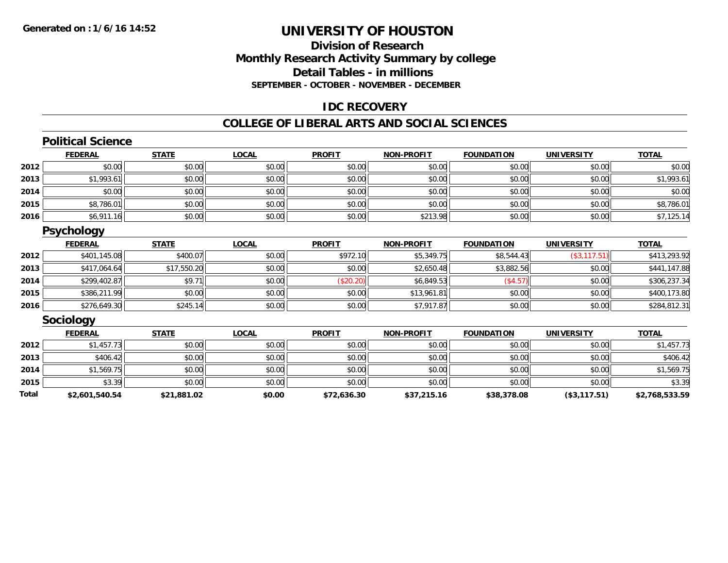#### **Division of ResearchMonthly Research Activity Summary by college Detail Tables - in millions SEPTEMBER - OCTOBER - NOVEMBER - DECEMBER**

#### **IDC RECOVERY**

#### **COLLEGE OF LIBERAL ARTS AND SOCIAL SCIENCES**

#### **Political Science**

|      | <b>FEDERAL</b> | <b>STATE</b> | <b>LOCAL</b> | <b>PROFIT</b> | <b>NON-PROFIT</b> | <b>FOUNDATION</b> | <b>UNIVERSITY</b> | <b>TOTAL</b> |
|------|----------------|--------------|--------------|---------------|-------------------|-------------------|-------------------|--------------|
| 2012 | \$0.00         | \$0.00       | \$0.00       | \$0.00        | \$0.00            | \$0.00            | \$0.00            | \$0.00       |
| 2013 | \$1,993.61     | \$0.00       | \$0.00       | \$0.00        | \$0.00            | \$0.00            | \$0.00            | \$1,993.61   |
| 2014 | \$0.00         | \$0.00       | \$0.00       | \$0.00        | \$0.00            | \$0.00            | \$0.00            | \$0.00       |
| 2015 | \$8,786.01     | \$0.00       | \$0.00       | \$0.00        | \$0.00            | \$0.00            | \$0.00            | \$8,786.01   |
| 2016 | \$6,911.16     | \$0.00       | \$0.00       | \$0.00        | \$213.98          | \$0.00            | \$0.00            | \$7,125.14   |

#### **Psychology**

|      | <b>FEDERAL</b> | <b>STATE</b> | <u>LOCAL</u> | <b>PROFIT</b> | <b>NON-PROFIT</b> | <b>FOUNDATION</b> | <b>UNIVERSITY</b> | <b>TOTAL</b> |
|------|----------------|--------------|--------------|---------------|-------------------|-------------------|-------------------|--------------|
| 2012 | \$401,145.08   | \$400.07     | \$0.00       | \$972.10      | \$5,349.75        | \$8,544.43        | (\$3, 117.51)     | \$413,293.92 |
| 2013 | \$417,064.64   | \$17,550.20  | \$0.00       | \$0.00        | \$2,650.48        | \$3,882.56        | \$0.00            | \$441,147.88 |
| 2014 | \$299,402.87   | \$9.7        | \$0.00       | \$20.20       | \$6,849.53        | (\$4.57)          | \$0.00            | \$306,237.34 |
| 2015 | \$386,211.99   | \$0.00       | \$0.00       | \$0.00        | \$13,961.81       | \$0.00            | \$0.00            | \$400,173.80 |
| 2016 | \$276,649.30   | \$245.14     | \$0.00       | \$0.00        | \$7,917.87        | \$0.00            | \$0.00            | \$284,812.31 |

#### **Sociology**

|       | <b>FEDERAL</b> | <u>STATE</u> | <u>LOCAL</u> | <b>PROFIT</b> | <b>NON-PROFIT</b> | <b>FOUNDATION</b> | <b>UNIVERSITY</b> | <b>TOTAL</b>   |
|-------|----------------|--------------|--------------|---------------|-------------------|-------------------|-------------------|----------------|
| 2012  | \$1,457.73     | \$0.00       | \$0.00       | \$0.00        | \$0.00            | \$0.00            | \$0.00            | \$1,457.73     |
| 2013  | \$406.42       | \$0.00       | \$0.00       | \$0.00        | \$0.00            | \$0.00            | \$0.00            | \$406.42       |
| 2014  | \$1,569.75     | \$0.00       | \$0.00       | \$0.00        | \$0.00            | \$0.00            | \$0.00            | \$1,569.75     |
| 2015  | \$3.39         | \$0.00       | \$0.00       | \$0.00        | \$0.00            | \$0.00            | \$0.00            | \$3.39         |
| Total | \$2,601,540.54 | \$21,881.02  | \$0.00       | \$72,636.30   | \$37,215.16       | \$38,378.08       | (\$3,117.51)      | \$2,768,533.59 |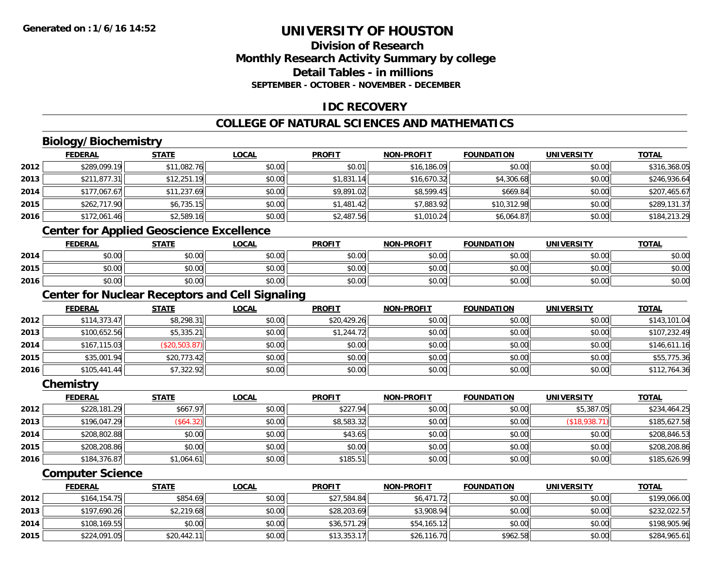#### **Division of ResearchMonthly Research Activity Summary by college Detail Tables - in millionsSEPTEMBER - OCTOBER - NOVEMBER - DECEMBER**

#### **IDC RECOVERY**

#### **COLLEGE OF NATURAL SCIENCES AND MATHEMATICS**

## **Biology/Biochemistry**

|      | <b>FEDERAL</b> | <b>STATE</b> | <u>LOCAL</u> | <b>PROFIT</b> | <b>NON-PROFIT</b> | <b>FOUNDATION</b> | <b>UNIVERSITY</b> | <b>TOTAL</b> |
|------|----------------|--------------|--------------|---------------|-------------------|-------------------|-------------------|--------------|
| 2012 | \$289,099.19   | \$11,082.76  | \$0.00       | \$0.01        | \$16,186.09       | \$0.00            | \$0.00            | \$316,368.05 |
| 2013 | \$211,877.31   | \$12,251.19  | \$0.00       | \$1,831.14    | \$16,670.32       | \$4,306.68        | \$0.00            | \$246,936.64 |
| 2014 | \$177,067.67   | \$11,237.69  | \$0.00       | \$9,891.02    | \$8,599.45        | \$669.84          | \$0.00            | \$207,465.67 |
| 2015 | \$262,717.90   | \$6,735.15   | \$0.00       | \$1,481.42    | \$7,883.92        | \$10,312.98       | \$0.00            | \$289,131.37 |
| 2016 | \$172,061.46   | \$2,589.16   | \$0.00       | \$2,487.56    | \$1,010.24        | \$6,064.87        | \$0.00            | \$184,213.29 |
|      |                |              |              |               |                   |                   |                   |              |

#### **Center for Applied Geoscience Excellence**

|      | <b>FEDERAL</b>      | <b>STATE</b> | <b>LOCAL</b> | <b>PROFIT</b> | <b>NON-PROFIT</b> | <b>FOUNDATION</b> | UNIVERSITY<br>ERJI | <b>TOTAL</b> |
|------|---------------------|--------------|--------------|---------------|-------------------|-------------------|--------------------|--------------|
| 2014 | <b>ተ ∩</b><br>vu.uu | \$0.00       | \$0.00       | \$0.00        | \$0.00            | \$0.00            | \$0.00             | \$0.00       |
| 2015 | ልስ ሰሰ<br>PU.UU      | \$0.00       | \$0.00       | \$0.00        | \$0.00            | \$0.00            | \$0.00             | \$0.00       |
| 2016 | ¢∩<br>DU.UG         | \$0.00       | \$0.00       | \$0.00        | \$0.00            | \$0.00            | \$0.00             | \$0.00       |

#### **Center for Nuclear Receptors and Cell Signaling**

|      | <b>FEDERAL</b> | <b>STATE</b>  | <u>LOCAL</u> | <b>PROFIT</b> | <b>NON-PROFIT</b> | <b>FOUNDATION</b> | <b>UNIVERSITY</b> | <b>TOTAL</b> |
|------|----------------|---------------|--------------|---------------|-------------------|-------------------|-------------------|--------------|
| 2012 | \$114,373.47   | \$8,298.31    | \$0.00       | \$20,429.26   | \$0.00            | \$0.00            | \$0.00            | \$143,101.04 |
| 2013 | \$100,652.56   | \$5,335.21    | \$0.00       | \$1,244.72    | \$0.00            | \$0.00            | \$0.00            | \$107,232.49 |
| 2014 | \$167, 115.03  | (\$20,503.87) | \$0.00       | \$0.00        | \$0.00            | \$0.00            | \$0.00            | \$146,611.16 |
| 2015 | \$35,001.94    | \$20,773.42   | \$0.00       | \$0.00        | \$0.00            | \$0.00            | \$0.00            | \$55,775.36  |
| 2016 | \$105,441.44   | \$7,322.92    | \$0.00       | \$0.00        | \$0.00            | \$0.00            | \$0.00            | \$112,764.36 |

#### **Chemistry**

|      | <b>FEDERAL</b> | <b>STATE</b> | <u>LOCAL</u> | <b>PROFIT</b> | <b>NON-PROFIT</b> | <b>FOUNDATION</b> | <b>UNIVERSITY</b> | <b>TOTAL</b> |
|------|----------------|--------------|--------------|---------------|-------------------|-------------------|-------------------|--------------|
| 2012 | \$228,181.29   | \$667.97     | \$0.00       | \$227.94      | \$0.00            | \$0.00            | \$5,387.05        | \$234,464.25 |
| 2013 | \$196,047.29   | (\$64.32)    | \$0.00       | \$8,583.32    | \$0.00            | \$0.00            | (\$18,938.71)     | \$185,627.58 |
| 2014 | \$208,802.88   | \$0.00       | \$0.00       | \$43.65       | \$0.00            | \$0.00            | \$0.00            | \$208,846.53 |
| 2015 | \$208,208.86   | \$0.00       | \$0.00       | \$0.00        | \$0.00            | \$0.00            | \$0.00            | \$208,208.86 |
| 2016 | \$184,376.87   | \$1,064.61   | \$0.00       | \$185.51      | \$0.00            | \$0.00            | \$0.00            | \$185,626.99 |

#### **Computer Science**

|      | <b>FEDERAL</b> | <u>STATE</u> | <u>LOCAL</u> | <b>PROFIT</b> | <b>NON-PROFIT</b> | <b>FOUNDATION</b> | UNIVERSITY | <b>TOTAL</b> |
|------|----------------|--------------|--------------|---------------|-------------------|-------------------|------------|--------------|
| 2012 | \$164, 154.75  | \$854.69     | \$0.00       | \$27,584.84   | \$6,471.72        | \$0.00            | \$0.00     | \$199,066.00 |
| 2013 | \$197,690.26   | \$2,219.68   | \$0.00       | \$28,203.69   | \$3,908.94        | \$0.00            | \$0.00     | \$232,022.57 |
| 2014 | \$108,169.55   | \$0.00       | \$0.00       | \$36,571.29   | \$54,165.12       | \$0.00            | \$0.00     | \$198,905.96 |
| 2015 | \$224,091.05   | \$20,442.11  | \$0.00       | \$13,353.17   | \$26,116.70       | \$962.58          | \$0.00     | \$284,965.61 |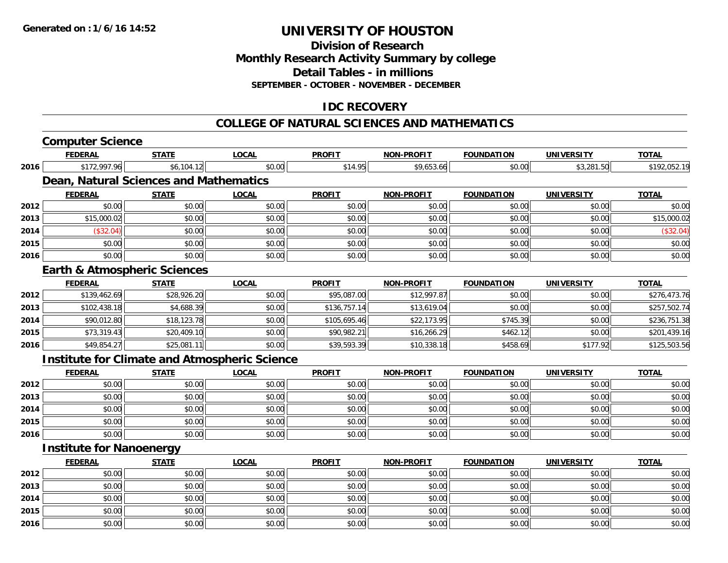#### **Division of ResearchMonthly Research Activity Summary by college Detail Tables - in millions SEPTEMBER - OCTOBER - NOVEMBER - DECEMBER**

#### **IDC RECOVERY**

#### **COLLEGE OF NATURAL SCIENCES AND MATHEMATICS**

|      | <b>Computer Science</b>                 |              |                                                      |               |                   |                   |                   |              |
|------|-----------------------------------------|--------------|------------------------------------------------------|---------------|-------------------|-------------------|-------------------|--------------|
|      | <b>FEDERAL</b>                          | <b>STATE</b> | <b>LOCAL</b>                                         | <b>PROFIT</b> | <b>NON-PROFIT</b> | <b>FOUNDATION</b> | <b>UNIVERSITY</b> | <b>TOTAL</b> |
| 2016 | \$172,997.96                            | \$6,104.12   | \$0.00                                               | \$14.95       | \$9,653.66        | \$0.00            | \$3,281.50        | \$192,052.19 |
|      | Dean, Natural Sciences and Mathematics  |              |                                                      |               |                   |                   |                   |              |
|      | <b>FEDERAL</b>                          | <b>STATE</b> | <b>LOCAL</b>                                         | <b>PROFIT</b> | <b>NON-PROFIT</b> | <b>FOUNDATION</b> | <b>UNIVERSITY</b> | <b>TOTAL</b> |
| 2012 | \$0.00                                  | \$0.00       | \$0.00                                               | \$0.00        | \$0.00            | \$0.00            | \$0.00            | \$0.00       |
| 2013 | \$15,000.02                             | \$0.00       | \$0.00                                               | \$0.00        | \$0.00            | \$0.00            | \$0.00            | \$15,000.02  |
| 2014 | (\$32.04)                               | \$0.00       | \$0.00                                               | \$0.00        | \$0.00            | \$0.00            | \$0.00            | (\$32.04)    |
| 2015 | \$0.00                                  | \$0.00       | \$0.00                                               | \$0.00        | \$0.00            | \$0.00            | \$0.00            | \$0.00       |
| 2016 | \$0.00                                  | \$0.00       | \$0.00                                               | \$0.00        | \$0.00            | \$0.00            | \$0.00            | \$0.00       |
|      | <b>Earth &amp; Atmospheric Sciences</b> |              |                                                      |               |                   |                   |                   |              |
|      | <b>FEDERAL</b>                          | <b>STATE</b> | <b>LOCAL</b>                                         | <b>PROFIT</b> | <b>NON-PROFIT</b> | <b>FOUNDATION</b> | <b>UNIVERSITY</b> | <b>TOTAL</b> |
| 2012 | \$139,462.69                            | \$28,926.20  | \$0.00                                               | \$95,087.00   | \$12,997.87       | \$0.00            | \$0.00            | \$276,473.76 |
| 2013 | \$102,438.18                            | \$4,688.39   | \$0.00                                               | \$136,757.14  | \$13,619.04       | \$0.00            | \$0.00            | \$257,502.74 |
| 2014 | \$90,012.80                             | \$18,123.78  | \$0.00                                               | \$105,695.46  | \$22,173.95       | \$745.39          | \$0.00            | \$236,751.38 |
| 2015 | \$73,319.43                             | \$20,409.10  | \$0.00                                               | \$90,982.21   | \$16,266.29       | \$462.12          | \$0.00            | \$201,439.16 |
| 2016 | \$49,854.27                             | \$25,081.11  | \$0.00                                               | \$39,593.39   | \$10,338.18       | \$458.69          | \$177.92          | \$125,503.56 |
|      |                                         |              | <b>Institute for Climate and Atmospheric Science</b> |               |                   |                   |                   |              |
|      | <b>FEDERAL</b>                          | <b>STATE</b> | <b>LOCAL</b>                                         | <b>PROFIT</b> | <b>NON-PROFIT</b> | <b>FOUNDATION</b> | <b>UNIVERSITY</b> | <b>TOTAL</b> |
| 2012 | \$0.00                                  | \$0.00       | \$0.00                                               | \$0.00        | \$0.00            | \$0.00            | \$0.00            | \$0.00       |
| 2013 | \$0.00                                  | \$0.00       | \$0.00                                               | \$0.00        | \$0.00            | \$0.00            | \$0.00            | \$0.00       |
| 2014 | \$0.00                                  | \$0.00       | \$0.00                                               | \$0.00        | \$0.00            | \$0.00            | \$0.00            | \$0.00       |
| 2015 | \$0.00                                  | \$0.00       | \$0.00                                               | \$0.00        | \$0.00            | \$0.00            | \$0.00            | \$0.00       |
| 2016 | \$0.00                                  | \$0.00       | \$0.00                                               | \$0.00        | \$0.00            | \$0.00            | \$0.00            | \$0.00       |
|      | <b>Institute for Nanoenergy</b>         |              |                                                      |               |                   |                   |                   |              |
|      | <b>FEDERAL</b>                          | <b>STATE</b> | <b>LOCAL</b>                                         | <b>PROFIT</b> | <b>NON-PROFIT</b> | <b>FOUNDATION</b> | <b>UNIVERSITY</b> | <b>TOTAL</b> |
| 2012 | \$0.00                                  | \$0.00       | \$0.00                                               | \$0.00        | \$0.00            | \$0.00            | \$0.00            | \$0.00       |
| 2013 | \$0.00                                  | \$0.00       | \$0.00                                               | \$0.00        | \$0.00            | \$0.00            | \$0.00            | \$0.00       |
| 2014 | \$0.00                                  | \$0.00       | \$0.00                                               | \$0.00        | \$0.00            | \$0.00            | \$0.00            | \$0.00       |
| 2015 | \$0.00                                  | \$0.00       | \$0.00                                               | \$0.00        | \$0.00            | \$0.00            | \$0.00            | \$0.00       |
| 2016 | \$0.00                                  | \$0.00       | \$0.00                                               | \$0.00        | \$0.00            | \$0.00            | \$0.00            | \$0.00       |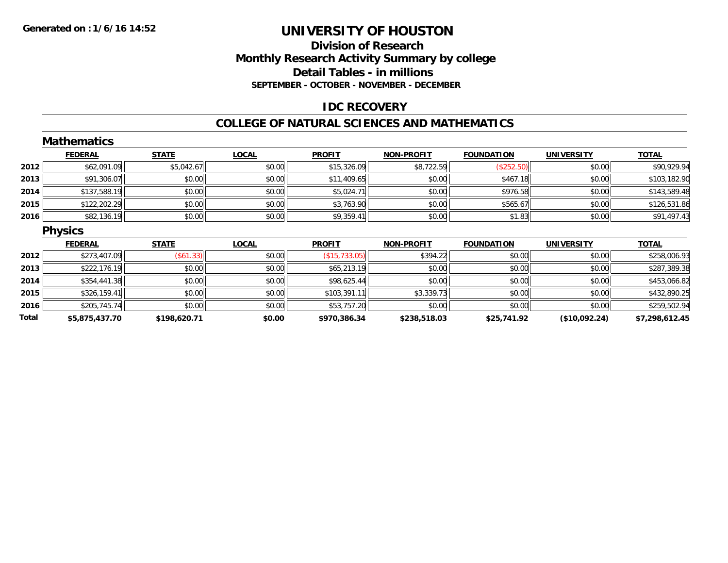#### **Division of Research Monthly Research Activity Summary by college Detail Tables - in millions SEPTEMBER - OCTOBER - NOVEMBER - DECEMBER**

#### **IDC RECOVERY**

#### **COLLEGE OF NATURAL SCIENCES AND MATHEMATICS**

|       | <b>Mathematics</b> |              |              |               |                   |                   |                   |                |
|-------|--------------------|--------------|--------------|---------------|-------------------|-------------------|-------------------|----------------|
|       | <b>FEDERAL</b>     | <b>STATE</b> | <b>LOCAL</b> | <b>PROFIT</b> | <b>NON-PROFIT</b> | <b>FOUNDATION</b> | <b>UNIVERSITY</b> | <b>TOTAL</b>   |
| 2012  | \$62,091.09        | \$5,042.67   | \$0.00       | \$15,326.09   | \$8,722.59        | (\$252.50)        | \$0.00            | \$90,929.94    |
| 2013  | \$91,306.07        | \$0.00       | \$0.00       | \$11,409.65   | \$0.00            | \$467.18          | \$0.00            | \$103,182.90   |
| 2014  | \$137,588.19       | \$0.00       | \$0.00       | \$5,024.71    | \$0.00            | \$976.58          | \$0.00            | \$143,589.48   |
| 2015  | \$122,202.29       | \$0.00       | \$0.00       | \$3,763.90    | \$0.00            | \$565.67          | \$0.00            | \$126,531.86   |
| 2016  | \$82,136.19        | \$0.00       | \$0.00       | \$9,359.41    | \$0.00            | \$1.83            | \$0.00            | \$91,497.43    |
|       | <b>Physics</b>     |              |              |               |                   |                   |                   |                |
|       | <b>FEDERAL</b>     | <b>STATE</b> | <b>LOCAL</b> | <b>PROFIT</b> | <b>NON-PROFIT</b> | <b>FOUNDATION</b> | <b>UNIVERSITY</b> | <b>TOTAL</b>   |
| 2012  | \$273,407.09       | (\$61.33)    | \$0.00       | (\$15,733.05) | \$394.22          | \$0.00            | \$0.00            | \$258,006.93   |
| 2013  | \$222,176.19       | \$0.00       | \$0.00       | \$65,213.19   | \$0.00            | \$0.00            | \$0.00            | \$287,389.38   |
| 2014  | \$354,441.38       | \$0.00       | \$0.00       | \$98,625.44   | \$0.00            | \$0.00            | \$0.00            | \$453,066.82   |
| 2015  | \$326,159.41       | \$0.00       | \$0.00       | \$103,391.11  | \$3,339.73        | \$0.00            | \$0.00            | \$432,890.25   |
| 2016  | \$205,745.74       | \$0.00       | \$0.00       | \$53,757.20   | \$0.00            | \$0.00            | \$0.00            | \$259,502.94   |
| Total | \$5,875,437.70     | \$198,620.71 | \$0.00       | \$970,386.34  | \$238,518.03      | \$25,741.92       | (\$10,092.24)     | \$7,298,612.45 |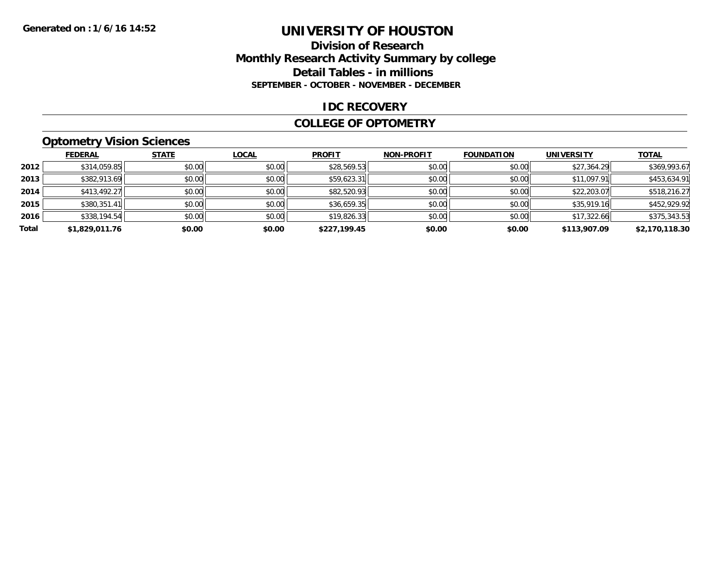#### **Division of Research Monthly Research Activity Summary by college Detail Tables - in millions SEPTEMBER - OCTOBER - NOVEMBER - DECEMBER**

#### **IDC RECOVERY**

#### **COLLEGE OF OPTOMETRY**

#### **Optometry Vision Sciences**

|       | <b>FEDERAL</b> | <b>STATE</b> | <b>LOCAL</b> | <b>PROFIT</b> | <b>NON-PROFIT</b> | <b>FOUNDATION</b> | <b>UNIVERSITY</b> | <b>TOTAL</b>   |
|-------|----------------|--------------|--------------|---------------|-------------------|-------------------|-------------------|----------------|
| 2012  | \$314,059.85   | \$0.00       | \$0.00       | \$28,569.53   | \$0.00            | \$0.00            | \$27,364.29       | \$369,993.67   |
| 2013  | \$382,913.69   | \$0.00       | \$0.00       | \$59,623.31   | \$0.00            | \$0.00            | \$11,097.91       | \$453,634.91   |
| 2014  | \$413,492.27   | \$0.00       | \$0.00       | \$82,520.93   | \$0.00            | \$0.00            | \$22,203.07       | \$518,216.27   |
| 2015  | \$380,351.41   | \$0.00       | \$0.00       | \$36,659.35   | \$0.00            | \$0.00            | \$35,919.16       | \$452,929.92   |
| 2016  | \$338,194.54   | \$0.00       | \$0.00       | \$19,826.33   | \$0.00            | \$0.00            | \$17,322.66       | \$375,343.53   |
| Total | \$1,829,011.76 | \$0.00       | \$0.00       | \$227,199.45  | \$0.00            | \$0.00            | \$113,907.09      | \$2,170,118.30 |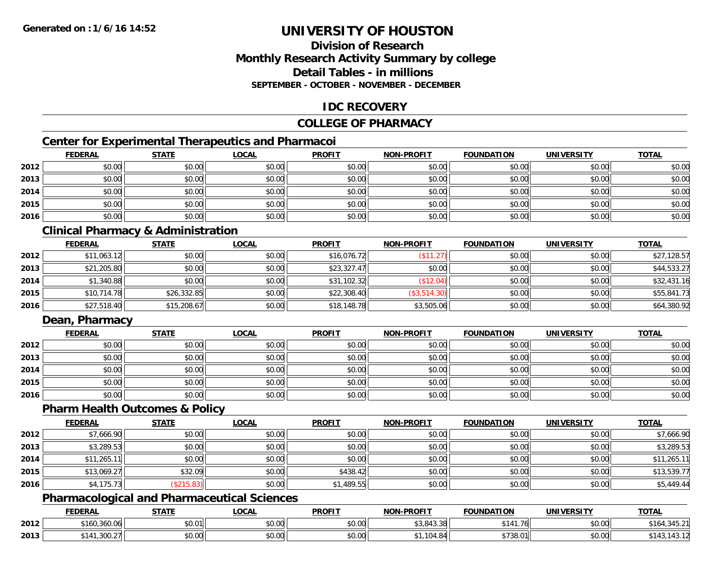### **Division of ResearchMonthly Research Activity Summary by college Detail Tables - in millionsSEPTEMBER - OCTOBER - NOVEMBER - DECEMBER**

### **IDC RECOVERY**

### **COLLEGE OF PHARMACY**

## **Center for Experimental Therapeutics and Pharmacoi**

|      | <b>FEDERAL</b> | <b>STATE</b> | <b>LOCAL</b> | <b>PROFIT</b> | NON-PROFIT | <b>FOUNDATION</b> | <b>UNIVERSITY</b> | <b>TOTAL</b> |
|------|----------------|--------------|--------------|---------------|------------|-------------------|-------------------|--------------|
| 2012 | \$0.00         | \$0.00       | \$0.00       | \$0.00        | \$0.00     | \$0.00            | \$0.00            | \$0.00       |
| 2013 | \$0.00         | \$0.00       | \$0.00       | \$0.00        | \$0.00     | \$0.00            | \$0.00            | \$0.00       |
| 2014 | \$0.00         | \$0.00       | \$0.00       | \$0.00        | \$0.00     | \$0.00            | \$0.00            | \$0.00       |
| 2015 | \$0.00         | \$0.00       | \$0.00       | \$0.00        | \$0.00     | \$0.00            | \$0.00            | \$0.00       |
| 2016 | \$0.00         | \$0.00       | \$0.00       | \$0.00        | \$0.00     | \$0.00            | \$0.00            | \$0.00       |

## **Clinical Pharmacy & Administration**

|      | <b>FEDERAL</b> | <b>STATE</b> | <u>LOCAL</u> | <b>PROFIT</b> | <b>NON-PROFIT</b> | <b>FOUNDATION</b> | <b>UNIVERSITY</b> | <b>TOTAL</b> |
|------|----------------|--------------|--------------|---------------|-------------------|-------------------|-------------------|--------------|
| 2012 | \$11,063.12    | \$0.00       | \$0.00       | \$16,076.72   | (\$11.27)         | \$0.00            | \$0.00            | \$27,128.57  |
| 2013 | \$21,205.80    | \$0.00       | \$0.00       | \$23,327.47   | \$0.00            | \$0.00            | \$0.00            | \$44,533.27  |
| 2014 | \$1,340.88     | \$0.00       | \$0.00       | \$31,102.32   | (\$12.04)         | \$0.00            | \$0.00            | \$32,431.16  |
| 2015 | \$10,714.78    | \$26,332.85  | \$0.00       | \$22,308.40   | (\$3,514.30)      | \$0.00            | \$0.00            | \$55,841.73  |
| 2016 | \$27,518.40    | \$15,208.67  | \$0.00       | \$18,148.78   | \$3,505.06        | \$0.00            | \$0.00            | \$64,380.92  |

### **Dean, Pharmacy**

|      | <b>FEDERAL</b> | <b>STATE</b> | <u>LOCAL</u> | <b>PROFIT</b> | <b>NON-PROFIT</b> | <b>FOUNDATION</b> | <b>UNIVERSITY</b> | <b>TOTAL</b> |
|------|----------------|--------------|--------------|---------------|-------------------|-------------------|-------------------|--------------|
| 2012 | \$0.00         | \$0.00       | \$0.00       | \$0.00        | \$0.00            | \$0.00            | \$0.00            | \$0.00       |
| 2013 | \$0.00         | \$0.00       | \$0.00       | \$0.00        | \$0.00            | \$0.00            | \$0.00            | \$0.00       |
| 2014 | \$0.00         | \$0.00       | \$0.00       | \$0.00        | \$0.00            | \$0.00            | \$0.00            | \$0.00       |
| 2015 | \$0.00         | \$0.00       | \$0.00       | \$0.00        | \$0.00            | \$0.00            | \$0.00            | \$0.00       |
| 2016 | \$0.00         | \$0.00       | \$0.00       | \$0.00        | \$0.00            | \$0.00            | \$0.00            | \$0.00       |

#### **Pharm Health Outcomes & Policy**

|      | <b>FEDERAL</b> | <b>STATE</b>      | <b>LOCAL</b> | <b>PROFIT</b> | <b>NON-PROFIT</b> | <b>FOUNDATION</b> | <b>UNIVERSITY</b> | <b>TOTAL</b> |
|------|----------------|-------------------|--------------|---------------|-------------------|-------------------|-------------------|--------------|
| 2012 | \$7,666.90     | \$0.00            | \$0.00       | \$0.00        | \$0.00            | \$0.00            | \$0.00            | \$7,666.90   |
| 2013 | \$3,289.53     | \$0.00            | \$0.00       | \$0.00        | \$0.00            | \$0.00            | \$0.00            | \$3,289.53   |
| 2014 | \$11,265.11    | \$0.00            | \$0.00       | \$0.00        | \$0.00            | \$0.00            | \$0.00            | \$11,265.11  |
| 2015 | \$13,069.27    | \$32.09           | \$0.00       | \$438.42      | \$0.00            | \$0.00            | \$0.00            | \$13,539.77  |
| 2016 | \$4,175.73     | $($ \$215.83) $ $ | \$0.00       | \$1,489.55    | \$0.00            | \$0.00            | \$0.00            | \$5,449.44   |

### **Pharmacological and Pharmaceutical Sciences**

|      | <b>FEDERAL</b>                  | <b>STATE</b>                     | _OCAL               | <b>PROFIT</b> | <b>DDAEIT</b><br><b>NIONI</b> | FOUNDATION            | UNIVERSITY | <b>TOTAL</b>           |
|------|---------------------------------|----------------------------------|---------------------|---------------|-------------------------------|-----------------------|------------|------------------------|
| 2012 | \$160,360.06                    | \$0.01<br>JU.U                   | $\sim$ 00<br>vv.vv  | 0000<br>vu.vu | \$3,843.38                    | 0.111<br>76<br>141.76 | \$0.00     | '34،<br>. .<br>ו∟. טיד |
| 2013 | 0.00<br>\$141<br>300. <i>ZT</i> | $\circ$ $\circ$ $\circ$<br>ง∪.∪บ | $\sim$ 00<br>\$U.UU | 0000<br>JU.UU | t.O                           | ተግባበ<br>., 38.0       | \$0.00     |                        |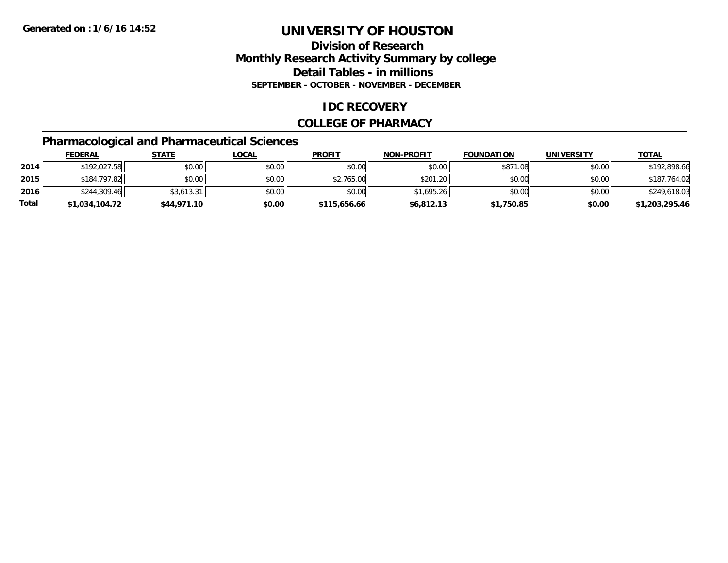## **Division of ResearchMonthly Research Activity Summary by college Detail Tables - in millions SEPTEMBER - OCTOBER - NOVEMBER - DECEMBER**

### **IDC RECOVERY**

#### **COLLEGE OF PHARMACY**

## **Pharmacological and Pharmaceutical Sciences**

|       | <b>FEDERAL</b> | <u>STATE</u> | <u>LOCAL</u> | <b>PROFIT</b> | <b>NON-PROFIT</b> | <b>FOUNDATION</b> | <b>UNIVERSITY</b> | <b>TOTAL</b>   |
|-------|----------------|--------------|--------------|---------------|-------------------|-------------------|-------------------|----------------|
| 2014  | \$192,027.58   | \$0.00       | \$0.00       | \$0.00        | \$0.00            | \$871.08          | \$0.00            | \$192,898.66   |
| 2015  | \$184,797.82   | \$0.00       | \$0.00       | \$2,765.00    | \$201.20          | \$0.00            | \$0.00            | \$187,764.02   |
| 2016  | \$244,309.46   | \$3.613.31   | \$0.00       | \$0.00        | \$1.695.26        | \$0.00            | \$0.00            | \$249,618.03   |
| Total | \$1,034,104.72 | \$44,971.10  | \$0.00       | \$115,656.66  | \$6,812.13        | \$1,750.85        | \$0.00            | \$1,203,295.46 |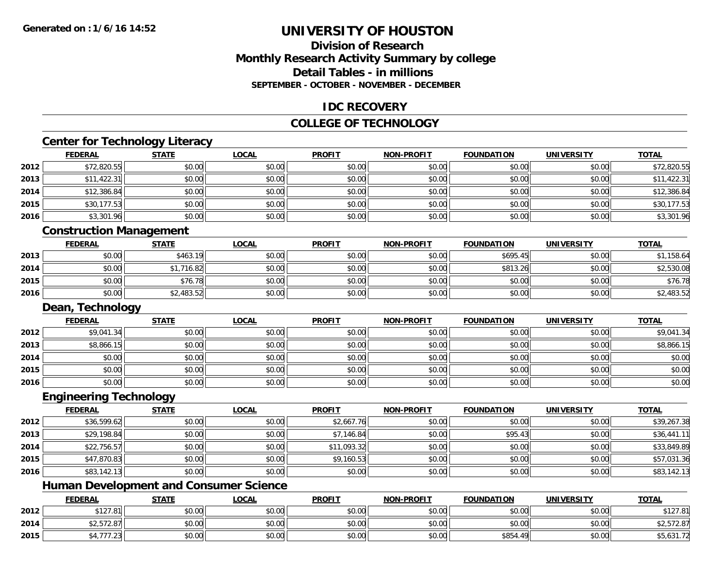### **Division of ResearchMonthly Research Activity Summary by college Detail Tables - in millions SEPTEMBER - OCTOBER - NOVEMBER - DECEMBER**

### **IDC RECOVERY**

#### **COLLEGE OF TECHNOLOGY**

# **Center for Technology Literacy**

|      | <b>FEDERAL</b>                 | <b>STATE</b> | <b>LOCAL</b> | <b>PROFIT</b> | <b>NON-PROFIT</b> | <b>FOUNDATION</b> | <b>UNIVERSITY</b> | <b>TOTAL</b> |
|------|--------------------------------|--------------|--------------|---------------|-------------------|-------------------|-------------------|--------------|
| 2012 | \$72,820.55                    | \$0.00       | \$0.00       | \$0.00        | \$0.00            | \$0.00            | \$0.00            | \$72,820.55  |
| 2013 | \$11,422.31                    | \$0.00       | \$0.00       | \$0.00        | \$0.00            | \$0.00            | \$0.00            | \$11,422.31  |
| 2014 | \$12,386.84                    | \$0.00       | \$0.00       | \$0.00        | \$0.00            | \$0.00            | \$0.00            | \$12,386.84  |
| 2015 | \$30,177.53                    | \$0.00       | \$0.00       | \$0.00        | \$0.00            | \$0.00            | \$0.00            | \$30,177.53  |
| 2016 | \$3,301.96                     | \$0.00       | \$0.00       | \$0.00        | \$0.00            | \$0.00            | \$0.00            | \$3,301.96   |
|      | <b>Construction Management</b> |              |              |               |                   |                   |                   |              |
|      | <b>FEDERAL</b>                 | <b>STATE</b> | <b>LOCAL</b> | <b>PROFIT</b> | <b>NON-PROFIT</b> | <b>FOUNDATION</b> | <b>UNIVERSITY</b> | <b>TOTAL</b> |
| 2013 | \$0.00                         | \$463.19     | \$0.00       | \$0.00        | \$0.00            | \$695.45          | \$0.00            | \$1,158.64   |
| 2014 | \$0.00                         | \$1,716.82   | \$0.00       | \$0.00        | \$0.00            | \$813.26          | \$0.00            | \$2,530.08   |
| 2015 | \$0.00                         | \$76.78      | \$0.00       | \$0.00        | \$0.00            | \$0.00            | \$0.00            | \$76.78      |
| 2016 | \$0.00                         | \$2,483.52   | \$0.00       | \$0.00        | \$0.00            | \$0.00            | \$0.00            | \$2,483.52   |
|      | Dean, Technology               |              |              |               |                   |                   |                   |              |
|      | <b>FEDERAL</b>                 | <b>STATE</b> | <b>LOCAL</b> | <b>PROFIT</b> | <b>NON-PROFIT</b> | <b>FOUNDATION</b> | <b>UNIVERSITY</b> | <b>TOTAL</b> |
| 2012 | \$9,041.34                     | \$0.00       | \$0.00       | \$0.00        | \$0.00            | \$0.00            | \$0.00            | \$9,041.34   |
| 2013 | \$8,866.15                     | \$0.00       | \$0.00       | \$0.00        | \$0.00            | \$0.00            | \$0.00            | \$8,866.15   |
| 2014 | \$0.00                         | \$0.00       | \$0.00       | \$0.00        | \$0.00            | \$0.00            | \$0.00            | \$0.00       |
| 2015 | \$0.00                         | \$0.00       | \$0.00       | \$0.00        | \$0.00            | \$0.00            | \$0.00            | \$0.00       |
| 2016 | \$0.00                         | \$0.00       | \$0.00       | \$0.00        | \$0.00            | \$0.00            | \$0.00            | \$0.00       |
|      | <b>Engineering Technology</b>  |              |              |               |                   |                   |                   |              |
|      | <b>FEDERAL</b>                 | <b>STATE</b> | <b>LOCAL</b> | <b>PROFIT</b> | <b>NON-PROFIT</b> | <b>FOUNDATION</b> | <b>UNIVERSITY</b> | <b>TOTAL</b> |
| 2012 | \$36,599.62                    | \$0.00       | \$0.00       | \$2,667.76    | \$0.00            | \$0.00            | \$0.00            | \$39,267.38  |
| 2013 | \$29,198.84                    | \$0.00       | \$0.00       | \$7,146.84    | \$0.00            | \$95.43           | \$0.00            | \$36,441.11  |
| 2014 | \$22,756.57                    | \$0.00       | \$0.00       | \$11,093.32   | \$0.00            | \$0.00            | \$0.00            | \$33,849.89  |

|  | <b>Human Development and Consumer Science</b> |
|--|-----------------------------------------------|
|  |                                               |

**2015**

**2016**

|      | <b>FEDERAL</b>         | <b>STATE</b> | LOCAL  | <b>PROFIT</b>                                      | <b>NON-PROFIT</b> | <b>FOUNDATION</b>     | <b>UNIVERSITY</b> | <b>TOTAL</b>                      |
|------|------------------------|--------------|--------|----------------------------------------------------|-------------------|-----------------------|-------------------|-----------------------------------|
| 2012 | \$127.81               | \$0.00       | \$0.00 | \$0.00                                             | \$0.00            | \$0.00                | \$0.00            | <b>¢10701</b><br>9121.0           |
| 2014 | $+2.522$<br>\$2,5/2.8/ | \$0.00       | \$0.00 | \$0.00                                             | \$0.00            | \$0.00                | \$0.00            | <b>E70 0-</b><br>92,372.07        |
| 2015 |                        | \$0.00       | \$0.00 | $\mathsf{A}\cap\mathsf{A}\cap\mathsf{A}$<br>\$0.00 | \$0.00            | \$854.<br>$\Lambda$ Q | \$0.00            | 1.21<br>$\leftarrow$<br>20,031.74 |

\$47,870.83 \$0.00 \$0.00 \$9,160.53 \$0.00 \$0.00 \$0.00 \$57,031.36

6 \$83,142.13 \$0.00 \$0.00 \$0.00 \$0.00 \$0.00 \$0.00 \$0.00 \$0.00 \$0.00 \$0.00 \$0.00 \$0.00 \$0.00 \$83,142.13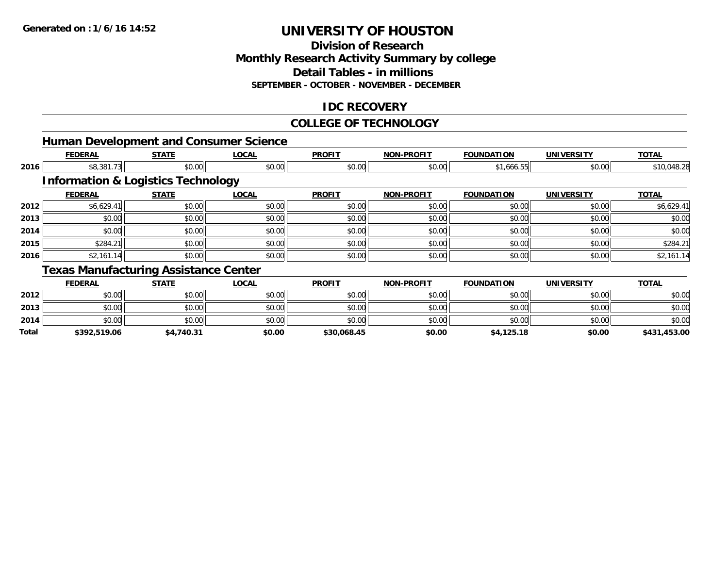**2014**

**Total**

# **UNIVERSITY OF HOUSTON**

#### **Division of Research Monthly Research Activity Summary by college Detail Tables - in millions SEPTEMBER - OCTOBER - NOVEMBER - DECEMBER**

### **IDC RECOVERY**

#### **COLLEGE OF TECHNOLOGY**

|      |                |                                               | <b>Human Development and Consumer Science</b> |               |                   |                   |                   |              |
|------|----------------|-----------------------------------------------|-----------------------------------------------|---------------|-------------------|-------------------|-------------------|--------------|
|      | <b>FEDERAL</b> | <b>STATE</b>                                  | <b>LOCAL</b>                                  | <b>PROFIT</b> | <b>NON-PROFIT</b> | <b>FOUNDATION</b> | <b>UNIVERSITY</b> | <b>TOTAL</b> |
| 2016 | \$8,381.73     | \$0.00                                        | \$0.00                                        | \$0.00        | \$0.00            | \$1,666.55        | \$0.00            | \$10,048.28  |
|      |                | <b>Information &amp; Logistics Technology</b> |                                               |               |                   |                   |                   |              |
|      | <b>FEDERAL</b> | <b>STATE</b>                                  | <b>LOCAL</b>                                  | <b>PROFIT</b> | <b>NON-PROFIT</b> | <b>FOUNDATION</b> | <b>UNIVERSITY</b> | <b>TOTAL</b> |
| 2012 | \$6,629.41     | \$0.00                                        | \$0.00                                        | \$0.00        | \$0.00            | \$0.00            | \$0.00            | \$6,629.41   |
| 2013 | \$0.00         | \$0.00                                        | \$0.00                                        | \$0.00        | \$0.00            | \$0.00            | \$0.00            | \$0.00       |
| 2014 | \$0.00         | \$0.00                                        | \$0.00                                        | \$0.00        | \$0.00            | \$0.00            | \$0.00            | \$0.00       |
| 2015 | \$284.21       | \$0.00                                        | \$0.00                                        | \$0.00        | \$0.00            | \$0.00            | \$0.00            | \$284.21     |
| 2016 | \$2,161.14     | \$0.00                                        | \$0.00                                        | \$0.00        | \$0.00            | \$0.00            | \$0.00            | \$2,161.14   |
|      |                | <b>Texas Manufacturing Assistance Center</b>  |                                               |               |                   |                   |                   |              |
|      | <b>FEDERAL</b> | <b>STATE</b>                                  | <b>LOCAL</b>                                  | <b>PROFIT</b> | <b>NON-PROFIT</b> | <b>FOUNDATION</b> | <b>UNIVERSITY</b> | <b>TOTAL</b> |
| 2012 | \$0.00         | \$0.00                                        | \$0.00                                        | \$0.00        | \$0.00            | \$0.00            | \$0.00            | \$0.00       |
| 2013 | \$0.00         | \$0.00                                        | \$0.00                                        | \$0.00        | \$0.00            | \$0.00            | \$0.00            | \$0.00       |

4 \$0.00 \$0.00 \$0.00 \$0.00 \$0.00 \$0.00 \$0.00 \$0.00 \$0.00 \$0.00 \$0.00 \$0.00 \$0.00 \$0.00 \$0.00 \$0.00 \$0.00

**\$392,519.06 \$4,740.31 \$0.00 \$30,068.45 \$0.00 \$4,125.18 \$0.00 \$431,453.00**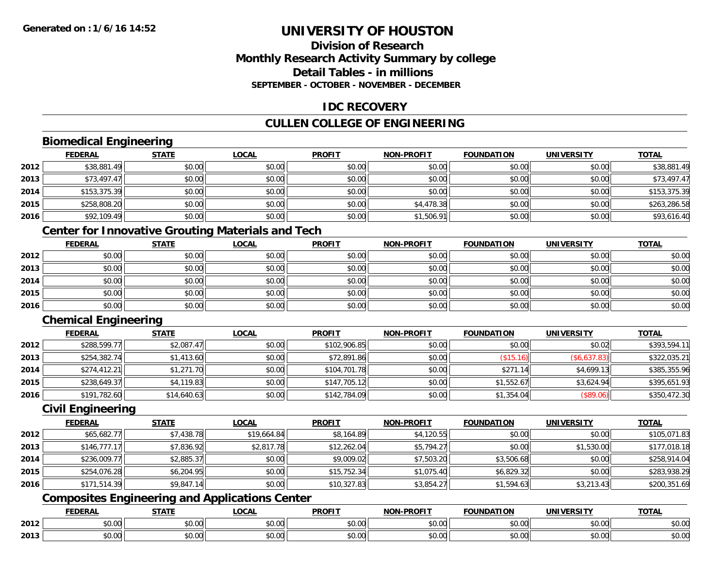### **Division of ResearchMonthly Research Activity Summary by college Detail Tables - in millionsSEPTEMBER - OCTOBER - NOVEMBER - DECEMBER**

### **IDC RECOVERY**

## **CULLEN COLLEGE OF ENGINEERING**

## **Biomedical Engineering**

|      | <b>FEDERAL</b> | <b>STATE</b> | <b>LOCAL</b> | <b>PROFIT</b> | NON-PROFIT | <b>FOUNDATION</b> | <b>UNIVERSITY</b> | <b>TOTAL</b> |
|------|----------------|--------------|--------------|---------------|------------|-------------------|-------------------|--------------|
| 2012 | \$38,881.49    | \$0.00       | \$0.00       | \$0.00        | \$0.00     | \$0.00            | \$0.00            | \$38,881.49  |
| 2013 | \$73,497.47    | \$0.00       | \$0.00       | \$0.00        | \$0.00     | \$0.00            | \$0.00            | \$73,497.47  |
| 2014 | \$153,375.39   | \$0.00       | \$0.00       | \$0.00        | \$0.00     | \$0.00            | \$0.00            | \$153,375.39 |
| 2015 | \$258,808.20   | \$0.00       | \$0.00       | \$0.00        | \$4,478.38 | \$0.00            | \$0.00            | \$263,286.58 |
| 2016 | \$92,109.49    | \$0.00       | \$0.00       | \$0.00        | \$1,506.91 | \$0.00            | \$0.00            | \$93,616.40  |

## **Center for Innovative Grouting Materials and Tech**

|      | <b>FEDERAL</b> | <b>STATE</b> | <u>LOCAL</u> | <b>PROFIT</b> | <b>NON-PROFIT</b> | <b>FOUNDATION</b> | <b>UNIVERSITY</b> | <b>TOTAL</b> |
|------|----------------|--------------|--------------|---------------|-------------------|-------------------|-------------------|--------------|
| 2012 | \$0.00         | \$0.00       | \$0.00       | \$0.00        | \$0.00            | \$0.00            | \$0.00            | \$0.00       |
| 2013 | \$0.00         | \$0.00       | \$0.00       | \$0.00        | \$0.00            | \$0.00            | \$0.00            | \$0.00       |
| 2014 | \$0.00         | \$0.00       | \$0.00       | \$0.00        | \$0.00            | \$0.00            | \$0.00            | \$0.00       |
| 2015 | \$0.00         | \$0.00       | \$0.00       | \$0.00        | \$0.00            | \$0.00            | \$0.00            | \$0.00       |
| 2016 | \$0.00         | \$0.00       | \$0.00       | \$0.00        | \$0.00            | \$0.00            | \$0.00            | \$0.00       |

## **Chemical Engineering**

|      | <b>FEDERAL</b> | <u>STATE</u> | <b>LOCAL</b> | <b>PROFIT</b> | <b>NON-PROFIT</b> | <b>FOUNDATION</b> | <b>UNIVERSITY</b> | <b>TOTAL</b> |
|------|----------------|--------------|--------------|---------------|-------------------|-------------------|-------------------|--------------|
| 2012 | \$288,599.77   | \$2,087.47   | \$0.00       | \$102,906.85  | \$0.00            | \$0.00            | \$0.02            | \$393,594.11 |
| 2013 | \$254,382.74   | \$1,413.60   | \$0.00       | \$72,891.86   | \$0.00            | (\$15.16)         | (\$6,637.83)      | \$322,035.21 |
| 2014 | \$274,412.21   | \$1,271.70   | \$0.00       | \$104,701.78  | \$0.00            | \$271<br>14       | \$4,699.13        | \$385,355.96 |
| 2015 | \$238,649.37   | \$4,119.83   | \$0.00       | \$147,705.12  | \$0.00            | \$1,552.67        | \$3,624.94        | \$395,651.93 |
| 2016 | \$191,782.60   | \$14,640.63  | \$0.00       | \$142,784.09  | \$0.00            | \$1,354.04        | (\$89.06)         | \$350,472.30 |

### **Civil Engineering**

|      | <b>FEDERAL</b> | <u>STATE</u> | <u>LOCAL</u> | <b>PROFIT</b> | <b>NON-PROFIT</b> | <b>FOUNDATION</b> | <b>UNIVERSITY</b> | <b>TOTAL</b> |
|------|----------------|--------------|--------------|---------------|-------------------|-------------------|-------------------|--------------|
| 2012 | \$65,682.77    | \$7,438.78   | \$19,664.84  | \$8,164.89    | \$4,120.55        | \$0.00            | \$0.00            | \$105,071.83 |
| 2013 | \$146,777.17   | \$7,836.92   | \$2,817.78   | \$12,262.04   | \$5,794.27        | \$0.00            | \$1,530.00        | \$177,018.18 |
| 2014 | \$236,009.77   | \$2,885.37   | \$0.00       | \$9,009.02    | \$7,503.20        | \$3,506.68        | \$0.00            | \$258,914.04 |
| 2015 | \$254,076.28   | \$6,204.95   | \$0.00       | \$15,752.34   | \$1,075.40        | \$6,829.32        | \$0.00            | \$283,938.29 |
| 2016 | \$171,514.39   | \$9,847.14   | \$0.00       | \$10,327.83   | \$3,854.27        | \$1,594.63        | \$3,213.43        | \$200,351.69 |

## **Composites Engineering and Applications Center**

|      | <b>DERAL</b>                     | <b>CTATI</b>          | $\bigcap$<br>.OCAI     | <b>PROFIT</b>         | <b>DDAEIT</b><br><b>NION</b> | .<br>ב נוחו<br>LION | - R.J.         | <b>TOTAL</b>   |
|------|----------------------------------|-----------------------|------------------------|-----------------------|------------------------------|---------------------|----------------|----------------|
| 2012 | $\sim$<br>$. \cup . \cup \cup$   | $\overline{ }$<br>ט.ט | $\sim$ 00<br>pu.uu     | $\sim$ 00<br>ູ∞ບ.ບບ   | 0.00<br>PO.OO                | vv.vv               | 0.001<br>vv.vv | 0000<br>\$U.UU |
| 2013 | $\sim$ $\sim$<br>$\sim$<br>,u.uu | しいい                   | $\sim$ $\sim$<br>vu.uu | $\sim$ 00<br>ັ້ນບ.ບເ∞ | 0.00<br>PO.OO                | JU.UU               | 0.00<br>PO.OO  | ስ ለሰ<br>JU.UU  |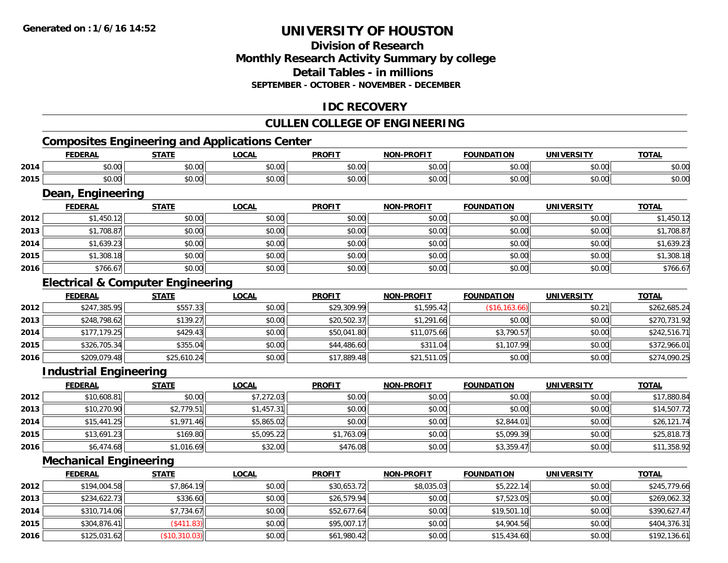### **Division of ResearchMonthly Research Activity Summary by college Detail Tables - in millionsSEPTEMBER - OCTOBER - NOVEMBER - DECEMBER**

### **IDC RECOVERY**

## **CULLEN COLLEGE OF ENGINEERING**

## **Composites Engineering and Applications Center**

|      | <b>FEDERAL</b>    | <b>STATE</b> | LOCAL        | <b>PROFIT</b> | <b>NON-PROFIT</b> | <b>FOUNDATION</b> | <b>UNIVERSITY</b> | <b>TOTAL</b> |
|------|-------------------|--------------|--------------|---------------|-------------------|-------------------|-------------------|--------------|
| 2014 | \$0.00            | \$0.00       | \$0.00       | \$0.00        | \$0.00            | \$0.00            | \$0.00            | \$0.00       |
| 2015 | \$0.00            | \$0.00       | \$0.00       | \$0.00        | \$0.00            | \$0.00            | \$0.00            | \$0.00       |
|      | Dean, Engineering |              |              |               |                   |                   |                   |              |
|      | <b>FEDERAL</b>    | <b>STATE</b> | <b>LOCAL</b> | <b>PROFIT</b> | <b>NON-PROFIT</b> | <b>FOUNDATION</b> | <b>UNIVERSITY</b> | <b>TOTAL</b> |
| 2012 | \$1,450.12        | \$0.00       | \$0.00       | \$0.00        | \$0.00            | \$0.00            | \$0.00            | \$1,450.12   |
| 2013 | \$1,708.87        | \$0.00       | \$0.00       | \$0.00        | \$0.00            | \$0.00            | \$0.00            | \$1,708.87   |
| 2014 | \$1,639.23        | \$0.00       | \$0.00       | \$0.00        | \$0.00            | \$0.00            | \$0.00            | \$1,639.23   |
| 2015 | \$1,308.18        | \$0.00       | \$0.00       | \$0.00        | \$0.00            | \$0.00            | \$0.00            | \$1,308.18   |

#### **Electrical & Computer Engineering**

|      | <b>FEDERAL</b> | <b>STATE</b> | <b>LOCAL</b> | <b>PROFIT</b> | <b>NON-PROFIT</b> | <b>FOUNDATION</b> | UNIVERSITY | <b>TOTAL</b> |
|------|----------------|--------------|--------------|---------------|-------------------|-------------------|------------|--------------|
| 2012 | \$247,385.95   | \$557.33     | \$0.00       | \$29,309.99   | \$1,595.42        | (\$16, 163.66)    | \$0.21     | \$262,685.24 |
| 2013 | \$248,798.62   | \$139.27     | \$0.00       | \$20,502.37   | \$1,291.66        | \$0.00            | \$0.00     | \$270,731.92 |
| 2014 | \$177,179.25   | \$429.43     | \$0.00       | \$50,041.80   | \$11,075.66       | \$3,790.57        | \$0.00     | \$242,516.71 |
| 2015 | \$326,705.34   | \$355.04     | \$0.00       | \$44,486.60   | \$311.04          | \$1,107.99        | \$0.00     | \$372,966.01 |
| 2016 | \$209,079.48   | \$25,610.24  | \$0.00       | \$17,889.48   | \$21,511.05       | \$0.00            | \$0.00     | \$274,090.25 |

 $\bf{6}$   $\bf{5766.67}$   $\bf{50.00}$   $\bf{50.00}$   $\bf{60.00}$   $\bf{60.00}$   $\bf{60.00}$   $\bf{60.00}$   $\bf{60.00}$   $\bf{60.00}$   $\bf{60.00}$ 

### **Industrial Engineering**

**2016**

|      | <b>FEDERAL</b> | <b>STATE</b> | <u>LOCAL</u> | <b>PROFIT</b> | <b>NON-PROFIT</b> | <b>FOUNDATION</b> | <b>UNIVERSITY</b> | <b>TOTAL</b> |
|------|----------------|--------------|--------------|---------------|-------------------|-------------------|-------------------|--------------|
| 2012 | \$10,608.81    | \$0.00       | \$7,272.03   | \$0.00        | \$0.00            | \$0.00            | \$0.00            | \$17,880.84  |
| 2013 | \$10,270.90    | \$2,779.51   | \$1,457.31   | \$0.00        | \$0.00            | \$0.00            | \$0.00            | \$14,507.72  |
| 2014 | \$15,441.25    | \$1,971.46   | \$5,865.02   | \$0.00        | \$0.00            | \$2,844.01        | \$0.00            | \$26,121.74  |
| 2015 | \$13,691.23    | \$169.80     | \$5,095.22   | \$1,763.09    | \$0.00            | \$5,099.39        | \$0.00            | \$25,818.73  |
| 2016 | \$6,474.68     | \$1,016.69   | \$32.00      | \$476.08      | \$0.00            | \$3,359.47        | \$0.00            | \$11,358.92  |

### **Mechanical Engineering**

|      | <b>FEDERAL</b> | <b>STATE</b>  | <u>LOCAL</u> | <b>PROFIT</b> | <b>NON-PROFIT</b> | <b>FOUNDATION</b> | <b>UNIVERSITY</b> | <b>TOTAL</b> |
|------|----------------|---------------|--------------|---------------|-------------------|-------------------|-------------------|--------------|
| 2012 | \$194,004.58   | \$7,864.19    | \$0.00       | \$30,653.72   | \$8,035.03        | \$5,222.14        | \$0.00            | \$245,779.66 |
| 2013 | \$234,622.73   | \$336.60      | \$0.00       | \$26,579.94   | \$0.00            | \$7,523.05        | \$0.00            | \$269,062.32 |
| 2014 | \$310,714.06   | \$7,734.67    | \$0.00       | \$52,677.64   | \$0.00            | \$19,501.10       | \$0.00            | \$390,627.47 |
| 2015 | \$304,876.41   | (\$411.83)    | \$0.00       | \$95,007.17   | \$0.00            | \$4,904.56        | \$0.00            | \$404,376.31 |
| 2016 | \$125,031.62   | (\$10,310.03) | \$0.00       | \$61,980.42   | \$0.00            | \$15,434.60       | \$0.00            | \$192,136.61 |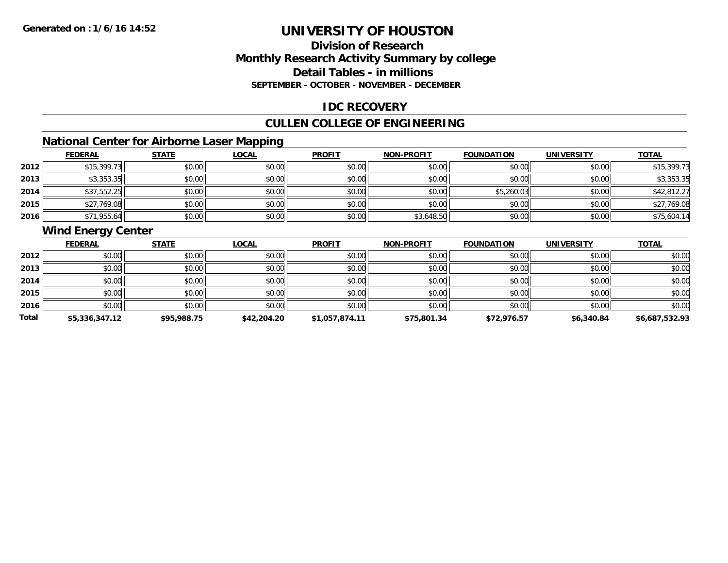## **Division of ResearchMonthly Research Activity Summary by college Detail Tables - in millions SEPTEMBER - OCTOBER - NOVEMBER - DECEMBER**

### **IDC RECOVERY**

## **CULLEN COLLEGE OF ENGINEERING**

## **National Center for Airborne Laser Mapping**

|      | <b>FEDERAL</b> | <b>STATE</b> | <b>LOCAL</b> | <b>PROFIT</b> | <b>NON-PROFIT</b> | <b>FOUNDATION</b> | <b>UNIVERSITY</b> | <b>TOTAL</b> |
|------|----------------|--------------|--------------|---------------|-------------------|-------------------|-------------------|--------------|
| 2012 | \$15,399.73    | \$0.00       | \$0.00       | \$0.00        | \$0.00            | \$0.00            | \$0.00            | \$15,399.73  |
| 2013 | \$3,353.35     | \$0.00       | \$0.00       | \$0.00        | \$0.00            | \$0.00            | \$0.00            | \$3,353.35   |
| 2014 | \$37,552.25    | \$0.00       | \$0.00       | \$0.00        | \$0.00            | \$5,260.03        | \$0.00            | \$42,812.27  |
| 2015 | \$27,769.08    | \$0.00       | \$0.00       | \$0.00        | \$0.00            | \$0.00            | \$0.00            | \$27,769.08  |
| 2016 | \$71,955.64    | \$0.00       | \$0.00       | \$0.00        | \$3,648.50        | \$0.00            | \$0.00            | \$75,604.14  |

## **Wind Energy Center**

|       | <b>FEDERAL</b> | <b>STATE</b> | <b>LOCAL</b> | <b>PROFIT</b>  | <b>NON-PROFIT</b> | <b>FOUNDATION</b> | <b>UNIVERSITY</b> | <b>TOTAL</b>   |
|-------|----------------|--------------|--------------|----------------|-------------------|-------------------|-------------------|----------------|
| 2012  | \$0.00         | \$0.00       | \$0.00       | \$0.00         | \$0.00            | \$0.00            | \$0.00            | \$0.00         |
| 2013  | \$0.00         | \$0.00       | \$0.00       | \$0.00         | \$0.00            | \$0.00            | \$0.00            | \$0.00         |
| 2014  | \$0.00         | \$0.00       | \$0.00       | \$0.00         | \$0.00            | \$0.00            | \$0.00            | \$0.00         |
| 2015  | \$0.00         | \$0.00       | \$0.00       | \$0.00         | \$0.00            | \$0.00            | \$0.00            | \$0.00         |
| 2016  | \$0.00         | \$0.00       | \$0.00       | \$0.00         | \$0.00            | \$0.00            | \$0.00            | \$0.00         |
| Total | \$5,336,347.12 | \$95,988.75  | \$42,204.20  | \$1,057,874.11 | \$75,801.34       | \$72,976.57       | \$6,340.84        | \$6,687,532.93 |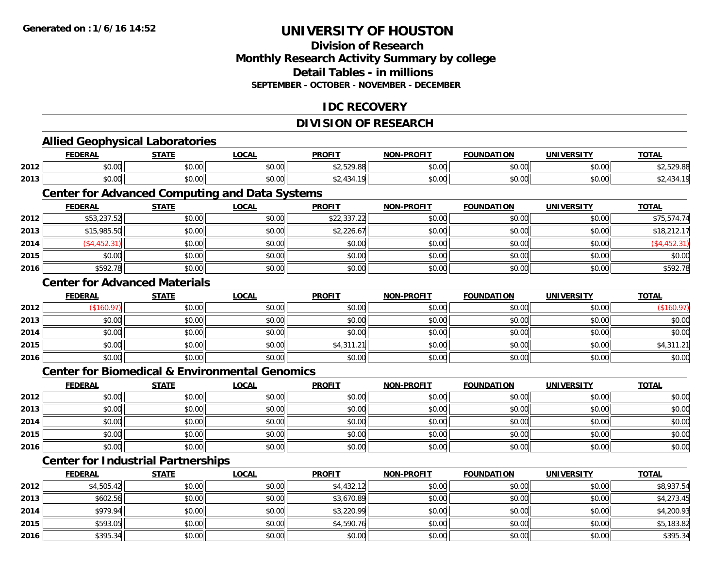**2014**

**2015**

**2016**

# **UNIVERSITY OF HOUSTON**

## **Division of ResearchMonthly Research Activity Summary by college Detail Tables - in millions SEPTEMBER - OCTOBER - NOVEMBER - DECEMBER**

### **IDC RECOVERY**

## **DIVISION OF RESEARCH**

|      | <b>Allied Geophysical Laboratories</b>    |              |                                                           |               |                   |                   |                   |              |
|------|-------------------------------------------|--------------|-----------------------------------------------------------|---------------|-------------------|-------------------|-------------------|--------------|
|      | <b>FEDERAL</b>                            | <b>STATE</b> | <b>LOCAL</b>                                              | <b>PROFIT</b> | <b>NON-PROFIT</b> | <b>FOUNDATION</b> | <b>UNIVERSITY</b> | <b>TOTAL</b> |
| 2012 | \$0.00                                    | \$0.00       | \$0.00                                                    | \$2,529.88    | \$0.00            | \$0.00            | \$0.00            | \$2,529.88   |
| 2013 | \$0.00                                    | \$0.00       | \$0.00                                                    | \$2,434.19    | \$0.00            | \$0.00            | \$0.00            | \$2,434.19   |
|      |                                           |              | <b>Center for Advanced Computing and Data Systems</b>     |               |                   |                   |                   |              |
|      | <b>FEDERAL</b>                            | <b>STATE</b> | <b>LOCAL</b>                                              | <b>PROFIT</b> | <b>NON-PROFIT</b> | <b>FOUNDATION</b> | <b>UNIVERSITY</b> | <b>TOTAL</b> |
| 2012 | \$53,237.52                               | \$0.00       | \$0.00                                                    | \$22,337.22   | \$0.00            | \$0.00            | \$0.00            | \$75,574.74  |
| 2013 | \$15,985.50                               | \$0.00       | \$0.00                                                    | \$2,226.67    | \$0.00            | \$0.00            | \$0.00            | \$18,212.17  |
| 2014 | (\$4,452.31)                              | \$0.00       | \$0.00                                                    | \$0.00        | \$0.00            | \$0.00            | \$0.00            | (\$4,452.31) |
| 2015 | \$0.00                                    | \$0.00       | \$0.00                                                    | \$0.00        | \$0.00            | \$0.00            | \$0.00            | \$0.00       |
| 2016 | \$592.78                                  | \$0.00       | \$0.00                                                    | \$0.00        | \$0.00            | \$0.00            | \$0.00            | \$592.78     |
|      | <b>Center for Advanced Materials</b>      |              |                                                           |               |                   |                   |                   |              |
|      | <b>FEDERAL</b>                            | <b>STATE</b> | <b>LOCAL</b>                                              | <b>PROFIT</b> | <b>NON-PROFIT</b> | <b>FOUNDATION</b> | <b>UNIVERSITY</b> | <b>TOTAL</b> |
| 2012 | (\$160.97)                                | \$0.00       | \$0.00                                                    | \$0.00        | \$0.00            | \$0.00            | \$0.00            | (\$160.97)   |
| 2013 | \$0.00                                    | \$0.00       | \$0.00                                                    | \$0.00        | \$0.00            | \$0.00            | \$0.00            | \$0.00       |
| 2014 | \$0.00                                    | \$0.00       | \$0.00                                                    | \$0.00        | \$0.00            | \$0.00            | \$0.00            | \$0.00       |
| 2015 | \$0.00                                    | \$0.00       | \$0.00                                                    | \$4,311.21    | \$0.00            | \$0.00            | \$0.00            | \$4,311.21   |
| 2016 | \$0.00                                    | \$0.00       | \$0.00                                                    | \$0.00        | \$0.00            | \$0.00            | \$0.00            | \$0.00       |
|      |                                           |              | <b>Center for Biomedical &amp; Environmental Genomics</b> |               |                   |                   |                   |              |
|      | <b>FEDERAL</b>                            | <b>STATE</b> | <b>LOCAL</b>                                              | <b>PROFIT</b> | <b>NON-PROFIT</b> | <b>FOUNDATION</b> | <b>UNIVERSITY</b> | <b>TOTAL</b> |
| 2012 | \$0.00                                    | \$0.00       | \$0.00                                                    | \$0.00        | \$0.00            | \$0.00            | \$0.00            | \$0.00       |
| 2013 | \$0.00                                    | \$0.00       | \$0.00                                                    | \$0.00        | \$0.00            | \$0.00            | \$0.00            | \$0.00       |
| 2014 | \$0.00                                    | \$0.00       | \$0.00                                                    | \$0.00        | \$0.00            | \$0.00            | \$0.00            | \$0.00       |
| 2015 | \$0.00                                    | \$0.00       | \$0.00                                                    | \$0.00        | \$0.00            | \$0.00            | \$0.00            | \$0.00       |
| 2016 | \$0.00                                    | \$0.00       | \$0.00                                                    | \$0.00        | \$0.00            | \$0.00            | \$0.00            | \$0.00       |
|      | <b>Center for Industrial Partnerships</b> |              |                                                           |               |                   |                   |                   |              |
|      | <b>FEDERAL</b>                            | <b>STATE</b> | <b>LOCAL</b>                                              | <b>PROFIT</b> | <b>NON-PROFIT</b> | <b>FOUNDATION</b> | <b>UNIVERSITY</b> | <b>TOTAL</b> |
| 2012 | \$4,505.42                                | \$0.00       | \$0.00                                                    | \$4,432.12    | \$0.00            | \$0.00            | \$0.00            | \$8,937.54   |
| 2013 | \$602.56                                  | \$0.00       | \$0.00                                                    | \$3,670.89    | \$0.00            | \$0.00            | \$0.00            | \$4,273.45   |

4 \$979.94|| \$0.00|| \$0.00|| \$0.00|| \$3,220.99|| \$0.00|| \$0.00|| \$0.00|| \$4,200.93

\$593.05 \$0.00 \$0.00 \$4,590.76 \$0.00 \$0.00 \$0.00 \$5,183.82

6 \$395.34 \$0.00 \$0.00 \$0.00 \$0.00 \$0.00 \$0.00 \$0.00 \$0.00 \$0.00 \$0.00 \$0.00 \$0.00 \$395.34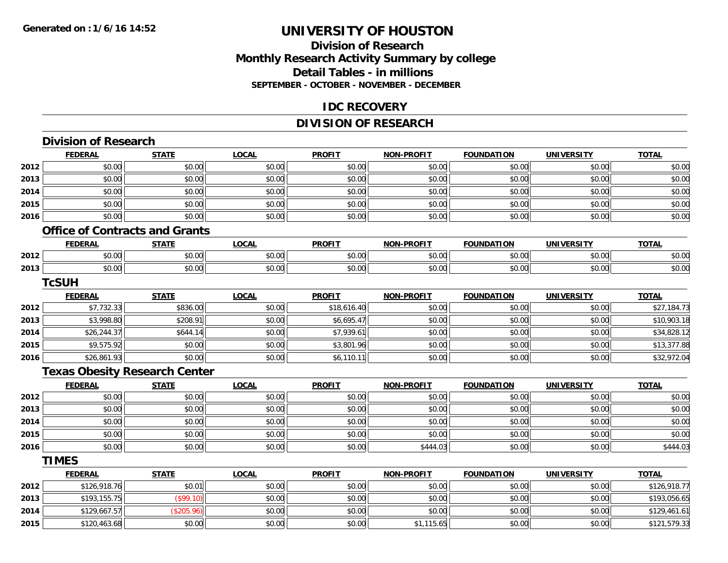## **Division of ResearchMonthly Research Activity Summary by college Detail Tables - in millions SEPTEMBER - OCTOBER - NOVEMBER - DECEMBER**

### **IDC RECOVERY**

## **DIVISION OF RESEARCH**

|      | <b>Division of Research</b>           |              |              |               |                   |                   |                   |              |
|------|---------------------------------------|--------------|--------------|---------------|-------------------|-------------------|-------------------|--------------|
|      | <b>FEDERAL</b>                        | <b>STATE</b> | <b>LOCAL</b> | <b>PROFIT</b> | <b>NON-PROFIT</b> | <b>FOUNDATION</b> | <b>UNIVERSITY</b> | <b>TOTAL</b> |
| 2012 | \$0.00                                | \$0.00       | \$0.00       | \$0.00        | \$0.00            | \$0.00            | \$0.00            | \$0.00       |
| 2013 | \$0.00                                | \$0.00       | \$0.00       | \$0.00        | \$0.00            | \$0.00            | \$0.00            | \$0.00       |
| 2014 | \$0.00                                | \$0.00       | \$0.00       | \$0.00        | \$0.00            | \$0.00            | \$0.00            | \$0.00       |
| 2015 | \$0.00                                | \$0.00       | \$0.00       | \$0.00        | \$0.00            | \$0.00            | \$0.00            | \$0.00       |
| 2016 | \$0.00                                | \$0.00       | \$0.00       | \$0.00        | \$0.00            | \$0.00            | \$0.00            | \$0.00       |
|      | <b>Office of Contracts and Grants</b> |              |              |               |                   |                   |                   |              |
|      | <b>FEDERAL</b>                        | <b>STATE</b> | <b>LOCAL</b> | <b>PROFIT</b> | <b>NON-PROFIT</b> | <b>FOUNDATION</b> | <b>UNIVERSITY</b> | <b>TOTAL</b> |
| 2012 | \$0.00                                | \$0.00       | \$0.00       | \$0.00        | \$0.00            | \$0.00            | \$0.00            | \$0.00       |
| 2013 | \$0.00                                | \$0.00       | \$0.00       | \$0.00        | \$0.00            | \$0.00            | \$0.00            | \$0.00       |
|      | <b>TcSUH</b>                          |              |              |               |                   |                   |                   |              |
|      | <b>FEDERAL</b>                        | <b>STATE</b> | <b>LOCAL</b> | <b>PROFIT</b> | <b>NON-PROFIT</b> | <b>FOUNDATION</b> | <b>UNIVERSITY</b> | <b>TOTAL</b> |
| 2012 | \$7,732.33                            | \$836.00     | \$0.00       | \$18,616.40   | \$0.00            | \$0.00            | \$0.00            | \$27,184.73  |
| 2013 | \$3,998.80                            | \$208.91     | \$0.00       | \$6,695.47    | \$0.00            | \$0.00            | \$0.00            | \$10,903.18  |
| 2014 | \$26,244.37                           | \$644.14     | \$0.00       | \$7,939.61    | \$0.00            | \$0.00            | \$0.00            | \$34,828.12  |
| 2015 | \$9,575.92                            | \$0.00       | \$0.00       | \$3,801.96    | \$0.00            | \$0.00            | \$0.00            | \$13,377.88  |
| 2016 | \$26,861.93                           | \$0.00       | \$0.00       | \$6,110.11    | \$0.00            | \$0.00            | \$0.00            | \$32,972.04  |
|      | <b>Texas Obesity Research Center</b>  |              |              |               |                   |                   |                   |              |
|      | <b>FEDERAL</b>                        | <b>STATE</b> | <b>LOCAL</b> | <b>PROFIT</b> | <b>NON-PROFIT</b> | <b>FOUNDATION</b> | <b>UNIVERSITY</b> | <b>TOTAL</b> |
| 2012 | \$0.00                                | \$0.00       | \$0.00       | \$0.00        | \$0.00            | \$0.00            | \$0.00            | \$0.00       |
| 2013 | \$0.00                                | \$0.00       | \$0.00       | \$0.00        | \$0.00            | \$0.00            | \$0.00            | \$0.00       |
| 2014 | \$0.00                                | \$0.00       | \$0.00       | \$0.00        | \$0.00            | \$0.00            | \$0.00            | \$0.00       |
| 2015 | \$0.00                                | \$0.00       | \$0.00       | \$0.00        | \$0.00            | \$0.00            | \$0.00            | \$0.00       |
| 2016 | \$0.00                                | \$0.00       | \$0.00       | \$0.00        | \$444.03          | \$0.00            | \$0.00            | \$444.03     |
|      | <b>TIMES</b>                          |              |              |               |                   |                   |                   |              |
|      | <b>FEDERAL</b>                        | <b>STATE</b> | <b>LOCAL</b> | <b>PROFIT</b> | <b>NON-PROFIT</b> | <b>FOUNDATION</b> | <b>UNIVERSITY</b> | <b>TOTAL</b> |
| 2012 | \$126,918.76                          | \$0.01       | \$0.00       | \$0.00        | \$0.00            | \$0.00            | \$0.00            | \$126,918.77 |
| 2013 | \$193,155.75                          | (\$99.10)    | \$0.00       | \$0.00        | \$0.00            | \$0.00            | \$0.00            | \$193,056.65 |
| 2014 | \$129,667.57                          | (\$205.96)   | \$0.00       | \$0.00        | \$0.00            | \$0.00            | \$0.00            | \$129,461.61 |
| 2015 | \$120,463.68                          | \$0.00       | \$0.00       | \$0.00        | \$1,115.65        | \$0.00            | \$0.00            | \$121,579.33 |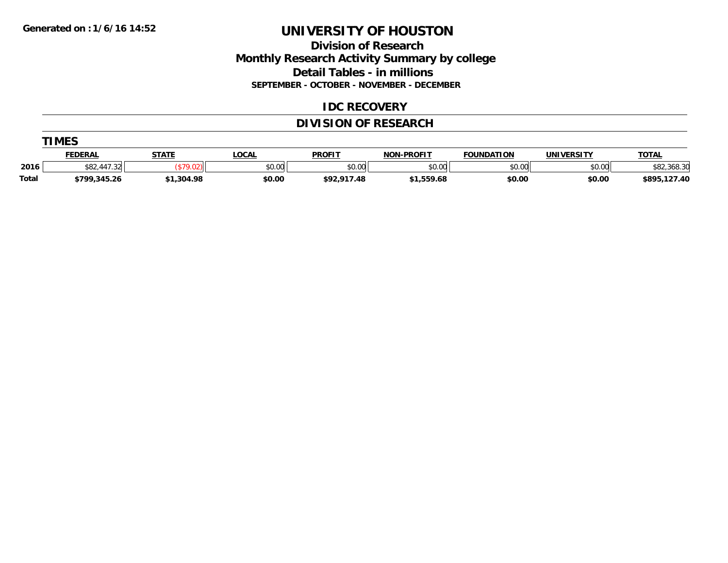**TIMES** 

# **UNIVERSITY OF HOUSTON**

### **Division of Research Monthly Research Activity Summary by college Detail Tables - in millions SEPTEMBER - OCTOBER - NOVEMBER - DECEMBER**

### **IDC RECOVERY**

## **DIVISION OF RESEARCH**

|       | <b>TMES</b>    |              |        |               |                   |                   |                   |              |  |  |  |
|-------|----------------|--------------|--------|---------------|-------------------|-------------------|-------------------|--------------|--|--|--|
|       | <b>FEDERAL</b> | <b>STATE</b> | LOCAI  | <b>PROFIT</b> | <b>NON-PROFIT</b> | <b>FOUNDATION</b> | <b>UNIVERSITY</b> | <b>TOTAL</b> |  |  |  |
| 2016  | \$82,447.32    |              | \$0.00 | \$0.00        | \$0.00            | \$0.00            | \$0.00            | \$82,368.30  |  |  |  |
| Total | \$799,345.26   | \$1,304.98   | \$0.00 | \$92,917.48   | \$1,559.68        | \$0.00            | \$0.00            | \$895,127.40 |  |  |  |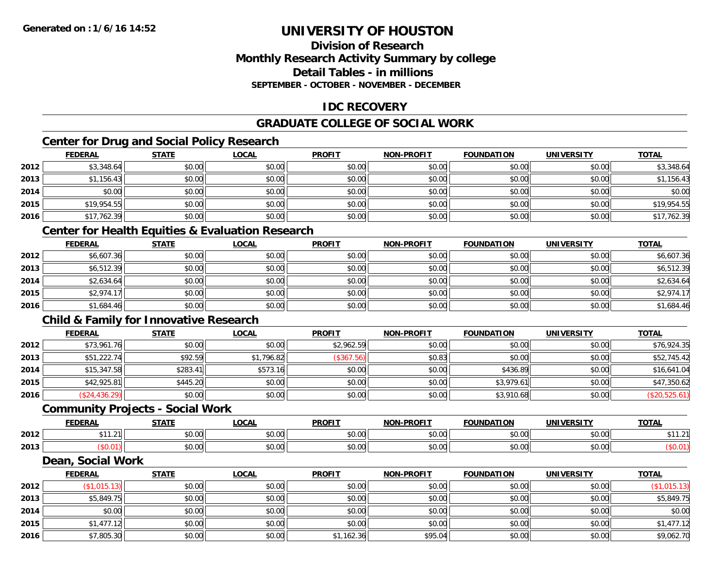### **Division of ResearchMonthly Research Activity Summary by college Detail Tables - in millions SEPTEMBER - OCTOBER - NOVEMBER - DECEMBER**

### **IDC RECOVERY**

## **GRADUATE COLLEGE OF SOCIAL WORK**

## **Center for Drug and Social Policy Research**

|      | <b>FEDERAL</b> | <b>STATE</b> | <u>LOCAL</u> | <b>PROFIT</b> | <b>NON-PROFIT</b> | <b>FOUNDATION</b> | <b>UNIVERSITY</b> | <b>TOTAL</b> |
|------|----------------|--------------|--------------|---------------|-------------------|-------------------|-------------------|--------------|
| 2012 | \$3,348.64     | \$0.00       | \$0.00       | \$0.00        | \$0.00            | \$0.00            | \$0.00            | \$3,348.64   |
| 2013 | \$1,156.43     | \$0.00       | \$0.00       | \$0.00        | \$0.00            | \$0.00            | \$0.00            | \$1,156.43   |
| 2014 | \$0.00         | \$0.00       | \$0.00       | \$0.00        | \$0.00            | \$0.00            | \$0.00            | \$0.00       |
| 2015 | \$19,954.55    | \$0.00       | \$0.00       | \$0.00        | \$0.00            | \$0.00            | \$0.00            | \$19,954.55  |
| 2016 | \$17,762.39    | \$0.00       | \$0.00       | \$0.00        | \$0.00            | \$0.00            | \$0.00            | \$17,762.39  |

## **Center for Health Equities & Evaluation Research**

|      | <b>FEDERAL</b> | <b>STATE</b> | <b>LOCAL</b> | <b>PROFIT</b> | <b>NON-PROFIT</b> | <b>FOUNDATION</b> | <b>UNIVERSITY</b> | <b>TOTAL</b> |
|------|----------------|--------------|--------------|---------------|-------------------|-------------------|-------------------|--------------|
| 2012 | \$6,607.36     | \$0.00       | \$0.00       | \$0.00        | \$0.00            | \$0.00            | \$0.00            | \$6,607.36   |
| 2013 | \$6,512.39     | \$0.00       | \$0.00       | \$0.00        | \$0.00            | \$0.00            | \$0.00            | \$6,512.39   |
| 2014 | \$2,634.64     | \$0.00       | \$0.00       | \$0.00        | \$0.00            | \$0.00            | \$0.00            | \$2,634.64   |
| 2015 | \$2,974.17     | \$0.00       | \$0.00       | \$0.00        | \$0.00            | \$0.00            | \$0.00            | \$2,974.17   |
| 2016 | \$1,684.46     | \$0.00       | \$0.00       | \$0.00        | \$0.00            | \$0.00            | \$0.00            | \$1,684.46   |

## **Child & Family for Innovative Research**

|      | <b>FEDERAL</b> | <b>STATE</b> | <b>LOCAL</b> | <b>PROFIT</b> | <b>NON-PROFIT</b> | <b>FOUNDATION</b> | <b>UNIVERSITY</b> | <b>TOTAL</b>  |
|------|----------------|--------------|--------------|---------------|-------------------|-------------------|-------------------|---------------|
| 2012 | \$73,961.76    | \$0.00       | \$0.00       | \$2,962.59    | \$0.00            | \$0.00            | \$0.00            | \$76,924.35   |
| 2013 | \$51,222.74    | \$92.59      | \$1,796.82   | (\$367.56)    | \$0.83            | \$0.00            | \$0.00            | \$52,745.42   |
| 2014 | \$15,347.58    | \$283.41     | \$573.16     | \$0.00        | \$0.00            | \$436.89          | \$0.00            | \$16,641.04   |
| 2015 | \$42,925.81    | \$445.20     | \$0.00       | \$0.00        | \$0.00            | \$3,979.61        | \$0.00            | \$47,350.62   |
| 2016 | (\$24,436.29)  | \$0.00       | \$0.00       | \$0.00        | \$0.00            | \$3,910.68        | \$0.00            | (\$20,525.61) |

#### **Community Projects - Social Work**

|      | EENEDA<br>LIVE | C T A T T              | .OCAL         | <b>PROFIT</b>              | <b>NON-PROFIT</b> | <b>FOUNDATION</b>      | UNIVERSITY                                         | <b>TOTAL</b>       |
|------|----------------|------------------------|---------------|----------------------------|-------------------|------------------------|----------------------------------------------------|--------------------|
| 2012 | .<br>1.21      | $\sim$ $\sim$<br>DU.UU | 0.00<br>vv.vv | $h \cap \cap \cap$<br>υυ., | 0000<br>vv.vv     | 0 <sub>n</sub><br>u.uu | $\mathfrak{g} \cap \mathfrak{g} \cap \mathfrak{g}$ | ***<br>$\sim$<br>. |
| 2013 |                | $\sim$ 00<br>JU.UU     | 0.00<br>JU.UU | JU.L                       | 0000<br>JU.UU     | 0000<br>u.uu           | 0000<br>JU.UU                                      |                    |

#### **Dean, Social Work**

|      | <b>FEDERAL</b> | <b>STATE</b> | <b>LOCAL</b> | <b>PROFIT</b> | <b>NON-PROFIT</b> | <b>FOUNDATION</b> | <b>UNIVERSITY</b> | <b>TOTAL</b> |
|------|----------------|--------------|--------------|---------------|-------------------|-------------------|-------------------|--------------|
| 2012 | \$1,015.13,    | \$0.00       | \$0.00       | \$0.00        | \$0.00            | \$0.00            | \$0.00            | (\$1,015.13) |
| 2013 | \$5,849.75     | \$0.00       | \$0.00       | \$0.00        | \$0.00            | \$0.00            | \$0.00            | \$5,849.75   |
| 2014 | \$0.00         | \$0.00       | \$0.00       | \$0.00        | \$0.00            | \$0.00            | \$0.00            | \$0.00       |
| 2015 | \$1,477.12     | \$0.00       | \$0.00       | \$0.00        | \$0.00            | \$0.00            | \$0.00            | \$1,477.12   |
| 2016 | \$7,805.30     | \$0.00       | \$0.00       | \$1,162.36    | \$95.04           | \$0.00            | \$0.00            | \$9,062.70   |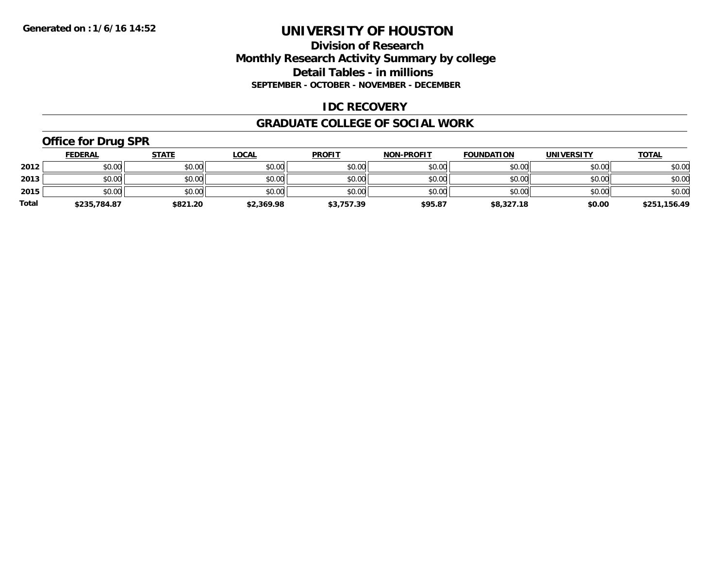### **Division of Research Monthly Research Activity Summary by college Detail Tables - in millions SEPTEMBER - OCTOBER - NOVEMBER - DECEMBER**

### **IDC RECOVERY**

#### **GRADUATE COLLEGE OF SOCIAL WORK**

## **Office for Drug SPR**

|              | <b>FEDERAL</b> | <b>STATE</b> | <u>LOCAL</u> | <b>PROFIT</b> | <b>NON-PROFIT</b> | <b>FOUNDATION</b> | <b>UNIVERSITY</b> | <b>TOTAL</b> |
|--------------|----------------|--------------|--------------|---------------|-------------------|-------------------|-------------------|--------------|
| 2012         | \$0.00         | \$0.00       | \$0.00       | \$0.00        | \$0.00            | \$0.00            | \$0.00            | \$0.00       |
| 2013         | \$0.00         | \$0.00       | \$0.00       | \$0.00        | \$0.00            | \$0.00            | \$0.00            | \$0.00       |
| 2015         | \$0.00         | \$0.00       | \$0.00       | \$0.00        | \$0.00            | \$0.00            | \$0.00            | \$0.00       |
| <b>Total</b> | \$235,784.87   | \$821.20     | \$2,369.98   | \$3,757.39    | \$95.87           | \$8,327.18        | \$0.00            | \$251,156.49 |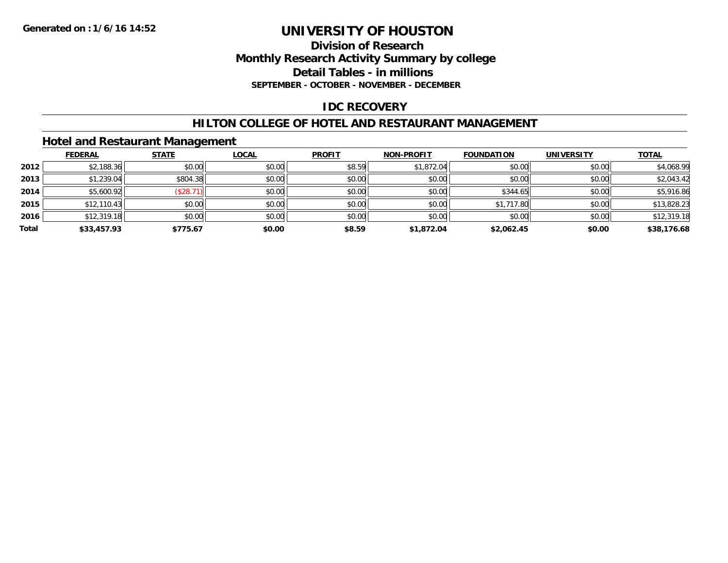### **Division of Research Monthly Research Activity Summary by college Detail Tables - in millions SEPTEMBER - OCTOBER - NOVEMBER - DECEMBER**

### **IDC RECOVERY**

### **HILTON COLLEGE OF HOTEL AND RESTAURANT MANAGEMENT**

### **Hotel and Restaurant Management**

|       | <b>FEDERAL</b> | <b>STATE</b> | <u>LOCAL</u> | <b>PROFIT</b> | <b>NON-PROFIT</b> | <b>FOUNDATION</b> | <b>UNIVERSITY</b> | <b>TOTAL</b> |
|-------|----------------|--------------|--------------|---------------|-------------------|-------------------|-------------------|--------------|
| 2012  | \$2,188.36     | \$0.00       | \$0.00       | \$8.59        | \$1,872.04        | \$0.00            | \$0.00            | \$4,068.99   |
| 2013  | \$1,239.04     | \$804.38     | \$0.00       | \$0.00        | \$0.00            | \$0.00            | \$0.00            | \$2,043.42   |
| 2014  | \$5,600.92     | (\$28.71"    | \$0.00       | \$0.00        | \$0.00            | \$344.65          | \$0.00            | \$5,916.86   |
| 2015  | \$12,110.43    | \$0.00       | \$0.00       | \$0.00        | \$0.00            | \$1,717.80        | \$0.00            | \$13,828.23  |
| 2016  | \$12,319.18    | \$0.00       | \$0.00       | \$0.00        | \$0.00            | \$0.00            | \$0.00            | \$12,319.18  |
| Total | \$33,457.93    | \$775.67     | \$0.00       | \$8.59        | \$1,872.04        | \$2,062.45        | \$0.00            | \$38,176.68  |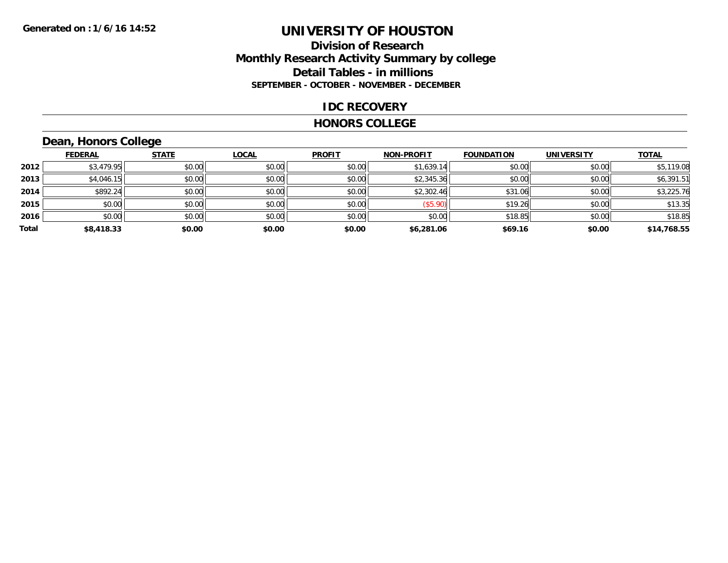### **Division of Research Monthly Research Activity Summary by college Detail Tables - in millions SEPTEMBER - OCTOBER - NOVEMBER - DECEMBER**

#### **IDC RECOVERY**

#### **HONORS COLLEGE**

## **Dean, Honors College**

|       | <b>FEDERAL</b> | <b>STATE</b> | <b>LOCAL</b> | <b>PROFIT</b> | <b>NON-PROFIT</b> | <b>FOUNDATION</b> | <b>UNIVERSITY</b> | <b>TOTAL</b> |
|-------|----------------|--------------|--------------|---------------|-------------------|-------------------|-------------------|--------------|
| 2012  | \$3,479.95     | \$0.00       | \$0.00       | \$0.00        | \$1,639.14        | \$0.00            | \$0.00            | \$5,119.08   |
| 2013  | \$4,046.15     | \$0.00       | \$0.00       | \$0.00        | \$2,345.36        | \$0.00            | \$0.00            | \$6,391.51   |
| 2014  | \$892.24       | \$0.00       | \$0.00       | \$0.00        | \$2,302.46        | \$31.06           | \$0.00            | \$3,225.76   |
| 2015  | \$0.00         | \$0.00       | \$0.00       | \$0.00        | (\$5.90)          | \$19.26           | \$0.00            | \$13.35      |
| 2016  | \$0.00         | \$0.00       | \$0.00       | \$0.00        | \$0.00            | \$18.85           | \$0.00            | \$18.85      |
| Total | \$8,418.33     | \$0.00       | \$0.00       | \$0.00        | \$6,281.06        | \$69.16           | \$0.00            | \$14,768.55  |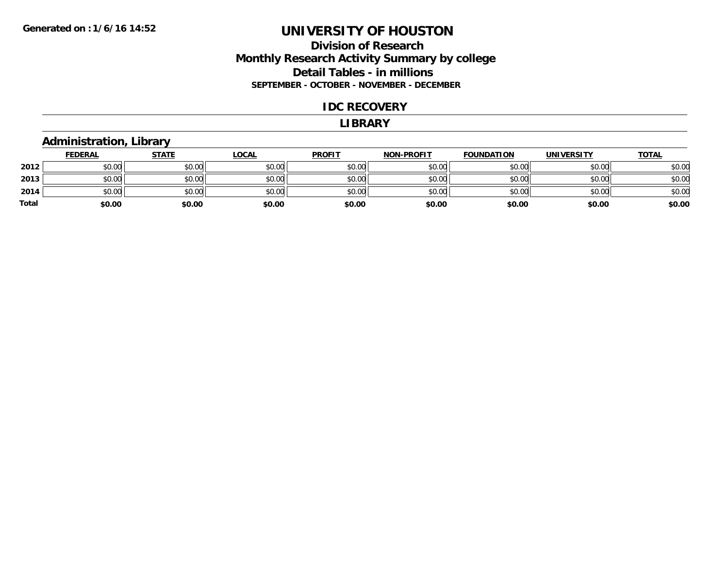### **Division of Research Monthly Research Activity Summary by college Detail Tables - in millions SEPTEMBER - OCTOBER - NOVEMBER - DECEMBER**

#### **IDC RECOVERY**

#### **LIBRARY**

### **Administration, Library**

|       | <b>FEDERAL</b> | <b>STATE</b> | <b>LOCAL</b> | <b>PROFIT</b> | <b>NON-PROFIT</b> | <b>FOUNDATION</b> | <b>UNIVERSITY</b> | <u>TOTAL</u> |
|-------|----------------|--------------|--------------|---------------|-------------------|-------------------|-------------------|--------------|
| 2012  | \$0.00         | \$0.00       | \$0.00       | \$0.00        | \$0.00            | \$0.00            | \$0.00            | \$0.00       |
| 2013  | \$0.00         | \$0.00       | \$0.00       | \$0.00        | \$0.00            | \$0.00            | \$0.00            | \$0.00       |
| 2014  | \$0.00         | \$0.00       | \$0.00       | \$0.00        | \$0.00            | \$0.00            | \$0.00            | \$0.00       |
| Total | \$0.00         | \$0.00       | \$0.00       | \$0.00        | \$0.00            | \$0.00            | \$0.00            | \$0.00       |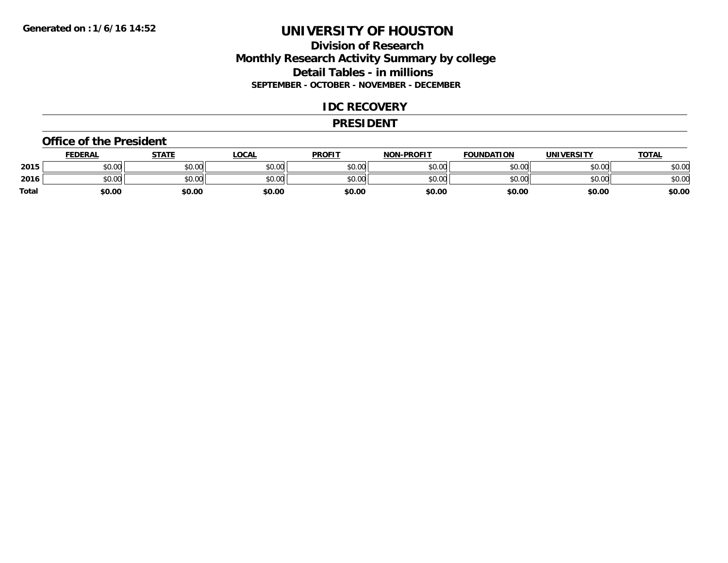### **Division of Research Monthly Research Activity Summary by college Detail Tables - in millions SEPTEMBER - OCTOBER - NOVEMBER - DECEMBER**

### **IDC RECOVERY**

#### **PRESIDENT**

#### **Office of the President**

|       | <b>FEDERAL</b> | STATE  | <u>LOCAL</u> | <b>PROFIT</b> | <b>NON-PROFIT</b> | <b>FOUNDATION</b> | <b>UNIVERSITY</b> | <b>TOTAL</b> |
|-------|----------------|--------|--------------|---------------|-------------------|-------------------|-------------------|--------------|
| 2015  | ደስ ሰሰ<br>JU.UU | \$0.00 | \$0.00       | \$0.00        | \$0.00            | \$0.00            | \$0.00            | \$0.00       |
| 2016  | ልስ ሰሰ<br>JU.UU | \$0.00 | \$0.00       | \$0.00        | \$0.00            | \$0.00            | \$0.00            | \$0.00       |
| Total | \$0.00         | \$0.00 | \$0.00       | \$0.00        | \$0.00            | \$0.00            | \$0.00            | \$0.00       |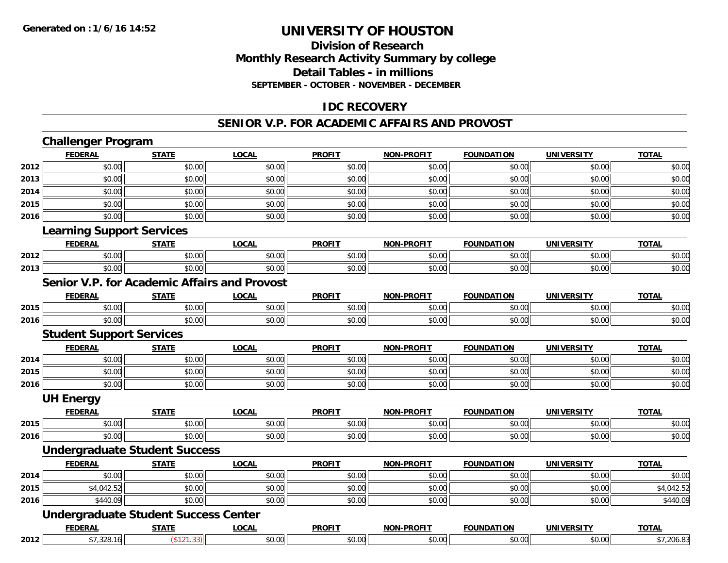### **Division of Research Monthly Research Activity Summary by college Detail Tables - in millions SEPTEMBER - OCTOBER - NOVEMBER - DECEMBER**

### **IDC RECOVERY**

#### **SENIOR V.P. FOR ACADEMIC AFFAIRS AND PROVOST**

|      | <b>Challenger Program</b>                    |              |              |               |                   |                   |                   |              |
|------|----------------------------------------------|--------------|--------------|---------------|-------------------|-------------------|-------------------|--------------|
|      | <b>FEDERAL</b>                               | <b>STATE</b> | <b>LOCAL</b> | <b>PROFIT</b> | <b>NON-PROFIT</b> | <b>FOUNDATION</b> | <b>UNIVERSITY</b> | <b>TOTAL</b> |
| 2012 | \$0.00                                       | \$0.00       | \$0.00       | \$0.00        | \$0.00            | \$0.00            | \$0.00            | \$0.00       |
| 2013 | \$0.00                                       | \$0.00       | \$0.00       | \$0.00        | \$0.00            | \$0.00            | \$0.00            | \$0.00       |
| 2014 | \$0.00                                       | \$0.00       | \$0.00       | \$0.00        | \$0.00            | \$0.00            | \$0.00            | \$0.00       |
| 2015 | \$0.00                                       | \$0.00       | \$0.00       | \$0.00        | \$0.00            | \$0.00            | \$0.00            | \$0.00       |
| 2016 | \$0.00                                       | \$0.00       | \$0.00       | \$0.00        | \$0.00            | \$0.00            | \$0.00            | \$0.00       |
|      | <b>Learning Support Services</b>             |              |              |               |                   |                   |                   |              |
|      | <b>FEDERAL</b>                               | <b>STATE</b> | <b>LOCAL</b> | <b>PROFIT</b> | <b>NON-PROFIT</b> | <b>FOUNDATION</b> | <b>UNIVERSITY</b> | <b>TOTAL</b> |
| 2012 | \$0.00                                       | \$0.00       | \$0.00       | \$0.00        | \$0.00            | \$0.00            | \$0.00            | \$0.00       |
| 2013 | \$0.00                                       | \$0.00       | \$0.00       | \$0.00        | \$0.00            | \$0.00            | \$0.00            | \$0.00       |
|      | Senior V.P. for Academic Affairs and Provost |              |              |               |                   |                   |                   |              |
|      | <b>FEDERAL</b>                               | <b>STATE</b> | <b>LOCAL</b> | <b>PROFIT</b> | <b>NON-PROFIT</b> | <b>FOUNDATION</b> | <b>UNIVERSITY</b> | <b>TOTAL</b> |
| 2015 | \$0.00                                       | \$0.00       | \$0.00       | \$0.00        | \$0.00            | \$0.00            | \$0.00            | \$0.00       |
| 2016 | \$0.00                                       | \$0.00       | \$0.00       | \$0.00        | \$0.00            | \$0.00            | \$0.00            | \$0.00       |
|      | <b>Student Support Services</b>              |              |              |               |                   |                   |                   |              |
|      | <b>FEDERAL</b>                               | <b>STATE</b> | <b>LOCAL</b> | <b>PROFIT</b> | <b>NON-PROFIT</b> | <b>FOUNDATION</b> | <b>UNIVERSITY</b> | <b>TOTAL</b> |
| 2014 | \$0.00                                       | \$0.00       | \$0.00       | \$0.00        | \$0.00            | \$0.00            | \$0.00            | \$0.00       |
| 2015 | \$0.00                                       | \$0.00       | \$0.00       | \$0.00        | \$0.00            | \$0.00            | \$0.00            | \$0.00       |
| 2016 | \$0.00                                       | \$0.00       | \$0.00       | \$0.00        | \$0.00            | \$0.00            | \$0.00            | \$0.00       |
|      | <b>UH Energy</b>                             |              |              |               |                   |                   |                   |              |
|      | <b>FEDERAL</b>                               | <b>STATE</b> | <b>LOCAL</b> | <b>PROFIT</b> | <b>NON-PROFIT</b> | <b>FOUNDATION</b> | <b>UNIVERSITY</b> | <b>TOTAL</b> |
| 2015 | \$0.00                                       | \$0.00       | \$0.00       | \$0.00        | \$0.00            | \$0.00            | \$0.00            | \$0.00       |
| 2016 | \$0.00                                       | \$0.00       | \$0.00       | \$0.00        | \$0.00            | \$0.00            | \$0.00            | \$0.00       |
|      | <b>Undergraduate Student Success</b>         |              |              |               |                   |                   |                   |              |
|      | <b>FEDERAL</b>                               | <b>STATE</b> | <b>LOCAL</b> | <b>PROFIT</b> | <b>NON-PROFIT</b> | <b>FOUNDATION</b> | <b>UNIVERSITY</b> | <b>TOTAL</b> |
| 2014 | \$0.00                                       | \$0.00       | \$0.00       | \$0.00        | \$0.00            | \$0.00            | \$0.00            | \$0.00       |
| 2015 | \$4,042.52                                   | \$0.00       | \$0.00       | \$0.00        | \$0.00            | \$0.00            | \$0.00            | \$4,042.52   |
| 2016 | \$440.09                                     | \$0.00       | \$0.00       | \$0.00        | \$0.00            | \$0.00            | \$0.00            | \$440.09     |
|      | <b>Undergraduate Student Success Center</b>  |              |              |               |                   |                   |                   |              |
|      | <b>FEDERAL</b>                               | <b>STATE</b> | <b>LOCAL</b> | <b>PROFIT</b> | <b>NON-PROFIT</b> | <b>FOUNDATION</b> | <b>UNIVERSITY</b> | <b>TOTAL</b> |
| 2012 | \$7,328.16                                   | (\$121.33)   | \$0.00       | \$0.00        | \$0.00            | \$0.00            | \$0.00            | \$7,206.83   |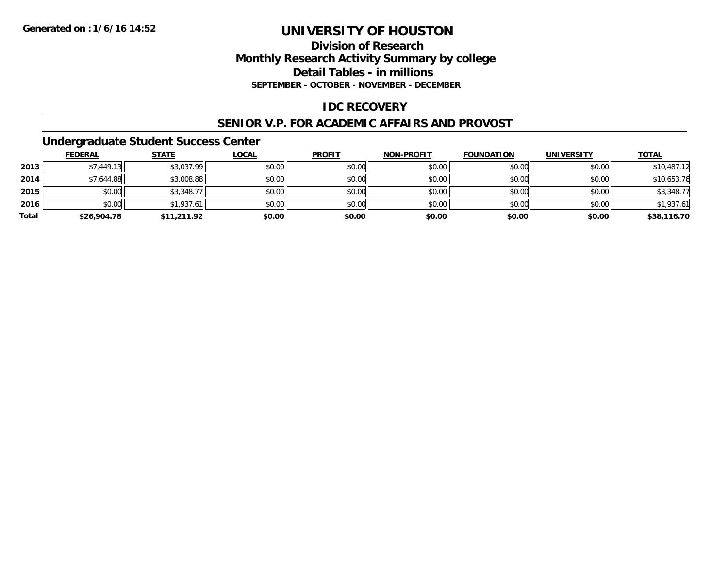## **Division of ResearchMonthly Research Activity Summary by college Detail Tables - in millions SEPTEMBER - OCTOBER - NOVEMBER - DECEMBER**

### **IDC RECOVERY**

#### **SENIOR V.P. FOR ACADEMIC AFFAIRS AND PROVOST**

### **Undergraduate Student Success Center**

|       | <b>FEDERAL</b> | <b>STATE</b> | <u>LOCAL</u> | <b>PROFIT</b> | <b>NON-PROFIT</b> | <b>FOUNDATION</b> | <b>UNIVERSITY</b> | <b>TOTAL</b> |
|-------|----------------|--------------|--------------|---------------|-------------------|-------------------|-------------------|--------------|
| 2013  | \$7,449.13     | \$3,037.99   | \$0.00       | \$0.00        | \$0.00            | \$0.00            | \$0.00            | \$10,487.12  |
| 2014  | \$7,644.88     | \$3,008.88   | \$0.00       | \$0.00        | \$0.00            | \$0.00            | \$0.00            | \$10,653.76  |
| 2015  | \$0.00         | \$3,348.77   | \$0.00       | \$0.00        | \$0.00            | \$0.00            | \$0.00            | \$3,348.77   |
| 2016  | \$0.00         | \$1,937.61   | \$0.00       | \$0.00        | \$0.00            | \$0.00            | \$0.00            | \$1,937.61   |
| Total | \$26,904.78    | \$11,211.92  | \$0.00       | \$0.00        | \$0.00            | \$0.00            | \$0.00            | \$38,116.70  |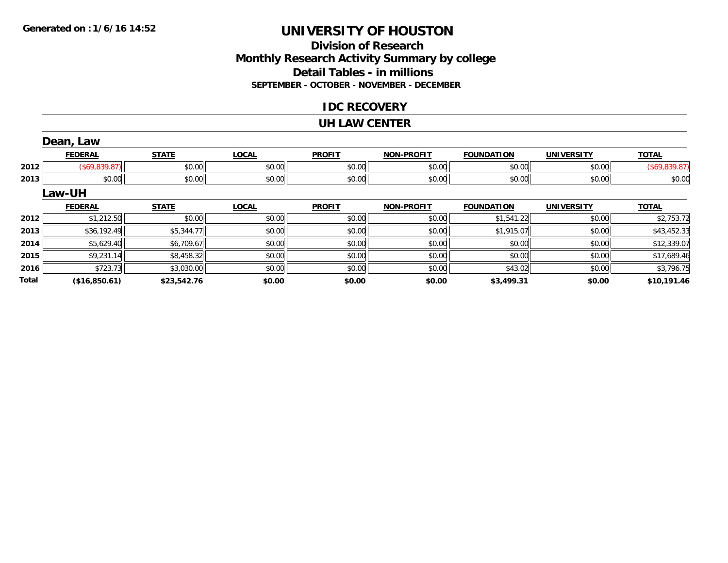## **Division of ResearchMonthly Research Activity Summary by college Detail Tables - in millions SEPTEMBER - OCTOBER - NOVEMBER - DECEMBER**

### **IDC RECOVERY**

#### **UH LAW CENTER**

|              | Dean, Law      |              |              |               |                   |                   |                   |               |
|--------------|----------------|--------------|--------------|---------------|-------------------|-------------------|-------------------|---------------|
|              | <b>FEDERAL</b> | <b>STATE</b> | <b>LOCAL</b> | <b>PROFIT</b> | <b>NON-PROFIT</b> | <b>FOUNDATION</b> | <b>UNIVERSITY</b> | <b>TOTAL</b>  |
| 2012         | (\$69,839.87)  | \$0.00       | \$0.00       | \$0.00        | \$0.00            | \$0.00            | \$0.00            | (\$69,839.87) |
| 2013         | \$0.00         | \$0.00       | \$0.00       | \$0.00        | \$0.00            | \$0.00            | \$0.00            | \$0.00        |
|              | Law-UH         |              |              |               |                   |                   |                   |               |
|              | <b>FEDERAL</b> | <b>STATE</b> | <b>LOCAL</b> | <b>PROFIT</b> | <b>NON-PROFIT</b> | <b>FOUNDATION</b> | <b>UNIVERSITY</b> | <b>TOTAL</b>  |
| 2012         | \$1,212.50     | \$0.00       | \$0.00       | \$0.00        | \$0.00            | \$1,541.22        | \$0.00            | \$2,753.72    |
| 2013         | \$36,192.49    | \$5,344.77   | \$0.00       | \$0.00        | \$0.00            | \$1,915.07        | \$0.00            | \$43,452.33   |
| 2014         | \$5,629.40     | \$6,709.67   | \$0.00       | \$0.00        | \$0.00            | \$0.00            | \$0.00            | \$12,339.07   |
| 2015         | \$9,231.14     | \$8,458.32   | \$0.00       | \$0.00        | \$0.00            | \$0.00            | \$0.00            | \$17,689.46   |
| 2016         | \$723.73       | \$3,030.00   | \$0.00       | \$0.00        | \$0.00            | \$43.02           | \$0.00            | \$3,796.75    |
| <b>Total</b> | (\$16,850.61)  | \$23,542.76  | \$0.00       | \$0.00        | \$0.00            | \$3,499.31        | \$0.00            | \$10,191.46   |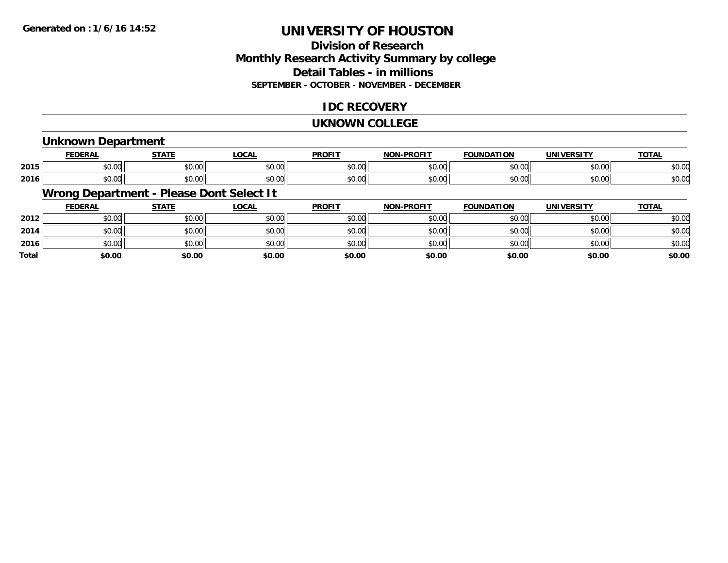## **Division of ResearchMonthly Research Activity Summary by college Detail Tables - in millions SEPTEMBER - OCTOBER - NOVEMBER - DECEMBER**

### **IDC RECOVERY**

#### **UKNOWN COLLEGE**

### **Unknown Department**

|      | <b>FFDFDAI</b><br>-- Ar | -----<br>. n .     | LOCAL         | <b>PROF!</b>  | <b>DRAFIT</b><br><b>NICH</b> | .<br>'NDA.<br>пог  | <b>INII</b>    | $T^{\sim}$<br>OIAL     |
|------|-------------------------|--------------------|---------------|---------------|------------------------------|--------------------|----------------|------------------------|
| 2015 | $\sim$<br>ት ヘ<br>90. UU | $\sim$ 00<br>JU.UU | 0.00<br>JU.UU | 0000<br>JU.UU | 0000<br>⊸∪.∪⊌                | $\sim$ 00          | 0000<br>JU.UU  | $\sim$ 0.4<br>ง∪.∪บ    |
| 2016 | ተል ስራ<br>JU.UU          | $\sim$ 00<br>JU.UU | 0.00<br>JU.UU | 0000<br>JU.UU | $\sim$ $\sim$<br>⊸∪.∪ພ       | $\sim$ 00<br>טט.טע | ሶስ ሰሰ<br>JU.UU | $\sim$ $\sim$<br>ง∪.∪บ |

## **Wrong Department - Please Dont Select It**

|              | <b>FEDERAL</b> | <b>STATE</b> | <u>LOCAL</u> | <b>PROFIT</b> | <b>NON-PROFIT</b> | <b>FOUNDATION</b> | <b>UNIVERSITY</b> | <b>TOTAL</b> |
|--------------|----------------|--------------|--------------|---------------|-------------------|-------------------|-------------------|--------------|
| 2012         | \$0.00         | \$0.00       | \$0.00       | \$0.00        | \$0.00            | \$0.00            | \$0.00            | \$0.00       |
| 2014         | \$0.00         | \$0.00       | \$0.00       | \$0.00        | \$0.00            | \$0.00            | \$0.00            | \$0.00       |
| 2016         | \$0.00         | \$0.00       | \$0.00       | \$0.00        | \$0.00            | \$0.00            | \$0.00            | \$0.00       |
| <b>Total</b> | \$0.00         | \$0.00       | \$0.00       | \$0.00        | \$0.00            | \$0.00            | \$0.00            | \$0.00       |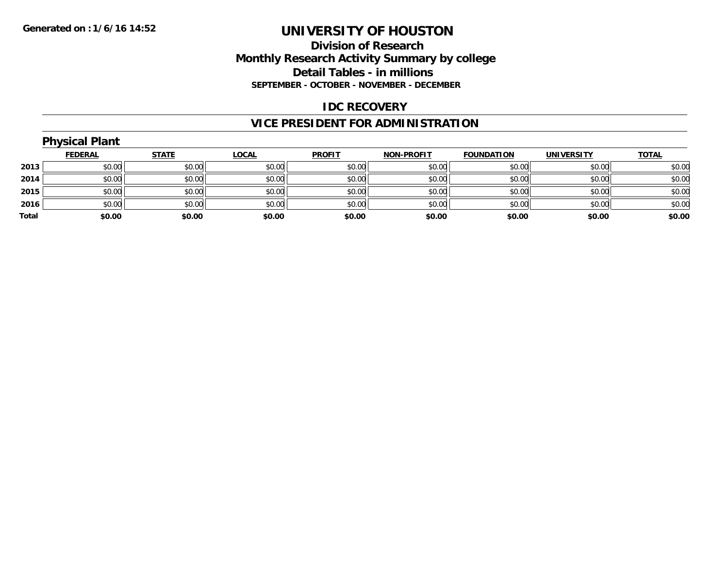### **Division of Research Monthly Research Activity Summary by college Detail Tables - in millions SEPTEMBER - OCTOBER - NOVEMBER - DECEMBER**

### **IDC RECOVERY**

## **VICE PRESIDENT FOR ADMINISTRATION**

|       | <b>Physical Plant</b> |              |              |               |                   |                   |                   |              |
|-------|-----------------------|--------------|--------------|---------------|-------------------|-------------------|-------------------|--------------|
|       | <u>FEDERAL</u>        | <b>STATE</b> | <u>LOCAL</u> | <b>PROFIT</b> | <b>NON-PROFIT</b> | <b>FOUNDATION</b> | <b>UNIVERSITY</b> | <b>TOTAL</b> |
| 2013  | \$0.00                | \$0.00       | \$0.00       | \$0.00        | \$0.00            | \$0.00            | \$0.00            | \$0.00       |
| 2014  | \$0.00                | \$0.00       | \$0.00       | \$0.00        | \$0.00            | \$0.00            | \$0.00            | \$0.00       |
| 2015  | \$0.00                | \$0.00       | \$0.00       | \$0.00        | \$0.00            | \$0.00            | \$0.00            | \$0.00       |
| 2016  | \$0.00                | \$0.00       | \$0.00       | \$0.00        | \$0.00            | \$0.00            | \$0.00            | \$0.00       |
| Total | \$0.00                | \$0.00       | \$0.00       | \$0.00        | \$0.00            | \$0.00            | \$0.00            | \$0.00       |
|       |                       |              |              |               |                   |                   |                   |              |

# **Physical Plant**